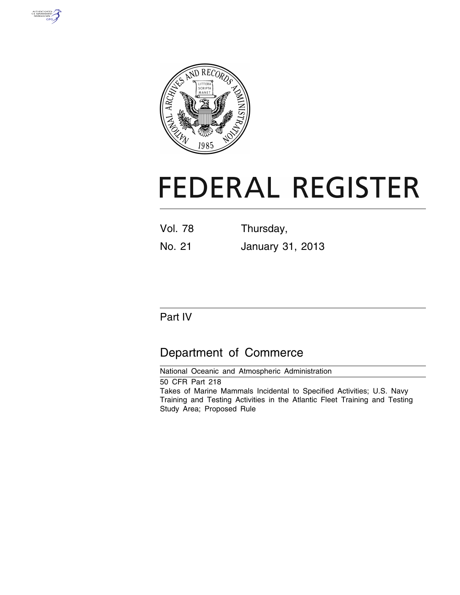



# **FEDERAL REGISTER**

| <b>Vol. 78</b> | Thursday, |
|----------------|-----------|
|                |           |

# No. 21 January 31, 2013

## Part IV

# Department of Commerce

National Oceanic and Atmospheric Administration 50 CFR Part 218 Takes of Marine Mammals Incidental to Specified Activities; U.S. Navy Training and Testing Activities in the Atlantic Fleet Training and Testing Study Area; Proposed Rule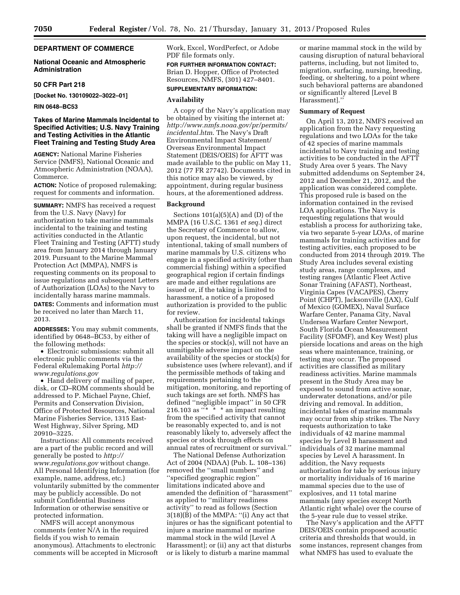## **DEPARTMENT OF COMMERCE**

## **National Oceanic and Atmospheric Administration**

## **50 CFR Part 218**

**[Docket No. 130109022–3022–01]** 

**RIN 0648–BC53** 

## **Takes of Marine Mammals Incidental to Specified Activities; U.S. Navy Training and Testing Activities in the Atlantic Fleet Training and Testing Study Area**

**AGENCY:** National Marine Fisheries Service (NMFS), National Oceanic and Atmospheric Administration (NOAA), Commerce.

**ACTION:** Notice of proposed rulemaking; request for comments and information.

**SUMMARY:** NMFS has received a request from the U.S. Navy (Navy) for authorization to take marine mammals incidental to the training and testing activities conducted in the Atlantic Fleet Training and Testing (AFTT) study area from January 2014 through January 2019. Pursuant to the Marine Mammal Protection Act (MMPA), NMFS is requesting comments on its proposal to issue regulations and subsequent Letters of Authorization (LOAs) to the Navy to incidentally harass marine mammals.

**DATES:** Comments and information must be received no later than March 11, 2013.

**ADDRESSES:** You may submit comments, identified by 0648–BC53, by either of the following methods:

• Electronic submissions: submit all electronic public comments via the Federal eRulemaking Portal *[http://](http://www.regulations.gov) [www.regulations.gov](http://www.regulations.gov)* 

• Hand delivery of mailing of paper, disk, or CD–ROM comments should be addressed to P. Michael Payne, Chief, Permits and Conservation Division, Office of Protected Resources, National Marine Fisheries Service, 1315 East-West Highway, Silver Spring, MD 20910–3225.

Instructions: All comments received are a part of the public record and will generally be posted to *[http://](http://www.regulations.gov) [www.regulations.gov](http://www.regulations.gov)* without change. All Personal Identifying Information (for example, name, address, etc.) voluntarily submitted by the commenter may be publicly accessible. Do not submit Confidential Business Information or otherwise sensitive or protected information.

NMFS will accept anonymous comments (enter N/A in the required fields if you wish to remain anonymous). Attachments to electronic comments will be accepted in Microsoft Work, Excel, WordPerfect, or Adobe PDF file formats only.

**FOR FURTHER INFORMATION CONTACT:**  Brian D. Hopper, Office of Protected Resources, NMFS, (301) 427–8401. **SUPPLEMENTARY INFORMATION:** 

## **Availability**

A copy of the Navy's application may be obtained by visiting the internet at: *[http://www.nmfs.noaa.gov/pr/permits/](http://www.nmfs.noaa.gov/pr/permits/incidental.htm)  [incidental.htm](http://www.nmfs.noaa.gov/pr/permits/incidental.htm)*. The Navy's Draft Environmental Impact Statement/ Overseas Environmental Impact Statement (DEIS/OEIS) for AFTT was made available to the public on May 11, 2012 (77 FR 27742). Documents cited in this notice may also be viewed, by appointment, during regular business hours, at the aforementioned address.

#### **Background**

Sections 101(a)(5)(A) and (D) of the MMPA (16 U.S.C. 1361 *et seq.*) direct the Secretary of Commerce to allow, upon request, the incidental, but not intentional, taking of small numbers of marine mammals by U.S. citizens who engage in a specified activity (other than commercial fishing) within a specified geographical region if certain findings are made and either regulations are issued or, if the taking is limited to harassment, a notice of a proposed authorization is provided to the public for review.

Authorization for incidental takings shall be granted if NMFS finds that the taking will have a negligible impact on the species or stock(s), will not have an unmitigable adverse impact on the availability of the species or stock(s) for subsistence uses (where relevant), and if the permissible methods of taking and requirements pertaining to the mitigation, monitoring, and reporting of such takings are set forth. NMFS has defined ''negligible impact'' in 50 CFR 216.103 as ''\* \* \* an impact resulting from the specified activity that cannot be reasonably expected to, and is not reasonably likely to, adversely affect the species or stock through effects on annual rates of recruitment or survival.''

The National Defense Authorization Act of 2004 (NDAA) (Pub. L. 108–136) removed the ''small numbers'' and ''specified geographic region'' limitations indicated above and amended the definition of ''harassment'' as applied to ''military readiness activity'' to read as follows (Section 3(18)(B) of the MMPA: ''(i) Any act that injures or has the significant potential to injure a marine mammal or marine mammal stock in the wild [Level A Harassment]; or (ii) any act that disturbs or is likely to disturb a marine mammal

or marine mammal stock in the wild by causing disruption of natural behavioral patterns, including, but not limited to, migration, surfacing, nursing, breeding, feeding, or sheltering, to a point where such behavioral patterns are abandoned or significantly altered [Level B Harassment].''

#### **Summary of Request**

On April 13, 2012, NMFS received an application from the Navy requesting regulations and two LOAs for the take of 42 species of marine mammals incidental to Navy training and testing activities to be conducted in the AFTT Study Area over 5 years. The Navy submitted addendums on September 24, 2012 and December 21, 2012, and the application was considered complete. This proposed rule is based on the information contained in the revised LOA applications. The Navy is requesting regulations that would establish a process for authorizing take, via two separate 5-year LOAs, of marine mammals for training activities and for testing activities, each proposed to be conducted from 2014 through 2019. The Study Area includes several existing study areas, range complexes, and testing ranges (Atlantic Fleet Active Sonar Training (AFAST), Northeast, Virginia Capes (VACAPES), Cherry Point (CHPT), Jacksonville (JAX), Gulf of Mexico (GOMEX), Naval Surface Warfare Center, Panama City, Naval Undersea Warfare Center Newport, South Florida Ocean Measurement Facility (SFOMF), and Key West) plus pierside locations and areas on the high seas where maintenance, training, or testing may occur. The proposed activities are classified as military readiness activities. Marine mammals present in the Study Area may be exposed to sound from active sonar, underwater detonations, and/or pile driving and removal. In addition, incidental takes of marine mammals may occur from ship strikes. The Navy requests authorization to take individuals of 42 marine mammal species by Level B harassment and individuals of 32 marine mammal species by Level A harassment. In addition, the Navy requests authorization for take by serious injury or mortality individuals of 16 marine mammal species due to the use of explosives, and 11 total marine mammals (any species except North Atlantic right whale) over the course of the 5-year rule due to vessel strike.

The Navy's application and the AFTT DEIS/OEIS contain proposed acoustic criteria and thresholds that would, in some instances, represent changes from what NMFS has used to evaluate the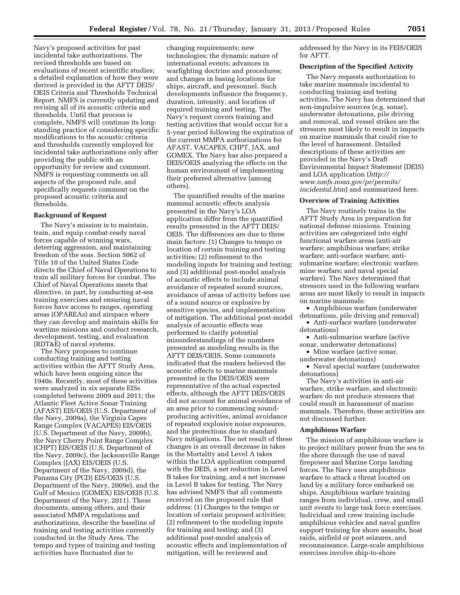Navy's proposed activities for past incidental take authorizations. The revised thresholds are based on evaluations of recent scientific studies; a detailed explanation of how they were derived is provided in the AFTT DEIS/ OEIS Criteria and Thresholds Technical Report. NMFS is currently updating and revising all of its acoustic criteria and thresholds. Until that process is complete, NMFS will continue its longstanding practice of considering specific modifications to the acoustic criteria and thresholds currently employed for incidental take authorizations only after providing the public with an opportunity for review and comment. NMFS is requesting comments on all aspects of the proposed rule, and specifically requests comment on the proposed acoustic criteria and thresholds.

## **Background of Request**

The Navy's mission is to maintain, train, and equip combat-ready naval forces capable of winning wars, deterring aggression, and maintaining freedom of the seas. Section 5062 of Title 10 of the United States Code directs the Chief of Naval Operations to train all military forces for combat. The Chief of Naval Operations meets that directive, in part, by conducting at-sea training exercises and ensuring naval forces have access to ranges, operating areas (OPAREAs) and airspace where they can develop and maintain skills for wartime missions and conduct research, development, testing, and evaluation (RDT&E) of naval systems.

The Navy proposes to continue conducting training and testing activities within the AFTT Study Area, which have been ongoing since the 1940s. Recently, most of these activities were analyzed in six separate EISs completed between 2009 and 2011; the Atlantic Fleet Active Sonar Training (AFAST) EIS/OEIS (U.S. Department of the Navy, 2009a), the Virginia Capes Range Complex (VACAPES) EIS/OEIS (U.S. Department of the Navy, 2009b), the Navy Cherry Point Range Complex (CHPT) EIS/OEIS (U.S. Department of the Navy, 2009c), the Jacksonville Range Complex (JAX) EIS/OEIS (U.S. Department of the Navy, 2009d), the Panama City (PCD) EIS/OEIS (U.S. Department of the Navy, 2009e), and the Gulf of Mexico (GOMEX) EIS/OEIS (U.S. Department of the Navy, 2011). These documents, among others, and their associated MMPA regulations and authorizations, describe the baseline of training and testing activities currently conducted in the Study Area. The tempo and types of training and testing activities have fluctuated due to

changing requirements; new technologies; the dynamic nature of international events; advances in warfighting doctrine and procedures; and changes in basing locations for ships, aircraft, and personnel. Such developments influence the frequency, duration, intensity, and location of required training and testing. The Navy's request covers training and testing activities that would occur for a 5-year period following the expiration of the current MMPA authorizations for AFAST, VACAPES, CHPT, JAX, and GOMEX. The Navy has also prepared a DEIS/OEIS analyzing the effects on the human environment of implementing their preferred alternative (among others).

The quantified results of the marine mammal acoustic effects analysis presented in the Navy's LOA application differ from the quantified results presented in the AFTT DEIS/ OEIS. The differences are due to three main factors: (1) Changes to tempo or location of certain training and testing activities; (2) refinement to the modeling inputs for training and testing; and (3) additional post-model analysis of acoustic effects to include animal avoidance of repeated sound sources, avoidance of areas of activity before use of a sound source or explosive by sensitive species, and implementation of mitigation. The additional post-model analysis of acoustic effects was performed to clarify potential misunderstandings of the numbers presented as modeling results in the AFTT DEIS/OEIS. Some comments indicated that the readers believed the acoustic effects to marine mammals presented in the DEIS/OEIS were representative of the actual expected effects, although the AFTT DEIS/OEIS did not account for animal avoidance of an area prior to commencing soundproducing activities, animal avoidance of repeated explosive noise exposures, and the protections due to standard Navy mitigations. The net result of these changes is an overall decrease in takes in the Mortality and Level A takes within the LOA application compared with the DEIS, a net reduction in Level B takes for training, and a net increase in Level B takes for testing. The Navy has advised NMFS that all comments received on the proposed rule that address: (1) Changes to the tempo or location of certain proposed activities; (2) refinement to the modeling inputs for training and testing; and (3) additional post-model analysis of acoustic effects and implementation of mitigation, will be reviewed and

addressed by the Navy in its FEIS/OEIS for AFTT.

#### **Description of the Specified Activity**

The Navy requests authorization to take marine mammals incidental to conducting training and testing activities. The Navy has determined that non-impulsive sources (e.g. sonar), underwater detonations, pile driving and removal, and vessel strikes are the stressors most likely to result in impacts on marine mammals that could rise to the level of harassment. Detailed descriptions of these activities are provided in the Navy's Draft Environmental Impact Statement (DEIS) and LOA application (*[http://](http://www.nmfs.noaa.gov/pr/permits/incidental.htm)  [www.nmfs.noaa.gov/pr/permits/](http://www.nmfs.noaa.gov/pr/permits/incidental.htm) [incidental.htm](http://www.nmfs.noaa.gov/pr/permits/incidental.htm)*) and summarized here.

#### **Overview of Training Activities**

The Navy routinely trains in the AFTT Study Area in preparation for national defense missions. Training activities are categorized into eight functional warfare areas (anti-air warfare; amphibious warfare; strike warfare; anti-surface warfare; antisubmarine warfare; electronic warfare; mine warfare; and naval special warfare). The Navy determined that stressors used in the following warfare areas are most likely to result in impacts on marine mammals:

• Amphibious warfare (underwater detonations, pile driving and removal)

• Anti-surface warfare (underwater detonations)

• Anti-submarine warfare (active sonar, underwater detonations)

• Mine warfare (active sonar, underwater detonations)

• Naval special warfare (underwater detonations)

The Navy's activities in anti-air warfare, strike warfare, and electronic warfare do not produce stressors that could result in harassment of marine mammals. Therefore, these activities are not discussed further.

## **Amphibious Warfare**

The mission of amphibious warfare is to project military power from the sea to the shore through the use of naval firepower and Marine Corps landing forces. The Navy uses amphibious warfare to attack a threat located on land by a military force embarked on ships. Amphibious warfare training ranges from individual, crew, and small unit events to large task force exercises. Individual and crew training include amphibious vehicles and naval gunfire support training for shore assaults, boat raids, airfield or port seizures, and reconnaissance. Large-scale amphibious exercises involve ship-to-shore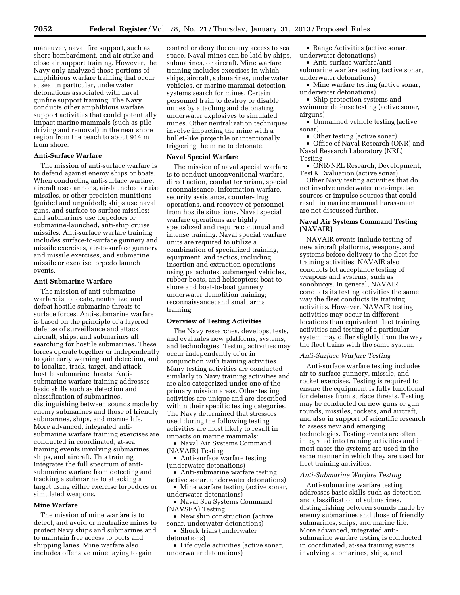maneuver, naval fire support, such as shore bombardment, and air strike and close air support training. However, the Navy only analyzed those portions of amphibious warfare training that occur at sea, in particular, underwater detonations associated with naval gunfire support training. The Navy conducts other amphibious warfare support activities that could potentially impact marine mammals (such as pile driving and removal) in the near shore region from the beach to about 914 m from shore.

## **Anti-Surface Warfare**

The mission of anti-surface warfare is to defend against enemy ships or boats. When conducting anti-surface warfare, aircraft use cannons, air-launched cruise missiles, or other precision munitions (guided and unguided); ships use naval guns, and surface-to-surface missiles; and submarines use torpedoes or submarine-launched, anti-ship cruise missiles. Anti-surface warfare training includes surface-to-surface gunnery and missile exercises, air-to-surface gunnery and missile exercises, and submarine missile or exercise torpedo launch events.

## **Anti-Submarine Warfare**

The mission of anti-submarine warfare is to locate, neutralize, and defeat hostile submarine threats to surface forces. Anti-submarine warfare is based on the principle of a layered defense of surveillance and attack aircraft, ships, and submarines all searching for hostile submarines. These forces operate together or independently to gain early warning and detection, and to localize, track, target, and attack hostile submarine threats. Antisubmarine warfare training addresses basic skills such as detection and classification of submarines, distinguishing between sounds made by enemy submarines and those of friendly submarines, ships, and marine life. More advanced, integrated antisubmarine warfare training exercises are conducted in coordinated, at-sea training events involving submarines, ships, and aircraft. This training integrates the full spectrum of antisubmarine warfare from detecting and tracking a submarine to attacking a target using either exercise torpedoes or simulated weapons.

## **Mine Warfare**

The mission of mine warfare is to detect, and avoid or neutralize mines to protect Navy ships and submarines and to maintain free access to ports and shipping lanes. Mine warfare also includes offensive mine laying to gain

control or deny the enemy access to sea space. Naval mines can be laid by ships, submarines, or aircraft. Mine warfare training includes exercises in which ships, aircraft, submarines, underwater vehicles, or marine mammal detection systems search for mines. Certain personnel train to destroy or disable mines by attaching and detonating underwater explosives to simulated mines. Other neutralization techniques involve impacting the mine with a bullet-like projectile or intentionally triggering the mine to detonate.

## **Naval Special Warfare**

The mission of naval special warfare is to conduct unconventional warfare, direct action, combat terrorism, special reconnaissance, information warfare, security assistance, counter-drug operations, and recovery of personnel from hostile situations. Naval special warfare operations are highly specialized and require continual and intense training. Naval special warfare units are required to utilize a combination of specialized training, equipment, and tactics, including insertion and extraction operations using parachutes, submerged vehicles, rubber boats, and helicopters; boat-toshore and boat-to-boat gunnery; underwater demolition training; reconnaissance; and small arms training.

## **Overview of Testing Activities**

The Navy researches, develops, tests, and evaluates new platforms, systems, and technologies. Testing activities may occur independently of or in conjunction with training activities. Many testing activities are conducted similarly to Navy training activities and are also categorized under one of the primary mission areas. Other testing activities are unique and are described within their specific testing categories. The Navy determined that stressors used during the following testing activities are most likely to result in impacts on marine mammals:

• Naval Air Systems Command (NAVAIR) Testing

• Anti-surface warfare testing (underwater detonations)

• Anti-submarine warfare testing (active sonar, underwater detonations)

• Mine warfare testing (active sonar, underwater detonations)

• Naval Sea Systems Command (NAVSEA) Testing

• New ship construction (active sonar, underwater detonations)

• Shock trials (underwater detonations)

• Life cycle activities (active sonar,

underwater detonations)

• Range Activities (active sonar, underwater detonations)

• Anti-surface warfare/antisubmarine warfare testing (active sonar, underwater detonations)

• Mine warfare testing (active sonar, underwater detonations)

• Ship protection systems and swimmer defense testing (active sonar, airguns)

• Unmanned vehicle testing (active sonar)

• Other testing (active sonar)

• Office of Naval Research (ONR) and Naval Research Laboratory (NRL) Testing

• ONR/NRL Research, Development, Test & Evaluation (active sonar)

Other Navy testing activities that do not involve underwater non-impulse sources or impulse sources that could result in marine mammal harassment are not discussed further.

## **Naval Air Systems Command Testing (NAVAIR)**

NAVAIR events include testing of new aircraft platforms, weapons, and systems before delivery to the fleet for training activities. NAVAIR also conducts lot acceptance testing of weapons and systems, such as sonobuoys. In general, NAVAIR conducts its testing activities the same way the fleet conducts its training activities. However, NAVAIR testing activities may occur in different locations than equivalent fleet training activities and testing of a particular system may differ slightly from the way the fleet trains with the same system.

#### *Anti-Surface Warfare Testing*

Anti-surface warfare testing includes air-to-surface gunnery, missile, and rocket exercises. Testing is required to ensure the equipment is fully functional for defense from surface threats. Testing may be conducted on new guns or gun rounds, missiles, rockets, and aircraft, and also in support of scientific research to assess new and emerging technologies. Testing events are often integrated into training activities and in most cases the systems are used in the same manner in which they are used for fleet training activities.

#### *Anti-Submarine Warfare Testing*

Anti-submarine warfare testing addresses basic skills such as detection and classification of submarines, distinguishing between sounds made by enemy submarines and those of friendly submarines, ships, and marine life. More advanced, integrated antisubmarine warfare testing is conducted in coordinated, at-sea training events involving submarines, ships, and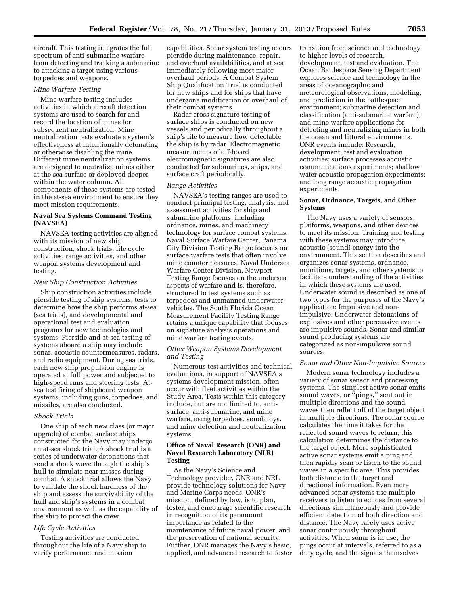aircraft. This testing integrates the full spectrum of anti-submarine warfare from detecting and tracking a submarine to attacking a target using various torpedoes and weapons.

## *Mine Warfare Testing*

Mine warfare testing includes activities in which aircraft detection systems are used to search for and record the location of mines for subsequent neutralization. Mine neutralization tests evaluate a system's effectiveness at intentionally detonating or otherwise disabling the mine. Different mine neutralization systems are designed to neutralize mines either at the sea surface or deployed deeper within the water column. All components of these systems are tested in the at-sea environment to ensure they meet mission requirements.

## **Naval Sea Systems Command Testing (NAVSEA)**

NAVSEA testing activities are aligned with its mission of new ship construction, shock trials, life cycle activities, range activities, and other weapon systems development and testing.

#### *New Ship Construction Activities*

Ship construction activities include pierside testing of ship systems, tests to determine how the ship performs at-sea (sea trials), and developmental and operational test and evaluation programs for new technologies and systems. Pierside and at-sea testing of systems aboard a ship may include sonar, acoustic countermeasures, radars, and radio equipment. During sea trials, each new ship propulsion engine is operated at full power and subjected to high-speed runs and steering tests. Atsea test firing of shipboard weapon systems, including guns, torpedoes, and missiles, are also conducted.

## *Shock Trials*

One ship of each new class (or major upgrade) of combat surface ships constructed for the Navy may undergo an at-sea shock trial. A shock trial is a series of underwater detonations that send a shock wave through the ship's hull to simulate near misses during combat. A shock trial allows the Navy to validate the shock hardness of the ship and assess the survivability of the hull and ship's systems in a combat environment as well as the capability of the ship to protect the crew.

## *Life Cycle Activities*

Testing activities are conducted throughout the life of a Navy ship to verify performance and mission

capabilities. Sonar system testing occurs pierside during maintenance, repair, and overhaul availabilities, and at sea immediately following most major overhaul periods. A Combat System Ship Qualification Trial is conducted for new ships and for ships that have undergone modification or overhaul of their combat systems.

Radar cross signature testing of surface ships is conducted on new vessels and periodically throughout a ship's life to measure how detectable the ship is by radar. Electromagnetic measurements of off-board electromagnetic signatures are also conducted for submarines, ships, and surface craft periodically.

#### *Range Activities*

NAVSEA's testing ranges are used to conduct principal testing, analysis, and assessment activities for ship and submarine platforms, including ordnance, mines, and machinery technology for surface combat systems. Naval Surface Warfare Center, Panama City Division Testing Range focuses on surface warfare tests that often involve mine countermeasures. Naval Undersea Warfare Center Division, Newport Testing Range focuses on the undersea aspects of warfare and is, therefore, structured to test systems such as torpedoes and unmanned underwater vehicles. The South Florida Ocean Measurement Facility Testing Range retains a unique capability that focuses on signature analysis operations and mine warfare testing events.

## *Other Weapon Systems Development and Testing*

Numerous test activities and technical evaluations, in support of NAVSEA's systems development mission, often occur with fleet activities within the Study Area. Tests within this category include, but are not limited to, antisurface, anti-submarine, and mine warfare, using torpedoes, sonobuoys, and mine detection and neutralization systems.

## **Office of Naval Research (ONR) and Naval Research Laboratory (NLR) Testing**

As the Navy's Science and Technology provider, ONR and NRL provide technology solutions for Navy and Marine Corps needs. ONR's mission, defined by law, is to plan, foster, and encourage scientific research in recognition of its paramount importance as related to the maintenance of future naval power, and the preservation of national security. Further, ONR manages the Navy's basic, applied, and advanced research to foster transition from science and technology to higher levels of research, development, test and evaluation. The Ocean Battlespace Sensing Department explores science and technology in the areas of oceanographic and meteorological observations, modeling, and prediction in the battlespace environment; submarine detection and classification (anti-submarine warfare); and mine warfare applications for detecting and neutralizing mines in both the ocean and littoral environments. ONR events include: Research, development, test and evaluation activities; surface processes acoustic communications experiments; shallow water acoustic propagation experiments; and long range acoustic propagation experiments.

## **Sonar, Ordnance, Targets, and Other Systems**

The Navy uses a variety of sensors, platforms, weapons, and other devices to meet its mission. Training and testing with these systems may introduce acoustic (sound) energy into the environment. This section describes and organizes sonar systems, ordnance, munitions, targets, and other systems to facilitate understanding of the activities in which these systems are used. Underwater sound is described as one of two types for the purposes of the Navy's application: Impulsive and nonimpulsive. Underwater detonations of explosives and other percussive events are impulsive sounds. Sonar and similar sound producing systems are categorized as non-impulsive sound sources.

## *Sonar and Other Non-Impulsive Sources*

Modern sonar technology includes a variety of sonar sensor and processing systems. The simplest active sonar emits sound waves, or  $\mathstrut^\alpha\!{\rm pings},\mathstrut^\prime\!$  sent out in multiple directions and the sound waves then reflect off of the target object in multiple directions. The sonar source calculates the time it takes for the reflected sound waves to return; this calculation determines the distance to the target object. More sophisticated active sonar systems emit a ping and then rapidly scan or listen to the sound waves in a specific area. This provides both distance to the target and directional information. Even more advanced sonar systems use multiple receivers to listen to echoes from several directions simultaneously and provide efficient detection of both direction and distance. The Navy rarely uses active sonar continuously throughout activities. When sonar is in use, the pings occur at intervals, referred to as a duty cycle, and the signals themselves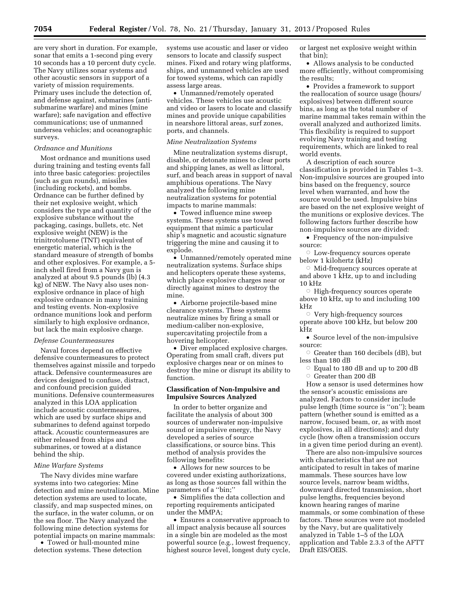are very short in duration. For example, sonar that emits a 1-second ping every 10 seconds has a 10 percent duty cycle. The Navy utilizes sonar systems and other acoustic sensors in support of a variety of mission requirements. Primary uses include the detection of, and defense against, submarines (antisubmarine warfare) and mines (mine warfare); safe navigation and effective communications; use of unmanned undersea vehicles; and oceanographic surveys.

## *Ordnance and Munitions*

Most ordnance and munitions used during training and testing events fall into three basic categories: projectiles (such as gun rounds), missiles (including rockets), and bombs. Ordnance can be further defined by their net explosive weight, which considers the type and quantity of the explosive substance without the packaging, casings, bullets, etc. Net explosive weight (NEW) is the trinitrotoluene (TNT) equivalent of energetic material, which is the standard measure of strength of bombs and other explosives. For example, a 5 inch shell fired from a Navy gun is analyzed at about 9.5 pounds (lb) (4.3 kg) of NEW. The Navy also uses nonexplosive ordnance in place of high explosive ordnance in many training and testing events. Non-explosive ordnance munitions look and perform similarly to high explosive ordnance, but lack the main explosive charge.

#### *Defense Countermeasures*

Naval forces depend on effective defensive countermeasures to protect themselves against missile and torpedo attack. Defensive countermeasures are devices designed to confuse, distract, and confound precision guided munitions. Defensive countermeasures analyzed in this LOA application include acoustic countermeasures, which are used by surface ships and submarines to defend against torpedo attack. Acoustic countermeasures are either released from ships and submarines, or towed at a distance behind the ship.

## *Mine Warfare Systems*

The Navy divides mine warfare systems into two categories: Mine detection and mine neutralization. Mine detection systems are used to locate, classify, and map suspected mines, on the surface, in the water column, or on the sea floor. The Navy analyzed the following mine detection systems for potential impacts on marine mammals:

• Towed or hull-mounted mine detection systems. These detection systems use acoustic and laser or video sensors to locate and classify suspect mines. Fixed and rotary wing platforms, ships, and unmanned vehicles are used for towed systems, which can rapidly assess large areas.

• Unmanned/remotely operated vehicles. These vehicles use acoustic and video or lasers to locate and classify mines and provide unique capabilities in nearshore littoral areas, surf zones, ports, and channels.

#### *Mine Neutralization Systems*

Mine neutralization systems disrupt, disable, or detonate mines to clear ports and shipping lanes, as well as littoral, surf, and beach areas in support of naval amphibious operations. The Navy analyzed the following mine neutralization systems for potential impacts to marine mammals:

• Towed influence mine sweep systems. These systems use towed equipment that mimic a particular ship's magnetic and acoustic signature triggering the mine and causing it to explode.

• Unmanned/remotely operated mine neutralization systems. Surface ships and helicopters operate these systems, which place explosive charges near or directly against mines to destroy the mine.

• Airborne projectile-based mine clearance systems. These systems neutralize mines by firing a small or medium-caliber non-explosive, supercavitating projectile from a hovering helicopter.

• Diver emplaced explosive charges. Operating from small craft, divers put explosive charges near or on mines to destroy the mine or disrupt its ability to function.

## **Classification of Non-Impulsive and Impulsive Sources Analyzed**

In order to better organize and facilitate the analysis of about 300 sources of underwater non-impulsive sound or impulsive energy, the Navy developed a series of source classifications, or source bins. This method of analysis provides the following benefits:

• Allows for new sources to be covered under existing authorizations, as long as those sources fall within the parameters of a "bin;"

• Simplifies the data collection and reporting requirements anticipated under the MMPA;

• Ensures a conservative approach to all impact analysis because all sources in a single bin are modeled as the most powerful source (e.g., lowest frequency, highest source level, longest duty cycle, or largest net explosive weight within that bin);

• Allows analysis to be conducted more efficiently, without compromising the results;

• Provides a framework to support the reallocation of source usage (hours/ explosives) between different source bins, as long as the total number of marine mammal takes remain within the overall analyzed and authorized limits. This flexibility is required to support evolving Navy training and testing requirements, which are linked to real world events.

A description of each source classification is provided in Tables 1–3. Non-impulsive sources are grouped into bins based on the frequency, source level when warranted, and how the source would be used. Impulsive bins are based on the net explosive weight of the munitions or explosive devices. The following factors further describe how non-impulsive sources are divided:

• Frequency of the non-impulsive source:

 $\circ$  Low-frequency sources operate below 1 kilohertz (kHz)

 $\circ$  Mid-frequency sources operate at and above 1 kHz, up to and including 10 kHz

 $\circ$  High-frequency sources operate above 10 kHz, up to and including 100 kHz

Æ Very high-frequency sources operate above 100 kHz, but below 200 kHz

• Source level of the non-impulsive source:

 $\circ$  Greater than 160 decibels (dB), but less than 180 dB

 $\circ$  Equal to 180 dB and up to 200 dB  $\circ$  Greater than 200 dB

How a sensor is used determines how the sensor's acoustic emissions are analyzed. Factors to consider include pulse length (time source is ''on''); beam pattern (whether sound is emitted as a narrow, focused beam, or, as with most explosives, in all directions); and duty cycle (how often a transmission occurs in a given time period during an event).

There are also non-impulsive sources with characteristics that are not anticipated to result in takes of marine mammals. These sources have low source levels, narrow beam widths, downward directed transmission, short pulse lengths, frequencies beyond known hearing ranges of marine mammals, or some combination of these factors. These sources were not modeled by the Navy, but are qualitatively analyzed in Table 1–5 of the LOA application and Table 2.3.3 of the AFTT Draft EIS/OEIS.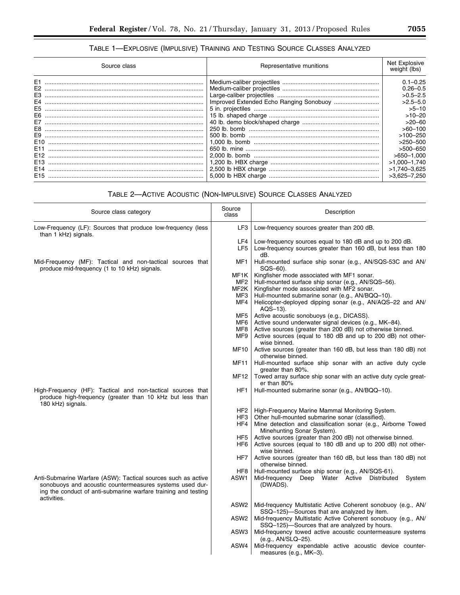## TABLE 1—EXPLOSIVE (IMPULSIVE) TRAINING AND TESTING SOURCE CLASSES ANALYZED

| Source class                                                                                                                                                                                             | Representative munitions                                                       | Net Explosive<br>weight (lbs)                                                                                                                                                                                                      |
|----------------------------------------------------------------------------------------------------------------------------------------------------------------------------------------------------------|--------------------------------------------------------------------------------|------------------------------------------------------------------------------------------------------------------------------------------------------------------------------------------------------------------------------------|
| E <sub>1</sub><br>E <sub>2</sub><br>E3<br>E4<br>E <sub>5</sub><br>E6<br>E7<br>E8<br>E9<br>E <sub>10</sub><br>E <sub>11</sub><br>E <sub>12</sub><br>E <sub>13</sub><br>E <sub>14</sub><br>E <sub>15</sub> | Improved Extended Echo Ranging Sonobuoy<br>500 lb. bomb<br>5.000 lb HBX charge | $0.1 - 0.25$<br>$0.26 - 0.5$<br>$>0.5 - 2.5$<br>$>2.5 - 5.0$<br>$>5 - 10$<br>$>10-20$<br>$>20-60$<br>$>60-100$<br>$>100-250$<br>$>250-500$<br>$>500-650$<br>$>650-1.000$<br>$>1.000 - 1.740$<br>$>1,740-3,625$<br>$>3.625 - 7.250$ |

## TABLE 2—ACTIVE ACOUSTIC (NON-IMPULSIVE) SOURCE CLASSES ANALYZED

| Source class category                                                                                                                                                                                      | Source<br>class                   | Description                                                                                                                                                                                                                                                                   |
|------------------------------------------------------------------------------------------------------------------------------------------------------------------------------------------------------------|-----------------------------------|-------------------------------------------------------------------------------------------------------------------------------------------------------------------------------------------------------------------------------------------------------------------------------|
| Low-Frequency (LF): Sources that produce low-frequency (less<br>than 1 kHz) signals.                                                                                                                       | LF3                               | Low-frequency sources greater than 200 dB.                                                                                                                                                                                                                                    |
|                                                                                                                                                                                                            | LF4<br>LF5                        | Low-frequency sources equal to 180 dB and up to 200 dB.<br>Low-frequency sources greater than 160 dB, but less than 180<br>dB.                                                                                                                                                |
| Mid-Frequency (MF): Tactical and non-tactical sources that<br>produce mid-frequency (1 to 10 kHz) signals.                                                                                                 | MF1                               | Hull-mounted surface ship sonar (e.g., AN/SQS-53C and AN/<br>SQS-60).                                                                                                                                                                                                         |
|                                                                                                                                                                                                            | MF1K<br>MF2<br>MF2K<br>MF3<br>MF4 | Kingfisher mode associated with MF1 sonar.<br>Hull-mounted surface ship sonar (e.g., AN/SQS-56).<br>Kingfisher mode associated with MF2 sonar.<br>Hull-mounted submarine sonar (e.g., AN/BQQ-10).<br>Helicopter-deployed dipping sonar (e.g., AN/AQS-22 and AN/<br>$AQS-13$ . |
|                                                                                                                                                                                                            | MF5<br>MF6<br>MF8<br>MF9          | Active acoustic sonobuoys (e.g., DICASS).<br>Active sound underwater signal devices (e.g., MK-84).<br>Active sources (greater than 200 dB) not otherwise binned.<br>Active sources (equal to 180 dB and up to 200 dB) not other-<br>wise binned.                              |
|                                                                                                                                                                                                            | MF10                              | Active sources (greater than 160 dB, but less than 180 dB) not<br>otherwise binned.                                                                                                                                                                                           |
|                                                                                                                                                                                                            | <b>MF11</b>                       | Hull-mounted surface ship sonar with an active duty cycle<br>greater than 80%.                                                                                                                                                                                                |
|                                                                                                                                                                                                            | <b>MF12</b>                       | Towed array surface ship sonar with an active duty cycle great-<br>er than 80%                                                                                                                                                                                                |
| High-Frequency (HF): Tactical and non-tactical sources that<br>produce high-frequency (greater than 10 kHz but less than<br>180 kHz) signals.                                                              | HF1                               | Hull-mounted submarine sonar (e.g., AN/BQQ-10).                                                                                                                                                                                                                               |
|                                                                                                                                                                                                            | HF2<br>HF3<br>HF4                 | High-Frequency Marine Mammal Monitoring System.<br>Other hull-mounted submarine sonar (classified).<br>Mine detection and classification sonar (e.g., Airborne Towed<br>Minehunting Sonar System).                                                                            |
|                                                                                                                                                                                                            | HF <sub>5</sub><br>HF6            | Active sources (greater than 200 dB) not otherwise binned.<br>Active sources (equal to 180 dB and up to 200 dB) not other-                                                                                                                                                    |
|                                                                                                                                                                                                            | HF7                               | wise binned.<br>Active sources (greater than 160 dB, but less than 180 dB) not<br>otherwise binned.                                                                                                                                                                           |
| Anti-Submarine Warfare (ASW): Tactical sources such as active<br>sonobuoys and acoustic countermeasures systems used dur-<br>ing the conduct of anti-submarine warfare training and testing<br>activities. | HF <sub>8</sub><br>ASW1           | Hull-mounted surface ship sonar (e.g., AN/SQS-61).<br>Deep Water Active<br>Distributed<br>Mid-frequency<br>System<br>(DWADS).                                                                                                                                                 |
|                                                                                                                                                                                                            | ASW2                              | Mid-frequency Multistatic Active Coherent sonobuoy (e.g., AN/<br>SSQ-125)-Sources that are analyzed by item.                                                                                                                                                                  |
|                                                                                                                                                                                                            | ASW2                              | Mid-frequency Multistatic Active Coherent sonobuoy (e.g., AN/<br>SSQ-125)-Sources that are analyzed by hours.                                                                                                                                                                 |
|                                                                                                                                                                                                            | ASW3                              | Mid-frequency towed active acoustic countermeasure systems<br>(e.g., AN/SLQ-25).                                                                                                                                                                                              |
|                                                                                                                                                                                                            | ASW4                              | Mid-frequency expendable active acoustic device counter-<br>measures (e.g., MK-3).                                                                                                                                                                                            |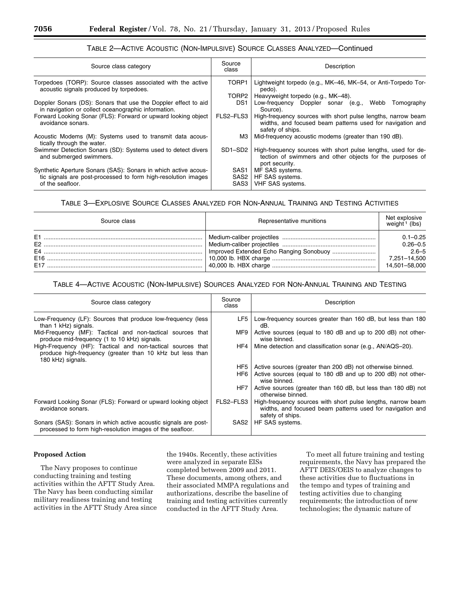| Source class category                                                                                                                               | Source<br>class                  | Description                                                                                                                                   |
|-----------------------------------------------------------------------------------------------------------------------------------------------------|----------------------------------|-----------------------------------------------------------------------------------------------------------------------------------------------|
| Torpedoes (TORP): Source classes associated with the active<br>acoustic signals produced by torpedoes.                                              | TORP1                            | Lightweight torpedo (e.g., MK-46, MK-54, or Anti-Torpedo Tor-<br>pedo).                                                                       |
|                                                                                                                                                     | TORP2                            | Heavyweight torpedo (e.g., MK-48).                                                                                                            |
| Doppler Sonars (DS): Sonars that use the Doppler effect to aid<br>in navigation or collect oceanographic information.                               | DS <sub>1</sub>                  | Low-frequency Doppler sonar (e.g.,<br>Webb<br>Tomography<br>Source).                                                                          |
| Forward Looking Sonar (FLS): Forward or upward looking object<br>avoidance sonars.                                                                  | FLS2-FLS3                        | High-frequency sources with short pulse lengths, narrow beam<br>widths, and focused beam patterns used for navigation and<br>safety of ships. |
| Acoustic Modems (M): Systems used to transmit data acous-<br>tically through the water.                                                             | МЗ                               | Mid-frequency acoustic modems (greater than 190 dB).                                                                                          |
| Swimmer Detection Sonars (SD): Systems used to detect divers<br>and submerged swimmers.                                                             | SD1-SD2                          | High-frequency sources with short pulse lengths, used for de-<br>tection of swimmers and other objects for the purposes of<br>port security.  |
| Synthetic Aperture Sonars (SAS): Sonars in which active acous-<br>tic signals are post-processed to form high-resolution images<br>of the seafloor. | SAS <sub>1</sub><br>SAS2<br>SAS3 | MF SAS systems.<br>HF SAS systems.<br>VHF SAS systems.                                                                                        |

## TABLE 2—ACTIVE ACOUSTIC (NON-IMPULSIVE) SOURCE CLASSES ANALYZED—Continued

## TABLE 3—EXPLOSIVE SOURCE CLASSES ANALYZED FOR NON-ANNUAL TRAINING AND TESTING ACTIVITIES

| Source class   | Representative munitions | Net explosive<br>weight $($ (lbs)                                          |
|----------------|--------------------------|----------------------------------------------------------------------------|
| E <sub>1</sub> |                          | $0.1 - 0.25$<br>$0.26 - 0.5$<br>$2.6 - 5$<br>7.251-14.500<br>14.501-58.000 |

## TABLE 4—ACTIVE ACOUSTIC (NON-IMPULSIVE) SOURCES ANALYZED FOR NON-ANNUAL TRAINING AND TESTING

| Source class category                                                                                                                         | Source<br>class | Description                                                                                                                                   |
|-----------------------------------------------------------------------------------------------------------------------------------------------|-----------------|-----------------------------------------------------------------------------------------------------------------------------------------------|
| Low-Frequency (LF): Sources that produce low-frequency (less<br>than 1 kHz) signals.                                                          | LF5 I           | Low-frequency sources greater than 160 dB, but less than 180<br>dB.                                                                           |
| Mid-Frequency (MF): Tactical and non-tactical sources that<br>produce mid-frequency (1 to 10 kHz) signals.                                    | MF9             | Active sources (equal to 180 dB and up to 200 dB) not other-<br>wise binned.                                                                  |
| High-Frequency (HF): Tactical and non-tactical sources that<br>produce high-frequency (greater than 10 kHz but less than<br>180 kHz) signals. | HF4 I           | Mine detection and classification sonar (e.g., AN/AQS-20).                                                                                    |
|                                                                                                                                               | HF5 I           | Active sources (greater than 200 dB) not otherwise binned.                                                                                    |
|                                                                                                                                               | HF6             | Active sources (equal to 180 dB and up to 200 dB) not other-<br>wise binned.                                                                  |
|                                                                                                                                               | HF7             | Active sources (greater than 160 dB, but less than 180 dB) not<br>otherwise binned.                                                           |
| Forward Looking Sonar (FLS): Forward or upward looking object<br>avoidance sonars.                                                            | FLS2-FLS3       | High-frequency sources with short pulse lengths, narrow beam<br>widths, and focused beam patterns used for navigation and<br>safety of ships. |
| Sonars (SAS): Sonars in which active acoustic signals are post-<br>processed to form high-resolution images of the seafloor.                  | SAS2            | HF SAS systems.                                                                                                                               |

## **Proposed Action**

The Navy proposes to continue conducting training and testing activities within the AFTT Study Area. The Navy has been conducting similar military readiness training and testing activities in the AFTT Study Area since

the 1940s. Recently, these activities were analyzed in separate EISs completed between 2009 and 2011. These documents, among others, and their associated MMPA regulations and authorizations, describe the baseline of training and testing activities currently conducted in the AFTT Study Area.

To meet all future training and testing requirements, the Navy has prepared the AFTT DEIS/OEIS to analyze changes to these activities due to fluctuations in the tempo and types of training and testing activities due to changing requirements; the introduction of new technologies; the dynamic nature of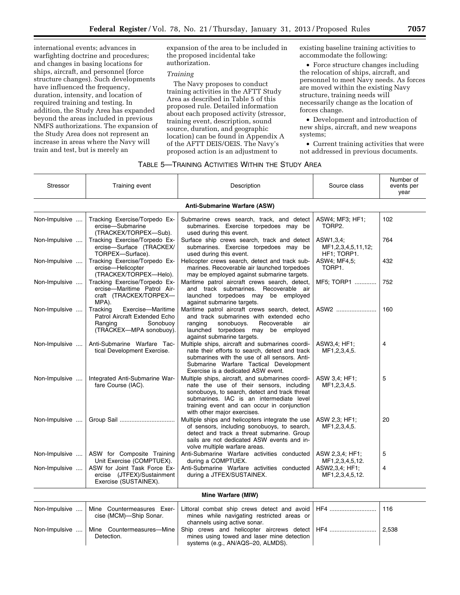international events; advances in warfighting doctrine and procedures; and changes in basing locations for ships, aircraft, and personnel (force structure changes). Such developments have influenced the frequency, duration, intensity, and location of required training and testing. In addition, the Study Area has expanded beyond the areas included in previous NMFS authorizations. The expansion of the Study Area does not represent an increase in areas where the Navy will train and test, but is merely an

expansion of the area to be included in the proposed incidental take authorization.

## *Training*

The Navy proposes to conduct training activities in the AFTT Study Area as described in Table 5 of this proposed rule. Detailed information about each proposed activity (stressor, training event, description, sound source, duration, and geographic location) can be found in Appendix A of the AFTT DEIS/OEIS. The Navy's proposed action is an adjustment to

existing baseline training activities to accommodate the following:

• Force structure changes including the relocation of ships, aircraft, and personnel to meet Navy needs. As forces are moved within the existing Navy structure, training needs will necessarily change as the location of forces change.

• Development and introduction of new ships, aircraft, and new weapons systems;

• Current training activities that were not addressed in previous documents.

## TABLE 5—TRAINING ACTIVITIES WITHIN THE STUDY AREA

| <b>Stressor</b> | Training event                                                                                                   | Description                                                                                                                                                                                                                                                             | Source class                                   | Number of<br>events per<br>year |
|-----------------|------------------------------------------------------------------------------------------------------------------|-------------------------------------------------------------------------------------------------------------------------------------------------------------------------------------------------------------------------------------------------------------------------|------------------------------------------------|---------------------------------|
|                 |                                                                                                                  | <b>Anti-Submarine Warfare (ASW)</b>                                                                                                                                                                                                                                     |                                                |                                 |
| Non-Impulsive   | Tracking Exercise/Torpedo Ex-<br>ercise-Submarine<br>(TRACKEX/TORPEX-Sub).                                       | Submarine crews search, track, and detect<br>submarines. Exercise torpedoes may be<br>used during this event.                                                                                                                                                           | ASW4; MF3; HF1;<br>TORP2.                      | 102                             |
| Non-Impulsive   | Tracking Exercise/Torpedo Ex-<br>ercise-Surface (TRACKEX/<br>TORPEX-Surface).                                    | Surface ship crews search, track and detect<br>submarines. Exercise torpedoes may be<br>used during this event.                                                                                                                                                         | ASW1,3,4;<br>MF1,2,3,4,5,11,12;<br>HF1; TORP1. | 764                             |
| Non-Impulsive   | Tracking Exercise/Torpedo Ex-<br>ercise-Helicopter<br>(TRACKEX/TORPEX-Helo).                                     | Helicopter crews search, detect and track sub-<br>marines. Recoverable air launched torpedoes<br>may be employed against submarine targets.                                                                                                                             | ASW4; MF4,5;<br>TORP1.                         | 432                             |
| Non-Impulsive   | Tracking Exercise/Torpedo Ex-<br>ercise-Maritime Patrol Air-<br>craft (TRACKEX/TORPEX-<br>MPA).                  | Maritime patrol aircraft crews search, detect,<br>and track submarines. Recoverable air<br>launched torpedoes may be employed<br>against submarine targets.                                                                                                             | MF5; TORP1                                     | 752                             |
| Non-Impulsive   | Exercise-Maritime<br>Tracking<br>Patrol Aircraft Extended Echo<br>Ranging<br>Sonobuoy<br>(TRACKEX-MPA sonobuoy). | Maritime patrol aircraft crews search, detect,<br>and track submarines with extended echo<br>ranging<br>sonobuoys.<br>Recoverable<br>air<br>launched torpedoes may be employed<br>against submarine targets.                                                            | ASW2                                           | 160                             |
| Non-Impulsive   | Anti-Submarine Warfare Tac-<br>tical Development Exercise.                                                       | Multiple ships, aircraft and submarines coordi-<br>nate their efforts to search, detect and track<br>submarines with the use of all sensors. Anti-<br>Submarine Warfare Tactical Development<br>Exercise is a dedicated ASW event.                                      | ASW3.4; HF1;<br>MF1,2,3,4,5.                   | 4                               |
| Non-Impulsive   | Integrated Anti-Submarine War-<br>fare Course (IAC).                                                             | Multiple ships, aircraft, and submarines coordi-<br>nate the use of their sensors, including<br>sonobuoys, to search, detect and track threat<br>submarines. IAC is an intermediate level<br>training event and can occur in conjunction<br>with other major exercises. | ASW 3,4; HF1;<br>MF1,2,3,4,5.                  | 5                               |
| Non-Impulsive   |                                                                                                                  | Multiple ships and helicopters integrate the use<br>of sensors, including sonobuoys, to search,<br>detect and track a threat submarine. Group<br>sails are not dedicated ASW events and in-<br>volve multiple warfare areas.                                            | ASW 2,3; HF1;<br>MF1,2,3,4,5.                  | 20                              |
| Non-Impulsive   | ASW for Composite Training<br>Unit Exercise (COMPTUEX).                                                          | Anti-Submarine Warfare activities conducted<br>during a COMPTUEX.                                                                                                                                                                                                       | ASW 2,3,4; HF1;<br>MF1,2,3,4,5,12.             | 5                               |
| Non-Impulsive   | ASW for Joint Task Force Ex-<br>ercise (JTFEX)/Sustainment<br>Exercise (SUSTAINEX).                              | Anti-Submarine Warfare activities conducted<br>during a JTFEX/SUSTAINEX.                                                                                                                                                                                                | ASW2,3,4; HF1;<br>MF1,2,3,4,5,12.              | 4                               |
|                 |                                                                                                                  | Mine Warfare (MIW)                                                                                                                                                                                                                                                      |                                                |                                 |
| Non-Impulsive   | Mine Countermeasures Exer-<br>cise (MCM)-Ship Sonar.                                                             | Littoral combat ship crews detect and avoid<br>mines while navigating restricted areas or<br>channels using active sonar.                                                                                                                                               | HF4                                            | 116                             |
| Non-Impulsive   | Mine Countermeasures—Mine<br>Detection.                                                                          | Ship crews and helicopter aircrews detect<br>mines using towed and laser mine detection                                                                                                                                                                                 | HF4                                            | 2.538                           |

systems (e.g., AN/AQS–20, ALMDS).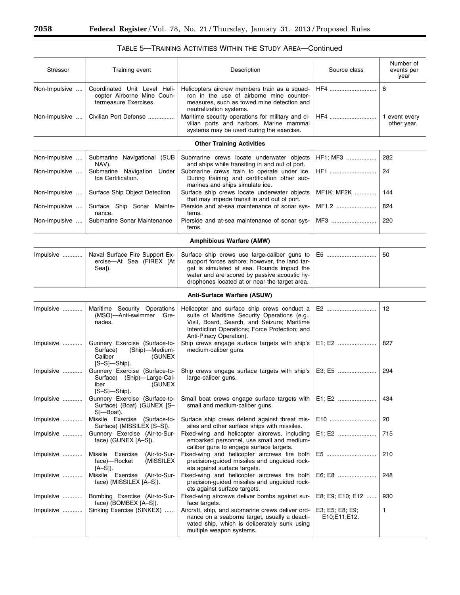| <b>Stressor</b>                | Training event                                                                                               | Description                                                                                                                                                                                                                                                                                                    | Source class                    | Number of<br>events per<br>year   |
|--------------------------------|--------------------------------------------------------------------------------------------------------------|----------------------------------------------------------------------------------------------------------------------------------------------------------------------------------------------------------------------------------------------------------------------------------------------------------------|---------------------------------|-----------------------------------|
| Non-Impulsive<br>Non-Impulsive | Coordinated Unit Level Heli-<br>copter Airborne Mine Coun-<br>termeasure Exercises.<br>Civilian Port Defense | Helicopters aircrew members train as a squad-<br>ron in the use of airborne mine counter-<br>measures, such as towed mine detection and<br>neutralization systems.<br>Maritime security operations for military and ci-<br>vilian ports and harbors. Marine mammal<br>systems may be used during the exercise. | HF4<br>HF4                      | 8<br>1 event every<br>other year. |
|                                |                                                                                                              | <b>Other Training Activities</b>                                                                                                                                                                                                                                                                               |                                 |                                   |
|                                |                                                                                                              |                                                                                                                                                                                                                                                                                                                |                                 |                                   |
| Non-Impulsive<br>Non-Impulsive | Submarine Navigational (SUB<br>NAV).<br>Submarine Navigation Under<br>Ice Certification.                     | Submarine crews locate underwater objects<br>and ships while transiting in and out of port.<br>Submarine crews train to operate under ice.<br>During training and certification other sub-                                                                                                                     | HF1; MF3<br>HF1                 | 282<br>24                         |
| Non-Impulsive                  | Surface Ship Object Detection                                                                                | marines and ships simulate ice.<br>Surface ship crews locate underwater objects<br>that may impede transit in and out of port.                                                                                                                                                                                 | MF1K; MF2K                      | 144                               |
| Non-Impulsive                  | Surface Ship Sonar Mainte-<br>nance.                                                                         | Pierside and at-sea maintenance of sonar sys-<br>tems.                                                                                                                                                                                                                                                         | MF1,2                           | 824                               |
| Non-Impulsive                  | Submarine Sonar Maintenance                                                                                  | Pierside and at-sea maintenance of sonar sys-<br>tems.                                                                                                                                                                                                                                                         | MF3                             | 220                               |
|                                |                                                                                                              | <b>Amphibious Warfare (AMW)</b>                                                                                                                                                                                                                                                                                |                                 |                                   |
| Impulsive                      | Naval Surface Fire Support Ex-<br>ercise-At Sea (FIREX [At<br>Sea]).                                         | Surface ship crews use large-caliber guns to<br>support forces ashore; however, the land tar-<br>get is simulated at sea. Rounds impact the<br>water and are scored by passive acoustic hy-<br>drophones located at or near the target area.                                                                   |                                 | 50                                |
|                                |                                                                                                              | Anti-Surface Warfare (ASUW)                                                                                                                                                                                                                                                                                    |                                 |                                   |
| Impulsive                      | Maritime Security Operations<br>(MSO)-Anti-swimmer Gre-<br>nades.                                            | Helicopter and surface ship crews conduct a<br>suite of Maritime Security Operations (e.g.,<br>Visit, Board, Search, and Seizure; Maritime<br>Interdiction Operations; Force Protection; and<br>Anti-Piracy Operation).                                                                                        | E2                              | 12                                |
| Impulsive                      | Gunnery Exercise (Surface-to-<br>Surface)<br>(Ship)-Medium-<br>Caliber<br>(GUNEX<br>$[S-S]$ -Ship).          | Ship crews engage surface targets with ship's<br>medium-caliber guns.                                                                                                                                                                                                                                          | E1; E2                          | 827                               |
| Impulsive                      | Gunnery Exercise (Surface-to-<br>Surface) (Ship)-Large-Cal-<br>(GUNEX<br>iber<br>$[S-S]$ -Ship).             | Ship crews engage surface targets with ship's<br>large-caliber guns.                                                                                                                                                                                                                                           | E3; E5                          | 294                               |
| Impulsive                      | Gunnery Exercise (Surface-to-<br>Surface) (Boat) (GUNEX [S-<br>S]—Boat).                                     | Small boat crews engage surface targets with<br>small and medium-caliber guns.                                                                                                                                                                                                                                 | E1; E2                          | 434                               |
| Impulsive                      | Missile Exercise (Surface-to-<br>Surface) (MISSILEX [S-S]).                                                  | Surface ship crews defend against threat mis-<br>siles and other surface ships with missiles.                                                                                                                                                                                                                  | E10                             | 20                                |
| Impulsive                      | Gunnery Exercise (Air-to-Sur-<br>face) (GUNEX [A-S]).                                                        | Fixed-wing and helicopter aircrews, including<br>embarked personnel, use small and medium-<br>caliber guns to engage surface targets.                                                                                                                                                                          | E1; E2                          | 715                               |
| Impulsive                      | Exercise<br>Missile<br>(Air-to-Sur-<br>(MISSILEX<br>face)—Rocket<br>$[A-S]$ .                                | Fixed-wing and helicopter aircrews fire both<br>precision-guided missiles and unguided rock-<br>ets against surface targets.                                                                                                                                                                                   | E5                              | 210                               |
| Impulsive                      | Missile Exercise<br>(Air-to-Sur-<br>face) (MISSILEX [A-S]).                                                  | Fixed-wing and helicopter aircrews fire both<br>precision-guided missiles and unguided rock-<br>ets against surface targets.                                                                                                                                                                                   | E6; E8                          | 248                               |
| Impulsive                      | Bombing Exercise (Air-to-Sur-<br>face) (BOMBEX [A-S]).                                                       | Fixed-wing aircrews deliver bombs against sur-<br>face targets.                                                                                                                                                                                                                                                | E8; E9; E10; E12                | 930                               |
| Impulsive                      | Sinking Exercise (SINKEX)                                                                                    | Aircraft, ship, and submarine crews deliver ord-<br>nance on a seaborne target, usually a deacti-<br>vated ship, which is deliberately sunk using<br>multiple weapon systems.                                                                                                                                  | E3; E5; E8; E9;<br>E10;E11;E12. | 1                                 |

## TABLE 5—TRAINING ACTIVITIES WITHIN THE STUDY AREA—Continued

Ξ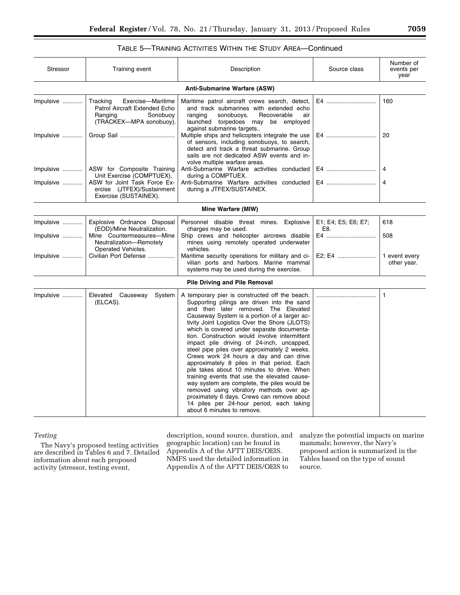## TABLE 5—TRAINING ACTIVITIES WITHIN THE STUDY AREA—Continued

| <b>Stressor</b>        | Training event                                                                                                    | Description                                                                                                                                                                                                                                                                                                                                                                                                                                                                                                                                                                                                                                                                                                                                                                                                                                  | Source class                     | Number of<br>events per<br>year |
|------------------------|-------------------------------------------------------------------------------------------------------------------|----------------------------------------------------------------------------------------------------------------------------------------------------------------------------------------------------------------------------------------------------------------------------------------------------------------------------------------------------------------------------------------------------------------------------------------------------------------------------------------------------------------------------------------------------------------------------------------------------------------------------------------------------------------------------------------------------------------------------------------------------------------------------------------------------------------------------------------------|----------------------------------|---------------------------------|
|                        |                                                                                                                   | <b>Anti-Submarine Warfare (ASW)</b>                                                                                                                                                                                                                                                                                                                                                                                                                                                                                                                                                                                                                                                                                                                                                                                                          |                                  |                                 |
| Impulsive              | Tracking<br>Exercise-Maritime<br>Patrol Aircraft Extended Echo<br>Ranging<br>Sonobuoy<br>(TRACKEX-MPA sonobuoy).  | Maritime patrol aircraft crews search, detect,<br>and track submarines with extended echo<br>sonobuoys.<br>Recoverable<br>ranging<br>air<br>launched torpedoes may be employed<br>against submarine targets                                                                                                                                                                                                                                                                                                                                                                                                                                                                                                                                                                                                                                  | E4                               | 160                             |
| Impulsive              |                                                                                                                   | Multiple ships and helicopters integrate the use<br>of sensors, including sonobuoys, to search,<br>detect and track a threat submarine. Group<br>sails are not dedicated ASW events and in-<br>volve multiple warfare areas.                                                                                                                                                                                                                                                                                                                                                                                                                                                                                                                                                                                                                 | E4                               | 20                              |
| $Impulsive$            | ASW for Composite Training<br>Unit Exercise (COMPTUEX).                                                           | Anti-Submarine Warfare activities conducted<br>during a COMPTUEX.                                                                                                                                                                                                                                                                                                                                                                                                                                                                                                                                                                                                                                                                                                                                                                            | E4                               | 4                               |
| Impulsive              | ASW for Joint Task Force Ex-<br>ercise (JTFEX)/Sustainment<br>Exercise (SUSTAINEX).                               | Anti-Submarine Warfare activities conducted<br>during a JTFEX/SUSTAINEX.                                                                                                                                                                                                                                                                                                                                                                                                                                                                                                                                                                                                                                                                                                                                                                     | E4                               | 4                               |
|                        |                                                                                                                   | Mine Warfare (MIW)                                                                                                                                                                                                                                                                                                                                                                                                                                                                                                                                                                                                                                                                                                                                                                                                                           |                                  |                                 |
| Impulsive<br>Impulsive | Explosive Ordnance Disposal<br>(EOD)/Mine Neutralization.<br>Mine Countermeasures-Mine<br>Neutralization-Remotely | Personnel disable threat mines. Explosive<br>charges may be used.<br>Ship crews and helicopter aircrews disable<br>mines using remotely operated underwater                                                                                                                                                                                                                                                                                                                                                                                                                                                                                                                                                                                                                                                                                  | E1; E4; E5; E6; E7;<br>E8.<br>E4 | 618<br>508                      |
| Impulsive              | Operated Vehicles.<br>Civilian Port Defense                                                                       | vehicles.<br>Maritime security operations for military and ci-<br>vilian ports and harbors. Marine mammal<br>systems may be used during the exercise.                                                                                                                                                                                                                                                                                                                                                                                                                                                                                                                                                                                                                                                                                        | E2; E4                           | 1 event every<br>other year.    |
|                        |                                                                                                                   | <b>Pile Driving and Pile Removal</b>                                                                                                                                                                                                                                                                                                                                                                                                                                                                                                                                                                                                                                                                                                                                                                                                         |                                  |                                 |
| Impulsive              | Elevated Causeway<br>System<br>(ELCAS).                                                                           | A temporary pier is constructed off the beach.<br>Supporting pilings are driven into the sand<br>and then later removed. The Elevated<br>Causeway System is a portion of a larger ac-<br>tivity Joint Logistics Over the Shore (JLOTS)<br>which is covered under separate documenta-<br>tion. Construction would involve intermittent<br>impact pile driving of 24-inch, uncapped,<br>steel pipe piles over approximately 2 weeks.<br>Crews work 24 hours a day and can drive<br>approximately 8 piles in that period. Each<br>pile takes about 10 minutes to drive. When<br>training events that use the elevated cause-<br>way system are complete, the piles would be<br>removed using vibratory methods over ap-<br>proximately 6 days. Crews can remove about<br>14 piles per 24-hour period, each taking<br>about 6 minutes to remove. |                                  | 1                               |

## *Testing*

The Navy's proposed testing activities are described in Tables 6 and 7. Detailed information about each proposed activity (stressor, testing event,

description, sound source, duration, and geographic location) can be found in Appendix A of the AFTT DEIS/OEIS. NMFS used the detailed information in Appendix A of the AFTT DEIS/OEIS to

analyze the potential impacts on marine mammals; however, the Navy's proposed action is summarized in the Tables based on the type of sound source.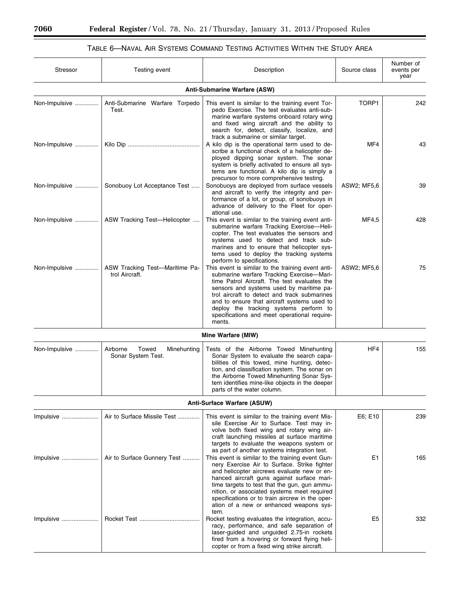٠

## TABLE 6—NAVAL AIR SYSTEMS COMMAND TESTING ACTIVITIES WITHIN THE STUDY AREA

| Stressor      | Testing event                                          | Description                                                                                                                                                                                                                                                                                                                                                                                        | Source class   | Number of<br>events per<br>year |
|---------------|--------------------------------------------------------|----------------------------------------------------------------------------------------------------------------------------------------------------------------------------------------------------------------------------------------------------------------------------------------------------------------------------------------------------------------------------------------------------|----------------|---------------------------------|
|               |                                                        | Anti-Submarine Warfare (ASW)                                                                                                                                                                                                                                                                                                                                                                       |                |                                 |
| Non-Impulsive | Anti-Submarine Warfare Torpedo<br>Test.                | This event is similar to the training event Tor-<br>pedo Exercise. The test evaluates anti-sub-<br>marine warfare systems onboard rotary wing<br>and fixed wing aircraft and the ability to<br>search for, detect, classify, localize, and<br>track a submarine or similar target.                                                                                                                 | TORP1          | 242                             |
| Non-Impulsive |                                                        | A kilo dip is the operational term used to de-<br>scribe a functional check of a helicopter de-<br>ployed dipping sonar system. The sonar<br>system is briefly activated to ensure all sys-<br>tems are functional. A kilo dip is simply a<br>precursor to more comprehensive testing.                                                                                                             | MF4            | 43                              |
| Non-Impulsive | Sonobuoy Lot Acceptance Test                           | Sonobuoys are deployed from surface vessels<br>and aircraft to verify the integrity and per-<br>formance of a lot, or group, of sonobuoys in<br>advance of delivery to the Fleet for oper-<br>ational use.                                                                                                                                                                                         | ASW2; MF5,6    | 39                              |
| Non-Impulsive | ASW Tracking Test-Helicopter                           | This event is similar to the training event anti-<br>submarine warfare Tracking Exercise-Heli-<br>copter. The test evaluates the sensors and<br>systems used to detect and track sub-<br>marines and to ensure that helicopter sys-<br>tems used to deploy the tracking systems<br>perform to specifications.                                                                                      | MF4,5          | 428                             |
| Non-Impulsive | ASW Tracking Test-Maritime Pa-<br>trol Aircraft.       | This event is similar to the training event anti-<br>submarine warfare Tracking Exercise-Mari-<br>time Patrol Aircraft. The test evaluates the<br>sensors and systems used by maritime pa-<br>trol aircraft to detect and track submarines<br>and to ensure that aircraft systems used to<br>deploy the tracking systems perform to<br>specifications and meet operational require-<br>ments.      | ASW2; MF5,6    | 75                              |
|               |                                                        | Mine Warfare (MIW)                                                                                                                                                                                                                                                                                                                                                                                 |                |                                 |
| Non-Impulsive | Airborne<br>Towed<br>Minehunting<br>Sonar System Test. | Tests of the Airborne Towed Minehunting<br>Sonar System to evaluate the search capa-<br>bilities of this towed, mine hunting, detec-<br>tion, and classification system. The sonar on<br>the Airborne Towed Minehunting Sonar Sys-<br>tem identifies mine-like objects in the deeper<br>parts of the water column.                                                                                 | HF4            | 155                             |
|               |                                                        | Anti-Surface Warfare (ASUW)                                                                                                                                                                                                                                                                                                                                                                        |                |                                 |
| Impulsive     | Air to Surface Missile Test                            | This event is similar to the training event Mis-<br>sile Exercise Air to Surface. Test may in-<br>volve both fixed wing and rotary wing air-<br>craft launching missiles at surface maritime<br>targets to evaluate the weapons system or<br>as part of another systems integration test.                                                                                                          | E6; E10        | 239                             |
| Impulsive     | Air to Surface Gunnery Test                            | This event is similar to the training event Gun-<br>nery Exercise Air to Surface. Strike fighter<br>and helicopter aircrews evaluate new or en-<br>hanced aircraft guns against surface mari-<br>time targets to test that the gun, gun ammu-<br>nition, or associated systems meet required<br>specifications or to train aircrew in the oper-<br>ation of a new or enhanced weapons sys-<br>tem. | E1             | 165                             |
| Impulsive     |                                                        | Rocket testing evaluates the integration, accu-<br>racy, performance, and safe separation of<br>laser-guided and unguided 2.75-in rockets<br>fired from a hovering or forward flying heli-<br>copter or from a fixed wing strike aircraft.                                                                                                                                                         | E <sub>5</sub> | 332                             |

 $\equiv$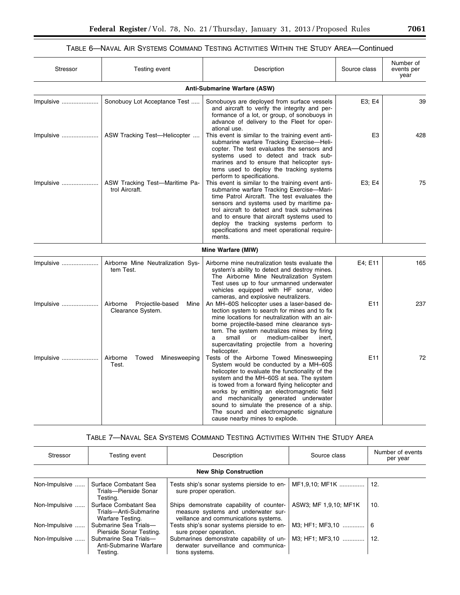## TABLE 6—NAVAL AIR SYSTEMS COMMAND TESTING ACTIVITIES WITHIN THE STUDY AREA—Continued

| Stressor  | Testing event                                          | Description                                                                                                                                                                                                                                                                                                                                                                                                                                        | Source class   | Number of<br>events per<br>year |
|-----------|--------------------------------------------------------|----------------------------------------------------------------------------------------------------------------------------------------------------------------------------------------------------------------------------------------------------------------------------------------------------------------------------------------------------------------------------------------------------------------------------------------------------|----------------|---------------------------------|
|           |                                                        | Anti-Submarine Warfare (ASW)                                                                                                                                                                                                                                                                                                                                                                                                                       |                |                                 |
| Impulsive | Sonobuoy Lot Acceptance Test                           | Sonobuoys are deployed from surface vessels<br>and aircraft to verify the integrity and per-<br>formance of a lot, or group, of sonobuoys in<br>advance of delivery to the Fleet for oper-<br>ational use.                                                                                                                                                                                                                                         | E3: E4         | 39                              |
| Impulsive | ASW Tracking Test-Helicopter                           | This event is similar to the training event anti-<br>submarine warfare Tracking Exercise-Heli-<br>copter. The test evaluates the sensors and<br>systems used to detect and track sub-<br>marines and to ensure that helicopter sys-<br>tems used to deploy the tracking systems<br>perform to specifications.                                                                                                                                      | E <sub>3</sub> | 428                             |
| Impulsive | ASW Tracking Test-Maritime Pa-<br>trol Aircraft.       | This event is similar to the training event anti-<br>submarine warfare Tracking Exercise-Mari-<br>time Patrol Aircraft. The test evaluates the<br>sensors and systems used by maritime pa-<br>trol aircraft to detect and track submarines<br>and to ensure that aircraft systems used to<br>deploy the tracking systems perform to<br>specifications and meet operational require-<br>ments.                                                      | E3; E4         | 75                              |
|           |                                                        | Mine Warfare (MIW)                                                                                                                                                                                                                                                                                                                                                                                                                                 |                |                                 |
| Impulsive | Airborne Mine Neutralization Sys-<br>tem Test.         | Airborne mine neutralization tests evaluate the<br>system's ability to detect and destroy mines.<br>The Airborne Mine Neutralization System<br>Test uses up to four unmanned underwater<br>vehicles equipped with HF sonar, video<br>cameras, and explosive neutralizers.                                                                                                                                                                          | E4; E11        | 165                             |
| Impulsive | Airborne Projectile-based<br>Mine<br>Clearance System. | An MH-60S helicopter uses a laser-based de-<br>tection system to search for mines and to fix<br>mine locations for neutralization with an air-<br>borne projectile-based mine clearance sys-<br>tem. The system neutralizes mines by firing<br>medium-caliber<br>small<br>or<br>inert,<br>a<br>supercavitating projectile from a hovering<br>helicopter.                                                                                           | E11            | 237                             |
| Impulsive | Airborne<br>Towed<br>Minesweeping<br>Test.             | Tests of the Airborne Towed Minesweeping<br>System would be conducted by a MH-60S<br>helicopter to evaluate the functionality of the<br>system and the MH-60S at sea. The system<br>is towed from a forward flying helicopter and<br>works by emitting an electromagnetic field<br>and mechanically generated underwater<br>sound to simulate the presence of a ship.<br>The sound and electromagnetic signature<br>cause nearby mines to explode. | E11            | 72                              |

## TABLE 7—NAVAL SEA SYSTEMS COMMAND TESTING ACTIVITIES WITHIN THE STUDY AREA

| Stressor      | Testing event                                                      | Description                                                                                                              | Source class          | Number of events<br>per year |
|---------------|--------------------------------------------------------------------|--------------------------------------------------------------------------------------------------------------------------|-----------------------|------------------------------|
|               |                                                                    | <b>New Ship Construction</b>                                                                                             |                       |                              |
| Non-Impulsive | Surface Combatant Sea<br>Trials-Pierside Sonar<br>Testina.         | Tests ship's sonar systems pierside to en-<br>sure proper operation.                                                     | MF1,9,10; MF1K        | 12.                          |
| Non-Impulsive | Surface Combatant Sea<br>Trials-Anti-Submarine<br>Warfare Testing. | Ships demonstrate capability of counter-<br>measure systems and underwater sur-<br>veillance and communications systems. | ASW3; MF 1,9,10; MF1K | 10.                          |
| Non-Impulsive | Submarine Sea Trials-<br>Pierside Sonar Testing.                   | Tests ship's sonar systems pierside to en-<br>sure proper operation.                                                     | M3: HF1: MF3.10       | 6                            |
| Non-Impulsive | Submarine Sea Trials-<br>Anti-Submarine Warfare<br>Testing.        | Submarines demonstrate capability of un-<br>derwater surveillance and communica-<br>tions systems.                       | M3; HF1; MF3,10       | 12.                          |

۰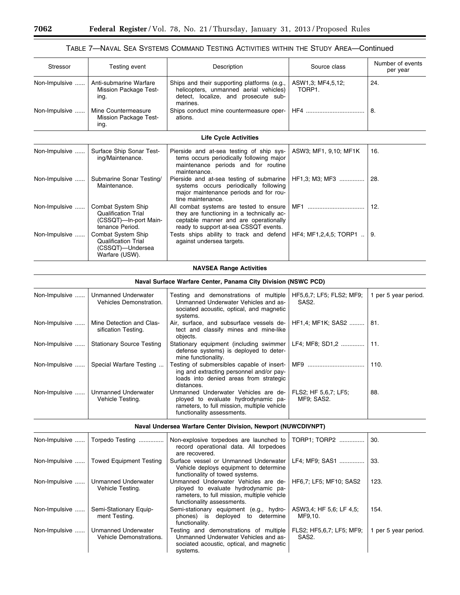## TABLE 7—NAVAL SEA SYSTEMS COMMAND TESTING ACTIVITIES WITHIN THE STUDY AREA—Continued

| Stressor      | Testing event                                                                                | Description                                                                                                                                                            | Source class                                   | Number of events<br>per year |
|---------------|----------------------------------------------------------------------------------------------|------------------------------------------------------------------------------------------------------------------------------------------------------------------------|------------------------------------------------|------------------------------|
| Non-Impulsive | Anti-submarine Warfare<br>Mission Package Test-<br>ing.                                      | Ships and their supporting platforms (e.g.,<br>helicopters, unmanned aerial vehicles)<br>detect, localize, and prosecute sub-<br>marines.                              | ASW1,3; MF4,5,12;<br>TORP1.                    | 24.                          |
| Non-Impulsive | Mine Countermeasure<br>Mission Package Test-<br>ing.                                         | Ships conduct mine countermeasure oper-<br>ations.                                                                                                                     |                                                | 8.                           |
|               |                                                                                              | <b>Life Cycle Activities</b>                                                                                                                                           |                                                |                              |
| Non-Impulsive | Surface Ship Sonar Test-<br>ing/Maintenance.                                                 | Pierside and at-sea testing of ship sys-<br>tems occurs periodically following major<br>maintenance periods and for routine<br>maintenance.                            | ASW3; MF1, 9,10; MF1K                          | 16.                          |
| Non-Impulsive | Submarine Sonar Testing/<br>Maintenance.                                                     | Pierside and at-sea testing of submarine<br>systems occurs periodically following<br>major maintenance periods and for rou-<br>tine maintenance.                       | HF1.3; M3; MF3                                 | 28.                          |
| Non-Impulsive | Combat System Ship<br><b>Qualification Trial</b><br>(CSSQT)-In-port Main-<br>tenance Period. | All combat systems are tested to ensure<br>they are functioning in a technically ac-<br>ceptable manner and are operationally<br>ready to support at-sea CSSQT events. | MF1                                            | 12.                          |
| Non-Impulsive | Combat System Ship<br><b>Qualification Trial</b><br>(CSSQT)-Undersea<br>Warfare (USW).       | Tests ships ability to track and defend<br>against undersea targets.                                                                                                   | HF4; MF1,2,4,5; TORP1                          | 9.                           |
|               |                                                                                              | <b>NAVSEA Range Activities</b>                                                                                                                                         |                                                |                              |
|               |                                                                                              | <b>Naval Surface Warfare Center, Panama City Division (NSWC PCD)</b>                                                                                                   |                                                |                              |
| Non-Impulsive | <b>Unmanned Underwater</b><br>Vehicles Demonstration.                                        | Testing and demonstrations of multiple<br>Unmanned Underwater Vehicles and as-<br>sociated acoustic, optical, and magnetic<br>sustams                                  | HF5,6,7; LF5; FLS2; MF9;<br>SAS <sub>2</sub> . | 1 per 5 year period.         |

|               |                                         | systems.                                                                                                                                                 |                                    |      |
|---------------|-----------------------------------------|----------------------------------------------------------------------------------------------------------------------------------------------------------|------------------------------------|------|
| Non-Impulsive | Mine Detection and Clas-                | Air, surface, and subsurface vessels de-   HF1,4; MF1K; SAS2    81.                                                                                      |                                    |      |
|               | sification Testing.                     | tect and classify mines and mine-like<br>obiects.                                                                                                        |                                    |      |
| Non-Impulsive | <b>Stationary Source Testing</b>        | Stationary equipment (including swimmer   LF4; MF8; SD1,2    11.<br>defense systems) is deployed to deter-<br>mine functionality.                        |                                    |      |
| Non-Impulsive | Special Warfare Testing                 | Testing of submersibles capable of insert- MF9<br>ing and extracting personnel and/or pay-<br>loads into denied areas from strategic<br>distances.       |                                    | 110. |
| Non-Impulsive | Unmanned Underwater<br>Vehicle Testing. | Unmanned Underwater Vehicles are de-<br>ployed to evaluate hydrodynamic pa-<br>rameters, to full mission, multiple vehicle<br>functionality assessments. | FLS2; HF 5.6.7; LF5;<br>MF9: SAS2. | 88.  |

## **Naval Undersea Warfare Center Division, Newport (NUWCDIVNPT)**

| Non-Impulsive | Torpedo Testing                                       | Non-explosive torpedoes are launched to<br>record operational data. All torpedoes<br>are recovered.                                                      | TORP1; TORP2                                   | 30.                  |
|---------------|-------------------------------------------------------|----------------------------------------------------------------------------------------------------------------------------------------------------------|------------------------------------------------|----------------------|
| Non-Impulsive | Towed Equipment Testing                               | Surface vessel or Unmanned Underwater<br>Vehicle deploys equipment to determine<br>functionality of towed systems.                                       | LF4: MF9: SAS1                                 | 33.                  |
| Non-Impulsive | Unmanned Underwater<br>Vehicle Testing.               | Unmanned Underwater Vehicles are de-<br>ployed to evaluate hydrodynamic pa-<br>rameters, to full mission, multiple vehicle<br>functionality assessments. | HF6.7; LF5; MF10; SAS2                         | 123.                 |
| Non-Impulsive | Semi-Stationary Equip-<br>ment Testing.               | Semi-stationary equipment (e.g., hydro-<br>phones) is deployed to determine<br>functionality.                                                            | ASW3,4; HF 5,6; LF 4,5;<br>MF9.10.             | 154.                 |
| Non-Impulsive | <b>Unmanned Underwater</b><br>Vehicle Demonstrations. | Testing and demonstrations of multiple<br>Unmanned Underwater Vehicles and as-<br>sociated acoustic, optical, and magnetic<br>systems.                   | FLS2; HF5,6,7; LF5; MF9;<br>SAS <sub>2</sub> . | 1 per 5 year period. |

-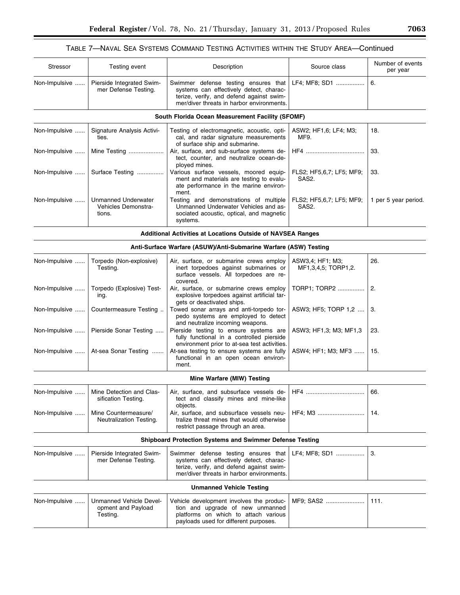## TABLE 7—NAVAL SEA SYSTEMS COMMAND TESTING ACTIVITIES WITHIN THE STUDY AREA—Continued

| Stressor      | Testing event                                               | Description                                                                                                                                                              | Source class                            | Number of events<br>per year |
|---------------|-------------------------------------------------------------|--------------------------------------------------------------------------------------------------------------------------------------------------------------------------|-----------------------------------------|------------------------------|
| Non-Impulsive | Pierside Integrated Swim-<br>mer Defense Testing.           | Swimmer defense testing ensures that<br>systems can effectively detect, charac-<br>terize, verify, and defend against swim-<br>mer/diver threats in harbor environments. | LF4; MF8; SD1                           | 6.                           |
|               |                                                             | South Florida Ocean Measurement Facility (SFOMF)                                                                                                                         |                                         |                              |
| Non-Impulsive | Signature Analysis Activi-<br>ties.                         | Testing of electromagnetic, acoustic, opti-<br>cal, and radar signature measurements<br>of surface ship and submarine.                                                   | ASW2; HF1,6; LF4; M3;<br>MF9.           | 18.                          |
| Non-Impulsive | Mine Testing                                                | Air, surface, and sub-surface systems de-<br>tect, counter, and neutralize ocean-de-<br>ployed mines.                                                                    |                                         | 33.                          |
| Non-Impulsive | Surface Testing                                             | Various surface vessels, moored equip-<br>ment and materials are testing to evalu-<br>ate performance in the marine environ-<br>ment.                                    | FLS2; HF5,6,7; LF5; MF9;<br>SAS2.       | 33.                          |
| Non-Impulsive | <b>Unmanned Underwater</b><br>Vehicles Demonstra-<br>tions. | Testing and demonstrations of multiple<br>Unmanned Underwater Vehicles and as-<br>sociated acoustic, optical, and magnetic<br>systems.                                   | FLS2; HF5,6,7; LF5; MF9;<br>SAS2.       | 1 per 5 year period.         |
|               |                                                             | <b>Additional Activities at Locations Outside of NAVSEA Ranges</b>                                                                                                       |                                         |                              |
|               |                                                             | Anti-Surface Warfare (ASUW)/Anti-Submarine Warfare (ASW) Testing                                                                                                         |                                         |                              |
| Non-Impulsive | Torpedo (Non-explosive)<br>Testing.                         | Air, surface, or submarine crews employ<br>inert torpedoes against submarines or<br>surface vessels. All torpedoes are re-<br>covered.                                   | ASW3,4; HF1; M3;<br>MF1,3,4,5; TORP1,2. | 26.                          |
| Non-Impulsive | Torpedo (Explosive) Test-<br>ing.                           | Air, surface, or submarine crews employ<br>explosive torpedoes against artificial tar-<br>gets or deactivated ships.                                                     | TORP1; TORP2                            | 2.                           |
| Non-Impulsive | Countermeasure Testing                                      | Towed sonar arrays and anti-torpedo tor-<br>pedo systems are employed to detect<br>and neutralize incoming weapons.                                                      | ASW3; HF5; TORP 1,2                     | 3.                           |
| Non-Impulsive | Pierside Sonar Testing                                      | Pierside testing to ensure systems are<br>fully functional in a controlled pierside<br>environment prior to at-sea test activities.                                      | ASW3; HF1,3; M3; MF1,3                  | 23.                          |
| Non-Impulsive | At-sea Sonar Testing                                        | At-sea testing to ensure systems are fully<br>functional in an open ocean environ-<br>ment.                                                                              | ASW4; HF1; M3; MF3                      | 15.                          |
|               |                                                             | Mine Warfare (MIW) Testing                                                                                                                                               |                                         |                              |
| Non-Impulsive | Mine Detection and Clas-<br>sification Testing.             | Air, surface, and subsurface vessels de-<br>tect and classify mines and mine-like<br>objects.                                                                            |                                         | 66.                          |
| Non-Impulsive | Mine Countermeasure/<br>Neutralization Testing.             | Air, surface, and subsurface vessels neu-<br>tralize threat mines that would otherwise<br>restrict passage through an area.                                              | HF4: M3                                 | 14.                          |
|               |                                                             | <b>Shipboard Protection Systems and Swimmer Defense Testing</b>                                                                                                          |                                         |                              |
| Non-Impulsive | Pierside Integrated Swim-<br>mer Defense Testing.           | Swimmer defense testing ensures that<br>systems can effectively detect, charac-<br>terize, verify, and defend against swim-<br>mer/diver threats in harbor environments. | LF4; MF8; SD1                           | 3.                           |
|               |                                                             | <b>Unmanned Vehicle Testing</b>                                                                                                                                          |                                         |                              |
| Non-Impulsive | Unmanned Vehicle Devel-<br>opment and Payload<br>Testing.   | Vehicle development involves the produc-<br>tion and upgrade of new unmanned<br>platforms on which to attach various<br>payloads used for different purposes.            | MF9: SAS2                               | 111.                         |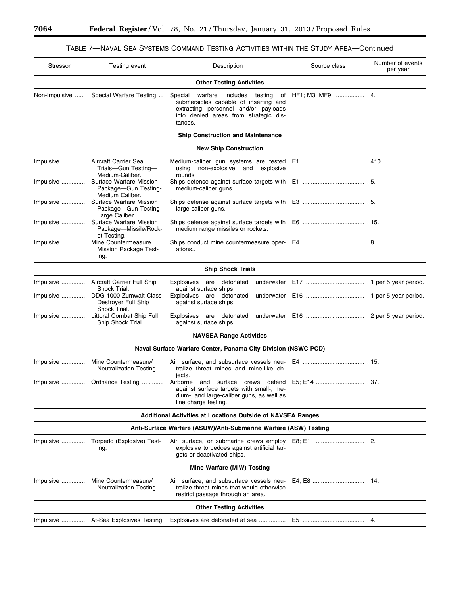## TABLE 7—NAVAL SEA SYSTEMS COMMAND TESTING ACTIVITIES WITHIN THE STUDY AREA—Continued

 $\equiv$ 

| <b>Stressor</b>                                                  | Testing event                                                                         | Description                                                                                                                                                                 | Source class | Number of events<br>per year                 |  |  |  |
|------------------------------------------------------------------|---------------------------------------------------------------------------------------|-----------------------------------------------------------------------------------------------------------------------------------------------------------------------------|--------------|----------------------------------------------|--|--|--|
|                                                                  |                                                                                       | <b>Other Testing Activities</b>                                                                                                                                             |              |                                              |  |  |  |
| Non-Impulsive                                                    | Special Warfare Testing                                                               | Special warfare includes testing<br>оf<br>submersibles capable of inserting and<br>extracting personnel and/or payloads<br>into denied areas from strategic dis-<br>tances. | HF1; M3; MF9 | 4.                                           |  |  |  |
|                                                                  |                                                                                       | <b>Ship Construction and Maintenance</b>                                                                                                                                    |              |                                              |  |  |  |
|                                                                  |                                                                                       | <b>New Ship Construction</b>                                                                                                                                                |              |                                              |  |  |  |
| Impulsive                                                        | Aircraft Carrier Sea<br>Trials-Gun Testing-<br>Medium-Caliber.                        | Medium-caliber gun systems are tested<br>using non-explosive and<br>explosive<br>rounds.                                                                                    |              | 410.                                         |  |  |  |
| Impulsive                                                        | Surface Warfare Mission<br>Package-Gun Testing-<br>Medium Caliber.                    | Ships defense against surface targets with<br>medium-caliber guns.                                                                                                          |              | 5.                                           |  |  |  |
| Impulsive                                                        | Surface Warfare Mission<br>Package-Gun Testing-<br>Large Caliber.                     | Ships defense against surface targets with<br>large-caliber guns.                                                                                                           |              | 5.                                           |  |  |  |
| Impulsive                                                        | Surface Warfare Mission<br>Package-Missile/Rock-<br>et Testing.                       | Ships defense against surface targets with<br>medium range missiles or rockets.                                                                                             |              | 15.                                          |  |  |  |
| Impulsive                                                        | Mine Countermeasure<br>Mission Package Test-<br>ing.                                  | Ships conduct mine countermeasure oper-<br>ations                                                                                                                           |              | 8.                                           |  |  |  |
|                                                                  |                                                                                       | <b>Ship Shock Trials</b>                                                                                                                                                    |              |                                              |  |  |  |
| Impulsive<br>Impulsive                                           | <b>Aircraft Carrier Full Ship</b><br>Shock Trial.<br>DDG 1000 Zumwalt Class           | Explosives are detonated<br>underwater<br>against surface ships.<br>Explosives are detonated<br>underwater                                                                  |              | 1 per 5 year period.<br>1 per 5 year period. |  |  |  |
| Impulsive                                                        | Destroyer Full Ship<br>Shock Trial.<br>Littoral Combat Ship Full<br>Ship Shock Trial. | against surface ships.<br>Explosives are detonated<br>underwater<br>against surface ships.                                                                                  |              | 2 per 5 year period.                         |  |  |  |
|                                                                  |                                                                                       | <b>NAVSEA Range Activities</b>                                                                                                                                              |              |                                              |  |  |  |
|                                                                  |                                                                                       | Naval Surface Warfare Center, Panama City Division (NSWC PCD)                                                                                                               |              |                                              |  |  |  |
| Impulsive                                                        | Mine Countermeasure/<br>Neutralization Testing.                                       | Air, surface, and subsurface vessels neu-<br>tralize threat mines and mine-like ob-<br>jects.                                                                               |              | 15.                                          |  |  |  |
| Impulsive                                                        | Ordnance Testing                                                                      | surface<br>defend<br>Airborne<br>and<br>crews<br>against surface targets with small-, me-<br>dium-, and large-caliber guns, as well as<br>line charge testing.              | E5; E14      | 37.                                          |  |  |  |
|                                                                  |                                                                                       | Additional Activities at Locations Outside of NAVSEA Ranges                                                                                                                 |              |                                              |  |  |  |
| Anti-Surface Warfare (ASUW)/Anti-Submarine Warfare (ASW) Testing |                                                                                       |                                                                                                                                                                             |              |                                              |  |  |  |
| Impulsive                                                        | Torpedo (Explosive) Test-<br>ing.                                                     | Air, surface, or submarine crews employ<br>explosive torpedoes against artificial tar-<br>gets or deactivated ships.                                                        | E8; E11      | 2.                                           |  |  |  |
|                                                                  |                                                                                       | Mine Warfare (MIW) Testing                                                                                                                                                  |              |                                              |  |  |  |
| Impulsive                                                        | Mine Countermeasure/<br>Neutralization Testing.                                       | Air, surface, and subsurface vessels neu-<br>tralize threat mines that would otherwise<br>restrict passage through an area.                                                 | E4: E8       | 14.                                          |  |  |  |
|                                                                  |                                                                                       | <b>Other Testing Activities</b>                                                                                                                                             |              |                                              |  |  |  |
| Impulsive                                                        | At-Sea Explosives Testing                                                             | Explosives are detonated at sea                                                                                                                                             |              | 4.                                           |  |  |  |

 $\equiv$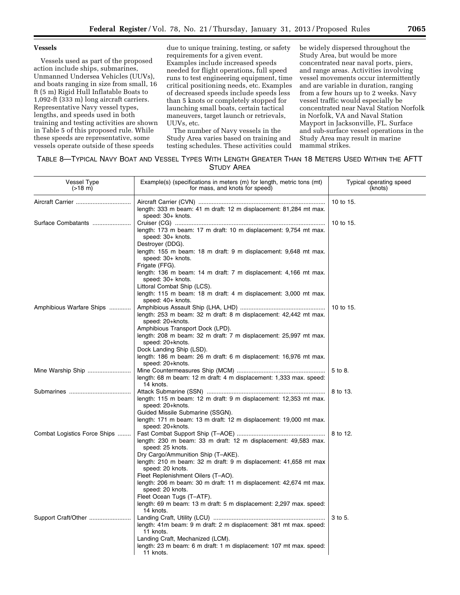## **Vessels**

Vessels used as part of the proposed action include ships, submarines, Unmanned Undersea Vehicles (UUVs), and boats ranging in size from small, 16 ft (5 m) Rigid Hull Inflatable Boats to 1,092-ft (333 m) long aircraft carriers. Representative Navy vessel types, lengths, and speeds used in both training and testing activities are shown in Table 5 of this proposed rule. While these speeds are representative, some vessels operate outside of these speeds

due to unique training, testing, or safety requirements for a given event. Examples include increased speeds needed for flight operations, full speed runs to test engineering equipment, time critical positioning needs, etc. Examples of decreased speeds include speeds less than 5 knots or completely stopped for launching small boats, certain tactical maneuvers, target launch or retrievals, UUVs, etc.

The number of Navy vessels in the Study Area varies based on training and testing schedules. These activities could be widely dispersed throughout the Study Area, but would be more concentrated near naval ports, piers, and range areas. Activities involving vessel movements occur intermittently and are variable in duration, ranging from a few hours up to 2 weeks. Navy vessel traffic would especially be concentrated near Naval Station Norfolk in Norfolk, VA and Naval Station Mayport in Jacksonville, FL. Surface and sub-surface vessel operations in the Study Area may result in marine mammal strikes.

| TABLE 8-TYPICAL NAVY BOAT AND VESSEL TYPES WITH LENGTH GREATER THAN 18 METERS USED WITHIN THE AFTT |  |  |  |  |  |  |  |  |
|----------------------------------------------------------------------------------------------------|--|--|--|--|--|--|--|--|
| <b>STUDY AREA</b>                                                                                  |  |  |  |  |  |  |  |  |

| <b>Vessel Type</b><br>$( > 18 \text{ m})$ | Example(s) (specifications in meters (m) for length, metric tons (mt)<br>for mass, and knots for speed)                     | Typical operating speed<br>(knots) |
|-------------------------------------------|-----------------------------------------------------------------------------------------------------------------------------|------------------------------------|
|                                           | length: 333 m beam: 41 m draft: 12 m displacement: 81,284 mt max.                                                           | 10 to 15.                          |
| Surface Combatants                        | speed: 30+ knots.                                                                                                           | 10 to 15.                          |
|                                           | length: 173 m beam: 17 m draft: 10 m displacement: 9,754 mt max.<br>speed: 30+ knots.                                       |                                    |
|                                           | Destroyer (DDG).<br>length: 155 m beam: 18 m draft: 9 m displacement: 9,648 mt max.<br>speed: 30+ knots.                    |                                    |
|                                           | Frigate (FFG).<br>length: 136 m beam: 14 m draft: 7 m displacement: 4,166 mt max.<br>speed: 30+ knots.                      |                                    |
|                                           | Littoral Combat Ship (LCS).<br>length: 115 m beam: 18 m draft: 4 m displacement: 3,000 mt max.<br>speed: 40+ knots.         |                                    |
| Amphibious Warfare Ships                  | length: 253 m beam: 32 m draft: 8 m displacement: 42,442 mt max.<br>speed: 20+knots.                                        | 10 to 15.                          |
|                                           | Amphibious Transport Dock (LPD).<br>length: 208 m beam: 32 m draft: 7 m displacement: 25,997 mt max.<br>speed: 20+knots.    |                                    |
|                                           | Dock Landing Ship (LSD).<br>length: 186 m beam: 26 m draft: 6 m displacement: 16,976 mt max.<br>speed: 20+knots.            |                                    |
| Mine Warship Ship                         | length: 68 m beam: 12 m draft: 4 m displacement: 1,333 max. speed:<br>14 knots.                                             | 5 to 8.                            |
|                                           | length: 115 m beam: 12 m draft: 9 m displacement: 12,353 mt max.<br>speed: 20+knots.<br>Guided Missile Submarine (SSGN).    | 8 to 13.                           |
|                                           | length: 171 m beam: 13 m draft: 12 m displacement: 19,000 mt max.<br>speed: 20+knots.                                       |                                    |
| Combat Logistics Force Ships              | length: 230 m beam: 33 m draft: 12 m displacement: 49,583 max.<br>speed: 25 knots.                                          | 8 to 12.                           |
|                                           | Dry Cargo/Ammunition Ship (T-AKE).<br>length: 210 m beam: 32 m draft: 9 m displacement: 41,658 mt max<br>speed: 20 knots.   |                                    |
|                                           | Fleet Replenishment Oilers (T-AO).<br>length: 206 m beam: 30 m draft: 11 m displacement: 42,674 mt max.<br>speed: 20 knots. |                                    |
|                                           | Fleet Ocean Tugs (T-ATF).<br>length: 69 m beam: 13 m draft: 5 m displacement: 2,297 max. speed:<br>14 knots.                |                                    |
| Support Craft/Other                       | length: 41m beam: 9 m draft: 2 m displacement: 381 mt max. speed:<br>11 knots.                                              | 3 to 5.                            |
|                                           | Landing Craft, Mechanized (LCM).<br>length: 23 m beam: 6 m draft: 1 m displacement: 107 mt max. speed:<br>11 knots.         |                                    |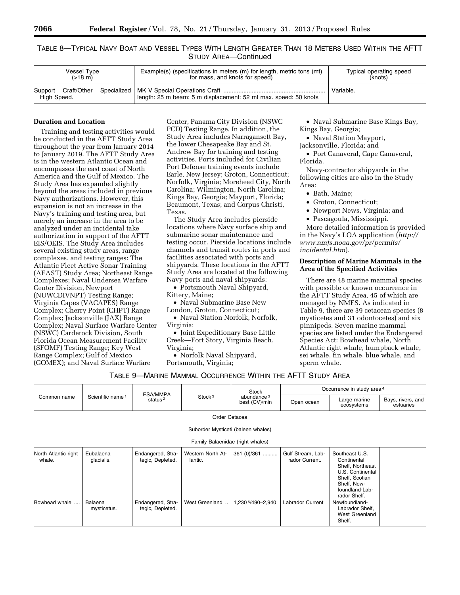TABLE 8—TYPICAL NAVY BOAT AND VESSEL TYPES WITH LENGTH GREATER THAN 18 METERS USED WITHIN THE AFTT STUDY AREA—Continued

| Vessel Type<br>$( > 18 \text{ m})$ | Example(s) (specifications in meters (m) for length, metric tons (mt)<br>for mass, and knots for speed) | Typical operating speed<br>(knots) |
|------------------------------------|---------------------------------------------------------------------------------------------------------|------------------------------------|
| High Speed.                        | length: 25 m beam: 5 m displacement: 52 mt max. speed: 50 knots                                         | Variable.                          |

## **Duration and Location**

Training and testing activities would be conducted in the AFTT Study Area throughout the year from January 2014 to January 2019. The AFTT Study Area is in the western Atlantic Ocean and encompasses the east coast of North America and the Gulf of Mexico. The Study Area has expanded slightly beyond the areas included in previous Navy authorizations. However, this expansion is not an increase in the Navy's training and testing area, but merely an increase in the area to be analyzed under an incidental take authorization in support of the AFTT EIS/OEIS. The Study Area includes several existing study areas, range complexes, and testing ranges: The Atlantic Fleet Active Sonar Training (AFAST) Study Area; Northeast Range Complexes; Naval Undersea Warfare Center Division, Newport (NUWCDIVNPT) Testing Range; Virginia Capes (VACAPES) Range Complex; Cherry Point (CHPT) Range Complex; Jacksonville (JAX) Range Complex; Naval Surface Warfare Center (NSWC) Carderock Division, South Florida Ocean Measurement Facility (SFOMF) Testing Range; Key West Range Complex; Gulf of Mexico (GOMEX); and Naval Surface Warfare

Center, Panama City Division (NSWC PCD) Testing Range. In addition, the Study Area includes Narragansett Bay, the lower Chesapeake Bay and St. Andrew Bay for training and testing activities. Ports included for Civilian Port Defense training events include Earle, New Jersey; Groton, Connecticut; Norfolk, Virginia; Morehead City, North Carolina; Wilmington, North Carolina; Kings Bay, Georgia; Mayport, Florida; Beaumont, Texas; and Corpus Christi, Texas.

The Study Area includes pierside locations where Navy surface ship and submarine sonar maintenance and testing occur. Pierside locations include channels and transit routes in ports and facilities associated with ports and shipyards. These locations in the AFTT Study Area are located at the following Navy ports and naval shipyards:

• Portsmouth Naval Shipyard, Kittery, Maine;

• Naval Submarine Base New London, Groton, Connecticut;

• Naval Station Norfolk, Norfolk, Virginia;

• Joint Expeditionary Base Little Creek—Fort Story, Virginia Beach, Virginia;

• Norfolk Naval Shipyard, Portsmouth, Virginia;

• Naval Submarine Base Kings Bay, Kings Bay, Georgia;

• Naval Station Mayport,

Jacksonville, Florida; and

• Port Canaveral, Cape Canaveral, Florida.

Navy-contractor shipyards in the following cities are also in the Study Area:

- Bath, Maine;
- Groton, Connecticut;
- Newport News, Virginia; and
- Pascagoula, Mississippi.

More detailed information is provided in the Navy's LOA application (*[http://](http://www.nmfs.noaa.gov/pr/permits/incidental.htm)  [www.nmfs.noaa.gov/pr/permits/](http://www.nmfs.noaa.gov/pr/permits/incidental.htm) [incidental.htm](http://www.nmfs.noaa.gov/pr/permits/incidental.htm)*).

## **Description of Marine Mammals in the Area of the Specified Activities**

There are 48 marine mammal species with possible or known occurrence in the AFTT Study Area, 45 of which are managed by NMFS. As indicated in Table 9, there are 39 cetacean species (8 mysticetes and 31 odontocetes) and six pinnipeds. Seven marine mammal species are listed under the Endangered Species Act: Bowhead whale, North Atlantic right whale, humpback whale, sei whale, fin whale, blue whale, and sperm whale.

| TABLE 9-MARINE MAMMAL OCCURRENCE WITHIN THE AFTT STUDY AREA |  |  |
|-------------------------------------------------------------|--|--|
|-------------------------------------------------------------|--|--|

| Common name                    |                              | ESA/MMPA                              |                              | Stock                                   | Occurrence in study area <sup>4</sup> |                                                                                                                                          |                                |
|--------------------------------|------------------------------|---------------------------------------|------------------------------|-----------------------------------------|---------------------------------------|------------------------------------------------------------------------------------------------------------------------------------------|--------------------------------|
|                                | Scientific name <sup>1</sup> | status <sup>2</sup>                   | Stock <sup>3</sup>           | abundance <sup>3</sup><br>best (CV)/min | Open ocean                            | Large marine<br>ecosystems                                                                                                               | Bays, rivers, and<br>estuaries |
| Order Cetacea                  |                              |                                       |                              |                                         |                                       |                                                                                                                                          |                                |
|                                |                              |                                       |                              | Suborder Mysticeti (baleen whales)      |                                       |                                                                                                                                          |                                |
|                                |                              |                                       |                              | Family Balaenidae (right whales)        |                                       |                                                                                                                                          |                                |
| North Atlantic right<br>whale. | Eubalaena<br>glacialis.      | Endangered, Stra-<br>tegic, Depleted. | Western North At-<br>lantic. | 361 (0)/361                             | Gulf Stream, Lab-<br>rador Current.   | Southeast U.S.<br>Continental<br>Shelf, Northeast<br>U.S. Continental<br>Shelf, Scotian<br>Shelf, New-<br>foundland-Lab-<br>rador Shelf. |                                |
| Bowhead whale                  | Balaena<br>mysticetus.       | Endangered, Stra-<br>tegic, Depleted. | West Greenland               | 1,230 5/490 - 2,940                     | Labrador Current                      | Newfoundland-<br>Labrador Shelf,<br>West Greenland<br>Shelf.                                                                             |                                |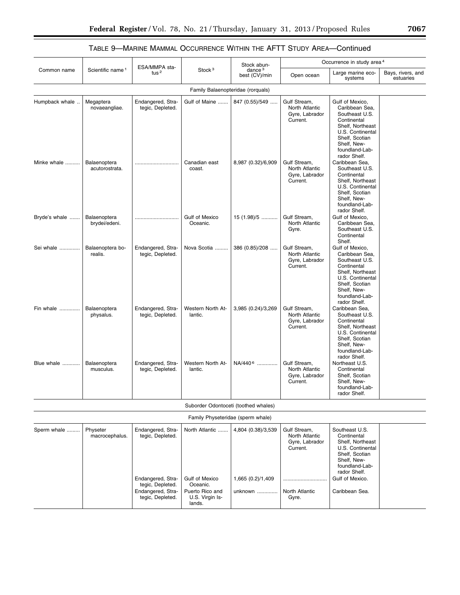|                |                                |                                                            |                                                          | Stock abun-                             |                                                              | Occurrence in study area <sup>4</sup>                                                                                                                                         |                                |
|----------------|--------------------------------|------------------------------------------------------------|----------------------------------------------------------|-----------------------------------------|--------------------------------------------------------------|-------------------------------------------------------------------------------------------------------------------------------------------------------------------------------|--------------------------------|
| Common name    | Scientific name <sup>1</sup>   | ESA/MMPA sta-<br>tus $2$                                   | Stock <sup>3</sup>                                       | dance $3$<br>best (CV)/min              | Open ocean                                                   | Large marine eco-<br>systems                                                                                                                                                  | Bays, rivers, and<br>estuaries |
|                |                                |                                                            | Family Balaenopteridae (rorquals)                        |                                         |                                                              |                                                                                                                                                                               |                                |
| Humpback whale | Megaptera<br>novaeangliae.     | Endangered, Stra-<br>tegic, Depleted.                      | Gulf of Maine                                            | 847 (0.55)/549                          | Gulf Stream,<br>North Atlantic<br>Gyre, Labrador<br>Current. | Gulf of Mexico,<br>Caribbean Sea.<br>Southeast U.S.<br>Continental<br>Shelf, Northeast<br>U.S. Continental<br>Shelf, Scotian<br>Shelf, New-<br>foundland-Lab-<br>rador Shelf. |                                |
| Minke whale    | Balaenoptera<br>acutorostrata. |                                                            | Canadian east<br>coast.                                  | 8,987 (0.32)/6,909                      | Gulf Stream,<br>North Atlantic<br>Gyre, Labrador<br>Current. | Caribbean Sea,<br>Southeast U.S.<br>Continental<br>Shelf, Northeast<br>U.S. Continental<br>Shelf, Scotian<br>Shelf, New-<br>foundland-Lab-<br>rador Shelf.                    |                                |
| Bryde's whale  | Balaenoptera<br>brydei/edeni.  |                                                            | <b>Gulf of Mexico</b><br>Oceanic.                        | $15(1.98)/5$                            | Gulf Stream,<br>North Atlantic<br>Gyre.                      | Gulf of Mexico,<br>Caribbean Sea,<br>Southeast U.S.<br>Continental<br>Shelf.                                                                                                  |                                |
| Sei whale      | Balaenoptera bo-<br>realis.    | Endangered, Stra-<br>tegic, Depleted.                      | Nova Scotia                                              | 386 (0.85)/208                          | Gulf Stream.<br>North Atlantic<br>Gyre, Labrador<br>Current. | Gulf of Mexico,<br>Caribbean Sea,<br>Southeast U.S.<br>Continental<br>Shelf, Northeast<br>U.S. Continental<br>Shelf, Scotian<br>Shelf, New-<br>foundland-Lab-<br>rador Shelf. |                                |
| Fin whale      | Balaenoptera<br>physalus.      | Endangered, Stra-<br>tegic, Depleted.                      | Western North At-<br>lantic.                             | 3,985 (0.24)/3,269                      | Gulf Stream,<br>North Atlantic<br>Gyre, Labrador<br>Current. | Caribbean Sea,<br>Southeast U.S.<br>Continental<br>Shelf, Northeast<br>U.S. Continental<br>Shelf, Scotian<br>Shelf, New-<br>foundland-Lab-<br>rador Shelf.                    |                                |
| Blue whale     | Balaenoptera<br>musculus.      | Endangered, Stra-<br>tegic, Depleted.                      | Western North At-<br>lantic.                             | NA/440 <sup>6</sup>                     | Gulf Stream.<br>North Atlantic<br>Gyre, Labrador<br>Current. | Northeast U.S.<br>Continental<br>Shelf, Scotian<br>Shelf, New-<br>foundland-Lab-<br>rador Shelf.                                                                              |                                |
|                |                                |                                                            | Suborder Odontoceti (toothed whales)                     |                                         |                                                              |                                                                                                                                                                               |                                |
|                |                                |                                                            | Family Physeteridae (sperm whale)                        |                                         |                                                              |                                                                                                                                                                               |                                |
| Sperm whale    | Physeter<br>macrocephalus.     | Endangered, Stra-<br>tegic, Depleted.<br>Endangered, Stra- | North Atlantic<br><b>Gulf of Mexico</b>                  | 4,804 (0.38)/3,539<br>1,665 (0.2)/1,409 | Gulf Stream,<br>North Atlantic<br>Gyre, Labrador<br>Current. | Southeast U.S.<br>Continental<br>Shelf, Northeast<br>U.S. Continental<br>Shelf, Scotian<br>Shelf, New-<br>foundland-Lab-<br>rador Shelf.<br>Gulf of Mexico.                   |                                |
|                |                                | tegic, Depleted.<br>Endangered, Stra-<br>tegic, Depleted.  | Oceanic.<br>Puerto Rico and<br>U.S. Virgin Is-<br>lands. | unknown                                 | North Atlantic<br>Gyre.                                      | Caribbean Sea.                                                                                                                                                                |                                |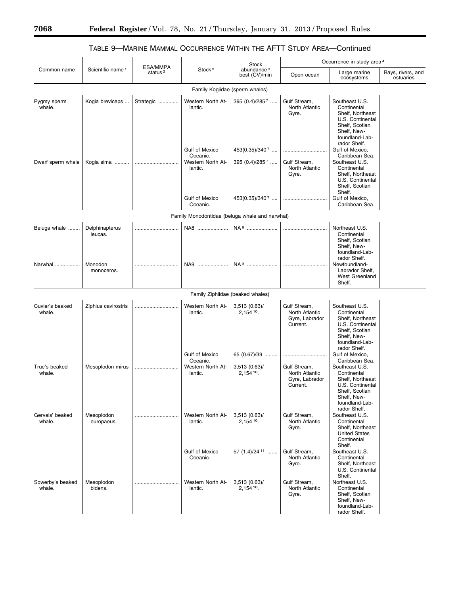## TABLE 9—MARINE MAMMAL OCCURRENCE WITHIN THE AFTT STUDY AREA—Continued

|                            |                              | ESA/MMPA<br>status <sup>2</sup> | Stock <sup>3</sup>                                                | Stock<br>abundance <sup>3</sup><br>best (CV)/min | Occurrence in study area <sup>4</sup>                        |                                                                                                                                          |                                |
|----------------------------|------------------------------|---------------------------------|-------------------------------------------------------------------|--------------------------------------------------|--------------------------------------------------------------|------------------------------------------------------------------------------------------------------------------------------------------|--------------------------------|
| Common name                | Scientific name <sup>1</sup> |                                 |                                                                   |                                                  | Open ocean                                                   | Large marine<br>ecosystems                                                                                                               | Bays, rivers, and<br>estuaries |
|                            |                              |                                 |                                                                   | Family Kogiidae (sperm whales)                   |                                                              |                                                                                                                                          |                                |
| Pygmy sperm<br>whale.      | Kogia breviceps              | Strategic                       | Western North At-<br>lantic.                                      | 395 (0.4)/2857                                   | Gulf Stream,<br>North Atlantic<br>Gyre.                      | Southeast U.S.<br>Continental<br>Shelf, Northeast<br>U.S. Continental<br>Shelf, Scotian<br>Shelf, New-<br>foundland-Lab-<br>rador Shelf. |                                |
| Dwarf sperm whale          | Kogia sima                   |                                 | <b>Gulf of Mexico</b><br>Oceanic.<br>Western North At-<br>lantic. | 453(0.35)/3407<br>395 $(0.4)/285$ <sup>7</sup>   | <br>Gulf Stream.<br>North Atlantic<br>Gyre.                  | Gulf of Mexico,<br>Caribbean Sea.<br>Southeast U.S.<br>Continental<br>Shelf, Northeast<br>U.S. Continental<br>Shelf, Scotian<br>Shelf.   |                                |
|                            |                              |                                 | Gulf of Mexico<br>Oceanic.                                        | $453(0.35)/340^7$                                |                                                              | Gulf of Mexico,<br>Caribbean Sea.                                                                                                        |                                |
|                            |                              |                                 |                                                                   | Family Monodontidae (beluga whale and narwhal)   |                                                              |                                                                                                                                          |                                |
| Beluga whale               | Delphinapterus               |                                 | NA8                                                               |                                                  |                                                              | Northeast U.S.                                                                                                                           |                                |
| Narwhal                    | leucas.<br>Monodon           |                                 | NA9                                                               | NA <sup>9</sup>                                  |                                                              | Continental<br>Shelf, Scotian<br>Shelf, New-<br>foundland-Lab-<br>rador Shelf.<br>Newfoundland-                                          |                                |
|                            | monoceros.                   |                                 |                                                                   |                                                  |                                                              | Labrador Shelf,<br>West Greenland<br>Shelf.                                                                                              |                                |
|                            |                              |                                 |                                                                   | Family Ziphiidae (beaked whales)                 |                                                              |                                                                                                                                          |                                |
| Cuvier's beaked<br>whale.  | Ziphius cavirostris          |                                 | Western North At-<br>lantic.                                      | 3,513(0.63)<br>$2,154^{10}$ .                    | Gulf Stream,<br>North Atlantic<br>Gyre, Labrador<br>Current. | Southeast U.S.<br>Continental<br>Shelf, Northeast<br>U.S. Continental<br>Shelf, Scotian<br>Shelf, New-<br>foundland-Lab-<br>rador Shelf. |                                |
|                            |                              |                                 | <b>Gulf of Mexico</b><br>Oceanic.                                 | 65 (0.67)/39                                     |                                                              | Gulf of Mexico,<br>Caribbean Sea.                                                                                                        |                                |
| True's beaked<br>whale.    | Mesoplodon mirus             |                                 | Western North At-<br>lantic.                                      | 3,513(0.63)<br>2,154 10.                         | Gulf Stream,<br>North Atlantic<br>Gyre, Labrador<br>Current. | Southeast U.S.<br>Continental<br>Shelf, Northeast<br>U.S. Continental<br>Shelf, Scotian<br>Shelf, New-<br>foundland-Lab-<br>rador Shelf. |                                |
| Gervais' beaked<br>whale.  | Mesoplodon<br>europaeus.     |                                 | Western North At-<br>lantic.                                      | 3,513(0.63)<br>2,154 10.                         | Gulf Stream,<br>North Atlantic<br>Gyre.                      | Southeast U.S.<br>Continental<br>Shelf, Northeast<br><b>United States</b><br>Continental<br>Shelf.                                       |                                |
|                            |                              |                                 | Gulf of Mexico<br>Oceanic.                                        | 57 $(1.4)/24$ <sup>11</sup>                      | Gulf Stream,<br>North Atlantic<br>Gyre.                      | Southeast U.S.<br>Continental<br>Shelf. Northeast<br>U.S. Continental<br>Shelf.                                                          |                                |
| Sowerby's beaked<br>whale. | Mesoplodon<br>bidens.        |                                 | Western North At-<br>lantic.                                      | 3,513(0.63)<br>$2,154^{10}$ .                    | Gulf Stream,<br>North Atlantic<br>Gyre.                      | Northeast U.S.<br>Continental<br>Shelf, Scotian<br>Shelf, New-<br>foundland-Lab-<br>rador Shelf.                                         |                                |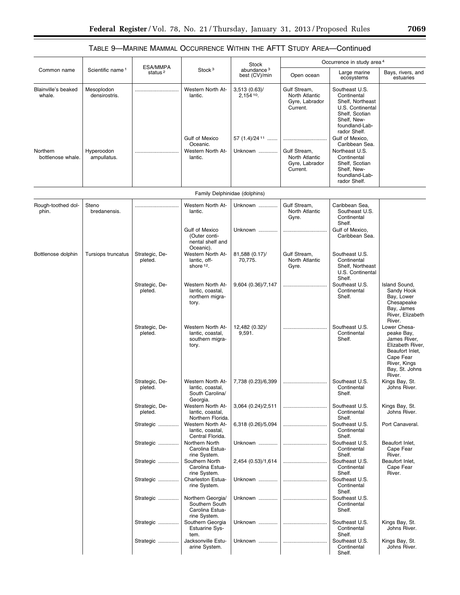|                               | Scientific name <sup>1</sup> | ESA/MMPA<br>status <sup>2</sup> | Stock <sup>3</sup>                                                      | Stock<br>abundance <sup>3</sup><br>best (CV)/min                      | Occurrence in study area <sup>4</sup>                        |                                                                                                                                                             |                                                                                                                                            |
|-------------------------------|------------------------------|---------------------------------|-------------------------------------------------------------------------|-----------------------------------------------------------------------|--------------------------------------------------------------|-------------------------------------------------------------------------------------------------------------------------------------------------------------|--------------------------------------------------------------------------------------------------------------------------------------------|
| Common name                   |                              |                                 |                                                                         |                                                                       | Open ocean                                                   | Large marine<br>ecosystems                                                                                                                                  | Bays, rivers, and<br>estuaries                                                                                                             |
| Blainville's beaked<br>whale. | Mesoplodon<br>densirostris.  |                                 | Western North At-<br>lantic.<br>Gulf of Mexico                          | 3,513(0.63)<br>$2,154$ <sup>10</sup> .<br>57 $(1.4)/24$ <sup>11</sup> | Gulf Stream,<br>North Atlantic<br>Gyre, Labrador<br>Current. | Southeast U.S.<br>Continental<br>Shelf, Northeast<br>U.S. Continental<br>Shelf, Scotian<br>Shelf, New-<br>foundland-Lab-<br>rador Shelf.<br>Gulf of Mexico. |                                                                                                                                            |
| Northern<br>bottlenose whale. | Hyperoodon<br>ampullatus.    |                                 | Oceanic.<br>Western North At-<br>lantic.                                | Unknown                                                               | Gulf Stream,<br>North Atlantic<br>Gyre, Labrador<br>Current. | Caribbean Sea.<br>Northeast U.S.<br>Continental<br>Shelf, Scotian<br>Shelf, New-<br>foundland-Lab-<br>rador Shelf.                                          |                                                                                                                                            |
|                               |                              |                                 | Family Delphinidae (dolphins)                                           |                                                                       |                                                              |                                                                                                                                                             |                                                                                                                                            |
| Rough-toothed dol-<br>phin.   | Steno<br>bredanensis.        |                                 | Western North At-<br>lantic.                                            | Unknown                                                               | Gulf Stream,<br>North Atlantic<br>Gyre.                      | Caribbean Sea,<br>Southeast U.S.<br>Continental<br>Shelf.                                                                                                   |                                                                                                                                            |
|                               |                              |                                 | <b>Gulf of Mexico</b><br>(Outer conti-<br>nental shelf and<br>Oceanic). | Unknown                                                               |                                                              | Gulf of Mexico.<br>Caribbean Sea.                                                                                                                           |                                                                                                                                            |
| Bottlenose dolphin            | Tursiops truncatus           | Strategic, De-<br>pleted.       | Western North At-<br>lantic, off-<br>shore 12.                          | 81,588 (0.17)/<br>70,775.                                             | Gulf Stream,<br>North Atlantic<br>Gyre.                      | Southeast U.S.<br>Continental<br>Shelf, Northeast<br>U.S. Continental<br>Shelf.                                                                             |                                                                                                                                            |
|                               |                              | Strategic, De-<br>pleted.       | Western North At-<br>lantic, coastal,<br>northern migra-<br>tory.       | 9,604 (0.36)/7,147                                                    |                                                              | Southeast U.S.<br>Continental<br>Shelf.                                                                                                                     | Island Sound,<br>Sandy Hook<br>Bay, Lower<br>Chesapeake<br>Bay, James<br>River, Elizabeth<br>River.                                        |
|                               |                              | Strategic, De-<br>pleted.       | Western North At-<br>lantic, coastal,<br>southern migra-<br>tory.       | 12,482 (0.32)/<br>9,591.                                              |                                                              | Southeast U.S.<br>Continental<br>Shelf.                                                                                                                     | Lower Chesa-<br>peake Bay,<br>James River,<br>Elizabeth River,<br>Beaufort Inlet,<br>Cape Fear<br>River, Kings<br>Bay, St. Johns<br>River. |
|                               |                              | Strategic, De-<br>pleted.       | Western North At-<br>lantic, coastal,<br>South Carolina/<br>Georgia.    | 7,738 (0.23)/6,399                                                    |                                                              | Southeast U.S.<br>Continental<br>Shelf.                                                                                                                     | Kings Bay, St.<br>Johns River.                                                                                                             |
|                               |                              | Strategic, De-<br>pleted.       | Western North At-<br>lantic, coastal,<br>Northern Florida.              | 3,064 (0.24)/2,511                                                    |                                                              | Southeast U.S.<br>Continental<br>Shelf.                                                                                                                     | Kings Bay, St.<br>Johns River.                                                                                                             |
|                               |                              | Strategic                       | Western North At-<br>lantic, coastal,<br>Central Florida.               | 6,318 (0.26)/5,094                                                    |                                                              | Southeast U.S.<br>Continental<br>Shelf.                                                                                                                     | Port Canaveral.                                                                                                                            |
|                               |                              | Strategic                       | Northern North<br>Carolina Estua-<br>rine System.                       | Unknown                                                               |                                                              | Southeast U.S.<br>Continental<br>Shelf.                                                                                                                     | Beaufort Inlet,<br>Cape Fear<br>River.                                                                                                     |
|                               |                              | Strategic                       | Southern North<br>Carolina Estua-<br>rine System.                       | 2,454 (0.53)/1,614                                                    |                                                              | Southeast U.S.<br>Continental<br>Shelf.<br>Southeast U.S.                                                                                                   | Beaufort Inlet,<br>Cape Fear<br>River.                                                                                                     |
|                               |                              | Strategic                       | Charleston Estua-<br>rine System.<br>Northern Georgia/                  | Unknown<br>Unknown                                                    |                                                              | Continental<br>Shelf.<br>Southeast U.S.                                                                                                                     |                                                                                                                                            |
|                               |                              | Strategic                       | Southern South<br>Carolina Estua-<br>rine System.                       |                                                                       |                                                              | Continental<br>Shelf.                                                                                                                                       |                                                                                                                                            |
|                               |                              | Strategic                       | Southern Georgia<br><b>Estuarine Sys-</b><br>tem.                       | Unknown                                                               |                                                              | Southeast U.S.<br>Continental<br>Shelf.                                                                                                                     | Kings Bay, St.<br>Johns River.                                                                                                             |
|                               |                              | Strategic                       | Jacksonville Estu-<br>arine System.                                     | Unknown                                                               |                                                              | Southeast U.S.<br>Continental<br>Shelf.                                                                                                                     | Kings Bay, St.<br>Johns River.                                                                                                             |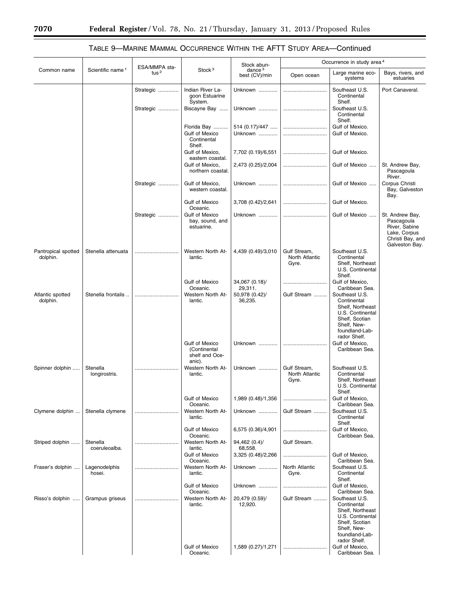|                                 |                              |                          |                                                            | Stock abun-                |                                         | Occurrence in study area <sup>4</sup>                                                                                                    |                                                                                                      |  |
|---------------------------------|------------------------------|--------------------------|------------------------------------------------------------|----------------------------|-----------------------------------------|------------------------------------------------------------------------------------------------------------------------------------------|------------------------------------------------------------------------------------------------------|--|
| Common name                     | Scientific name <sup>1</sup> | ESA/MMPA sta-<br>tus $2$ | Stock <sup>3</sup>                                         | dance $3$<br>best (CV)/min | Open ocean                              | Large marine eco-<br>systems                                                                                                             | Bays, rivers, and<br>estuaries                                                                       |  |
|                                 |                              | Strategic                | Indian River La-<br>goon Estuarine<br>System.              | Unknown                    |                                         | Southeast U.S.<br>Continental<br>Shelf.                                                                                                  | Port Canaveral.                                                                                      |  |
|                                 |                              | Strategic                | Biscayne Bay                                               | Unknown                    |                                         | Southeast U.S.<br>Continental<br>Shelf.                                                                                                  |                                                                                                      |  |
|                                 |                              |                          | Florida Bay<br>Gulf of Mexico<br>Continental<br>Shelf.     | $514(0.17)/447$<br>Unknown |                                         | Gulf of Mexico.<br>Gulf of Mexico.                                                                                                       |                                                                                                      |  |
|                                 |                              |                          | Gulf of Mexico,<br>eastern coastal.                        | 7,702 (0.19)/6,551         |                                         | Gulf of Mexico.                                                                                                                          |                                                                                                      |  |
|                                 |                              |                          | Gulf of Mexico,<br>northern coastal.                       | 2,473 (0.25)/2,004         |                                         | Gulf of Mexico                                                                                                                           | St. Andrew Bay,<br>Pascagoula<br>River.                                                              |  |
|                                 |                              | Strategic                | Gulf of Mexico,<br>western coastal.                        | Unknown                    |                                         | Gulf of Mexico                                                                                                                           | Corpus Christi<br>Bay, Galveston<br>Bay.                                                             |  |
|                                 |                              |                          | <b>Gulf of Mexico</b><br>Oceanic.                          | 3,708 (0.42)/2,641         |                                         | Gulf of Mexico.                                                                                                                          |                                                                                                      |  |
|                                 |                              | Strategic                | <b>Gulf of Mexico</b><br>bay, sound, and<br>estuarine.     | Unknown                    |                                         | Gulf of Mexico                                                                                                                           | St. Andrew Bay,<br>Pascagoula<br>River, Sabine<br>Lake, Corpus<br>Christi Bay, and<br>Galveston Bay. |  |
| Pantropical spotted<br>dolphin. | Stenella attenuata           |                          | Western North At-<br>lantic.                               | 4,439 (0.49)/3,010         | Gulf Stream,<br>North Atlantic<br>Gyre. | Southeast U.S.<br>Continental<br>Shelf, Northeast<br>U.S. Continental<br>Shelf.                                                          |                                                                                                      |  |
|                                 |                              |                          | Gulf of Mexico<br>Oceanic.                                 | 34,067 (0.18)/<br>29,311.  |                                         | Gulf of Mexico,<br>Caribbean Sea.                                                                                                        |                                                                                                      |  |
| Atlantic spotted<br>dolphin.    | Stenella frontalis           |                          | Western North At-<br>lantic.                               | 50,978 (0.42)/<br>36,235.  | Gulf Stream                             | Southeast U.S.<br>Continental<br>Shelf, Northeast<br>U.S. Continental<br>Shelf, Scotian<br>Shelf, New-<br>foundland-Lab-<br>rador Shelf. |                                                                                                      |  |
|                                 |                              |                          | Gulf of Mexico<br>(Continental<br>shelf and Oce-<br>anic). | Unknown                    |                                         | Gulf of Mexico,<br>Caribbean Sea.                                                                                                        |                                                                                                      |  |
| Spinner dolphin                 | Stenella<br>longirostris.    |                          | Western North At-<br>lantic.                               | Unknown                    | Gulf Stream,<br>North Atlantic<br>Gyre. | Southeast U.S.<br>Continental<br>Shelf, Northeast<br>U.S. Continental<br>Shelf.                                                          |                                                                                                      |  |
|                                 |                              |                          | Gulf of Mexico<br>Oceanic.                                 | 1,989 (0.48)/1,356         |                                         | Gulf of Mexico,<br>Caribbean Sea.                                                                                                        |                                                                                                      |  |
| Clymene dolphin                 | Stenella clymene             |                          | Western North At-<br>lantic.                               | Unknown                    | Gulf Stream                             | Southeast U.S.<br>Continental<br>Shelf.                                                                                                  |                                                                                                      |  |
|                                 |                              |                          | <b>Gulf of Mexico</b><br>Oceanic.                          | 6,575 (0.36)/4,901         |                                         | Gulf of Mexico,<br>Caribbean Sea.                                                                                                        |                                                                                                      |  |
| Striped dolphin                 | Stenella<br>coeruleoalba.    |                          | Western North At-<br>lantic.                               | 94,462 (0.4)/<br>68,558.   | Gulf Stream.                            |                                                                                                                                          |                                                                                                      |  |
|                                 |                              |                          | Gulf of Mexico<br>Oceanic.                                 | 3,325 (0.48)/2,266         |                                         | Gulf of Mexico,<br>Caribbean Sea.                                                                                                        |                                                                                                      |  |
| Fraser's dolphin                | Lagenodelphis<br>hosei.      |                          | Western North At-<br>lantic.                               | Unknown                    | North Atlantic<br>Gyre.                 | Southeast U.S.<br>Continental<br>Shelf.                                                                                                  |                                                                                                      |  |
|                                 |                              |                          | <b>Gulf of Mexico</b><br>Oceanic.                          | Unknown                    |                                         | Gulf of Mexico,<br>Caribbean Sea.                                                                                                        |                                                                                                      |  |
| Risso's dolphin                 | Grampus griseus              |                          | Western North At-<br>lantic.                               | 20,479 (0.59)/<br>12,920.  | Gulf Stream                             | Southeast U.S.<br>Continental<br>Shelf, Northeast<br>U.S. Continental<br>Shelf, Scotian                                                  |                                                                                                      |  |
|                                 |                              |                          | <b>Gulf of Mexico</b><br>Oceanic.                          | 1,589 (0.27)/1,271         |                                         | Shelf, New-<br>foundland-Lab-<br>rador Shelf.<br>Gulf of Mexico,<br>Caribbean Sea.                                                       |                                                                                                      |  |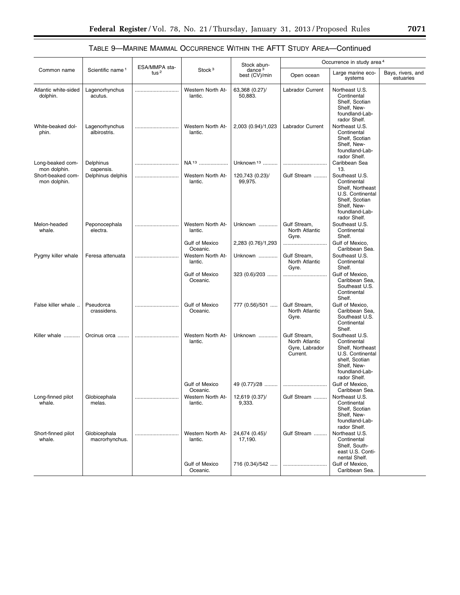|                                   | Scientific name <sup>1</sup>   | ESA/MMPA sta-<br>tus $2$ | Stock <sup>3</sup>                | Stock abun-<br>dance <sup>3</sup><br>best (CV)/min | Occurrence in study area <sup>4</sup>                        |                                                                                                                                          |                                |
|-----------------------------------|--------------------------------|--------------------------|-----------------------------------|----------------------------------------------------|--------------------------------------------------------------|------------------------------------------------------------------------------------------------------------------------------------------|--------------------------------|
| Common name                       |                                |                          |                                   |                                                    | Open ocean                                                   | Large marine eco-<br>systems                                                                                                             | Bays, rivers, and<br>estuaries |
| Atlantic white-sided<br>dolphin.  | Lagenorhynchus<br>acutus.      |                          | Western North At-<br>lantic.      | 63,368 (0.27)/<br>50,883.                          | <b>Labrador Current</b>                                      | Northeast U.S.<br>Continental<br>Shelf, Scotian<br>Shelf, New-<br>foundland-Lab-                                                         |                                |
| White-beaked dol-<br>phin.        | Lagenorhynchus<br>albirostris. |                          | Western North At-<br>lantic.      | 2,003 (0.94)/1,023                                 | Labrador Current                                             | rador Shelf.<br>Northeast U.S.<br>Continental<br>Shelf, Scotian<br>Shelf, New-<br>foundland-Lab-<br>rador Shelf.                         |                                |
| Long-beaked com-<br>mon dolphin.  | Delphinus<br>capensis.         |                          | NA <sup>13</sup>                  | Unknown <sup>13</sup>                              |                                                              | Caribbean Sea<br>13.                                                                                                                     |                                |
| Short-beaked com-<br>mon dolphin. | Delphinus delphis              |                          | Western North At-<br>lantic.      | 120,743 (0.23)/<br>99,975.                         | Gulf Stream                                                  | Southeast U.S.<br>Continental<br>Shelf, Northeast<br>U.S. Continental<br>Shelf, Scotian<br>Shelf. New-<br>foundland-Lab-<br>rador Shelf. |                                |
| Melon-headed<br>whale.            | Peponocephala<br>electra.      |                          | Western North At-<br>lantic.      | Unknown                                            | Gulf Stream,<br>North Atlantic<br>Gyre.                      | Southeast U.S.<br>Continental<br>Shelf.                                                                                                  |                                |
|                                   |                                |                          | <b>Gulf of Mexico</b><br>Oceanic. | 2,283 (0.76)/1,293                                 |                                                              | Gulf of Mexico,<br>Caribbean Sea.                                                                                                        |                                |
| Pygmy killer whale                | Feresa attenuata               |                          | Western North At-<br>lantic.      | Unknown                                            | Gulf Stream,<br>North Atlantic<br>Gyre.                      | Southeast U.S.<br>Continental<br>Shelf.                                                                                                  |                                |
|                                   |                                |                          | <b>Gulf of Mexico</b><br>Oceanic. | $323(0.6)/203$                                     |                                                              | Gulf of Mexico,<br>Caribbean Sea,<br>Southeast U.S.<br>Continental<br>Shelf.                                                             |                                |
| False killer whale                | Pseudorca<br>crassidens.       |                          | <b>Gulf of Mexico</b><br>Oceanic. | 777 (0.56)/501                                     | Gulf Stream,<br>North Atlantic<br>Gyre.                      | Gulf of Mexico,<br>Caribbean Sea,<br>Southeast U.S.<br>Continental<br>Shelf.                                                             |                                |
| Killer whale                      | Orcinus orca                   |                          | Western North At-<br>lantic.      | Unknown                                            | Gulf Stream,<br>North Atlantic<br>Gyre, Labrador<br>Current. | Southeast U.S.<br>Continental<br>Shelf, Northeast<br>U.S. Continental<br>shelf, Scotian<br>Shelf, New-<br>foundland-Lab-<br>rador Shelf. |                                |
|                                   |                                |                          | <b>Gulf of Mexico</b><br>Oceanic. | 49 (0.77)/28                                       |                                                              | Gulf of Mexico.<br>Caribbean Sea.                                                                                                        |                                |
| Long-finned pilot<br>whale.       | Globicephala<br>melas.         |                          | Western North At-<br>lantic.      | 12,619 (0.37)/<br>9,333.                           | Gulf Stream                                                  | Northeast U.S.<br>Continental<br>Shelf, Scotian<br>Shelf, New-<br>foundland-Lab-<br>rador Shelf.                                         |                                |
| Short-finned pilot<br>whale.      | Globicephala<br>macrorhynchus. |                          | Western North At-<br>lantic.      | 24,674 (0.45)/<br>17,190.                          | Gulf Stream                                                  | Northeast U.S.<br>Continental<br>Shelf, South-<br>east U.S. Conti-<br>nental Shelf.                                                      |                                |
|                                   |                                |                          | <b>Gulf of Mexico</b><br>Oceanic. | 716 (0.34)/542                                     |                                                              | Gulf of Mexico,<br>Caribbean Sea.                                                                                                        |                                |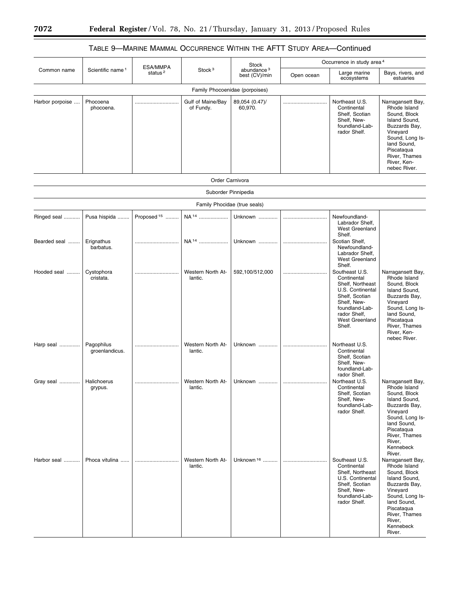## TABLE 9—MARINE MAMMAL OCCURRENCE WITHIN THE AFTT STUDY AREA—Continued

| Common name     | Scientific name <sup>1</sup> | ESA/MMPA<br>status <sup>2</sup> | Stock <sup>3</sup>             | Stock<br>abundance <sup>3</sup><br>best (CV)/min | Occurrence in study area 4 |                                                                                                                                                                             |                                                                                                                                                                                                   |
|-----------------|------------------------------|---------------------------------|--------------------------------|--------------------------------------------------|----------------------------|-----------------------------------------------------------------------------------------------------------------------------------------------------------------------------|---------------------------------------------------------------------------------------------------------------------------------------------------------------------------------------------------|
|                 |                              |                                 |                                |                                                  | Open ocean                 | Large marine<br>ecosystems                                                                                                                                                  | Bays, rivers, and<br>estuaries                                                                                                                                                                    |
|                 |                              |                                 | Family Phocoenidae (porpoises) |                                                  |                            |                                                                                                                                                                             |                                                                                                                                                                                                   |
| Harbor porpoise | Phocoena<br>phocoena.        |                                 | Gulf of Maine/Bay<br>of Fundy. | 89,054 (0.47)/<br>60,970.                        |                            | Northeast U.S.<br>Continental<br>Shelf, Scotian<br>Shelf, New-<br>foundland-Lab-<br>rador Shelf.                                                                            | Narragansett Bay,<br>Rhode Island<br>Sound, Block<br>Island Sound,<br>Buzzards Bay,<br>Vineyard<br>Sound, Long Is-<br>land Sound,<br>Piscataqua<br>River, Thames<br>River, Ken-<br>nebec River.   |
|                 |                              |                                 | Order Carnivora                |                                                  |                            |                                                                                                                                                                             |                                                                                                                                                                                                   |
|                 |                              |                                 | Suborder Pinnipedia            |                                                  |                            |                                                                                                                                                                             |                                                                                                                                                                                                   |
|                 |                              |                                 | Family Phocidae (true seals)   |                                                  |                            |                                                                                                                                                                             |                                                                                                                                                                                                   |
| Ringed seal     | Pusa hispida                 | Proposed <sup>15</sup>          | NA <sup>14</sup>               | Unknown                                          |                            | Newfoundland-<br>Labrador Shelf,<br><b>West Greenland</b><br>Shelf.                                                                                                         |                                                                                                                                                                                                   |
| Bearded seal    | Erignathus<br>barbatus.      |                                 | NA <sup>14</sup>               | Unknown                                          |                            | Scotian Shelf,<br>Newfoundland-<br>Labrador Shelf,<br><b>West Greenland</b><br>Shelf.                                                                                       |                                                                                                                                                                                                   |
| Hooded seal     | Cystophora<br>cristata.      |                                 | Western North At-<br>lantic.   | 592,100/512,000                                  |                            | Southeast U.S.<br>Continental<br>Shelf, Northeast<br>U.S. Continental<br>Shelf, Scotian<br>Shelf, New-<br>foundland-Lab-<br>rador Shelf,<br><b>West Greenland</b><br>Shelf. | Narragansett Bay,<br>Rhode Island<br>Sound, Block<br>Island Sound,<br>Buzzards Bay,<br>Vineyard<br>Sound, Long Is-<br>land Sound,<br>Piscataqua<br>River, Thames<br>River, Ken-<br>nebec River.   |
| Harp seal       | Pagophilus<br>groenlandicus. |                                 | Western North At-<br>lantic.   | Unknown                                          |                            | Northeast U.S.<br>Continental<br>Shelf, Scotian<br>Shelf, New-<br>foundland-Lab-<br>rador Shelf.                                                                            |                                                                                                                                                                                                   |
| Gray seal       | Halichoerus<br>grypus.       |                                 | Western North At-<br>lantic.   | Unknown                                          |                            | Northeast U.S.<br>Continental<br>Shelt, Scotian<br>Shelf, New-<br>foundland-Lab-<br>rador Shelf.                                                                            | Narragansett Bay,<br>Rhode Island<br>Sound, Block<br>Island Sound,<br>Buzzards Bay,<br>Vineyard<br>Sound, Long Is-<br>land Sound,<br>Piscataqua<br>River, Thames<br>River,<br>Kennebeck<br>River. |
| Harbor seal     | Phoca vitulina               |                                 | Western North At-<br>lantic.   | Unknown <sup>16</sup>                            |                            | Southeast U.S.<br>Continental<br>Shelf, Northeast<br>U.S. Continental<br>Shelf, Scotian<br>Shelf, New-<br>foundland-Lab-<br>rador Shelf.                                    | Narragansett Bay,<br>Rhode Island<br>Sound, Block<br>Island Sound,<br>Buzzards Bay,<br>Vineyard<br>Sound, Long Is-<br>land Sound,<br>Piscataqua<br>River, Thames<br>River,<br>Kennebeck<br>River. |

 $\equiv$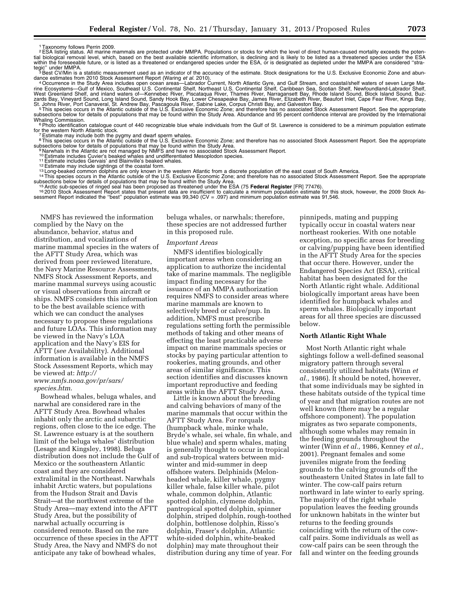1Taxonomy follows Perrin 2009.

FSA listing status. All marine mammals are protected under MMPA. Populations or stocks for which the level of direct human-caused mortality exceeds the poten-<br>tial biological removal level, which, based on the best availab within the foreseeable future, or is listed as a threatened or endangered species under the ESA, or is designated as depleted under the MMPA are considered "strategic'' under MMPA.<br><sup>3</sup>Best CV/Min is a statistic measurement used as an indicator of the accuracy of the estimate. Stock designations for the U.S. Exclusive Economic Zone and abun-

dance estimates from 2010 Stock Assessment Report (Waring *et al.* 2010).<br>4 Occurrence in the Study Area includes open ocean areas—Labrador Current, North Atlantic Gyre, and Gulf Stream, and coastal/shelf waters of seven L

rine Ecosystems—Gulf of Mexico, Southeast U.S. Continental Shelf, Northeast U.S. Continental Shelf, Caribbean Sea, Scotian Shelf, Newfoundland-Labrador Shelf,<br>West Greenland Shelf, and inland waters of—Kennebec River, Pisc St. Johns River, Port Canaveral, St. Andrew Bay, Pascagoula River, Sabine Lake, Corpus Christi Bay, and Galveston Bay.<br><sup>5</sup> This species occurs in the Atlantic outside of the U.S. Exclusive Economic Zone; and therefore has

subsections below for details of populations that may be found within the Study Area. Abundance and 95 percent confidence interval are provided by the International<br>Whaling Commission.

<sup>6</sup> Photo identification catalogue count of 440 recognizable blue whale individuals from the Gulf of St. Lawrence is considered to be a minimum population estimate for the western North Atlantic stock. for the western North Atlantic stock.<br><sup>7</sup> 7 Estimate may include both the pygmy and dwarf sperm whales.<br><sup>8</sup> This species occurs in the Atlantic outside of the U.S. Exclusive Economic Zone; and therefore has no associated

subsections below for details of populations that may be found within the Study Area.<br><sup>9</sup> Narwhals in the Atlantic are not managed by NMFS and have no associated Stock Assessment Report.<br><sup>10</sup> Estimate includes Gervais' and

<sup>12</sup> Estimate may include sightings of the coastal form.<br><sup>13</sup> Long-beaked common dolphins are only known in the western Atlantic from a discrete population off the east coast of South America.<br><sup>13</sup> Long-beaked common dolph subsections below for details of populations that may be found within the Study Area.<br><sup>15</sup> Arctic sub-species of ringed seal has been proposed as threatened under the ESA (75 **Federal Register** [FR] 77476).

sessment Report Report States on the the transfer indicated the calculate a minimum population estimate for this stock, however, the 2009 Stock Assessment Report indicated the "best" population estimate was 99,340 (CV = .0

NMFS has reviewed the information complied by the Navy on the abundance, behavior, status and distribution, and vocalizations of marine mammal species in the waters of the AFTT Study Area, which was derived from peer reviewed literature, the Navy Marine Resource Assessments, NMFS Stock Assessment Reports, and marine mammal surveys using acoustic or visual observations from aircraft or ships. NMFS considers this information to be the best available science with which we can conduct the analyses necessary to propose these regulations and future LOAs. This information may be viewed in the Navy's LOA application and the Navy's EIS for AFTT (*see* Availability). Additional information is available in the NMFS Stock Assessment Reports, which may be viewed at: *[http://](http://www.nmfs.noaa.gov/pr/sars/species.htm) [www.nmfs.noaa.gov/pr/sars/](http://www.nmfs.noaa.gov/pr/sars/species.htm) [species.htm](http://www.nmfs.noaa.gov/pr/sars/species.htm)*.

Bowhead whales, beluga whales, and narwhal are considered rare in the AFTT Study Area. Bowhead whales inhabit only the arctic and subarctic regions, often close to the ice edge. The St. Lawrence estuary is at the southern limit of the beluga whales' distribution (Lesage and Kingsley, 1998). Beluga distribution does not include the Gulf of Mexico or the southeastern Atlantic coast and they are considered extralimital in the Northeast. Narwhals inhabit Arctic waters, but populations from the Hudson Strait and Davis Strait—at the northwest extreme of the Study Area—may extend into the AFTT Study Area, but the possibility of narwhal actually occurring is considered remote. Based on the rare occurrence of these species in the AFTT Study Area, the Navy and NMFS do not anticipate any take of bowhead whales,

beluga whales, or narwhals; therefore, these species are not addressed further in this proposed rule.

#### *Important Areas*

NMFS identifies biologically important areas when considering an application to authorize the incidental take of marine mammals. The negligible impact finding necessary for the issuance of an MMPA authorization requires NMFS to consider areas where marine mammals are known to selectively breed or calve/pup. In addition, NMFS must prescribe regulations setting forth the permissible methods of taking and other means of effecting the least practicable adverse impact on marine mammals species or stocks by paying particular attention to rookeries, mating grounds, and other areas of similar significance. This section identifies and discusses known important reproductive and feeding areas within the AFTT Study Area. Little is known about the breeding

and calving behaviors of many of the marine mammals that occur within the AFTT Study Area. For rorquals (humpback whale, minke whale, Bryde's whale, sei whale, fin whale, and blue whale) and sperm whales, mating is generally thought to occur in tropical and sub-tropical waters between midwinter and mid-summer in deep offshore waters. Delphinids (Melonheaded whale, killer whale, pygmy killer whale, false killer whale, pilot whale, common dolphin, Atlantic spotted dolphin, clymene dolphin, pantropical spotted dolphin, spinner dolphin, striped dolphin, rough-toothed dolphin, bottlenose dolphin, Risso's dolphin, Fraser's dolphin, Atlantic white-sided dolphin, white-beaked dolphin) may mate throughout their distribution during any time of year. For

pinnipeds, mating and pupping typically occur in coastal waters near northeast rookeries. With one notable exception, no specific areas for breeding or calving/pupping have been identified in the AFTT Study Area for the species that occur there. However, under the Endangered Species Act (ESA), critical habitat has been designated for the North Atlantic right whale. Additional biologically important areas have been identified for humpback whales and sperm whales. Biologically important areas for all three species are discussed below.

## **North Atlantic Right Whale**

Most North Atlantic right whale sightings follow a well-defined seasonal migratory pattern through several consistently utilized habitats (Winn *et al.,* 1986). It should be noted, however, that some individuals may be sighted in these habitats outside of the typical time of year and that migration routes are not well known (there may be a regular offshore component). The population migrates as two separate components, although some whales may remain in the feeding grounds throughout the winter (Winn *et al.,* 1986, Kenney *et al.,*  2001). Pregnant females and some juveniles migrate from the feeding grounds to the calving grounds off the southeastern United States in late fall to winter. The cow-calf pairs return northward in late winter to early spring. The majority of the right whale population leaves the feeding grounds for unknown habitats in the winter but returns to the feeding grounds coinciding with the return of the cowcalf pairs. Some individuals as well as cow-calf pairs can be seen through the fall and winter on the feeding grounds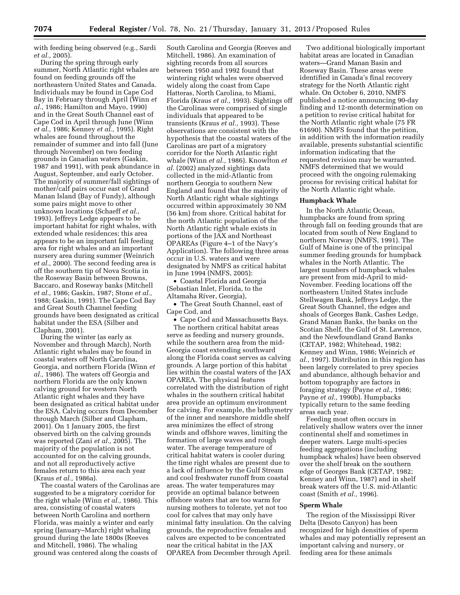with feeding being observed (e.g., Sardi *et al.,* 2005).

During the spring through early summer, North Atlantic right whales are found on feeding grounds off the northeastern United States and Canada. Individuals may be found in Cape Cod Bay in February through April (Winn *et al.,* 1986; Hamilton and Mayo, 1990) and in the Great South Channel east of Cape Cod in April through June (Winn *et al.,* 1986; Kenney *et al.,* 1995). Right whales are found throughout the remainder of summer and into fall (June through November) on two feeding grounds in Canadian waters (Gaskin, 1987 and 1991), with peak abundance in August, September, and early October. The majority of summer/fall sightings of mother/calf pairs occur east of Grand Manan Island (Bay of Fundy), although some pairs might move to other unknown locations (Schaeff *et al.,*  1993). Jeffreys Ledge appears to be important habitat for right whales, with extended whale residences; this area appears to be an important fall feeding area for right whales and an important nursery area during summer (Weinrich *et al.,* 2000). The second feeding area is off the southern tip of Nova Scotia in the Roseway Basin between Browns, Baccaro, and Roseway banks (Mitchell *et al.,* 1986; Gaskin, 1987; Stone *et al.,*  1988; Gaskin, 1991). The Cape Cod Bay and Great South Channel feeding grounds have been designated as critical habitat under the ESA (Silber and Clapham, 2001).

During the winter (as early as November and through March), North Atlantic right whales may be found in coastal waters off North Carolina, Georgia, and northern Florida (Winn *et al.,* 1986). The waters off Georgia and northern Florida are the only known calving ground for western North Atlantic right whales and they have been designated as critical habitat under the ESA. Calving occurs from December through March (Silber and Clapham, 2001). On 1 January 2005, the first observed birth on the calving grounds was reported (Zani *et al.,* 2005). The majority of the population is not accounted for on the calving grounds, and not all reproductively active females return to this area each year (Kraus *et al.,* 1986a).

The coastal waters of the Carolinas are suggested to be a migratory corridor for the right whale (Winn *et al.,* 1986). This area, consisting of coastal waters between North Carolina and northern Florida, was mainly a winter and early spring (January–March) right whaling ground during the late 1800s (Reeves and Mitchell, 1986). The whaling ground was centered along the coasts of

South Carolina and Georgia (Reeves and Mitchell, 1986). An examination of sighting records from all sources between 1950 and 1992 found that wintering right whales were observed widely along the coast from Cape Hatteras, North Carolina, to Miami, Florida (Kraus *et al.,* 1993). Sightings off the Carolinas were comprised of single individuals that appeared to be transients (Kraus *et al.,* 1993). These observations are consistent with the hypothesis that the coastal waters of the Carolinas are part of a migratory corridor for the North Atlantic right whale (Winn *et al.,* 1986). Knowlton *et al.* (2002) analyzed sightings data collected in the mid-Atlantic from northern Georgia to southern New England and found that the majority of North Atlantic right whale sightings occurred within approximately 30 NM (56 km) from shore. Critical habitat for the north Atlantic population of the North Atlantic right whale exists in portions of the JAX and Northeast OPAREAs (Figure 4–1 of the Navy's Application). The following three areas occur in U.S. waters and were designated by NMFS as critical habitat in June 1994 (NMFS, 2005):

• Coastal Florida and Georgia (Sebastian Inlet, Florida, to the Altamaha River, Georgia),

• The Great South Channel, east of Cape Cod, and

• Cape Cod and Massachusetts Bays.

The northern critical habitat areas serve as feeding and nursery grounds, while the southern area from the mid-Georgia coast extending southward along the Florida coast serves as calving grounds. A large portion of this habitat lies within the coastal waters of the JAX OPAREA. The physical features correlated with the distribution of right whales in the southern critical habitat area provide an optimum environment for calving. For example, the bathymetry of the inner and nearshore middle shelf area minimizes the effect of strong winds and offshore waves, limiting the formation of large waves and rough water. The average temperature of critical habitat waters is cooler during the time right whales are present due to a lack of influence by the Gulf Stream and cool freshwater runoff from coastal areas. The water temperatures may provide an optimal balance between offshore waters that are too warm for nursing mothers to tolerate, yet not too cool for calves that may only have minimal fatty insulation. On the calving grounds, the reproductive females and calves are expected to be concentrated near the critical habitat in the JAX OPAREA from December through April.

Two additional biologically important habitat areas are located in Canadian waters—Grand Manan Basin and Roseway Basin. These areas were identified in Canada's final recovery strategy for the North Atlantic right whale. On October 6, 2010, NMFS published a notice announcing 90-day finding and 12-month determination on a petition to revise critical habitat for the North Atlantic right whale (75 FR 61690). NMFS found that the petition, in addition with the information readily available, presents substantial scientific information indicating that the requested revision may be warranted. NMFS determined that we would proceed with the ongoing rulemaking process for revising critical habitat for the North Atlantic right whale.

#### **Humpback Whale**

In the North Atlantic Ocean, humpbacks are found from spring through fall on feeding grounds that are located from south of New England to northern Norway (NMFS, 1991). The Gulf of Maine is one of the principal summer feeding grounds for humpback whales in the North Atlantic. The largest numbers of humpback whales are present from mid-April to mid-November. Feeding locations off the northeastern United States include Stellwagen Bank, Jeffreys Ledge, the Great South Channel, the edges and shoals of Georges Bank, Cashes Ledge, Grand Manan Banks, the banks on the Scotian Shelf, the Gulf of St. Lawrence, and the Newfoundland Grand Banks (CETAP, 1982; Whitehead, 1982; Kenney and Winn, 1986; Weinrich *et al.,* 1997). Distribution in this region has been largely correlated to prey species and abundance, although behavior and bottom topography are factors in foraging strategy (Payne *et al.,* 1986; Payne et al., 1990b). Humpbacks typically return to the same feeding areas each year.

Feeding most often occurs in relatively shallow waters over the inner continental shelf and sometimes in deeper waters. Large multi-species feeding aggregations (including humpback whales) have been observed over the shelf break on the southern edge of Georges Bank (CETAP, 1982; Kenney and Winn, 1987) and in shelf break waters off the U.S. mid-Atlantic coast (Smith *et al.,* 1996).

## **Sperm Whale**

The region of the Mississippi River Delta (Desoto Canyon) has been recognized for high densities of sperm whales and may potentially represent an important calving and nursery, or feeding area for these animals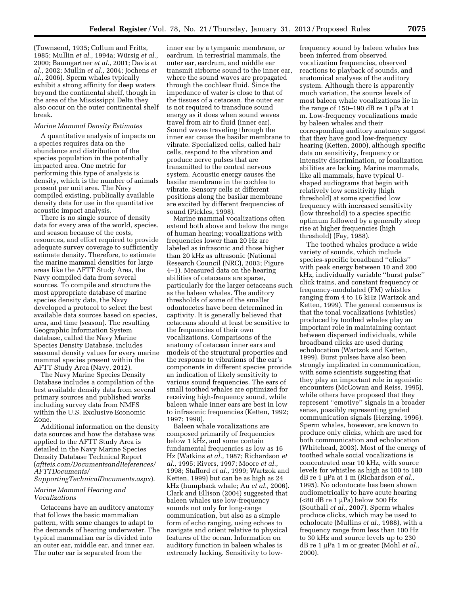(Townsend, 1935; Collum and Fritts, 1985; Mullin *et al.*, 1994a; Würsig *et al.*, 2000; Baumgartner *et al.,* 2001; Davis *et al.,* 2002; Mullin *et al.,* 2004; Jochens *et al.,* 2006). Sperm whales typically exhibit a strong affinity for deep waters beyond the continental shelf, though in the area of the Mississippi Delta they also occur on the outer continental shelf break.

#### *Marine Mammal Density Estimates*

A quantitative analysis of impacts on a species requires data on the abundance and distribution of the species population in the potentially impacted area. One metric for performing this type of analysis is density, which is the number of animals present per unit area. The Navy compiled existing, publically available density data for use in the quantitative acoustic impact analysis.

There is no single source of density data for every area of the world, species, and season because of the costs, resources, and effort required to provide adequate survey coverage to sufficiently estimate density. Therefore, to estimate the marine mammal densities for large areas like the AFTT Study Area, the Navy compiled data from several sources. To compile and structure the most appropriate database of marine species density data, the Navy developed a protocol to select the best available data sources based on species, area, and time (season). The resulting Geographic Information System database, called the Navy Marine Species Density Database, includes seasonal density values for every marine mammal species present within the AFTT Study Area (Navy, 2012).

The Navy Marine Species Density Database includes a compilation of the best available density data from several primary sources and published works including survey data from NMFS within the U.S. Exclusive Economic Zone.

Additional information on the density data sources and how the database was applied to the AFTT Study Area is detailed in the Navy Marine Species Density Database Technical Report (*aftteis.com/DocumentsandReferences/ AFTTDocuments/* 

## *SupportingTechnicalDocuments.aspx*).

## *Marine Mammal Hearing and Vocalizations*

Cetaceans have an auditory anatomy that follows the basic mammalian pattern, with some changes to adapt to the demands of hearing underwater. The typical mammalian ear is divided into an outer ear, middle ear, and inner ear. The outer ear is separated from the

inner ear by a tympanic membrane, or eardrum. In terrestrial mammals, the outer ear, eardrum, and middle ear transmit airborne sound to the inner ear, where the sound waves are propagated through the cochlear fluid. Since the impedance of water is close to that of the tissues of a cetacean, the outer ear is not required to transduce sound energy as it does when sound waves travel from air to fluid (inner ear). Sound waves traveling through the inner ear cause the basilar membrane to vibrate. Specialized cells, called hair cells, respond to the vibration and produce nerve pulses that are transmitted to the central nervous system. Acoustic energy causes the basilar membrane in the cochlea to vibrate. Sensory cells at different positions along the basilar membrane are excited by different frequencies of sound (Pickles, 1998).

Marine mammal vocalizations often extend both above and below the range of human hearing; vocalizations with frequencies lower than 20 Hz are labeled as infrasonic and those higher than 20 kHz as ultrasonic (National Research Council (NRC), 2003; Figure 4–1). Measured data on the hearing abilities of cetaceans are sparse, particularly for the larger cetaceans such as the baleen whales. The auditory thresholds of some of the smaller odontocetes have been determined in captivity. It is generally believed that cetaceans should at least be sensitive to the frequencies of their own vocalizations. Comparisons of the anatomy of cetacean inner ears and models of the structural properties and the response to vibrations of the ear's components in different species provide an indication of likely sensitivity to various sound frequencies. The ears of small toothed whales are optimized for receiving high-frequency sound, while baleen whale inner ears are best in low to infrasonic frequencies (Ketten, 1992; 1997; 1998).

Baleen whale vocalizations are composed primarily of frequencies below 1 kHz, and some contain fundamental frequencies as low as 16 Hz (Watkins *et al.,* 1987; Richardson *et al.,* 1995; Rivers, 1997; Moore *et al.,*  1998; Stafford *et al.,* 1999; Wartzok and Ketten, 1999) but can be as high as 24 kHz (humpback whale; Au *et al.,* 2006). Clark and Ellison (2004) suggested that baleen whales use low-frequency sounds not only for long-range communication, but also as a simple form of echo ranging, using echoes to navigate and orient relative to physical features of the ocean. Information on auditory function in baleen whales is extremely lacking. Sensitivity to low-

frequency sound by baleen whales has been inferred from observed vocalization frequencies, observed reactions to playback of sounds, and anatomical analyses of the auditory system. Although there is apparently much variation, the source levels of most baleen whale vocalizations lie in the range of  $150-190$  dB re 1 µPa at 1 m. Low-frequency vocalizations made by baleen whales and their corresponding auditory anatomy suggest that they have good low-frequency hearing (Ketten, 2000), although specific data on sensitivity, frequency or intensity discrimination, or localization abilities are lacking. Marine mammals, like all mammals, have typical Ushaped audiograms that begin with relatively low sensitivity (high threshold) at some specified low frequency with increased sensitivity (low threshold) to a species specific optimum followed by a generally steep rise at higher frequencies (high threshold) (Fay, 1988).

The toothed whales produce a wide variety of sounds, which include species-specific broadband ''clicks'' with peak energy between 10 and 200 kHz, individually variable ''burst pulse'' click trains, and constant frequency or frequency-modulated (FM) whistles ranging from 4 to 16 kHz (Wartzok and Ketten, 1999). The general consensus is that the tonal vocalizations (whistles) produced by toothed whales play an important role in maintaining contact between dispersed individuals, while broadband clicks are used during echolocation (Wartzok and Ketten, 1999). Burst pulses have also been strongly implicated in communication, with some scientists suggesting that they play an important role in agonistic encounters (McCowan and Reiss, 1995), while others have proposed that they represent ''emotive'' signals in a broader sense, possibly representing graded communication signals (Herzing, 1996). Sperm whales, however, are known to produce only clicks, which are used for both communication and echolocation (Whitehead, 2003). Most of the energy of toothed whale social vocalizations is concentrated near 10 kHz, with source levels for whistles as high as 100 to 180 dB re 1 µPa at 1 m (Richardson *et al.*, 1995). No odontocete has been shown audiometrically to have acute hearing  $\left( < 80 \text{ dB} \text{ re } 1 \mu \text{Pa} \right)$  below 500 Hz (Southall *et al.,* 2007). Sperm whales produce clicks, which may be used to echolocate (Mullins *et al.,* 1988), with a frequency range from less than 100 Hz to 30 kHz and source levels up to 230 dB re 1 µPa 1 m or greater (Mohl *et al.*, 2000).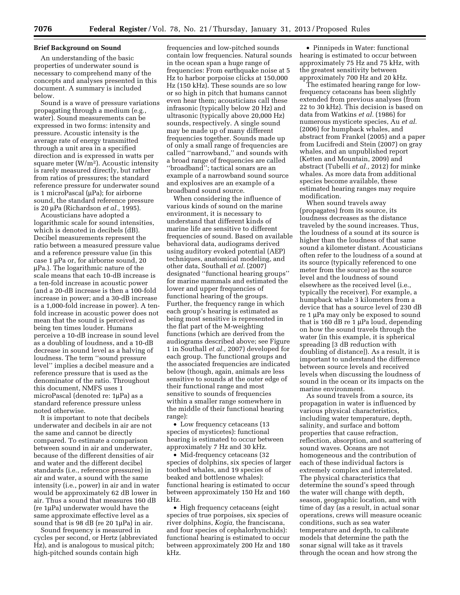## **Brief Background on Sound**

An understanding of the basic properties of underwater sound is necessary to comprehend many of the concepts and analyses presented in this document. A summary is included below.

Sound is a wave of pressure variations propagating through a medium (e.g., water). Sound measurements can be expressed in two forms: intensity and pressure. Acoustic intensity is the average rate of energy transmitted through a unit area in a specified direction and is expressed in watts per square meter  $(W/m<sup>2</sup>)$ . Acoustic intensity is rarely measured directly, but rather from ratios of pressures; the standard reference pressure for underwater sound is 1 microPascal ( $\mu$ Pa); for airborne sound, the standard reference pressure is 20 mPa (Richardson *et al.,* 1995).

Acousticians have adopted a logarithmic scale for sound intensities, which is denoted in decibels (dB). Decibel measurements represent the ratio between a measured pressure value and a reference pressure value (in this case  $1 \mu$ Pa or, for airborne sound, 20  $\mu$ Pa.). The logarithmic nature of the scale means that each 10-dB increase is a ten-fold increase in acoustic power (and a 20-dB increase is then a 100-fold increase in power; and a 30-dB increase is a 1,000-fold increase in power). A tenfold increase in acoustic power does not mean that the sound is perceived as being ten times louder. Humans perceive a 10-dB increase in sound level as a doubling of loudness, and a 10-dB decrease in sound level as a halving of loudness. The term ''sound pressure level'' implies a decibel measure and a reference pressure that is used as the denominator of the ratio. Throughout this document, NMFS uses 1 microPascal (denoted re: 1µPa) as a standard reference pressure unless noted otherwise.

It is important to note that decibels underwater and decibels in air are not the same and cannot be directly compared. To estimate a comparison between sound in air and underwater, because of the different densities of air and water and the different decibel standards (i.e., reference pressures) in air and water, a sound with the same intensity (i.e., power) in air and in water would be approximately 62 dB lower in air. Thus a sound that measures 160 dB (re 1mPa) underwater would have the same approximate effective level as a sound that is 98 dB (re  $20 \, 1\mu$ Pa) in air.

Sound frequency is measured in cycles per second, or Hertz (abbreviated Hz), and is analogous to musical pitch; high-pitched sounds contain high

frequencies and low-pitched sounds contain low frequencies. Natural sounds in the ocean span a huge range of frequencies: From earthquake noise at 5 Hz to harbor porpoise clicks at 150,000 Hz (150 kHz). These sounds are so low or so high in pitch that humans cannot even hear them; acousticians call these infrasonic (typically below 20 Hz) and ultrasonic (typically above 20,000 Hz) sounds, respectively. A single sound may be made up of many different frequencies together. Sounds made up of only a small range of frequencies are called ''narrowband,'' and sounds with a broad range of frequencies are called ''broadband''; tactical sonars are an example of a narrowband sound source and explosives are an example of a broadband sound source.

When considering the influence of various kinds of sound on the marine environment, it is necessary to understand that different kinds of marine life are sensitive to different frequencies of sound. Based on available behavioral data, audiograms derived using auditory evoked potential (AEP) techniques, anatomical modeling, and other data, Southall *et al.* (2007) designated ''functional hearing groups'' for marine mammals and estimated the lower and upper frequencies of functional hearing of the groups. Further, the frequency range in which each group's hearing is estimated as being most sensitive is represented in the flat part of the M-weighting functions (which are derived from the audiograms described above; see Figure 1 in Southall *et al.,* 2007) developed for each group. The functional groups and the associated frequencies are indicated below (though, again, animals are less sensitive to sounds at the outer edge of their functional range and most sensitive to sounds of frequencies within a smaller range somewhere in the middle of their functional hearing range):

• Low frequency cetaceans (13) species of mysticetes): functional hearing is estimated to occur between approximately 7 Hz and 30 kHz.

• Mid-frequency cetaceans (32 species of dolphins, six species of larger toothed whales, and 19 species of beaked and bottlenose whales): functional hearing is estimated to occur between approximately 150 Hz and 160 kHz.

• High frequency cetaceans (eight species of true porpoises, six species of river dolphins, *Kogia,* the franciscana, and four species of cephalorhynchids): functional hearing is estimated to occur between approximately 200 Hz and 180 kHz.

• Pinnipeds in Water: functional hearing is estimated to occur between approximately 75 Hz and 75 kHz, with the greatest sensitivity between approximately 700 Hz and 20 kHz.

The estimated hearing range for lowfrequency cetaceans has been slightly extended from previous analyses (from 22 to 30 kHz). This decision is based on data from Watkins *et al.* (1986) for numerous mysticete species, Au *et al.*  (2006) for humpback whales, and abstract from Frankel (2005) and a paper from Lucifredi and Stein (2007) on gray whales, and an unpublished report (Ketten and Mountain, 2009) and abstract (Tubelli *et al.,* 2012) for minke whales. As more data from additional species become available, these estimated hearing ranges may require modification.

When sound travels away (propagates) from its source, its loudness decreases as the distance traveled by the sound increases. Thus, the loudness of a sound at its source is higher than the loudness of that same sound a kilometer distant. Acousticians often refer to the loudness of a sound at its source (typically referenced to one meter from the source) as the source level and the loudness of sound elsewhere as the received level (i.e., typically the receiver). For example, a humpback whale 3 kilometers from a device that has a source level of 230 dB re 1 µPa may only be exposed to sound that is 160 dB re 1  $\mu$ Pa loud, depending on how the sound travels through the water (in this example, it is spherical spreading [3 dB reduction with doubling of distance]). As a result, it is important to understand the difference between source levels and received levels when discussing the loudness of sound in the ocean or its impacts on the marine environment.

As sound travels from a source, its propagation in water is influenced by various physical characteristics, including water temperature, depth, salinity, and surface and bottom properties that cause refraction, reflection, absorption, and scattering of sound waves. Oceans are not homogeneous and the contribution of each of these individual factors is extremely complex and interrelated. The physical characteristics that determine the sound's speed through the water will change with depth, season, geographic location, and with time of day (as a result, in actual sonar operations, crews will measure oceanic conditions, such as sea water temperature and depth, to calibrate models that determine the path the sonar signal will take as it travels through the ocean and how strong the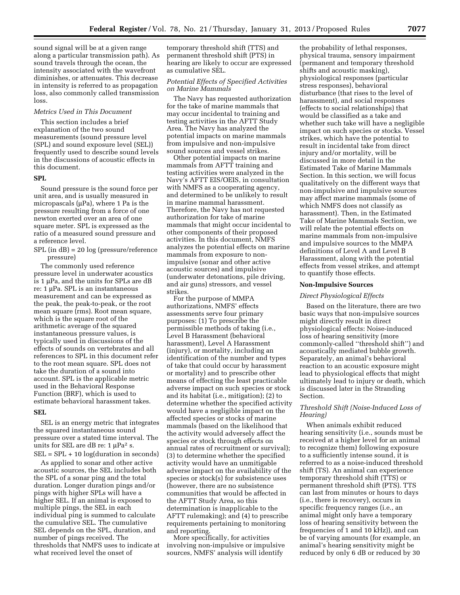sound signal will be at a given range along a particular transmission path). As sound travels through the ocean, the intensity associated with the wavefront diminishes, or attenuates. This decrease in intensity is referred to as propagation loss, also commonly called transmission loss.

#### *Metrics Used in This Document*

This section includes a brief explanation of the two sound measurements (sound pressure level (SPL) and sound exposure level (SEL)) frequently used to describe sound levels in the discussions of acoustic effects in this document.

#### **SPL**

Sound pressure is the sound force per unit area, and is usually measured in micropascals  $(\mu Pa)$ , where 1 Pa is the pressure resulting from a force of one newton exerted over an area of one square meter. SPL is expressed as the ratio of a measured sound pressure and a reference level.

SPL (in dB) = 20 log (pressure/reference pressure)

The commonly used reference pressure level in underwater acoustics is  $1 \mu$ Pa, and the units for SPLs are dB re: 1 µPa. SPL is an instantaneous measurement and can be expressed as the peak, the peak-to-peak, or the root mean square (rms). Root mean square, which is the square root of the arithmetic average of the squared instantaneous pressure values, is typically used in discussions of the effects of sounds on vertebrates and all references to SPL in this document refer to the root mean square. SPL does not take the duration of a sound into account. SPL is the applicable metric used in the Behavioral Response Function (BRF), which is used to estimate behavioral harassment takes.

## **SEL**

SEL is an energy metric that integrates the squared instantaneous sound pressure over a stated time interval. The units for SEL are dB re:  $1 \mu Pa^2 s$ .  $SEL = SPL + 10 log(duration in seconds)$ 

As applied to sonar and other active acoustic sources, the SEL includes both the SPL of a sonar ping and the total duration. Longer duration pings and/or pings with higher SPLs will have a higher SEL. If an animal is exposed to multiple pings, the SEL in each individual ping is summed to calculate the cumulative SEL. The cumulative SEL depends on the SPL, duration, and number of pings received. The thresholds that NMFS uses to indicate at what received level the onset of

temporary threshold shift (TTS) and permanent threshold shift (PTS) in hearing are likely to occur are expressed as cumulative SEL.

## *Potential Effects of Specified Activities on Marine Mammals*

The Navy has requested authorization for the take of marine mammals that may occur incidental to training and testing activities in the AFTT Study Area. The Navy has analyzed the potential impacts on marine mammals from impulsive and non-impulsive sound sources and vessel strikes.

Other potential impacts on marine mammals from AFTT training and testing activities were analyzed in the Navy's AFTT EIS/OEIS, in consultation with NMFS as a cooperating agency, and determined to be unlikely to result in marine mammal harassment. Therefore, the Navy has not requested authorization for take of marine mammals that might occur incidental to other components of their proposed activities. In this document, NMFS analyzes the potential effects on marine mammals from exposure to nonimpulsive (sonar and other active acoustic sources) and impulsive (underwater detonations, pile driving, and air guns) stressors, and vessel strikes.

For the purpose of MMPA authorizations, NMFS' effects assessments serve four primary purposes: (1) To prescribe the permissible methods of taking (i.e., Level B Harassment (behavioral harassment), Level A Harassment (injury), or mortality, including an identification of the number and types of take that could occur by harassment or mortality) and to prescribe other means of effecting the least practicable adverse impact on such species or stock and its habitat (i.e., mitigation); (2) to determine whether the specified activity would have a negligible impact on the affected species or stocks of marine mammals (based on the likelihood that the activity would adversely affect the species or stock through effects on annual rates of recruitment or survival); (3) to determine whether the specified activity would have an unmitigable adverse impact on the availability of the species or stock(s) for subsistence uses (however, there are no subsistence communities that would be affected in the AFTT Study Area, so this determination is inapplicable to the AFTT rulemaking); and (4) to prescribe requirements pertaining to monitoring and reporting.

More specifically, for activities involving non-impulsive or impulsive sources, NMFS' analysis will identify

the probability of lethal responses, physical trauma, sensory impairment (permanent and temporary threshold shifts and acoustic masking), physiological responses (particular stress responses), behavioral disturbance (that rises to the level of harassment), and social responses (effects to social relationships) that would be classified as a take and whether such take will have a negligible impact on such species or stocks. Vessel strikes, which have the potential to result in incidental take from direct injury and/or mortality, will be discussed in more detail in the Estimated Take of Marine Mammals Section. In this section, we will focus qualitatively on the different ways that non-impulsive and impulsive sources may affect marine mammals (some of which NMFS does not classify as harassment). Then, in the Estimated Take of Marine Mammals Section, we will relate the potential effects on marine mammals from non-impulsive and impulsive sources to the MMPA definitions of Level A and Level B Harassment, along with the potential effects from vessel strikes, and attempt to quantify those effects.

#### **Non-Impulsive Sources**

#### *Direct Physiological Effects*

Based on the literature, there are two basic ways that non-impulsive sources might directly result in direct physiological effects: Noise-induced loss of hearing sensitivity (more commonly-called ''threshold shift'') and acoustically mediated bubble growth. Separately, an animal's behavioral reaction to an acoustic exposure might lead to physiological effects that might ultimately lead to injury or death, which is discussed later in the Stranding Section.

## *Threshold Shift (Noise-Induced Loss of Hearing)*

When animals exhibit reduced hearing sensitivity (i.e., sounds must be received at a higher level for an animal to recognize them) following exposure to a sufficiently intense sound, it is referred to as a noise-induced threshold shift (TS). An animal can experience temporary threshold shift (TTS) or permanent threshold shift (PTS). TTS can last from minutes or hours to days (i.e., there is recovery), occurs in specific frequency ranges (i.e., an animal might only have a temporary loss of hearing sensitivity between the frequencies of 1 and 10 kHz)), and can be of varying amounts (for example, an animal's hearing sensitivity might be reduced by only 6 dB or reduced by 30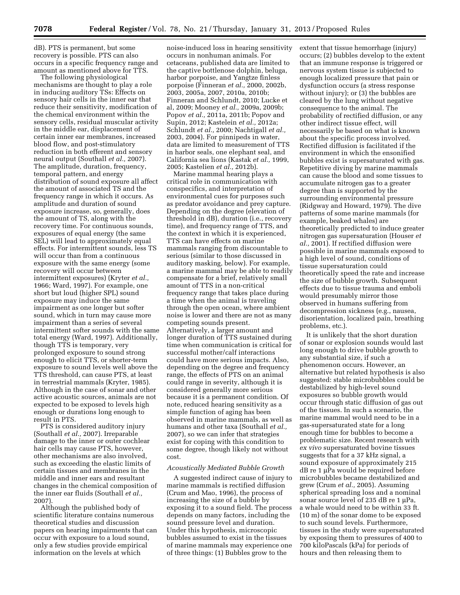dB). PTS is permanent, but some recovery is possible. PTS can also occurs in a specific frequency range and amount as mentioned above for TTS.

The following physiological mechanisms are thought to play a role in inducing auditory TSs: Effects on sensory hair cells in the inner ear that reduce their sensitivity, modification of the chemical environment within the sensory cells, residual muscular activity in the middle ear, displacement of certain inner ear membranes, increased blood flow, and post-stimulatory reduction in both efferent and sensory neural output (Southall *et al.,* 2007). The amplitude, duration, frequency, temporal pattern, and energy distribution of sound exposure all affect the amount of associated TS and the frequency range in which it occurs. As amplitude and duration of sound exposure increase, so, generally, does the amount of TS, along with the recovery time. For continuous sounds, exposures of equal energy (the same SEL) will lead to approximately equal effects. For intermittent sounds, less TS will occur than from a continuous exposure with the same energy (some recovery will occur between intermittent exposures) (Kryter *et al.,*  1966; Ward, 1997). For example, one short but loud (higher SPL) sound exposure may induce the same impairment as one longer but softer sound, which in turn may cause more impairment than a series of several intermittent softer sounds with the same total energy (Ward, 1997). Additionally, though TTS is temporary, very prolonged exposure to sound strong enough to elicit TTS, or shorter-term exposure to sound levels well above the TTS threshold, can cause PTS, at least in terrestrial mammals (Kryter, 1985). Although in the case of sonar and other active acoustic sources, animals are not expected to be exposed to levels high enough or durations long enough to result in PTS.

PTS is considered auditory injury (Southall *et al.,* 2007). Irreparable damage to the inner or outer cochlear hair cells may cause PTS, however, other mechanisms are also involved, such as exceeding the elastic limits of certain tissues and membranes in the middle and inner ears and resultant changes in the chemical composition of the inner ear fluids (Southall *et al.,*  2007).

Although the published body of scientific literature contains numerous theoretical studies and discussion papers on hearing impairments that can occur with exposure to a loud sound, only a few studies provide empirical information on the levels at which

noise-induced loss in hearing sensitivity occurs in nonhuman animals. For cetaceans, published data are limited to the captive bottlenose dolphin, beluga, harbor porpoise, and Yangtze finless porpoise (Finneran *et al.,* 2000, 2002b, 2003, 2005a, 2007, 2010a, 2010b; Finneran and Schlundt, 2010; Lucke et al, 2009; Mooney *et al.,* 2009a, 2009b; Popov *et al.,* 2011a, 2011b; Popov and Supin, 2012; Kastelein *et al.,* 2012a; Schlundt *et al.,* 2000; Nachtigall *et al.,*  2003, 2004). For pinnipeds in water, data are limited to measurement of TTS in harbor seals, one elephant seal, and California sea lions (Kastak *et al.,* 1999, 2005; Kastelien *et al.,* 2012b).

Marine mammal hearing plays a critical role in communication with conspecifics, and interpretation of environmental cues for purposes such as predator avoidance and prey capture. Depending on the degree (elevation of threshold in dB), duration (i.e., recovery time), and frequency range of TTS, and the context in which it is experienced, TTS can have effects on marine mammals ranging from discountable to serious (similar to those discussed in auditory masking, below). For example, a marine mammal may be able to readily compensate for a brief, relatively small amount of TTS in a non-critical frequency range that takes place during a time when the animal is traveling through the open ocean, where ambient noise is lower and there are not as many competing sounds present. Alternatively, a larger amount and longer duration of TTS sustained during time when communication is critical for successful mother/calf interactions could have more serious impacts. Also, depending on the degree and frequency range, the effects of PTS on an animal could range in severity, although it is considered generally more serious because it is a permanent condition. Of note, reduced hearing sensitivity as a simple function of aging has been observed in marine mammals, as well as humans and other taxa (Southall *et al.,*  2007), so we can infer that strategies exist for coping with this condition to some degree, though likely not without cost.

## *Acoustically Mediated Bubble Growth*

A suggested indirect cause of injury to marine mammals is rectified diffusion (Crum and Mao, 1996), the process of increasing the size of a bubble by exposing it to a sound field. The process depends on many factors, including the sound pressure level and duration. Under this hypothesis, microscopic bubbles assumed to exist in the tissues of marine mammals may experience one of three things: (1) Bubbles grow to the

extent that tissue hemorrhage (injury) occurs; (2) bubbles develop to the extent that an immune response is triggered or nervous system tissue is subjected to enough localized pressure that pain or dysfunction occurs (a stress response without injury); or (3) the bubbles are cleared by the lung without negative consequence to the animal. The probability of rectified diffusion, or any other indirect tissue effect, will necessarily be based on what is known about the specific process involved. Rectified diffusion is facilitated if the environment in which the ensonified bubbles exist is supersaturated with gas. Repetitive diving by marine mammals can cause the blood and some tissues to accumulate nitrogen gas to a greater degree than is supported by the surrounding environmental pressure (Ridgway and Howard, 1979). The dive patterns of some marine mammals (for example, beaked whales) are theoretically predicted to induce greater nitrogen gas supersaturation (Houser *et al.,* 2001). If rectified diffusion were possible in marine mammals exposed to a high level of sound, conditions of tissue supersaturation could theoretically speed the rate and increase the size of bubble growth. Subsequent effects due to tissue trauma and emboli would presumably mirror those observed in humans suffering from decompression sickness (e.g., nausea, disorientation, localized pain, breathing problems, etc.).

It is unlikely that the short duration of sonar or explosion sounds would last long enough to drive bubble growth to any substantial size, if such a phenomenon occurs. However, an alternative but related hypothesis is also suggested: stable microbubbles could be destabilized by high-level sound exposures so bubble growth would occur through static diffusion of gas out of the tissues. In such a scenario, the marine mammal would need to be in a gas-supersaturated state for a long enough time for bubbles to become a problematic size. Recent research with *ex vivo* supersaturated bovine tissues suggests that for a 37 kHz signal, a sound exposure of approximately 215  $dB$  re 1 µPa would be required before microbubbles became destabilized and grew (Crum *et al.,* 2005). Assuming spherical spreading loss and a nominal sonar source level of 235 dB re  $1 \mu Pa$ , a whale would need to be within 33 ft. (10 m) of the sonar dome to be exposed to such sound levels. Furthermore, tissues in the study were supersaturated by exposing them to pressures of 400 to 700 kiloPascals (kPa) for periods of hours and then releasing them to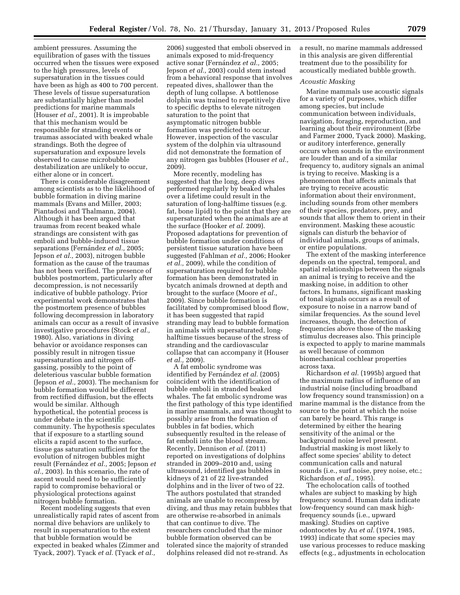ambient pressures. Assuming the equilibration of gases with the tissues occurred when the tissues were exposed to the high pressures, levels of supersaturation in the tissues could have been as high as 400 to 700 percent. These levels of tissue supersaturation are substantially higher than model predictions for marine mammals (Houser *et al.,* 2001). It is improbable that this mechanism would be responsible for stranding events or traumas associated with beaked whale strandings. Both the degree of supersaturation and exposure levels observed to cause microbubble destabilization are unlikely to occur, either alone or in concert.

There is considerable disagreement among scientists as to the likelihood of bubble formation in diving marine mammals (Evans and Miller, 2003; Piantadosi and Thalmann, 2004). Although it has been argued that traumas from recent beaked whale strandings are consistent with gas emboli and bubble-induced tissue separations (Fernández et al., 2005; Jepson *et al.,* 2003), nitrogen bubble formation as the cause of the traumas has not been verified. The presence of bubbles postmortem, particularly after decompression, is not necessarily indicative of bubble pathology. Prior experimental work demonstrates that the postmortem presence of bubbles following decompression in laboratory animals can occur as a result of invasive investigative procedures (Stock *et al.,*  1980). Also, variations in diving behavior or avoidance responses can possibly result in nitrogen tissue supersaturation and nitrogen offgassing, possibly to the point of deleterious vascular bubble formation (Jepson *et al.,* 2003). The mechanism for bubble formation would be different from rectified diffusion, but the effects would be similar. Although hypothetical, the potential process is under debate in the scientific community. The hypothesis speculates that if exposure to a startling sound elicits a rapid ascent to the surface, tissue gas saturation sufficient for the evolution of nitrogen bubbles might result (Ferna´ndez *et al.,* 2005; Jepson *et al.,* 2003). In this scenario, the rate of ascent would need to be sufficiently rapid to compromise behavioral or physiological protections against nitrogen bubble formation.

Recent modeling suggests that even unrealistically rapid rates of ascent from normal dive behaviors are unlikely to result in supersaturation to the extent that bubble formation would be expected in beaked whales (Zimmer and Tyack, 2007). Tyack *et al.* (Tyack *et al.,* 

2006) suggested that emboli observed in animals exposed to mid-frequency active sonar (Fernández *et al.*, 2005; Jepson *et al.,* 2003) could stem instead from a behavioral response that involves repeated dives, shallower than the depth of lung collapse. A bottlenose dolphin was trained to repetitively dive to specific depths to elevate nitrogen saturation to the point that asymptomatic nitrogen bubble formation was predicted to occur. However, inspection of the vascular system of the dolphin via ultrasound did not demonstrate the formation of any nitrogen gas bubbles (Houser *et al.,*  2009).

More recently, modeling has suggested that the long, deep dives performed regularly by beaked whales over a lifetime could result in the saturation of long-halftime tissues (e.g. fat, bone lipid) to the point that they are supersaturated when the animals are at the surface (Hooker *et al.* 2009). Proposed adaptations for prevention of bubble formation under conditions of persistent tissue saturation have been suggested (Fahlman *et al.,* 2006; Hooker *et al.,* 2009), while the condition of supersaturation required for bubble formation has been demonstrated in bycatch animals drowned at depth and brought to the surface (Moore *et al.,*  2009). Since bubble formation is facilitated by compromised blood flow, it has been suggested that rapid stranding may lead to bubble formation in animals with supersaturated, longhalftime tissues because of the stress of stranding and the cardiovascular collapse that can accompany it (Houser *et al.,* 2009).

A fat embolic syndrome was identified by Ferna´ndez *et al.* (2005) coincident with the identification of bubble emboli in stranded beaked whales. The fat embolic syndrome was the first pathology of this type identified in marine mammals, and was thought to possibly arise from the formation of bubbles in fat bodies, which subsequently resulted in the release of fat emboli into the blood stream. Recently, Dennison *et al.* (2011) reported on investigations of dolphins stranded in 2009–2010 and, using ultrasound, identified gas bubbles in kidneys of 21 of 22 live-stranded dolphins and in the liver of two of 22. The authors postulated that stranded animals are unable to recompress by diving, and thus may retain bubbles that are otherwise re-absorbed in animals that can continue to dive. The researchers concluded that the minor bubble formation observed can be tolerated since the majority of stranded dolphins released did not re-strand. As

a result, no marine mammals addressed in this analysis are given differential treatment due to the possibility for acoustically mediated bubble growth.

## *Acoustic Masking*

Marine mammals use acoustic signals for a variety of purposes, which differ among species, but include communication between individuals, navigation, foraging, reproduction, and learning about their environment (Erbe and Farmer 2000, Tyack 2000). Masking, or auditory interference, generally occurs when sounds in the environment are louder than and of a similar frequency to, auditory signals an animal is trying to receive. Masking is a phenomenon that affects animals that are trying to receive acoustic information about their environment, including sounds from other members of their species, predators, prey, and sounds that allow them to orient in their environment. Masking these acoustic signals can disturb the behavior of individual animals, groups of animals, or entire populations.

The extent of the masking interference depends on the spectral, temporal, and spatial relationships between the signals an animal is trying to receive and the masking noise, in addition to other factors. In humans, significant masking of tonal signals occurs as a result of exposure to noise in a narrow band of similar frequencies. As the sound level increases, though, the detection of frequencies above those of the masking stimulus decreases also. This principle is expected to apply to marine mammals as well because of common biomechanical cochlear properties across taxa.

Richardson *et al.* (1995b) argued that the maximum radius of influence of an industrial noise (including broadband low frequency sound transmission) on a marine mammal is the distance from the source to the point at which the noise can barely be heard. This range is determined by either the hearing sensitivity of the animal or the background noise level present. Industrial masking is most likely to affect some species' ability to detect communication calls and natural sounds (i.e., surf noise, prey noise, etc.; Richardson *et al.,* 1995).

The echolocation calls of toothed whales are subject to masking by high frequency sound. Human data indicate low-frequency sound can mask highfrequency sounds (i.e., upward masking). Studies on captive odontocetes by Au *et al.* (1974, 1985, 1993) indicate that some species may use various processes to reduce masking effects (e.g., adjustments in echolocation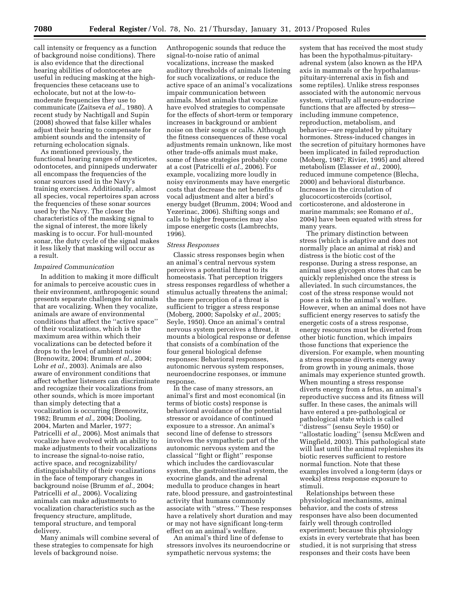call intensity or frequency as a function of background noise conditions). There is also evidence that the directional hearing abilities of odontocetes are useful in reducing masking at the highfrequencies these cetaceans use to echolocate, but not at the low-tomoderate frequencies they use to communicate (Zaitseva *et al.,* 1980). A recent study by Nachtigall and Supin (2008) showed that false killer whales adjust their hearing to compensate for ambient sounds and the intensity of returning echolocation signals.

As mentioned previously, the functional hearing ranges of mysticetes, odontocetes, and pinnipeds underwater all encompass the frequencies of the sonar sources used in the Navy's training exercises. Additionally, almost all species, vocal repertoires span across the frequencies of these sonar sources used by the Navy. The closer the characteristics of the masking signal to the signal of interest, the more likely masking is to occur. For hull-mounted sonar, the duty cycle of the signal makes it less likely that masking will occur as a result.

## *Impaired Communication*

In addition to making it more difficult for animals to perceive acoustic cues in their environment, anthropogenic sound presents separate challenges for animals that are vocalizing. When they vocalize, animals are aware of environmental conditions that affect the ''active space'' of their vocalizations, which is the maximum area within which their vocalizations can be detected before it drops to the level of ambient noise (Brenowitz, 2004; Brumm *et al.,* 2004; Lohr *et al.,* 2003). Animals are also aware of environment conditions that affect whether listeners can discriminate and recognize their vocalizations from other sounds, which is more important than simply detecting that a vocalization is occurring (Brenowitz, 1982; Brumm *et al.,* 2004; Dooling, 2004, Marten and Marler, 1977; Patricelli *et al.,* 2006). Most animals that vocalize have evolved with an ability to make adjustments to their vocalizations to increase the signal-to-noise ratio, active space, and recognizability/ distinguishability of their vocalizations in the face of temporary changes in background noise (Brumm *et al.,* 2004; Patricelli *et al.,* 2006). Vocalizing animals can make adjustments to vocalization characteristics such as the frequency structure, amplitude, temporal structure, and temporal delivery.

Many animals will combine several of these strategies to compensate for high levels of background noise.

Anthropogenic sounds that reduce the signal-to-noise ratio of animal vocalizations, increase the masked auditory thresholds of animals listening for such vocalizations, or reduce the active space of an animal's vocalizations impair communication between animals. Most animals that vocalize have evolved strategies to compensate for the effects of short-term or temporary increases in background or ambient noise on their songs or calls. Although the fitness consequences of these vocal adjustments remain unknown, like most other trade-offs animals must make, some of these strategies probably come at a cost (Patricelli *et al.,* 2006). For example, vocalizing more loudly in noisy environments may have energetic costs that decrease the net benefits of vocal adjustment and alter a bird's energy budget (Brumm, 2004; Wood and Yezerinac, 2006). Shifting songs and calls to higher frequencies may also impose energetic costs (Lambrechts, 1996).

#### *Stress Responses*

Classic stress responses begin when an animal's central nervous system perceives a potential threat to its homeostasis. That perception triggers stress responses regardless of whether a stimulus actually threatens the animal; the mere perception of a threat is sufficient to trigger a stress response (Moberg, 2000; Sapolsky *et al.,* 2005; Seyle, 1950). Once an animal's central nervous system perceives a threat, it mounts a biological response or defense that consists of a combination of the four general biological defense responses: Behavioral responses, autonomic nervous system responses, neuroendocrine responses, or immune response.

In the case of many stressors, an animal's first and most economical (in terms of biotic costs) response is behavioral avoidance of the potential stressor or avoidance of continued exposure to a stressor. An animal's second line of defense to stressors involves the sympathetic part of the autonomic nervous system and the classical ''fight or flight'' response which includes the cardiovascular system, the gastrointestinal system, the exocrine glands, and the adrenal medulla to produce changes in heart rate, blood pressure, and gastrointestinal activity that humans commonly associate with ''stress.'' These responses have a relatively short duration and may or may not have significant long-term effect on an animal's welfare.

An animal's third line of defense to stressors involves its neuroendocrine or sympathetic nervous systems; the

system that has received the most study has been the hypothalmus-pituitaryadrenal system (also known as the HPA axis in mammals or the hypothalamuspituitary-interrenal axis in fish and some reptiles). Unlike stress responses associated with the autonomic nervous system, virtually all neuro-endocrine functions that are affected by stress including immune competence, reproduction, metabolism, and behavior—are regulated by pituitary hormones. Stress-induced changes in the secretion of pituitary hormones have been implicated in failed reproduction (Moberg, 1987; Rivier, 1995) and altered metabolism (Elasser *et al.,* 2000), reduced immune competence (Blecha, 2000) and behavioral disturbance. Increases in the circulation of glucocorticosteroids (cortisol, corticosterone, and aldosterone in marine mammals; see Romano *et al.,*  2004) have been equated with stress for many years.

The primary distinction between stress (which is adaptive and does not normally place an animal at risk) and distress is the biotic cost of the response. During a stress response, an animal uses glycogen stores that can be quickly replenished once the stress is alleviated. In such circumstances, the cost of the stress response would not pose a risk to the animal's welfare. However, when an animal does not have sufficient energy reserves to satisfy the energetic costs of a stress response, energy resources must be diverted from other biotic function, which impairs those functions that experience the diversion. For example, when mounting a stress response diverts energy away from growth in young animals, those animals may experience stunted growth. When mounting a stress response diverts energy from a fetus, an animal's reproductive success and its fitness will suffer. In these cases, the animals will have entered a pre-pathological or pathological state which is called ''distress'' (sensu Seyle 1950) or ''allostatic loading'' (sensu McEwen and Wingfield, 2003). This pathological state will last until the animal replenishes its biotic reserves sufficient to restore normal function. Note that these examples involved a long-term (days or weeks) stress response exposure to stimuli.

Relationships between these physiological mechanisms, animal behavior, and the costs of stress responses have also been documented fairly well through controlled experiment; because this physiology exists in every vertebrate that has been studied, it is not surprising that stress responses and their costs have been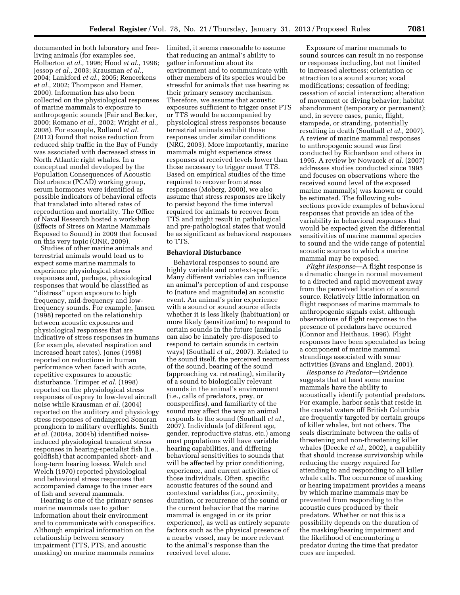documented in both laboratory and freeliving animals (for examples see, Holberton *et al.,* 1996; Hood *et al.,* 1998; Jessop *et al.,* 2003; Krausman *et al.,*  2004; Lankford *et al.,* 2005; Reneerkens *et al.,* 2002; Thompson and Hamer, 2000). Information has also been collected on the physiological responses of marine mammals to exposure to anthropogenic sounds (Fair and Becker, 2000; Romano *et al.,* 2002; Wright *et al.,*  2008). For example, Rolland *et al.*  (2012) found that noise reduction from reduced ship traffic in the Bay of Fundy was associated with decreased stress in North Atlantic right whales. In a conceptual model developed by the Population Consequences of Acoustic Disturbance (PCAD) working group, serum hormones were identified as possible indicators of behavioral effects that translated into altered rates of reproduction and mortality. The Office of Naval Research hosted a workshop (Effects of Stress on Marine Mammals Exposed to Sound) in 2009 that focused on this very topic (ONR, 2009).

Studies of other marine animals and terrestrial animals would lead us to expect some marine mammals to experience physiological stress responses and, perhaps, physiological responses that would be classified as ''distress'' upon exposure to high frequency, mid-frequency and lowfrequency sounds. For example, Jansen (1998) reported on the relationship between acoustic exposures and physiological responses that are indicative of stress responses in humans (for example, elevated respiration and increased heart rates). Jones (1998) reported on reductions in human performance when faced with acute, repetitive exposures to acoustic disturbance. Trimper *et al.* (1998) reported on the physiological stress responses of osprey to low-level aircraft noise while Krausman *et al.* (2004) reported on the auditory and physiology stress responses of endangered Sonoran pronghorn to military overflights. Smith *et al.* (2004a, 2004b) identified noiseinduced physiological transient stress responses in hearing-specialist fish (i.e., goldfish) that accompanied short- and long-term hearing losses. Welch and Welch (1970) reported physiological and behavioral stress responses that accompanied damage to the inner ears of fish and several mammals.

Hearing is one of the primary senses marine mammals use to gather information about their environment and to communicate with conspecifics. Although empirical information on the relationship between sensory impairment (TTS, PTS, and acoustic masking) on marine mammals remains

limited, it seems reasonable to assume that reducing an animal's ability to gather information about its environment and to communicate with other members of its species would be stressful for animals that use hearing as their primary sensory mechanism. Therefore, we assume that acoustic exposures sufficient to trigger onset PTS or TTS would be accompanied by physiological stress responses because terrestrial animals exhibit those responses under similar conditions (NRC, 2003). More importantly, marine mammals might experience stress responses at received levels lower than those necessary to trigger onset TTS. Based on empirical studies of the time required to recover from stress responses (Moberg, 2000), we also assume that stress responses are likely to persist beyond the time interval required for animals to recover from TTS and might result in pathological and pre-pathological states that would be as significant as behavioral responses to TTS.

## **Behavioral Disturbance**

Behavioral responses to sound are highly variable and context-specific. Many different variables can influence an animal's perception of and response to (nature and magnitude) an acoustic event. An animal's prior experience with a sound or sound source effects whether it is less likely (habituation) or more likely (sensitization) to respond to certain sounds in the future (animals can also be innately pre-disposed to respond to certain sounds in certain ways) (Southall *et al.,* 2007). Related to the sound itself, the perceived nearness of the sound, bearing of the sound (approaching vs. retreating), similarity of a sound to biologically relevant sounds in the animal's environment (i.e., calls of predators, prey, or conspecifics), and familiarity of the sound may affect the way an animal responds to the sound (Southall *et al.,*  2007). Individuals (of different age, gender, reproductive status, etc.) among most populations will have variable hearing capabilities, and differing behavioral sensitivities to sounds that will be affected by prior conditioning, experience, and current activities of those individuals. Often, specific acoustic features of the sound and contextual variables (i.e., proximity, duration, or recurrence of the sound or the current behavior that the marine mammal is engaged in or its prior experience), as well as entirely separate factors such as the physical presence of a nearby vessel, may be more relevant to the animal's response than the received level alone.

Exposure of marine mammals to sound sources can result in no response or responses including, but not limited to increased alertness; orientation or attraction to a sound source; vocal modifications; cessation of feeding; cessation of social interaction; alteration of movement or diving behavior; habitat abandonment (temporary or permanent); and, in severe cases, panic, flight, stampede, or stranding, potentially resulting in death (Southall *et al.,* 2007). A review of marine mammal responses to anthropogenic sound was first conducted by Richardson and others in 1995. A review by Nowacek *et al.* (2007) addresses studies conducted since 1995 and focuses on observations where the received sound level of the exposed marine mammal(s) was known or could be estimated. The following subsections provide examples of behavioral responses that provide an idea of the variability in behavioral responses that would be expected given the differential sensitivities of marine mammal species to sound and the wide range of potential acoustic sources to which a marine mammal may be exposed.

*Flight Response*—A flight response is a dramatic change in normal movement to a directed and rapid movement away from the perceived location of a sound source. Relatively little information on flight responses of marine mammals to anthropogenic signals exist, although observations of flight responses to the presence of predators have occurred (Connor and Heithaus, 1996). Flight responses have been speculated as being a component of marine mammal strandings associated with sonar activities (Evans and England, 2001).

*Response to Predator*—Evidence suggests that at least some marine mammals have the ability to acoustically identify potential predators. For example, harbor seals that reside in the coastal waters off British Columbia are frequently targeted by certain groups of killer whales, but not others. The seals discriminate between the calls of threatening and non-threatening killer whales (Deecke *et al.,* 2002), a capability that should increase survivorship while reducing the energy required for attending to and responding to all killer whale calls. The occurrence of masking or hearing impairment provides a means by which marine mammals may be prevented from responding to the acoustic cues produced by their predators. Whether or not this is a possibility depends on the duration of the masking/hearing impairment and the likelihood of encountering a predator during the time that predator cues are impeded.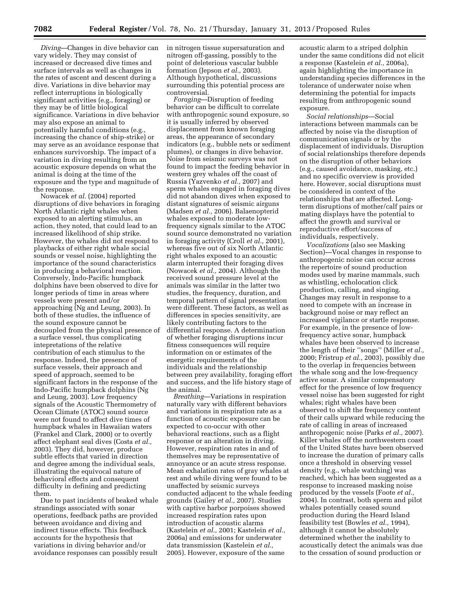*Diving*—Changes in dive behavior can vary widely. They may consist of increased or decreased dive times and surface intervals as well as changes in the rates of ascent and descent during a dive. Variations in dive behavior may reflect interruptions in biologically significant activities (e.g., foraging) or they may be of little biological significance. Variations in dive behavior may also expose an animal to potentially harmful conditions (e.g., increasing the chance of ship-strike) or may serve as an avoidance response that enhances survivorship. The impact of a variation in diving resulting from an acoustic exposure depends on what the animal is doing at the time of the exposure and the type and magnitude of the response.

Nowacek *et al.* (2004) reported disruptions of dive behaviors in foraging North Atlantic right whales when exposed to an alerting stimulus, an action, they noted, that could lead to an increased likelihood of ship strike. However, the whales did not respond to playbacks of either right whale social sounds or vessel noise, highlighting the importance of the sound characteristics in producing a behavioral reaction. Conversely, Indo-Pacific humpback dolphins have been observed to dive for longer periods of time in areas where vessels were present and/or approaching (Ng and Leung, 2003). In both of these studies, the influence of the sound exposure cannot be decoupled from the physical presence of a surface vessel, thus complicating intepretations of the relative contribution of each stimulus to the response. Indeed, the presence of surface vessels, their approach and speed of approach, seemed to be significant factors in the response of the Indo-Pacific humpback dolphins (Ng and Leung, 2003). Low frequency signals of the Acoustic Thermometry of Ocean Climate (ATOC) sound source were not found to affect dive times of humpback whales in Hawaiian waters (Frankel and Clark, 2000) or to overtly affect elephant seal dives (Costa *et al.,*  2003). They did, however, produce subtle effects that varied in direction and degree among the individual seals, illustrating the equivocal nature of behavioral effects and consequent difficulty in defining and predicting them.

Due to past incidents of beaked whale strandings associated with sonar operations, feedback paths are provided between avoidance and diving and indirect tissue effects. This feedback accounts for the hypothesis that variations in diving behavior and/or avoidance responses can possibly result

in nitrogen tissue supersaturation and nitrogen off-gassing, possibly to the point of deleterious vascular bubble formation (Jepson *et al.,* 2003). Although hypothetical, discussions surrounding this potential process are controversial.

*Foraging*—Disruption of feeding behavior can be difficult to correlate with anthropogenic sound exposure, so it is usually inferred by observed displacement from known foraging areas, the appearance of secondary indicators (e.g., bubble nets or sediment plumes), or changes in dive behavior. Noise from seismic surveys was not found to impact the feeding behavior in western grey whales off the coast of Russia (Yazvenko *et al.,* 2007) and sperm whales engaged in foraging dives did not abandon dives when exposed to distant signatures of seismic airguns (Madsen *et al.,* 2006). Balaenopterid whales exposed to moderate lowfrequency signals similar to the ATOC sound source demonstrated no variation in foraging activity (Croll *et al.,* 2001), whereas five out of six North Atlantic right whales exposed to an acoustic alarm interrupted their foraging dives (Nowacek *et al.,* 2004). Although the received sound pressure level at the animals was similar in the latter two studies, the frequency, duration, and temporal pattern of signal presentation were different. These factors, as well as differences in species sensitivity, are likely contributing factors to the differential response. A determination of whether foraging disruptions incur fitness consequences will require information on or estimates of the energetic requirements of the individuals and the relationship between prey availability, foraging effort and success, and the life history stage of the animal.

*Breathing*—Variations in respiration naturally vary with different behaviors and variations in respiration rate as a function of acoustic exposure can be expected to co-occur with other behavioral reactions, such as a flight response or an alteration in diving. However, respiration rates in and of themselves may be representative of annoyance or an acute stress response. Mean exhalation rates of gray whales at rest and while diving were found to be unaffected by seismic surveys conducted adjacent to the whale feeding grounds (Gailey *et al.,* 2007). Studies with captive harbor porpoises showed increased respiration rates upon introduction of acoustic alarms (Kastelein *et al.,* 2001; Kastelein *et al.,*  2006a) and emissions for underwater data transmission (Kastelein *et al.,*  2005). However, exposure of the same

acoustic alarm to a striped dolphin under the same conditions did not elicit a response (Kastelein *et al.,* 2006a), again highlighting the importance in understanding species differences in the tolerance of underwater noise when determining the potential for impacts resulting from anthropogenic sound exposure.

*Social relationships*—Social interactions between mammals can be affected by noise via the disruption of communication signals or by the displacement of individuals. Disruption of social relationships therefore depends on the disruption of other behaviors (e.g., caused avoidance, masking, etc.) and no specific overview is provided here. However, social disruptions must be considered in context of the relationships that are affected. Longterm disruptions of mother/calf pairs or mating displays have the potential to affect the growth and survival or reproductive effort/success of individuals, respectively.

*Vocalizations* (also see Masking Section)—Vocal changes in response to anthropogenic noise can occur across the repertoire of sound production modes used by marine mammals, such as whistling, echolocation click production, calling, and singing. Changes may result in response to a need to compete with an increase in background noise or may reflect an increased vigilance or startle response. For example, in the presence of lowfrequency active sonar, humpback whales have been observed to increase the length of their ''songs'' (Miller *et al.,*  2000; Fristrup *et al.,* 2003), possibly due to the overlap in frequencies between the whale song and the low-frequency active sonar. A similar compensatory effect for the presence of low frequency vessel noise has been suggested for right whales; right whales have been observed to shift the frequency content of their calls upward while reducing the rate of calling in areas of increased anthropogenic noise (Parks *et al.,* 2007). Killer whales off the northwestern coast of the United States have been observed to increase the duration of primary calls once a threshold in observing vessel density (e.g., whale watching) was reached, which has been suggested as a response to increased masking noise produced by the vessels (Foote *et al.,*  2004). In contrast, both sperm and pilot whales potentially ceased sound production during the Heard Island feasibility test (Bowles *et al.,* 1994), although it cannot be absolutely determined whether the inability to acoustically detect the animals was due to the cessation of sound production or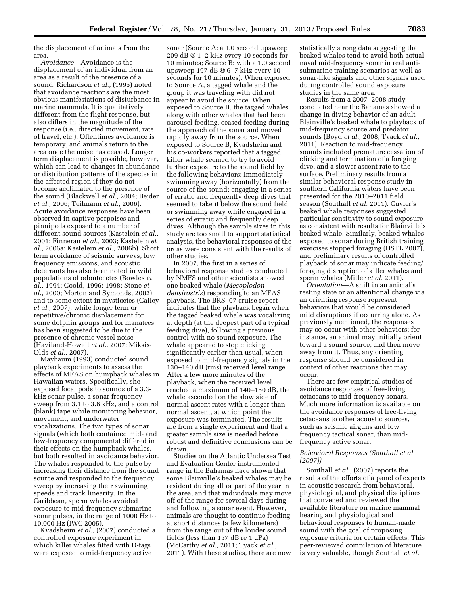the displacement of animals from the area.

*Avoidance*—Avoidance is the displacement of an individual from an area as a result of the presence of a sound. Richardson *et al.,* (1995) noted that avoidance reactions are the most obvious manifestations of disturbance in marine mammals. It is qualitatively different from the flight response, but also differs in the magnitude of the response (i.e., directed movement, rate of travel, etc.). Oftentimes avoidance is temporary, and animals return to the area once the noise has ceased. Longer term displacement is possible, however, which can lead to changes in abundance or distribution patterns of the species in the affected region if they do not become acclimated to the presence of the sound (Blackwell *et al.,* 2004; Bejder *et al.,* 2006; Teilmann *et al.,* 2006). Acute avoidance responses have been observed in captive porpoises and pinnipeds exposed to a number of different sound sources (Kastelein *et al.,*  2001; Finneran *et al.,* 2003; Kastelein *et al.,* 2006a; Kastelein *et al.,* 2006b). Short term avoidance of seismic surveys, low frequency emissions, and acoustic deterrants has also been noted in wild populations of odontocetes (Bowles *et al.,* 1994; Goold, 1996; 1998; Stone *et al.,* 2000; Morton and Symonds, 2002) and to some extent in mysticetes (Gailey *et al.,* 2007), while longer term or repetitive/chronic displacement for some dolphin groups and for manatees has been suggested to be due to the presence of chronic vessel noise (Haviland-Howell *et al.,* 2007; Miksis-Olds *et al.,* 2007).

Maybaum (1993) conducted sound playback experiments to assess the effects of MFAS on humpback whales in Hawaiian waters. Specifically, she exposed focal pods to sounds of a 3.3 kHz sonar pulse, a sonar frequency sweep from 3.1 to 3.6 kHz, and a control (blank) tape while monitoring behavior, movement, and underwater vocalizations. The two types of sonar signals (which both contained mid- and low-frequency components) differed in their effects on the humpback whales, but both resulted in avoidance behavior. The whales responded to the pulse by increasing their distance from the sound source and responded to the frequency sweep by increasing their swimming speeds and track linearity. In the Caribbean, sperm whales avoided exposure to mid-frequency submarine sonar pulses, in the range of 1000 Hz to 10,000 Hz (IWC 2005).

Kvadsheim *et al.,* (2007) conducted a controlled exposure experiment in which killer whales fitted with D-tags were exposed to mid-frequency active

sonar (Source A: a 1.0 second upsweep 209 dB @ 1–2 kHz every 10 seconds for 10 minutes; Source B: with a 1.0 second upsweep 197 dB @ 6–7 kHz every 10 seconds for 10 minutes). When exposed to Source A, a tagged whale and the group it was traveling with did not appear to avoid the source. When exposed to Source B, the tagged whales along with other whales that had been carousel feeding, ceased feeding during the approach of the sonar and moved rapidly away from the source. When exposed to Source B, Kvadsheim and his co-workers reported that a tagged killer whale seemed to try to avoid further exposure to the sound field by the following behaviors: Immediately swimming away (horizontally) from the source of the sound; engaging in a series of erratic and frequently deep dives that seemed to take it below the sound field; or swimming away while engaged in a series of erratic and frequently deep dives. Although the sample sizes in this study are too small to support statistical analysis, the behavioral responses of the orcas were consistent with the results of other studies.

In 2007, the first in a series of behavioral response studies conducted by NMFS and other scientists showed one beaked whale (*Mesoplodon densirostris*) responding to an MFAS playback. The BRS–07 cruise report indicates that the playback began when the tagged beaked whale was vocalizing at depth (at the deepest part of a typical feeding dive), following a previous control with no sound exposure. The whale appeared to stop clicking significantly earlier than usual, when exposed to mid-frequency signals in the 130–140 dB (rms) received level range. After a few more minutes of the playback, when the received level reached a maximum of 140–150 dB, the whale ascended on the slow side of normal ascent rates with a longer than normal ascent, at which point the exposure was terminated. The results are from a single experiment and that a greater sample size is needed before robust and definitive conclusions can be drawn.

Studies on the Atlantic Undersea Test and Evaluation Center instrumented range in the Bahamas have shown that some Blainville's beaked whales may be resident during all or part of the year in the area, and that individuals may move off of the range for several days during and following a sonar event. However, animals are thought to continue feeding at short distances (a few kilometers) from the range out of the louder sound fields (less than  $157$  dB re  $1 \mu Pa$ ) (McCarthy *et al.,* 2011; Tyack *et al.,*  2011). With these studies, there are now

statistically strong data suggesting that beaked whales tend to avoid both actual naval mid-frequency sonar in real antisubmarine training scenarios as well as sonar-like signals and other signals used during controlled sound exposure studies in the same area.

Results from a 2007–2008 study conducted near the Bahamas showed a change in diving behavior of an adult Blainville's beaked whale to playback of mid-frequency source and predator sounds (Boyd *et al.,* 2008; Tyack *et al.,*  2011). Reaction to mid-frequency sounds included premature cessation of clicking and termination of a foraging dive, and a slower ascent rate to the surface. Preliminary results from a similar behavioral response study in southern California waters have been presented for the 2010–2011 field season (Southall *et al.* 2011). Cuvier's beaked whale responses suggested particular sensitivity to sound exposure as consistent with results for Blainville's beaked whale. Similarly, beaked whales exposed to sonar during British training exercises stopped foraging (DSTL 2007), and preliminary results of controlled playback of sonar may indicate feeding/ foraging disruption of killer whales and sperm whales (Miller *et al.* 2011).

*Orientation*—A shift in an animal's resting state or an attentional change via an orienting response represent behaviors that would be considered mild disruptions if occurring alone. As previously mentioned, the responses may co-occur with other behaviors; for instance, an animal may initially orient toward a sound source, and then move away from it. Thus, any orienting response should be considered in context of other reactions that may occur.

There are few empirical studies of avoidance responses of free-living cetaceans to mid-frequency sonars. Much more information is available on the avoidance responses of free-living cetaceans to other acoustic sources, such as seismic airguns and low frequency tactical sonar, than midfrequency active sonar.

## *Behavioral Responses (Southall et al. (2007))*

Southall *et al.,* (2007) reports the results of the efforts of a panel of experts in acoustic research from behavioral, physiological, and physical disciplines that convened and reviewed the available literature on marine mammal hearing and physiological and behavioral responses to human-made sound with the goal of proposing exposure criteria for certain effects. This peer-reviewed compilation of literature is very valuable, though Southall *et al.*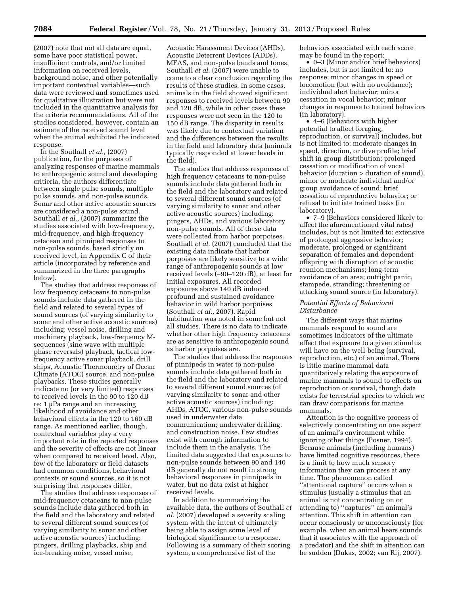(2007) note that not all data are equal, some have poor statistical power, insufficient controls, and/or limited information on received levels, background noise, and other potentially important contextual variables—such data were reviewed and sometimes used for qualitative illustration but were not included in the quantitative analysis for the criteria recommendations. All of the studies considered, however, contain an estimate of the received sound level when the animal exhibited the indicated response.

In the Southall *et al.,* (2007) publication, for the purposes of analyzing responses of marine mammals to anthropogenic sound and developing critieria, the authors differentiate between single pulse sounds, multiple pulse sounds, and non-pulse sounds. Sonar and other active acoustic sources are considered a non-pulse sound. Southall *et al.*, (2007) summarize the studies associated with low-frequency, mid-frequency, and high-frequency cetacean and pinniped responses to non-pulse sounds, based strictly on received level, in Appendix C of their article (incorporated by reference and summarized in the three paragraphs below).

The studies that address responses of low frequency cetaceans to non-pulse sounds include data gathered in the field and related to several types of sound sources (of varying similarity to sonar and other active acoustic sources) including: vessel noise, drilling and machinery playback, low-frequency Msequences (sine wave with multiple phase reversals) playback, tactical lowfrequency active sonar playback, drill ships, Acoustic Thermometry of Ocean Climate (ATOC) source, and non-pulse playbacks. These studies generally indicate no (or very limited) responses to received levels in the 90 to 120 dB  $re: 1 \mu Pa$  range and an increasing likelihood of avoidance and other behavioral effects in the 120 to 160 dB range. As mentioned earlier, though, contextual variables play a very important role in the reported responses and the severity of effects are not linear when compared to received level. Also, few of the laboratory or field datasets had common conditions, behavioral contexts or sound sources, so it is not surprising that responses differ.

The studies that address responses of mid-frequency cetaceans to non-pulse sounds include data gathered both in the field and the laboratory and related to several different sound sources (of varying similarity to sonar and other active acoustic sources) including: pingers, drilling playbacks, ship and ice-breaking noise, vessel noise,

Acoustic Harassment Devices (AHDs), Acoustic Deterrent Devices (ADDs), MFAS, and non-pulse bands and tones. Southall *et al.* (2007) were unable to come to a clear conclusion regarding the results of these studies. In some cases, animals in the field showed significant responses to received levels between 90 and 120 dB, while in other cases these responses were not seen in the 120 to 150 dB range. The disparity in results was likely due to contextual variation and the differences between the results in the field and laboratory data (animals typically responded at lower levels in the field).

The studies that address responses of high frequency cetaceans to non-pulse sounds include data gathered both in the field and the laboratory and related to several different sound sources (of varying similarity to sonar and other active acoustic sources) including: pingers, AHDs, and various laboratory non-pulse sounds. All of these data were collected from harbor porpoises. Southall *et al.* (2007) concluded that the existing data indicate that harbor porpoises are likely sensitive to a wide range of anthropogenic sounds at low received levels (∼90–120 dB), at least for initial exposures. All recorded exposures above 140 dB induced profound and sustained avoidance behavior in wild harbor porpoises (Southall *et al.,* 2007). Rapid habituation was noted in some but not all studies. There is no data to indicate whether other high frequency cetaceans are as sensitive to anthropogenic sound as harbor porpoises are.

The studies that address the responses of pinnipeds in water to non-pulse sounds include data gathered both in the field and the laboratory and related to several different sound sources (of varying similarity to sonar and other active acoustic sources) including: AHDs, ATOC, various non-pulse sounds used in underwater data communication; underwater drilling, and construction noise. Few studies exist with enough information to include them in the analysis. The limited data suggested that exposures to non-pulse sounds between 90 and 140 dB generally do not result in strong behavioral responses in pinnipeds in water, but no data exist at higher received levels.

In addition to summarizing the available data, the authors of Southall *et al.* (2007) developed a severity scaling system with the intent of ultimately being able to assign some level of biological significance to a response. Following is a summary of their scoring system, a comprehensive list of the

behaviors associated with each score may be found in the report:

• 0–3 (Minor and/or brief behaviors) includes, but is not limited to: no response; minor changes in speed or locomotion (but with no avoidance); individual alert behavior; minor cessation in vocal behavior; minor changes in response to trained behaviors (in laboratory).

• 4–6 (Behaviors with higher potential to affect foraging, reproduction, or survival) includes, but is not limited to: moderate changes in speed, direction, or dive profile; brief shift in group distribution; prolonged cessation or modification of vocal behavior (duration > duration of sound), minor or moderate individual and/or group avoidance of sound; brief cessation of reproductive behavior; or refusal to initiate trained tasks (in laboratory).

• 7–9 (Behaviors considered likely to affect the aforementioned vital rates) includes, but is not limited to: extensive of prolonged aggressive behavior; moderate, prolonged or significant separation of females and dependent offspring with disruption of acoustic reunion mechanisms; long-term avoidance of an area; outright panic, stampede, stranding; threatening or attacking sound source (in laboratory).

## *Potential Effects of Behavioral Disturbance*

The different ways that marine mammals respond to sound are sometimes indicators of the ultimate effect that exposure to a given stimulus will have on the well-being (survival, reproduction, etc.) of an animal. There is little marine mammal data quantitatively relating the exposure of marine mammals to sound to effects on reproduction or survival, though data exists for terrestrial species to which we can draw comparisons for marine mammals.

Attention is the cognitive process of selectively concentrating on one aspect of an animal's environment while ignoring other things (Posner, 1994). Because animals (including humans) have limited cognitive resources, there is a limit to how much sensory information they can process at any time. The phenomenon called ''attentional capture'' occurs when a stimulus (usually a stimulus that an animal is not concentrating on or attending to) ''captures'' an animal's attention. This shift in attention can occur consciously or unconsciously (for example, when an animal hears sounds that it associates with the approach of a predator) and the shift in attention can be sudden (Dukas, 2002; van Rij, 2007).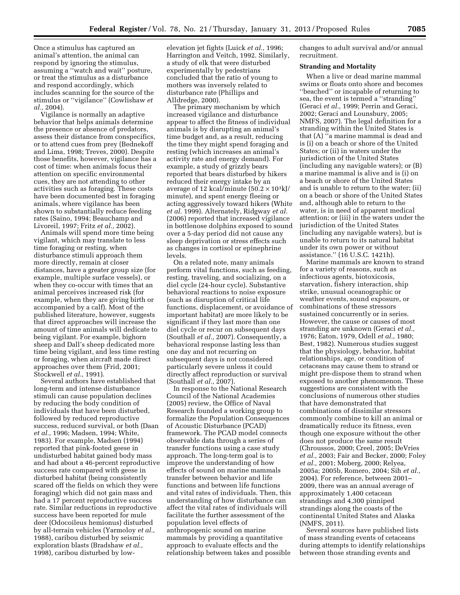Once a stimulus has captured an animal's attention, the animal can respond by ignoring the stimulus, assuming a ''watch and wait'' posture, or treat the stimulus as a disturbance and respond accordingly, which includes scanning for the source of the stimulus or ''vigilance'' (Cowlishaw *et al.,* 2004).

Vigilance is normally an adaptive behavior that helps animals determine the presence or absence of predators, assess their distance from conspecifics, or to attend cues from prey (Bednekoff and Lima, 1998; Treves, 2000). Despite those benefits, however, vigilance has a cost of time: when animals focus their attention on specific environmental cues, they are not attending to other activities such as foraging. These costs have been documented best in foraging animals, where vigilance has been shown to substantially reduce feeding rates (Saino, 1994; Beauchamp and Livoreil, 1997; Fritz *et al.,* 2002).

Animals will spend more time being vigilant, which may translate to less time foraging or resting, when disturbance stimuli approach them more directly, remain at closer distances, have a greater group size (for example, multiple surface vessels), or when they co-occur with times that an animal perceives increased risk (for example, when they are giving birth or accompanied by a calf). Most of the published literature, however, suggests that direct approaches will increase the amount of time animals will dedicate to being vigilant. For example, bighorn sheep and Dall's sheep dedicated more time being vigilant, and less time resting or foraging, when aircraft made direct approaches over them (Frid, 2001; Stockwell *et al.,* 1991).

Several authors have established that long-term and intense disturbance stimuli can cause population declines by reducing the body condition of individuals that have been disturbed, followed by reduced reproductive success, reduced survival, or both (Daan *et al.,* 1996; Madsen, 1994; White, 1983). For example, Madsen (1994) reported that pink-footed geese in undisturbed habitat gained body mass and had about a 46-percent reproductive success rate compared with geese in disturbed habitat (being consistently scared off the fields on which they were foraging) which did not gain mass and had a 17 percent reproductive success rate. Similar reductions in reproductive success have been reported for mule deer (Odocoileus hemionus) disturbed by all-terrain vehicles (Yarmoloy *et al.,*  1988), caribou disturbed by seismic exploration blasts (Bradshaw *et al.,*  1998), caribou disturbed by lowelevation jet fights (Luick *et al.,* 1996; Harrington and Veitch, 1992. Similarly, a study of elk that were disturbed experimentally by pedestrians concluded that the ratio of young to mothers was inversely related to disturbance rate (Phillips and Alldredge, 2000).

The primary mechanism by which increased vigilance and disturbance appear to affect the fitness of individual animals is by disrupting an animal's time budget and, as a result, reducing the time they might spend foraging and resting (which increases an animal's activity rate and energy demand). For example, a study of grizzly bears reported that bears disturbed by hikers reduced their energy intake by an average of 12 kcal/minute  $(50.2 \times 10^3 \text{ kJ})$ minute), and spent energy fleeing or acting aggressively toward hikers (White *et al.* 1999). Alternately, Ridgway *et al.*  (2006) reported that increased vigilance in bottlenose dolphins exposed to sound over a 5-day period did not cause any sleep deprivation or stress effects such as changes in cortisol or epinephrine levels.

On a related note, many animals perform vital functions, such as feeding, resting, traveling, and socializing, on a diel cycle (24-hour cycle). Substantive behavioral reactions to noise exposure (such as disruption of critical life functions, displacement, or avoidance of important habitat) are more likely to be significant if they last more than one diel cycle or recur on subsequent days (Southall *et al.,* 2007). Consequently, a behavioral response lasting less than one day and not recurring on subsequent days is not considered particularly severe unless it could directly affect reproduction or survival (Southall *et al.,* 2007).

In response to the National Research Council of the National Academies (2005) review, the Office of Naval Research founded a working group to formalize the Population Consequences of Acoustic Disturbance (PCAD) framework. The PCAD model connects observable data through a series of transfer functions using a case study approach. The long-term goal is to improve the understanding of how effects of sound on marine mammals transfer between behavior and life functions and between life functions and vital rates of individuals. Then, this understanding of how disturbance can affect the vital rates of individuals will facilitate the further assessment of the population level effects of anthropogenic sound on marine mammals by providing a quantitative approach to evaluate effects and the relationship between takes and possible

changes to adult survival and/or annual recruitment.

#### **Stranding and Mortality**

When a live or dead marine mammal swims or floats onto shore and becomes ''beached'' or incapable of returning to sea, the event is termed a ''stranding'' (Geraci *et al.,* 1999; Perrin and Geraci, 2002; Geraci and Lounsbury, 2005; NMFS, 2007). The legal definition for a stranding within the United States is that (A) ''a marine mammal is dead and is (i) on a beach or shore of the United States; or (ii) in waters under the jurisdiction of the United States (including any navigable waters); or (B) a marine mammal is alive and is (i) on a beach or shore of the United States and is unable to return to the water; (ii) on a beach or shore of the United States and, although able to return to the water, is in need of apparent medical attention; or (iii) in the waters under the jurisdiction of the United States (including any navigable waters), but is unable to return to its natural habitat under its own power or without assistance.'' (16 U.S.C. 1421h).

Marine mammals are known to strand for a variety of reasons, such as infectious agents, biotoxicosis, starvation, fishery interaction, ship strike, unusual oceanographic or weather events, sound exposure, or combinations of these stressors sustained concurrently or in series. However, the cause or causes of most stranding are unknown (Geraci *et al.,*  1976; Eaton, 1979, Odell *et al.,* 1980; Best, 1982). Numerous studies suggest that the physiology, behavior, habitat relationships, age, or condition of cetaceans may cause them to strand or might pre-dispose them to strand when exposed to another phenomenon. These suggestions are consistent with the conclusions of numerous other studies that have demonstrated that combinations of dissimilar stressors commonly combine to kill an animal or dramatically reduce its fitness, even though one exposure without the other does not produce the same result (Chroussos, 2000; Creel, 2005; DeVries *et al.,* 2003; Fair and Becker, 2000; Foley *et al.,* 2001; Moberg, 2000; Relyea, 2005a; 2005b, Romero, 2004; Sih *et al.,*  2004). For reference, between 2001– 2009, there was an annual average of approximately 1,400 cetacean strandings and 4,300 pinniped strandings along the coasts of the continental United States and Alaska (NMFS, 2011).

Several sources have published lists of mass stranding events of cetaceans during attempts to identify relationships between those stranding events and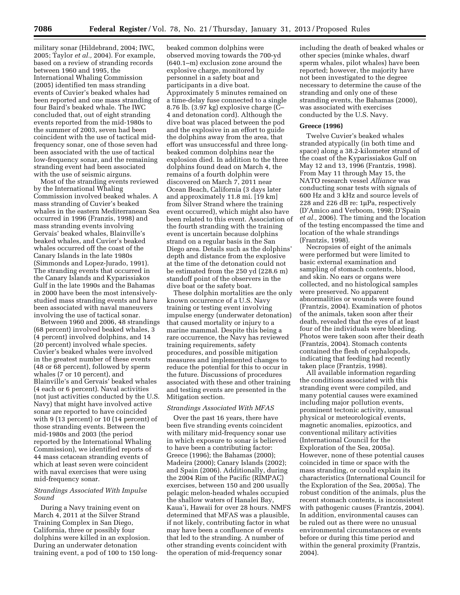military sonar (Hildebrand, 2004; IWC, 2005; Taylor *et al.,* 2004). For example, based on a review of stranding records between 1960 and 1995, the International Whaling Commission (2005) identified ten mass stranding events of Cuvier's beaked whales had been reported and one mass stranding of four Baird's beaked whale. The IWC concluded that, out of eight stranding events reported from the mid-1980s to the summer of 2003, seven had been coincident with the use of tactical midfrequency sonar, one of those seven had been associated with the use of tactical low-frequency sonar, and the remaining stranding event had been associated with the use of seismic airguns.

Most of the stranding events reviewed by the International Whaling Commission involved beaked whales. A mass stranding of Cuvier's beaked whales in the eastern Mediterranean Sea occurred in 1996 (Franzis, 1998) and mass stranding events involving Gervais' beaked whales, Blainville's beaked whales, and Cuvier's beaked whales occurred off the coast of the Canary Islands in the late 1980s (Simmonds and Lopez-Jurado, 1991). The stranding events that occurred in the Canary Islands and Kyparissiakos Gulf in the late 1990s and the Bahamas in 2000 have been the most intensivelystudied mass stranding events and have been associated with naval maneuvers involving the use of tactical sonar.

Between 1960 and 2006, 48 strandings (68 percent) involved beaked whales, 3 (4 percent) involved dolphins, and 14 (20 percent) involved whale species. Cuvier's beaked whales were involved in the greatest number of these events (48 or 68 percent), followed by sperm whales (7 or 10 percent), and Blainville's and Gervais' beaked whales (4 each or 6 percent). Naval activities (not just activities conducted by the U.S. Navy) that might have involved active sonar are reported to have coincided with 9 (13 percent) or 10 (14 percent) of those stranding events. Between the mid-1980s and 2003 (the period reported by the International Whaling Commission), we identified reports of 44 mass cetacean stranding events of which at least seven were coincident with naval exercises that were using mid-frequency sonar.

# *Strandings Associated With Impulse Sound*

During a Navy training event on March 4, 2011 at the Silver Strand Training Complex in San Diego, California, three or possibly four dolphins were killed in an explosion. During an underwater detonation training event, a pod of 100 to 150 long-

beaked common dolphins were observed moving towards the 700-yd (640.1–m) exclusion zone around the explosive charge, monitored by personnel in a safety boat and participants in a dive boat. Approximately 5 minutes remained on a time-delay fuse connected to a single 8.76 lb. (3.97 kg) explosive charge (C– 4 and detonation cord). Although the dive boat was placed between the pod and the explosive in an effort to guide the dolphins away from the area, that effort was unsuccessful and three longbeaked common dolphins near the explosion died. In addition to the three dolphins found dead on March 4, the remains of a fourth dolphin were discovered on March 7, 2011 near Ocean Beach, California (3 days later and approximately 11.8 mi. [19 km] from Silver Strand where the training event occurred), which might also have been related to this event. Association of the fourth stranding with the training event is uncertain because dolphins strand on a regular basis in the San Diego area. Details such as the dolphins' depth and distance from the explosive at the time of the detonation could not be estimated from the 250 yd (228.6 m) standoff point of the observers in the dive boat or the safety boat.

These dolphin mortalities are the only known occurrence of a U.S. Navy training or testing event involving impulse energy (underwater detonation) that caused mortality or injury to a marine mammal. Despite this being a rare occurrence, the Navy has reviewed training requirements, safety procedures, and possible mitigation measures and implemented changes to reduce the potential for this to occur in the future. Discussions of procedures associated with these and other training and testing events are presented in the Mitigation section.

## *Strandings Associated With MFAS*

Over the past 16 years, there have been five stranding events coincident with military mid-frequency sonar use in which exposure to sonar is believed to have been a contributing factor: Greece (1996); the Bahamas (2000); Madeira (2000); Canary Islands (2002); and Spain (2006). Additionally, during the 2004 Rim of the Pacific (RIMPAC) exercises, between 150 and 200 usually pelagic melon-headed whales occupied the shallow waters of Hanalei Bay, Kaua'i, Hawaii for over 28 hours. NMFS determined that MFAS was a plausible, if not likely, contributing factor in what may have been a confluence of events that led to the stranding. A number of other stranding events coincident with the operation of mid-frequency sonar

including the death of beaked whales or other species (minke whales, dwarf sperm whales, pilot whales) have been reported; however, the majority have not been investigated to the degree necessary to determine the cause of the stranding and only one of these stranding events, the Bahamas (2000), was associated with exercises conducted by the U.S. Navy.

#### **Greece (1996)**

Twelve Cuvier's beaked whales stranded atypically (in both time and space) along a 38.2-kilometer strand of the coast of the Kyparissiakos Gulf on May 12 and 13, 1996 (Frantzis, 1998). From May 11 through May 15, the NATO research vessel *Alliance* was conducting sonar tests with signals of 600 Hz and 3 kHz and source levels of 228 and 226 dB re: 1µPa, respectively (D'Amico and Verboom, 1998; D'Spain *et al.,* 2006). The timing and the location of the testing encompassed the time and location of the whale strandings (Frantzis, 1998).

Necropsies of eight of the animals were performed but were limited to basic external examination and sampling of stomach contents, blood, and skin. No ears or organs were collected, and no histological samples were preserved. No apparent abnormalities or wounds were found (Frantzis, 2004). Examination of photos of the animals, taken soon after their death, revealed that the eyes of at least four of the individuals were bleeding. Photos were taken soon after their death (Frantzis, 2004). Stomach contents contained the flesh of cephalopods, indicating that feeding had recently taken place (Frantzis, 1998).

All available information regarding the conditions associated with this stranding event were compiled, and many potential causes were examined including major pollution events, prominent tectonic activity, unusual physical or meteorological events, magnetic anomalies, epizootics, and conventional military activities (International Council for the Exploration of the Sea, 2005a). However, none of these potential causes coincided in time or space with the mass stranding, or could explain its characteristics (International Council for the Exploration of the Sea, 2005a). The robust condition of the animals, plus the recent stomach contents, is inconsistent with pathogenic causes (Frantzis, 2004). In addition, environmental causes can be ruled out as there were no unusual environmental circumstances or events before or during this time period and within the general proximity (Frantzis, 2004).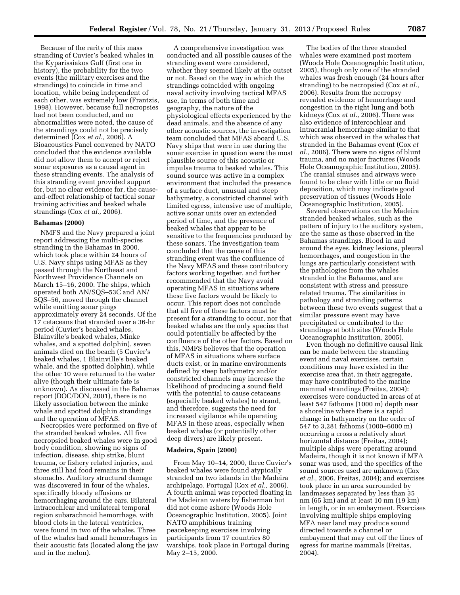Because of the rarity of this mass stranding of Cuvier's beaked whales in the Kyparissiakos Gulf (first one in history), the probability for the two events (the military exercises and the strandings) to coincide in time and location, while being independent of each other, was extremely low (Frantzis, 1998). However, because full necropsies had not been conducted, and no abnormalities were noted, the cause of the strandings could not be precisely determined (Cox *et al.,* 2006). A Bioacoustics Panel convened by NATO concluded that the evidence available did not allow them to accept or reject sonar exposures as a causal agent in these stranding events. The analysis of this stranding event provided support for, but no clear evidence for, the causeand-effect relationship of tactical sonar training activities and beaked whale strandings (Cox *et al.,* 2006).

# **Bahamas (2000)**

NMFS and the Navy prepared a joint report addressing the multi-species stranding in the Bahamas in 2000, which took place within 24 hours of U.S. Navy ships using MFAS as they passed through the Northeast and Northwest Providence Channels on March 15–16, 2000. The ships, which operated both AN/SQS–53C and AN/ SQS–56, moved through the channel while emitting sonar pings approximately every 24 seconds. Of the 17 cetaceans that stranded over a 36-hr period (Cuvier's beaked whales, Blainville's beaked whales, Minke whales, and a spotted dolphin), seven animals died on the beach (5 Cuvier's beaked whales, 1 Blainville's beaked whale, and the spotted dolphin), while the other 10 were returned to the water alive (though their ultimate fate is unknown). As discussed in the Bahamas report (DOC/DON, 2001), there is no likely association between the minke whale and spotted dolphin strandings and the operation of MFAS.

Necropsies were performed on five of the stranded beaked whales. All five necropsied beaked whales were in good body condition, showing no signs of infection, disease, ship strike, blunt trauma, or fishery related injuries, and three still had food remains in their stomachs. Auditory structural damage was discovered in four of the whales, specifically bloody effusions or hemorrhaging around the ears. Bilateral intracochlear and unilateral temporal region subarachnoid hemorrhage, with blood clots in the lateral ventricles, were found in two of the whales. Three of the whales had small hemorrhages in their acoustic fats (located along the jaw and in the melon).

A comprehensive investigation was conducted and all possible causes of the stranding event were considered, whether they seemed likely at the outset or not. Based on the way in which the strandings coincided with ongoing naval activity involving tactical MFAS use, in terms of both time and geography, the nature of the physiological effects experienced by the dead animals, and the absence of any other acoustic sources, the investigation team concluded that MFAS aboard U.S. Navy ships that were in use during the sonar exercise in question were the most plausible source of this acoustic or impulse trauma to beaked whales. This sound source was active in a complex environment that included the presence of a surface duct, unusual and steep bathymetry, a constricted channel with limited egress, intensive use of multiple, active sonar units over an extended period of time, and the presence of beaked whales that appear to be sensitive to the frequencies produced by these sonars. The investigation team concluded that the cause of this stranding event was the confluence of the Navy MFAS and these contributory factors working together, and further recommended that the Navy avoid operating MFAS in situations where these five factors would be likely to occur. This report does not conclude that all five of these factors must be present for a stranding to occur, nor that beaked whales are the only species that could potentially be affected by the confluence of the other factors. Based on this, NMFS believes that the operation of MFAS in situations where surface ducts exist, or in marine environments defined by steep bathymetry and/or constricted channels may increase the likelihood of producing a sound field with the potential to cause cetaceans (especially beaked whales) to strand, and therefore, suggests the need for increased vigilance while operating MFAS in these areas, especially when beaked whales (or potentially other deep divers) are likely present.

## **Madeira, Spain (2000)**

From May 10–14, 2000, three Cuvier's beaked whales were found atypically stranded on two islands in the Madeira archipelago, Portugal (Cox *et al.,* 2006). A fourth animal was reported floating in the Madeiran waters by fisherman but did not come ashore (Woods Hole Oceanographic Institution, 2005). Joint NATO amphibious training peacekeeping exercises involving participants from 17 countries 80 warships, took place in Portugal during May 2–15, 2000.

The bodies of the three stranded whales were examined post mortem (Woods Hole Oceanographic Institution, 2005), though only one of the stranded whales was fresh enough (24 hours after stranding) to be necropsied (Cox *et al.,*  2006). Results from the necropsy revealed evidence of hemorrhage and congestion in the right lung and both kidneys (Cox *et al.,* 2006). There was also evidence of intercochlear and intracranial hemorrhage similar to that which was observed in the whales that stranded in the Bahamas event (Cox *et al.,* 2006). There were no signs of blunt trauma, and no major fractures (Woods Hole Oceanographic Institution, 2005). The cranial sinuses and airways were found to be clear with little or no fluid deposition, which may indicate good preservation of tissues (Woods Hole Oceanographic Institution, 2005).

Several observations on the Madeira stranded beaked whales, such as the pattern of injury to the auditory system, are the same as those observed in the Bahamas strandings. Blood in and around the eyes, kidney lesions, pleural hemorrhages, and congestion in the lungs are particularly consistent with the pathologies from the whales stranded in the Bahamas, and are consistent with stress and pressure related trauma. The similarities in pathology and stranding patterns between these two events suggest that a similar pressure event may have precipitated or contributed to the strandings at both sites (Woods Hole Oceanographic Institution, 2005).

Even though no definitive causal link can be made between the stranding event and naval exercises, certain conditions may have existed in the exercise area that, in their aggregate, may have contributed to the marine mammal strandings (Freitas, 2004): exercises were conducted in areas of at least 547 fathoms (1000 m) depth near a shoreline where there is a rapid change in bathymetry on the order of 547 to 3,281 fathoms (1000–6000 m) occurring a cross a relatively short horizontal distance (Freitas, 2004); multiple ships were operating around Madeira, though it is not known if MFA sonar was used, and the specifics of the sound sources used are unknown (Cox *et al.,* 2006, Freitas, 2004); and exercises took place in an area surrounded by landmasses separated by less than 35 nm (65 km) and at least 10 nm (19 km) in length, or in an embayment. Exercises involving multiple ships employing MFA near land may produce sound directed towards a channel or embayment that may cut off the lines of egress for marine mammals (Freitas, 2004).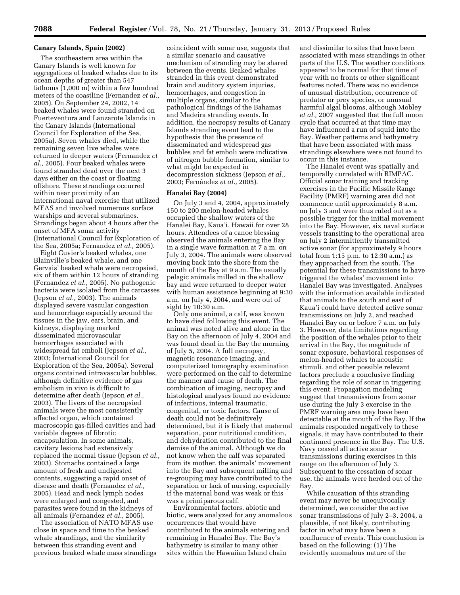## **Canary Islands, Spain (2002)**

The southeastern area within the Canary Islands is well known for aggregations of beaked whales due to its ocean depths of greater than 547 fathoms (1,000 m) within a few hundred meters of the coastline (Fernandez *et al.,*  2005). On September 24, 2002, 14 beaked whales were found stranded on Fuerteventura and Lanzarote Islands in the Canary Islands (International Council for Exploration of the Sea, 2005a). Seven whales died, while the remaining seven live whales were returned to deeper waters (Fernandez *et al.,* 2005). Four beaked whales were found stranded dead over the next 3 days either on the coast or floating offshore. These strandings occurred within near proximity of an international naval exercise that utilized MFAS and involved numerous surface warships and several submarines. Strandings began about 4 hours after the onset of MFA sonar activity (International Council for Exploration of the Sea, 2005a; Fernandez *et al.,* 2005).

Eight Cuvier's beaked whales, one Blainville's beaked whale, and one Gervais' beaked whale were necropsied, six of them within 12 hours of stranding (Fernandez *et al.,* 2005). No pathogenic bacteria were isolated from the carcasses (Jepson *et al.,* 2003). The animals displayed severe vascular congestion and hemorrhage especially around the tissues in the jaw, ears, brain, and kidneys, displaying marked disseminated microvascular hemorrhages associated with widespread fat emboli (Jepson *et al.,*  2003; International Council for Exploration of the Sea, 2005a). Several organs contained intravascular bubbles, although definitive evidence of gas embolism in vivo is difficult to determine after death (Jepson *et al.,*  2003). The livers of the necropsied animals were the most consistently affected organ, which contained macroscopic gas-filled cavities and had variable degrees of fibrotic encapsulation. In some animals, cavitary lesions had extensively replaced the normal tissue (Jepson *et al.,*  2003). Stomachs contained a large amount of fresh and undigested contents, suggesting a rapid onset of disease and death (Fernandez *et al.,*  2005). Head and neck lymph nodes were enlarged and congested, and parasites were found in the kidneys of all animals (Fernandez *et al.,* 2005).

The association of NATO MFAS use close in space and time to the beaked whale strandings, and the similarity between this stranding event and previous beaked whale mass strandings

coincident with sonar use, suggests that a similar scenario and causative mechanism of stranding may be shared between the events. Beaked whales stranded in this event demonstrated brain and auditory system injuries, hemorrhages, and congestion in multiple organs, similar to the pathological findings of the Bahamas and Madeira stranding events. In addition, the necropsy results of Canary Islands stranding event lead to the hypothesis that the presence of disseminated and widespread gas bubbles and fat emboli were indicative of nitrogen bubble formation, similar to what might be expected in decompression sickness (Jepson *et al.,*  2003; Fernández et al., 2005).

## **Hanalei Bay (2004)**

On July 3 and 4, 2004, approximately 150 to 200 melon-headed whales occupied the shallow waters of the Hanalei Bay, Kaua'i, Hawaii for over 28 hours. Attendees of a canoe blessing observed the animals entering the Bay in a single wave formation at 7 a.m. on July 3, 2004. The animals were observed moving back into the shore from the mouth of the Bay at 9 a.m. The usually pelagic animals milled in the shallow bay and were returned to deeper water with human assistance beginning at 9:30 a.m. on July 4, 2004, and were out of sight by 10:30 a.m.

Only one animal, a calf, was known to have died following this event. The animal was noted alive and alone in the Bay on the afternoon of July 4, 2004 and was found dead in the Bay the morning of July 5, 2004. A full necropsy, magnetic resonance imaging, and computerized tomography examination were performed on the calf to determine the manner and cause of death. The combination of imaging, necropsy and histological analyses found no evidence of infectious, internal traumatic, congenital, or toxic factors. Cause of death could not be definitively determined, but it is likely that maternal separation, poor nutritional condition, and dehydration contributed to the final demise of the animal. Although we do not know when the calf was separated from its mother, the animals' movement into the Bay and subsequent milling and re-grouping may have contributed to the separation or lack of nursing, especially if the maternal bond was weak or this was a primiparous calf.

Environmental factors, abiotic and biotic, were analyzed for any anomalous occurrences that would have contributed to the animals entering and remaining in Hanalei Bay. The Bay's bathymetry is similar to many other sites within the Hawaiian Island chain

and dissimilar to sites that have been associated with mass strandings in other parts of the U.S. The weather conditions appeared to be normal for that time of year with no fronts or other significant features noted. There was no evidence of unusual distribution, occurrence of predator or prey species, or unusual harmful algal blooms, although Mobley *et al.,* 2007 suggested that the full moon cycle that occurred at that time may have influenced a run of squid into the Bay. Weather patterns and bathymetry that have been associated with mass strandings elsewhere were not found to occur in this instance.

The Hanalei event was spatially and temporally correlated with RIMPAC. Official sonar training and tracking exercises in the Pacific Missile Range Facility (PMRF) warning area did not commence until approximately 8 a.m. on July 3 and were thus ruled out as a possible trigger for the initial movement into the Bay. However, six naval surface vessels transiting to the operational area on July 2 intermittently transmitted active sonar (for approximately 9 hours total from 1:15 p.m. to 12:30 a.m.) as they approached from the south. The potential for these transmissions to have triggered the whales' movement into Hanalei Bay was investigated. Analyses with the information available indicated that animals to the south and east of Kaua'i could have detected active sonar transmissions on July 2, and reached Hanalei Bay on or before 7 a.m. on July 3. However, data limitations regarding the position of the whales prior to their arrival in the Bay, the magnitude of sonar exposure, behavioral responses of melon-headed whales to acoustic stimuli, and other possible relevant factors preclude a conclusive finding regarding the role of sonar in triggering this event. Propagation modeling suggest that transmissions from sonar use during the July 3 exercise in the PMRF warning area may have been detectable at the mouth of the Bay. If the animals responded negatively to these signals, it may have contributed to their continued presence in the Bay. The U.S. Navy ceased all active sonar transmissions during exercises in this range on the afternoon of July 3. Subsequent to the cessation of sonar use, the animals were herded out of the Bay.

While causation of this stranding event may never be unequivocally determined, we consider the active sonar transmissions of July 2–3, 2004, a plausible, if not likely, contributing factor in what may have been a confluence of events. This conclusion is based on the following: (1) The evidently anomalous nature of the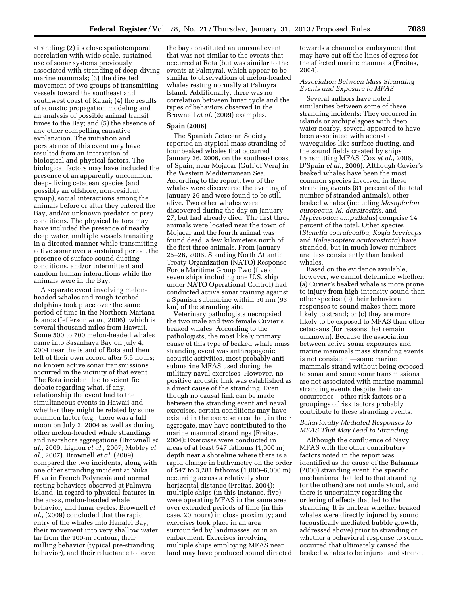stranding; (2) its close spatiotemporal correlation with wide-scale, sustained use of sonar systems previously associated with stranding of deep-diving marine mammals; (3) the directed movement of two groups of transmitting vessels toward the southeast and southwest coast of Kauai; (4) the results of acoustic propagation modeling and an analysis of possible animal transit times to the Bay; and (5) the absence of any other compelling causative explanation. The initiation and persistence of this event may have resulted from an interaction of biological and physical factors. The biological factors may have included the presence of an apparently uncommon, deep-diving cetacean species (and possibly an offshore, non-resident group), social interactions among the animals before or after they entered the Bay, and/or unknown predator or prey conditions. The physical factors may have included the presence of nearby deep water, multiple vessels transiting in a directed manner while transmitting active sonar over a sustained period, the presence of surface sound ducting conditions, and/or intermittent and random human interactions while the animals were in the Bay.

A separate event involving melonheaded whales and rough-toothed dolphins took place over the same period of time in the Northern Mariana Islands (Jefferson *et al.,* 2006), which is several thousand miles from Hawaii. Some 500 to 700 melon-headed whales came into Sasanhaya Bay on July 4, 2004 near the island of Rota and then left of their own accord after 5.5 hours; no known active sonar transmissions occurred in the vicinity of that event. The Rota incident led to scientific debate regarding what, if any, relationship the event had to the simultaneous events in Hawaii and whether they might be related by some common factor (e.g., there was a full moon on July 2, 2004 as well as during other melon-headed whale strandings and nearshore aggregations (Brownell *et al.,* 2009; Lignon *et al.,* 2007; Mobley *et al.,* 2007). Brownell *et al.* (2009) compared the two incidents, along with one other stranding incident at Nuka Hiva in French Polynesia and normal resting behaviors observed at Palmyra Island, in regard to physical features in the areas, melon-headed whale behavior, and lunar cycles. Brownell *et al.,* (2009) concluded that the rapid entry of the whales into Hanalei Bay, their movement into very shallow water far from the 100-m contour, their milling behavior (typical pre-stranding behavior), and their reluctance to leave

the bay constituted an unusual event that was not similar to the events that occurred at Rota (but was similar to the events at Palmyra), which appear to be similar to observations of melon-headed whales resting normally at Palmyra Island. Additionally, there was no correlation between lunar cycle and the types of behaviors observed in the Brownell *et al.* (2009) examples.

#### **Spain (2006)**

The Spanish Cetacean Society reported an atypical mass stranding of four beaked whales that occurred January 26, 2006, on the southeast coast of Spain, near Mojacar (Gulf of Vera) in the Western Mediterranean Sea. According to the report, two of the whales were discovered the evening of January 26 and were found to be still alive. Two other whales were discovered during the day on January 27, but had already died. The first three animals were located near the town of Mojacar and the fourth animal was found dead, a few kilometers north of the first three animals. From January 25–26, 2006, Standing North Atlantic Treaty Organization (NATO) Response Force Maritime Group Two (five of seven ships including one U.S. ship under NATO Operational Control) had conducted active sonar training against a Spanish submarine within 50 nm (93 km) of the stranding site.

Veterinary pathologists necropsied the two male and two female Cuvier's beaked whales. According to the pathologists, the most likely primary cause of this type of beaked whale mass stranding event was anthropogenic acoustic activities, most probably antisubmarine MFAS used during the military naval exercises. However, no positive acoustic link was established as a direct cause of the stranding. Even though no causal link can be made between the stranding event and naval exercises, certain conditions may have existed in the exercise area that, in their aggregate, may have contributed to the marine mammal strandings (Freitas, 2004): Exercises were conducted in areas of at least 547 fathoms (1,000 m) depth near a shoreline where there is a rapid change in bathymetry on the order of 547 to 3,281 fathoms (1,000–6,000 m) occurring across a relatively short horizontal distance (Freitas, 2004); multiple ships (in this instance, five) were operating MFAS in the same area over extended periods of time (in this case, 20 hours) in close proximity; and exercises took place in an area surrounded by landmasses, or in an embayment. Exercises involving multiple ships employing MFAS near land may have produced sound directed towards a channel or embayment that may have cut off the lines of egress for the affected marine mammals (Freitas, 2004).

# *Association Between Mass Stranding Events and Exposure to MFAS*

Several authors have noted similarities between some of these stranding incidents: They occurred in islands or archipelagoes with deep water nearby, several appeared to have been associated with acoustic waveguides like surface ducting, and the sound fields created by ships transmitting MFAS (Cox *et al.,* 2006, D'Spain *et al.,* 2006). Although Cuvier's beaked whales have been the most common species involved in these stranding events (81 percent of the total number of stranded animals), other beaked whales (including *Mesoplodon europeaus, M. densirostris,* and *Hyperoodon ampullatus*) comprise 14 percent of the total. Other species (*Stenella coeruleoalba, Kogia breviceps*  and *Balaenoptera acutorostrata*) have stranded, but in much lower numbers and less consistently than beaked whales.

Based on the evidence available, however, we cannot determine whether: (a) Cuvier's beaked whale is more prone to injury from high-intensity sound than other species; (b) their behavioral responses to sound makes them more likely to strand; or (c) they are more likely to be exposed to MFAS than other cetaceans (for reasons that remain unknown). Because the association between active sonar exposures and marine mammals mass stranding events is not consistent—some marine mammals strand without being exposed to sonar and some sonar transmissions are not associated with marine mammal stranding events despite their cooccurrence—other risk factors or a groupings of risk factors probably contribute to these stranding events.

# *Behaviorally Mediated Responses to MFAS That May Lead to Stranding*

Although the confluence of Navy MFAS with the other contributory factors noted in the report was identified as the cause of the Bahamas (2000) stranding event, the specific mechanisms that led to that stranding (or the others) are not understood, and there is uncertainty regarding the ordering of effects that led to the stranding. It is unclear whether beaked whales were directly injured by sound (acoustically mediated bubble growth, addressed above) prior to stranding or whether a behavioral response to sound occurred that ultimately caused the beaked whales to be injured and strand.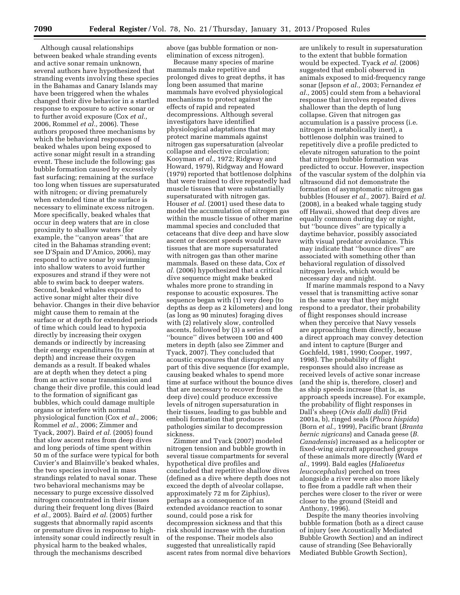Although causal relationships between beaked whale stranding events and active sonar remain unknown, several authors have hypothesized that stranding events involving these species in the Bahamas and Canary Islands may have been triggered when the whales changed their dive behavior in a startled response to exposure to active sonar or to further avoid exposure (Cox *et al.,*  2006, Rommel *et al.,* 2006). These authors proposed three mechanisms by which the behavioral responses of beaked whales upon being exposed to active sonar might result in a stranding event. These include the following: gas bubble formation caused by excessively fast surfacing; remaining at the surface too long when tissues are supersaturated with nitrogen; or diving prematurely when extended time at the surface is necessary to eliminate excess nitrogen. More specifically, beaked whales that occur in deep waters that are in close proximity to shallow waters (for example, the ''canyon areas'' that are cited in the Bahamas stranding event; see D'Spain and D'Amico, 2006), may respond to active sonar by swimming into shallow waters to avoid further exposures and strand if they were not able to swim back to deeper waters. Second, beaked whales exposed to active sonar might alter their dive behavior. Changes in their dive behavior might cause them to remain at the surface or at depth for extended periods of time which could lead to hypoxia directly by increasing their oxygen demands or indirectly by increasing their energy expenditures (to remain at depth) and increase their oxygen demands as a result. If beaked whales are at depth when they detect a ping from an active sonar transmission and change their dive profile, this could lead to the formation of significant gas bubbles, which could damage multiple organs or interfere with normal physiological function (Cox *et al.,* 2006; Rommel *et al.,* 2006; Zimmer and Tyack, 2007). Baird *et al.* (2005) found that slow ascent rates from deep dives and long periods of time spent within 50 m of the surface were typical for both Cuvier's and Blainville's beaked whales, the two species involved in mass strandings related to naval sonar. These two behavioral mechanisms may be necessary to purge excessive dissolved nitrogen concentrated in their tissues during their frequent long dives (Baird *et al.,* 2005). Baird *et al.* (2005) further suggests that abnormally rapid ascents or premature dives in response to highintensity sonar could indirectly result in physical harm to the beaked whales, through the mechanisms described

above (gas bubble formation or nonelimination of excess nitrogen).

Because many species of marine mammals make repetitive and prolonged dives to great depths, it has long been assumed that marine mammals have evolved physiological mechanisms to protect against the effects of rapid and repeated decompressions. Although several investigators have identified physiological adaptations that may protect marine mammals against nitrogen gas supersaturation (alveolar collapse and elective circulation; Kooyman *et al.,* 1972; Ridgway and Howard, 1979), Ridgway and Howard (1979) reported that bottlenose dolphins that were trained to dive repeatedly had muscle tissues that were substantially supersaturated with nitrogen gas. Houser *et al.* (2001) used these data to model the accumulation of nitrogen gas within the muscle tissue of other marine mammal species and concluded that cetaceans that dive deep and have slow ascent or descent speeds would have tissues that are more supersaturated with nitrogen gas than other marine mammals. Based on these data, Cox *et al.* (2006) hypothesized that a critical dive sequence might make beaked whales more prone to stranding in response to acoustic exposures. The sequence began with (1) very deep (to depths as deep as 2 kilometers) and long (as long as 90 minutes) foraging dives with (2) relatively slow, controlled ascents, followed by (3) a series of ''bounce'' dives between 100 and 400 meters in depth (also see Zimmer and Tyack, 2007). They concluded that acoustic exposures that disrupted any part of this dive sequence (for example, causing beaked whales to spend more time at surface without the bounce dives that are necessary to recover from the deep dive) could produce excessive levels of nitrogen supersaturation in their tissues, leading to gas bubble and emboli formation that produces pathologies similar to decompression sickness.

Zimmer and Tyack (2007) modeled nitrogen tension and bubble growth in several tissue compartments for several hypothetical dive profiles and concluded that repetitive shallow dives (defined as a dive where depth does not exceed the depth of alveolar collapse, approximately 72 m for Ziphius), perhaps as a consequence of an extended avoidance reaction to sonar sound, could pose a risk for decompression sickness and that this risk should increase with the duration of the response. Their models also suggested that unrealistically rapid ascent rates from normal dive behaviors

are unlikely to result in supersaturation to the extent that bubble formation would be expected. Tyack *et al.* (2006) suggested that emboli observed in animals exposed to mid-frequency range sonar (Jepson *et al.,* 2003; Fernandez *et al.,* 2005) could stem from a behavioral response that involves repeated dives shallower than the depth of lung collapse. Given that nitrogen gas accumulation is a passive process (i.e. nitrogen is metabolically inert), a bottlenose dolphin was trained to repetitively dive a profile predicted to elevate nitrogen saturation to the point that nitrogen bubble formation was predicted to occur. However, inspection of the vascular system of the dolphin via ultrasound did not demonstrate the formation of asymptomatic nitrogen gas bubbles (Houser *et al.,* 2007). Baird *et al.*  (2008), in a beaked whale tagging study off Hawaii, showed that deep dives are equally common during day or night, but ''bounce dives'' are typically a daytime behavior, possibly associated with visual predator avoidance. This may indicate that ''bounce dives'' are associated with something other than behavioral regulation of dissolved nitrogen levels, which would be necessary day and night.

If marine mammals respond to a Navy vessel that is transmitting active sonar in the same way that they might respond to a predator, their probability of flight responses should increase when they perceive that Navy vessels are approaching them directly, because a direct approach may convey detection and intent to capture (Burger and Gochfeld, 1981, 1990; Cooper, 1997, 1998). The probability of flight responses should also increase as received levels of active sonar increase (and the ship is, therefore, closer) and as ship speeds increase (that is, as approach speeds increase). For example, the probability of flight responses in Dall's sheep (*Ovis dalli dalli*) (Frid 2001a, b), ringed seals (*Phoca hispida*) (Born *et al.,* 1999), Pacific brant (*Branta bernic nigricans*) and Canada geese (*B. Canadensis*) increased as a helicopter or fixed-wing aircraft approached groups of these animals more directly (Ward *et al.,* 1999). Bald eagles (*Haliaeetus leucocephalus*) perched on trees alongside a river were also more likely to flee from a paddle raft when their perches were closer to the river or were closer to the ground (Steidl and Anthony, 1996).

Despite the many theories involving bubble formation (both as a direct cause of injury (see Acoustically Mediated Bubble Growth Section) and an indirect cause of stranding (See Behaviorally Mediated Bubble Growth Section),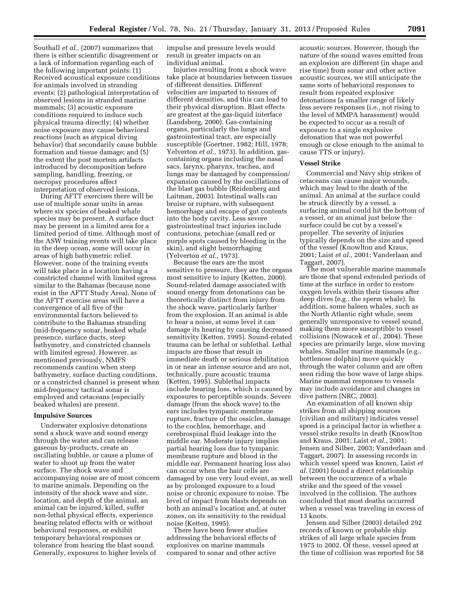Southall *et al.,* (2007) summarizes that there is either scientific disagreement or a lack of information regarding each of the following important points: (1) Received acoustical exposure conditions for animals involved in stranding events; (2) pathological interpretation of observed lesions in stranded marine mammals; (3) acoustic exposure conditions required to induce such physical trauma directly; (4) whether noise exposure may cause behavioral reactions (such as atypical diving behavior) that secondarily cause bubble formation and tissue damage; and (5) the extent the post mortem artifacts introduced by decomposition before sampling, handling, freezing, or necropsy procedures affect interpretation of observed lesions.

During AFTT exercises there will be use of multiple sonar units in areas where six species of beaked whale species may be present. A surface duct may be present in a limited area for a limited period of time. Although most of the ASW training events will take place in the deep ocean, some will occur in areas of high bathymetric relief. However, none of the training events will take place in a location having a constricted channel with limited egress similar to the Bahamas (because none exist in the AFTT Study Area). None of the AFTT exercise areas will have a convergence of all five of the environmental factors believed to contribute to the Bahamas stranding (mid-frequency sonar, beaked whale presence, surface ducts, steep bathymetry, and constricted channels with limited egress). However, as mentioned previously, NMFS recommends caution when steep bathymetry, surface ducting conditions, or a constricted channel is present when mid-frequency tactical sonar is employed and cetaceans (especially beaked whales) are present.

## **Impulsive Sources**

Underwater explosive detonations send a shock wave and sound energy through the water and can release gaseous by-products, create an oscillating bubble, or cause a plume of water to shoot up from the water surface. The shock wave and accompanying noise are of most concern to marine animals. Depending on the intensity of the shock wave and size, location, and depth of the animal, an animal can be injured, killed, suffer non-lethal physical effects, experience hearing related effects with or without behavioral responses, or exhibit temporary behavioral responses or tolerance from hearing the blast sound. Generally, exposures to higher levels of

impulse and pressure levels would result in greater impacts on an individual animal.

Injuries resulting from a shock wave take place at boundaries between tissues of different densities. Different velocities are imparted to tissues of different densities, and this can lead to their physical disruption. Blast effects are greatest at the gas-liquid interface (Landsberg, 2000). Gas-containing organs, particularly the lungs and gastrointestinal tract, are especially susceptible (Goertner, 1982; Hill, 1978; Yelverton *et al.,* 1973). In addition, gascontaining organs including the nasal sacs, larynx, pharynx, trachea, and lungs may be damaged by compression/ expansion caused by the oscillations of the blast gas bubble (Reidenberg and Laitman, 2003). Intestinal walls can bruise or rupture, with subsequent hemorrhage and escape of gut contents into the body cavity. Less severe gastrointestinal tract injuries include contusions, petechiae (small red or purple spots caused by bleeding in the skin), and slight hemorrhaging (Yelverton *et al.,* 1973).

Because the ears are the most sensitive to pressure, they are the organs most sensitive to injury (Ketten, 2000). Sound-related damage associated with sound energy from detonations can be theoretically distinct from injury from the shock wave, particularly farther from the explosion. If an animal is able to hear a noise, at some level it can damage its hearing by causing decreased sensitivity (Ketten, 1995). Sound-related trauma can be lethal or sublethal. Lethal impacts are those that result in immediate death or serious debilitation in or near an intense source and are not, technically, pure acoustic trauma (Ketten, 1995). Sublethal impacts include hearing loss, which is caused by exposures to perceptible sounds. Severe damage (from the shock wave) to the ears includes tympanic membrane rupture, fracture of the ossicles, damage to the cochlea, hemorrhage, and cerebrospinal fluid leakage into the middle ear. Moderate injury implies partial hearing loss due to tympanic membrane rupture and blood in the middle ear. Permanent hearing loss also can occur when the hair cells are damaged by one very loud event, as well as by prolonged exposure to a loud noise or chronic exposure to noise. The level of impact from blasts depends on both an animal's location and, at outer zones, on its sensitivity to the residual noise (Ketten, 1995).

There have been fewer studies addressing the behavioral effects of explosives on marine mammals compared to sonar and other active

acoustic sources. However, though the nature of the sound waves emitted from an explosion are different (in shape and rise time) from sonar and other active acoustic sources, we still anticipate the same sorts of behavioral responses to result from repeated explosive detonations (a smaller range of likely less severe responses (i.e., not rising to the level of MMPA harassment) would be expected to occur as a result of exposure to a single explosive detonation that was not powerful enough or close enough to the animal to cause TTS or injury).

## **Vessel Strike**

Commercial and Navy ship strikes of cetaceans can cause major wounds, which may lead to the death of the animal. An animal at the surface could be struck directly by a vessel, a surfacing animal could hit the bottom of a vessel, or an animal just below the surface could be cut by a vessel's propeller. The severity of injuries typically depends on the size and speed of the vessel (Knowlton and Kraus, 2001; Laist *et al.,* 2001; Vanderlaan and Taggart, 2007).

The most vulnerable marine mammals are those that spend extended periods of time at the surface in order to restore oxygen levels within their tissues after deep dives (e.g., the sperm whale). In addition, some baleen whales, such as the North Atlantic right whale, seem generally unresponsive to vessel sound, making them more susceptible to vessel collisions (Nowacek *et al.,* 2004). These species are primarily large, slow moving whales. Smaller marine mammals (e.g., bottlenose dolphin) move quickly through the water column and are often seen riding the bow wave of large ships. Marine mammal responses to vessels may include avoidance and changes in dive pattern (NRC, 2003).

An examination of all known ship strikes from all shipping sources (civilian and military) indicates vessel speed is a principal factor in whether a vessel strike results in death (Knowlton and Kraus, 2001; Laist *et al.,* 2001; Jensen and Silber, 2003; Vanderlaan and Taggart, 2007). In assessing records in which vessel speed was known, Laist *et al.* (2001) found a direct relationship between the occurrence of a whale strike and the speed of the vessel involved in the collision. The authors concluded that most deaths occurred when a vessel was traveling in excess of 13 knots.

Jensen and Silber (2003) detailed 292 records of known or probable ship strikes of all large whale species from 1975 to 2002. Of these, vessel speed at the time of collision was reported for 58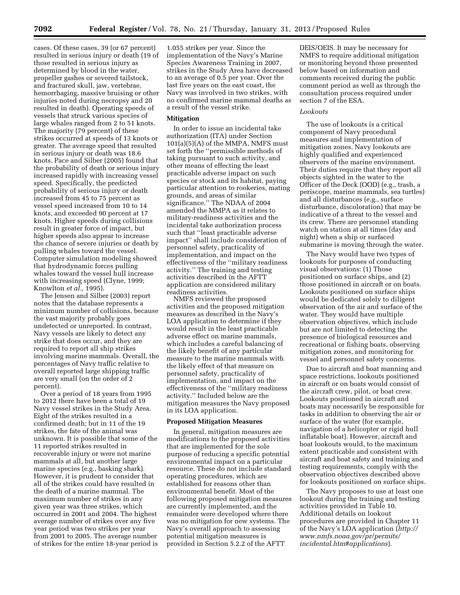cases. Of these cases, 39 (or 67 percent) resulted in serious injury or death (19 of those resulted in serious injury as determined by blood in the water, propeller gashes or severed tailstock, and fractured skull, jaw, vertebrae, hemorrhaging, massive bruising or other injuries noted during necropsy and 20 resulted in death). Operating speeds of vessels that struck various species of large whales ranged from 2 to 51 knots. The majority (79 percent) of these strikes occurred at speeds of 13 knots or greater. The average speed that resulted in serious injury or death was 18.6 knots. Pace and Silber (2005) found that the probability of death or serious injury increased rapidly with increasing vessel speed. Specifically, the predicted probability of serious injury or death increased from 45 to 75 percent as vessel speed increased from 10 to 14 knots, and exceeded 90 percent at 17 knots. Higher speeds during collisions result in greater force of impact, but higher speeds also appear to increase the chance of severe injuries or death by pulling whales toward the vessel. Computer simulation modeling showed that hydrodynamic forces pulling whales toward the vessel hull increase with increasing speed (Clyne, 1999; Knowlton *et al.,* 1995).

The Jensen and Silber (2003) report notes that the database represents a minimum number of collisions, because the vast majority probably goes undetected or unreported. In contrast, Navy vessels are likely to detect any strike that does occur, and they are required to report all ship strikes involving marine mammals. Overall, the percentages of Navy traffic relative to overall reported large shipping traffic are very small (on the order of 2 percent).

Over a period of 18 years from 1995 to 2012 there have been a total of 19 Navy vessel strikes in the Study Area. Eight of the strikes resulted in a confirmed death; but in 11 of the 19 strikes, the fate of the animal was unknown. It is possible that some of the 11 reported strikes resulted in recoverable injury or were not marine mammals at all, but another large marine species (e.g., basking shark). However, it is prudent to consider that all of the strikes could have resulted in the death of a marine mammal. The maximum number of strikes in any given year was three strikes, which occurred in 2001 and 2004. The highest average number of strikes over any five year period was two strikes per year from 2001 to 2005. The average number of strikes for the entire 18-year period is

1.055 strikes per year. Since the implementation of the Navy's Marine Species Awareness Training in 2007, strikes in the Study Area have decreased to an average of 0.5 per year. Over the last five years on the east coast, the Navy was involved in two strikes, with no confirmed marine mammal deaths as a result of the vessel strike.

# **Mitigation**

In order to issue an incidental take authorization (ITA) under Section 101(a)(5)(A) of the MMPA, NMFS must set forth the ''permissible methods of taking pursuant to such activity, and other means of effecting the least practicable adverse impact on such species or stock and its habitat, paying particular attention to rookeries, mating grounds, and areas of similar significance.'' The NDAA of 2004 amended the MMPA as it relates to military-readiness activities and the incidental take authorization process such that ''least practicable adverse impact'' shall include consideration of personnel safety, practicality of implementation, and impact on the effectiveness of the ''military readiness activity.'' The training and testing activities described in the AFTT application are considered military readiness activities.

NMFS reviewed the proposed activities and the proposed mitigation measures as described in the Navy's LOA application to determine if they would result in the least practicable adverse effect on marine mammals, which includes a careful balancing of the likely benefit of any particular measure to the marine mammals with the likely effect of that measure on personnel safety, practicality of implementation, and impact on the effectiveness of the ''military readiness activity.'' Included below are the mitigation measures the Navy proposed in its LOA application.

## **Proposed Mitigation Measures**

In general, mitigation measures are modifications to the proposed activities that are implemented for the sole purpose of reducing a specific potential environmental impact on a particular resource. These do not include standard operating procedures, which are established for reasons other than environmental benefit. Most of the following proposed mitigation measures are currently implemented, and the remainder were developed where there was no mitigation for new systems. The Navy's overall approach to assessing potential mitigation measures is provided in Section 5.2.2 of the AFTT

DEIS/OEIS. It may be necessary for NMFS to require additional mitigation or monitoring beyond those presented below based on information and comments received during the public comment period as well as through the consultation process required under section 7 of the ESA.

## *Lookouts*

The use of lookouts is a critical component of Navy procedural measures and implementation of mitigation zones. Navy lookouts are highly qualified and experienced observers of the marine environment. Their duties require that they report all objects sighted in the water to the Officer of the Deck (OOD) (e.g., trash, a periscope, marine mammals, sea turtles) and all disturbances (e.g., surface disturbance, discoloration) that may be indicative of a threat to the vessel and its crew. There are personnel standing watch on station at all times (day and night) when a ship or surfaced submarine is moving through the water.

The Navy would have two types of lookouts for purposes of conducting visual observations: (1) Those positioned on surface ships, and (2) those positioned in aircraft or on boats. Lookouts positioned on surface ships would be dedicated solely to diligent observation of the air and surface of the water. They would have multiple observation objectives, which include but are not limited to detecting the presence of biological resources and recreational or fishing boats, observing mitigation zones, and monitoring for vessel and personnel safety concerns.

Due to aircraft and boat manning and space restrictions, lookouts positioned in aircraft or on boats would consist of the aircraft crew, pilot, or boat crew. Lookouts positioned in aircraft and boats may necessarily be responsible for tasks in addition to observing the air or surface of the water (for example, navigation of a helicopter or rigid hull inflatable boat). However, aircraft and boat lookouts would, to the maximum extent practicable and consistent with aircraft and boat safety and training and testing requirements, comply with the observation objectives described above for lookouts positioned on surface ships.

The Navy proposes to use at least one lookout during the training and testing activities provided in Table 10. Additional details on lookout procedures are provided in Chapter 11 of the Navy's LOA application (*[http://](http://www.nmfs.noaa.gov/pr/permits/incidental.htm#applications) [www.nmfs.noaa.gov/pr/permits/](http://www.nmfs.noaa.gov/pr/permits/incidental.htm#applications) [incidental.htm#applications](http://www.nmfs.noaa.gov/pr/permits/incidental.htm#applications)*).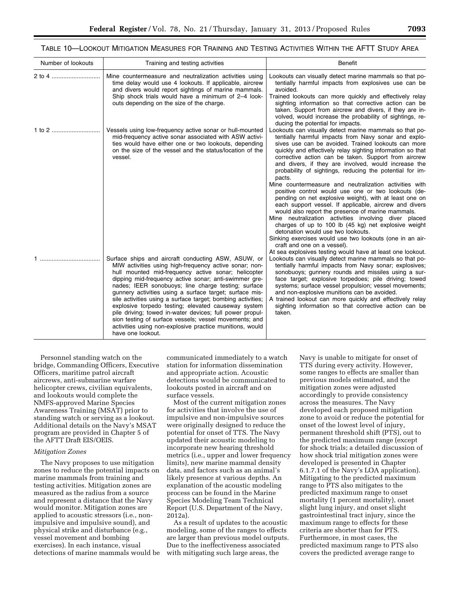| Number of lookouts | Training and testing activities                                                                                                                                                                                                                                                                                                                                                                                                                                                                                                                                                                                                                                              | <b>Benefit</b>                                                                                                                                                                                                                                                                                                                                                                                                                                                                                                                                                                                                                                                                                                                                                                                                                                                                                                                          |
|--------------------|------------------------------------------------------------------------------------------------------------------------------------------------------------------------------------------------------------------------------------------------------------------------------------------------------------------------------------------------------------------------------------------------------------------------------------------------------------------------------------------------------------------------------------------------------------------------------------------------------------------------------------------------------------------------------|-----------------------------------------------------------------------------------------------------------------------------------------------------------------------------------------------------------------------------------------------------------------------------------------------------------------------------------------------------------------------------------------------------------------------------------------------------------------------------------------------------------------------------------------------------------------------------------------------------------------------------------------------------------------------------------------------------------------------------------------------------------------------------------------------------------------------------------------------------------------------------------------------------------------------------------------|
| 2 to 4 ………………………   | Mine countermeasure and neutralization activities using<br>time delay would use 4 lookouts. If applicable, aircrew<br>and divers would report sightings of marine mammals.<br>Ship shock trials would have a minimum of 2-4 look-<br>outs depending on the size of the charge.                                                                                                                                                                                                                                                                                                                                                                                               | Lookouts can visually detect marine mammals so that po-<br>tentially harmful impacts from explosives use can be<br>avoided.<br>Trained lookouts can more quickly and effectively relay<br>sighting information so that corrective action can be<br>taken. Support from aircrew and divers, if they are in-<br>volved, would increase the probability of sightings, re-<br>ducing the potential for impacts.                                                                                                                                                                                                                                                                                                                                                                                                                                                                                                                             |
| 1 to 2             | Vessels using low-frequency active sonar or hull-mounted<br>mid-frequency active sonar associated with ASW activi-<br>ties would have either one or two lookouts, depending<br>on the size of the vessel and the status/location of the<br>vessel.                                                                                                                                                                                                                                                                                                                                                                                                                           | Lookouts can visually detect marine mammals so that po-<br>tentially harmful impacts from Navy sonar and explo-<br>sives use can be avoided. Trained lookouts can more<br>quickly and effectively relay sighting information so that<br>corrective action can be taken. Support from aircrew<br>and divers, if they are involved, would increase the<br>probability of sightings, reducing the potential for im-<br>pacts.<br>Mine countermeasure and neutralization activities with<br>positive control would use one or two lookouts (de-<br>pending on net explosive weight), with at least one on<br>each support vessel. If applicable, aircrew and divers<br>would also report the presence of marine mammals.<br>Mine neutralization activities involving diver placed<br>charges of up to 100 lb (45 kg) net explosive weight<br>detonation would use two lookouts.<br>Sinking exercises would use two lookouts (one in an air- |
|                    | Surface ships and aircraft conducting ASW, ASUW, or<br>MIW activities using high-frequency active sonar; non-<br>hull mounted mid-frequency active sonar; helicopter<br>dipping mid-frequency active sonar; anti-swimmer gre-<br>nades; IEER sonobuoys; line charge testing; surface<br>gunnery activities using a surface target; surface mis-<br>sile activities using a surface target; bombing activities;<br>explosive torpedo testing; elevated causeway system<br>pile driving; towed in-water devices; full power propul-<br>sion testing of surface vessels; vessel movements; and<br>activities using non-explosive practice munitions, would<br>have one lookout. | craft and one on a vessel).<br>At sea explosives testing would have at least one lookout.<br>Lookouts can visually detect marine mammals so that po-<br>tentially harmful impacts from Navy sonar; explosives;<br>sonobuoys; gunnery rounds and missiles using a sur-<br>face target; explosive torpedoes; pile driving; towed<br>systems; surface vessel propulsion; vessel movements;<br>and non-explosive munitions can be avoided.<br>A trained lookout can more quickly and effectively relay<br>sighting information so that corrective action can be<br>taken.                                                                                                                                                                                                                                                                                                                                                                   |

## TABLE 10—LOOKOUT MITIGATION MEASURES FOR TRAINING AND TESTING ACTIVITIES WITHIN THE AFTT STUDY AREA

Personnel standing watch on the bridge, Commanding Officers, Executive Officers, maritime patrol aircraft aircrews, anti-submarine warfare helicopter crews, civilian equivalents, and lookouts would complete the NMFS-approved Marine Species Awareness Training (MSAT) prior to standing watch or serving as a lookout. Additional details on the Navy's MSAT program are provided in Chapter 5 of the AFTT Draft EIS/OEIS.

# *Mitigation Zones*

The Navy proposes to use mitigation zones to reduce the potential impacts on marine mammals from training and testing activities. Mitigation zones are measured as the radius from a source and represent a distance that the Navy would monitor. Mitigation zones are applied to acoustic stressors (i.e., nonimpulsive and impulsive sound), and physical strike and disturbance (e.g., vessel movement and bombing exercises). In each instance, visual detections of marine mammals would be

communicated immediately to a watch station for information dissemination and appropriate action. Acoustic detections would be communicated to lookouts posted in aircraft and on surface vessels.

Most of the current mitigation zones for activities that involve the use of impulsive and non-impulsive sources were originally designed to reduce the potential for onset of TTS. The Navy updated their acoustic modeling to incorporate new hearing threshold metrics (i.e., upper and lower frequency limits), new marine mammal density data, and factors such as an animal's likely presence at various depths. An explanation of the acoustic modeling process can be found in the Marine Species Modeling Team Technical Report (U.S. Department of the Navy, 2012a).

As a result of updates to the acoustic modeling, some of the ranges to effects are larger than previous model outputs. Due to the ineffectiveness associated with mitigating such large areas, the

Navy is unable to mitigate for onset of TTS during every activity. However, some ranges to effects are smaller than previous models estimated, and the mitigation zones were adjusted accordingly to provide consistency across the measures. The Navy developed each proposed mitigation zone to avoid or reduce the potential for onset of the lowest level of injury, permanent threshold shift (PTS), out to the predicted maximum range (except for shock trials; a detailed discussion of how shock trial mitigation zones were developed is presented in Chapter 6.1.7.1 of the Navy's LOA application). Mitigating to the predicted maximum range to PTS also mitigates to the predicted maximum range to onset mortality (1 percent mortality), onset slight lung injury, and onset slight gastrointestinal tract injury, since the maximum range to effects for these criteria are shorter than for PTS. Furthermore, in most cases, the predicted maximum range to PTS also covers the predicted average range to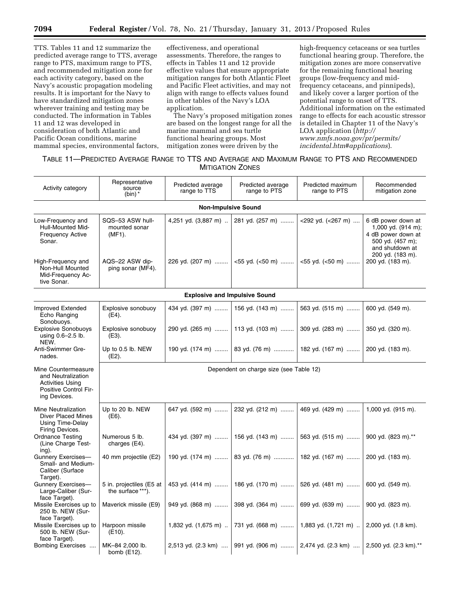TTS. Tables 11 and 12 summarize the predicted average range to TTS, average range to PTS, maximum range to PTS, and recommended mitigation zone for each activity category, based on the Navy's acoustic propagation modeling results. It is important for the Navy to have standardized mitigation zones wherever training and testing may be conducted. The information in Tables 11 and 12 was developed in consideration of both Atlantic and Pacific Ocean conditions, marine mammal species, environmental factors,

effectiveness, and operational assessments. Therefore, the ranges to effects in Tables 11 and 12 provide effective values that ensure appropriate mitigation ranges for both Atlantic Fleet and Pacific Fleet activities, and may not align with range to effects values found in other tables of the Navy's LOA application.

The Navy's proposed mitigation zones are based on the longest range for all the marine mammal and sea turtle functional hearing groups. Most mitigation zones were driven by the

high-frequency cetaceans or sea turtles functional hearing group. Therefore, the mitigation zones are more conservative for the remaining functional hearing groups (low-frequency and midfrequency cetaceans, and pinnipeds), and likely cover a larger portion of the potential range to onset of TTS. Additional information on the estimated range to effects for each acoustic stressor is detailed in Chapter 11 of the Navy's LOA application (*[http://](http://www.nmfs.noaa.gov/pr/permits/incidental.htm#applications)  [www.nmfs.noaa.gov/pr/permits/](http://www.nmfs.noaa.gov/pr/permits/incidental.htm#applications) [incidental.htm#applications](http://www.nmfs.noaa.gov/pr/permits/incidental.htm#applications)*).

# TABLE 11—PREDICTED AVERAGE RANGE TO TTS AND AVERAGE AND MAXIMUM RANGE TO PTS AND RECOMMENDED **MITIGATION ZONES**

| Activity category                                                                                             | Representative<br>source<br>(bin) $*$         | Predicted average<br>range to TTS    | Predicted average<br>range to PTS | Predicted maximum<br>range to PTS | Recommended<br>mitigation zone                                                                                            |  |
|---------------------------------------------------------------------------------------------------------------|-----------------------------------------------|--------------------------------------|-----------------------------------|-----------------------------------|---------------------------------------------------------------------------------------------------------------------------|--|
|                                                                                                               |                                               | <b>Non-Impulsive Sound</b>           |                                   |                                   |                                                                                                                           |  |
| Low-Frequency and<br>Hull-Mounted Mid-<br><b>Frequency Active</b><br>Sonar.                                   | SQS-53 ASW hull-<br>mounted sonar<br>(MF1).   | 4,251 yd. (3,887 m)                  | 281 yd. (257 m)                   | <292 yd. (<267 m)                 | 6 dB power down at<br>1,000 yd. (914 m);<br>4 dB power down at<br>500 yd. (457 m);<br>and shutdown at<br>200 yd. (183 m). |  |
| High-Frequency and<br>Non-Hull Mounted<br>Mid-Frequency Ac-<br>tive Sonar.                                    | AQS-22 ASW dip-<br>ping sonar (MF4).          | 226 yd. (207 m)                      | $<$ 55 yd. ( $<$ 50 m)            | $<$ 55 yd. ( $<$ 50 m)            | 200 yd. (183 m).                                                                                                          |  |
|                                                                                                               |                                               | <b>Explosive and Impulsive Sound</b> |                                   |                                   |                                                                                                                           |  |
| Improved Extended<br>Echo Ranging<br>Sonobuoys.                                                               | Explosive sonobuoy<br>(E4).                   | 434 yd. (397 m)                      | 156 yd. (143 m)                   | 563 yd. (515 m)                   | 600 vd. (549 m).                                                                                                          |  |
| <b>Explosive Sonobuoys</b><br>using 0.6-2.5 lb.<br>NEW.                                                       | Explosive sonobuoy<br>$(E3)$ .                | 290 yd. (265 m)                      | 113 yd. (103 m)                   | 309 yd. (283 m)                   | 350 yd. (320 m).                                                                                                          |  |
| Anti-Swimmer Gre-<br>nades.                                                                                   | Up to 0.5 lb. NEW<br>(E2).                    | 190 yd. (174 m)                      | 83 yd. (76 m)                     | 182 yd. (167 m)                   | 200 yd. (183 m).                                                                                                          |  |
| Mine Countermeasure<br>and Neutralization<br><b>Activities Using</b><br>Positive Control Fir-<br>ing Devices. | Dependent on charge size (see Table 12)       |                                      |                                   |                                   |                                                                                                                           |  |
| <b>Mine Neutralization</b><br><b>Diver Placed Mines</b><br>Using Time-Delay<br>Firing Devices.                | Up to 20 lb. NEW<br>$(E6)$ .                  | 647 yd. (592 m)                      | 232 yd. (212 m)                   | 469 yd. (429 m)                   | 1,000 yd. (915 m).                                                                                                        |  |
| <b>Ordnance Testing</b><br>(Line Charge Test-<br>ing).                                                        | Numerous 5 lb.<br>charges (E4).               | 434 yd. (397 m)                      | 156 yd. (143 m)                   | 563 yd. (515 m)                   | 900 yd. (823 m).**                                                                                                        |  |
| Gunnery Exercises-<br>Small- and Medium-<br>Caliber (Surface<br>Target).                                      | 40 mm projectile (E2)                         | 190 yd. (174 m)                      | 83 yd. (76 m)                     | 182 yd. (167 m)                   | 200 yd. (183 m).                                                                                                          |  |
| Gunnery Exercises-<br>Large-Caliber (Sur-<br>face Target).                                                    | 5 in. projectiles (E5 at<br>the surface ***). | 453 yd. (414 m)                      | 186 yd. (170 m)                   | 526 yd. (481 m)                   | 600 yd. (549 m).                                                                                                          |  |
| Missile Exercises up to<br>250 lb. NEW (Sur-<br>face Target).                                                 | Maverick missile (E9)                         | 949 yd. (868 m)                      | 398 yd. (364 m)                   | 699 yd. (639 m)                   | 900 yd. (823 m).                                                                                                          |  |
| Missile Exercises up to<br>500 lb. NEW (Sur-<br>face Target).                                                 | Harpoon missile<br>$(E10)$ .                  | 1,832 yd. (1,675 m)                  | 731 yd. (668 m)                   | 1,883 yd. (1,721 m)               | 2,000 yd. (1.8 km).                                                                                                       |  |
| Bombing Exercises                                                                                             | MK-84 2,000 lb.<br>bomb $(E12)$ .             | 2,513 yd. (2.3 km)                   | 991 yd. (906 m)                   | 2,474 yd. (2.3 km)                | 2,500 yd. (2.3 km).**                                                                                                     |  |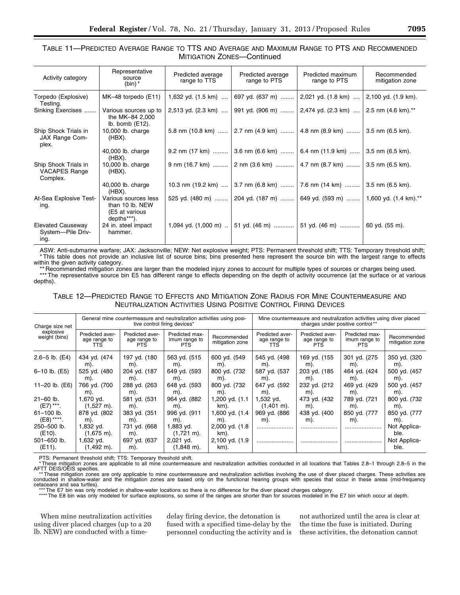# TABLE 11—PREDICTED AVERAGE RANGE TO TTS AND AVERAGE AND MAXIMUM RANGE TO PTS AND RECOMMENDED MITIGATION ZONES—Continued

| Activity category                                        | Representative<br>source<br>(bin) $*$                                    | Predicted average<br>range to TTS | Predicted average<br>range to PTS                                              | Predicted maximum<br>range to PTS | Recommended<br>mitigation zone |
|----------------------------------------------------------|--------------------------------------------------------------------------|-----------------------------------|--------------------------------------------------------------------------------|-----------------------------------|--------------------------------|
| Torpedo (Explosive)<br>Testing.                          | MK-48 torpedo (E11)                                                      |                                   | 1,632 yd. (1.5 km)    697 yd. (637 m)    2,021 yd. (1.8 km)                    |                                   | 2,100 yd. (1.9 km).            |
| Sinking Exercises                                        | Various sources up to<br>the MK-84 2,000<br>Ib. bomb $(E12)$ .           |                                   | 2,513 yd. (2.3 km)  991 yd. (906 m)  2,474 yd. (2.3 km)  2.5 nm (4.6 km).**    |                                   |                                |
| Ship Shock Trials in<br>JAX Range Com-<br>plex.          | 10,000 lb. charge<br>(HBX).                                              |                                   | 5.8 nm (10.8 km)  2.7 nm (4.9 km)  4.8 nm (8.9 km)  3.5 nm (6.5 km).           |                                   |                                |
|                                                          | 40,000 lb. charge<br>(HBX).                                              |                                   | 9.2 nm (17 km)  3.6 nm (6.6 km)  6.4 nm (11.9 km)  3.5 nm (6.5 km).            |                                   |                                |
| Ship Shock Trials in<br><b>VACAPES Range</b><br>Complex. | 10,000 lb. charge<br>(HBX).                                              |                                   | 9 nm (16.7 km)  2 nm (3.6 km)  4.7 nm (8.7 km)  3.5 nm (6.5 km).               |                                   |                                |
|                                                          | 40,000 lb. charge<br>(HBX).                                              |                                   | 10.3 nm (19.2 km)    3.7 nm (6.8 km)    7.6 nm (14 km)    3.5 nm (6.5 km).     |                                   |                                |
| At-Sea Explosive Test-<br>ing.                           | Various sources less<br>than 10 lb. NEW<br>(E5 at various<br>depths***). |                                   | 525 yd. (480 m)    204 yd. (187 m)    649 yd. (593 m)    1,600 yd. (1.4 km).** |                                   |                                |
| <b>Elevated Causeway</b><br>System-Pile Driv-<br>ing.    | 24 in. steel impact<br>hammer.                                           |                                   | 1,094 yd. (1,000 m) $\ldots$ 51 yd. (46 m)  51 yd. (46 m)                      |                                   | 60 yd. (55 m).                 |

ASW: Anti-submarine warfare; JAX: Jacksonville; NEW: Net explosive weight; PTS: Permanent threshold shift; TTS: Temporary threshold shift; \* This table does not provide an inclusive list of source bins; bins presented here represent the source bin with the largest range to effects within the given activity category.

\*\* Recommended mitigation zones are larger than the modeled injury zones to account for multiple types of sources or charges being used. \*\*\* The representative source bin E5 has different range to effects depending on the depth of activity occurrence (at the surface or at various depths).

| TABLE 12-PREDICTED RANGE TO EFFECTS AND MITIGATION ZONE RADIUS FOR MINE COUNTERMEASURE AND |
|--------------------------------------------------------------------------------------------|
| <b>NEUTRALIZATION ACTIVITIES USING POSITIVE CONTROL FIRING DEVICES</b>                     |

| Charge size net            | General mine countermeasure and neutralization activities using posi-<br>tive control firing devices* |                                         |                                               | Mine countermeasure and neutralization activities using diver placed<br>charges under positive control** |                                               |                                                |                                         |                                |
|----------------------------|-------------------------------------------------------------------------------------------------------|-----------------------------------------|-----------------------------------------------|----------------------------------------------------------------------------------------------------------|-----------------------------------------------|------------------------------------------------|-----------------------------------------|--------------------------------|
| explosive<br>weight (bins) | <b>Predicted aver-</b><br>age range to<br>TTS                                                         | Predicted aver-<br>age range to<br>PTS. | Predicted max-<br>imum range to<br><b>PTS</b> | Recommended<br>mitigation zone                                                                           | Predicted aver-<br>age range to<br><b>TTS</b> | <b>Predicted aver-</b><br>age range to<br>PTS. | Predicted max-<br>imum range to<br>PTS. | Recommended<br>mitigation zone |
| $2.6 - 5$ lb. $(E4)$       | 434 yd. (474                                                                                          | 197 yd. (180                            | 563 yd. (515                                  | 600 yd. (549                                                                                             | 545 yd. (498                                  | 169 yd. (155                                   | 301 yd. (275                            | 350 yd. (320                   |
|                            | m).                                                                                                   | m).                                     | m).                                           | m).                                                                                                      | m).                                           | m).                                            | m).                                     | m).                            |
| 6-10 lb. (E5)              | 525 yd. (480                                                                                          | 204 yd. (187                            | 649 vd. (593                                  | 800 vd. (732)                                                                                            | 587 yd. (537                                  | 203 yd. (185                                   | 464 yd. (424                            | 500 yd. (457                   |
|                            | m).                                                                                                   | m).                                     | m).                                           | m).                                                                                                      | m).                                           | m).                                            | m).                                     | m).                            |
| 11-20 lb. (E6)             | 766 yd. (700                                                                                          | 288 yd. (263                            | 648 yd. (593                                  | 800 yd. (732                                                                                             | 647 yd. (592                                  | 232 yd. (212                                   | 469 yd. (429                            | 500 yd. (457                   |
|                            | m).                                                                                                   | m).                                     | m).                                           | m).                                                                                                      | m).                                           | m).                                            | m).                                     | m).                            |
| $21 - 60$ lb.              | 1,670 yd.                                                                                             | 581 yd. (531                            | 964 vd. (882                                  | 1,200 yd. (1.1)                                                                                          | 1,532 yd.                                     | 473 yd. (432                                   | 789 yd. (721                            | 800 yd. (732)                  |
| (E7) ***.                  | $(1,527 \text{ m}).$                                                                                  | m).                                     | m).                                           | km).                                                                                                     | $(1,401 \text{ m}).$                          | m).                                            | m).                                     | m).                            |
| $61 - 100$ lb.             | 878 yd. (802                                                                                          | 383 yd. (351                            | 996 vd. (911                                  | 1,600 yd. (1.4                                                                                           | 969 vd. (886                                  | 438 yd. (400                                   | 850 yd. (777                            | 850 yd. (777                   |
| $(E8)$ ****.               | m).                                                                                                   | m).                                     | m).                                           | m).                                                                                                      | m).                                           | m).                                            | m).                                     | m).                            |
| 250-500 lb.<br>(E10).      | 1,832 yd.<br>$(1,675 \text{ m})$ .                                                                    | 731 vd. (668<br>m).                     | 1,883 yd.<br>$(1,721 \text{ m}).$             | 2,000 yd. (1.8)<br>km).                                                                                  |                                               |                                                |                                         | Not Applica-<br>ble.           |
| 501-650 lb.<br>(E11).      | 1,632 yd.<br>$(1,492 \text{ m}).$                                                                     | 697 yd. (637<br>m).                     | 2,021 yd.<br>$(1,848 \text{ m}).$             | 2,100 yd. (1.9<br>km).                                                                                   |                                               |                                                |                                         | Not Applica-<br>ble.           |

PTS: Permanent threshold shift; TTS: Temporary threshold shift.

\* These mitigation zones are applicable to all mine countermeasure and neutralization activities conducted in all locations that Tables 2.8–1 through 2.8–5 in the AFTT DEIS/OEIS specifies.

\*\* These mitigation zones are only applicable to mine countermeasure and neutralization activities involving the use of diver placed charges. These activities are<br>Conducted in shallow-water and the mitigation zones are bas cetaceans and sea turtles).

\*\*\*The E7 bin was only modeled in shallow-water locations so there is no difference for the diver placed charges category.<br>\*\*\*\*The E8 bin was only modeled for surface explosions, so some of the ranges are shorter than for

When mine neutralization activities using diver placed charges (up to a 20 lb. NEW) are conducted with a timedelay firing device, the detonation is fused with a specified time-delay by the personnel conducting the activity and is

not authorized until the area is clear at the time the fuse is initiated. During these activities, the detonation cannot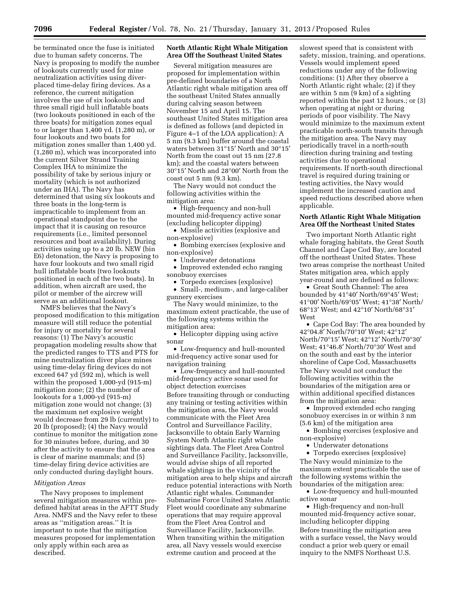be terminated once the fuse is initiated due to human safety concerns. The Navy is proposing to modify the number of lookouts currently used for mine neutralization activities using diverplaced time-delay firing devices. As a reference, the current mitigation involves the use of six lookouts and three small rigid hull inflatable boats (two lookouts positioned in each of the three boats) for mitigation zones equal to or larger than 1,400 yd. (1,280 m), or four lookouts and two boats for mitigation zones smaller than 1,400 yd. (1,280 m), which was incorporated into the current Silver Strand Training Complex IHA to minimize the possibility of take by serious injury or mortality (which is not authorized under an IHA). The Navy has determined that using six lookouts and three boats in the long-term is impracticable to implement from an operational standpoint due to the impact that it is causing on resource requirements (i.e., limited personnel resources and boat availability). During activities using up to a 20 lb. NEW (bin E6) detonation, the Navy is proposing to have four lookouts and two small rigid hull inflatable boats (two lookouts positioned in each of the two boats). In addition, when aircraft are used, the pilot or member of the aircrew will serve as an additional lookout.

NMFS believes that the Navy's proposed modification to this mitigation measure will still reduce the potential for injury or mortality for several reasons: (1) The Navy's acoustic propagation modeling results show that the predicted ranges to TTS and PTS for mine neutralization diver place mines using time-delay firing devices do not exceed 647 yd (592 m), which is well within the proposed 1,000-yd (915-m) mitigation zone; (2) the number of lookouts for a 1,000-yd (915-m) mitigation zone would not change; (3) the maximum net explosive weight would decrease from 29 lb (currently) to 20 lb (proposed); (4) the Navy would continue to monitor the mitigation zone for 30 minutes before, during, and 30 after the activity to ensure that the area is clear of marine mammals; and (5) time-delay firing device activities are only conducted during daylight hours.

#### *Mitigation Areas*

The Navy proposes to implement several mitigation measures within predefined habitat areas in the AFTT Study Area. NMFS and the Navy refer to these areas as ''mitigation areas.'' It is important to note that the mitigation measures proposed for implementation only apply within each area as described.

# **North Atlantic Right Whale Mitigation Area Off the Southeast United States**

Several mitigation measures are proposed for implementation within pre-defined boundaries of a North Atlantic right whale mitigation area off the southeast United States annually during calving season between November 15 and April 15. The southeast United States mitigation area is defined as follows (and depicted in Figure 4–1 of the LOA application): A 5 nm (9.3 km) buffer around the coastal waters between 31°15′ North and 30°15′ North from the coast out 15 nm (27.8 km); and the coastal waters between 30°15′ North and 28°00′ North from the  $\cos t$  out 5 nm  $(9.3 \text{ km})$ .

The Navy would not conduct the following activities within the mitigation area:

• High-frequency and non-hull mounted mid-frequency active sonar (excluding helicopter dipping)

• Missile activities (explosive and non-explosive)

• Bombing exercises (explosive and non-explosive)

• Underwater detonations

• Improved extended echo ranging sonobuoy exercises

• Torpedo exercises (explosive)

• Small-, medium-, and large-caliber gunnery exercises

The Navy would minimize, to the maximum extent practicable, the use of the following systems within the mitigation area:

• Helicopter dipping using active sonar

• Low-frequency and hull-mounted mid-frequency active sonar used for navigation training

• Low-frequency and hull-mounted mid-frequency active sonar used for object detection exercises Before transiting through or conducting any training or testing activities within the mitigation area, the Navy would communicate with the Fleet Area Control and Surveillance Facility, Jacksonville to obtain Early Warning System North Atlantic right whale sightings data. The Fleet Area Control and Surveillance Facility, Jacksonville, would advise ships of all reported whale sightings in the vicinity of the mitigation area to help ships and aircraft reduce potential interactions with North Atlantic right whales. Commander Submarine Force United States Atlantic Fleet would coordinate any submarine operations that may require approval from the Fleet Area Control and Surveillance Facility, Jacksonville. When transiting within the mitigation area, all Navy vessels would exercise extreme caution and proceed at the

slowest speed that is consistent with safety, mission, training, and operations. Vessels would implement speed reductions under any of the following conditions: (1) After they observe a North Atlantic right whale; (2) if they are within 5 nm (9 km) of a sighting reported within the past 12 hours.; or (3) when operating at night or during periods of poor visibility. The Navy would minimize to the maximum extent practicable north-south transits through the mitigation area. The Navy may periodically travel in a north-south direction during training and testing activities due to operational requirements. If north-south directional travel is required during training or testing activities, the Navy would implement the increased caution and speed reductions described above when applicable.

## **North Atlantic Right Whale Mitigation Area Off the Northeast United States**

Two important North Atlantic right whale foraging habitats, the Great South Channel and Cape Cod Bay, are located off the northeast United States. These two areas comprise the northeast United States mitigation area, which apply year-round and are defined as follows:

• Great South Channel: The area bounded by 41°40′ North/69°45′ West; 41°00′ North/69°05′ West; 41°38′ North/ 68°13′ West; and 42°10′ North/68°31′ West

• Cape Cod Bay: The area bounded by 42°04.8′ North/70°10′ West; 42°12′ North/70°15′ West; 42°12′ North/70°30′ West; 41°46.8′ North/70°30′ West and on the south and east by the interior shoreline of Cape Cod, Massachusetts The Navy would not conduct the following activities within the boundaries of the mitigation area or within additional specified distances from the mitigation area:

• Improved extended echo ranging sonobuoy exercises in or within 3 nm (5.6 km) of the mitigation area

• Bombing exercises (explosive and non-explosive)

• Underwater detonations

• Torpedo exercises (explosive) The Navy would minimize to the maximum extent practicable the use of the following systems within the boundaries of the mitigation area:

• Low-frequency and hull-mounted active sonar

• High-frequency and non-hull mounted mid-frequency active sonar, including helicopter dipping Before transiting the mitigation area with a surface vessel, the Navy would conduct a prior web query or email inquiry to the NMFS Northeast U.S.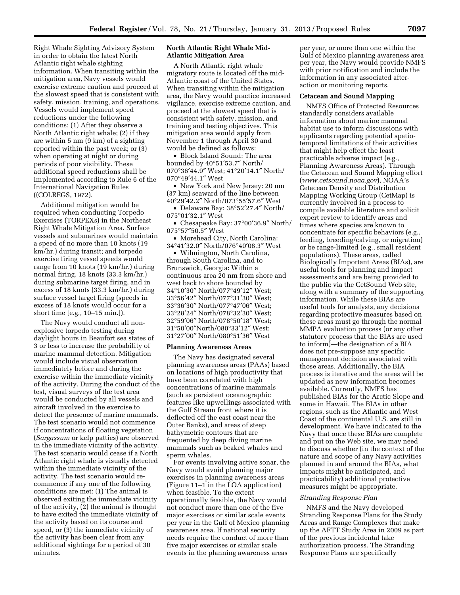Right Whale Sighting Advisory System in order to obtain the latest North Atlantic right whale sighting information. When transiting within the mitigation area, Navy vessels would exercise extreme caution and proceed at the slowest speed that is consistent with safety, mission, training, and operations. Vessels would implement speed reductions under the following conditions: (1) After they observe a North Atlantic right whale; (2) if they are within 5 nm (9 km) of a sighting reported within the past week; or (3) when operating at night or during periods of poor visibility. These additional speed reductions shall be implemented according to Rule 6 of the International Navigation Rules ((COLREGS, 1972).

Additional mitigation would be required when conducting Torpedo Exercises (TORPEXs) in the Northeast Right Whale Mitigation Area. Surface vessels and submarines would maintain a speed of no more than 10 knots (19 km/hr.) during transit; and torpedo exercise firing vessel speeds would range from 10 knots (19 km/hr.) during normal firing, 18 knots (33.3 km/hr.) during submarine target firing, and in excess of 18 knots (33.3 km/hr.) during surface vessel target firing (speeds in excess of 18 knots would occur for a short time [e.g., 10–15 min.]).

The Navy would conduct all nonexplosive torpedo testing during daylight hours in Beaufort sea states of 3 or less to increase the probability of marine mammal detection. Mitigation would include visual observation immediately before and during the exercise within the immediate vicinity of the activity. During the conduct of the test, visual surveys of the test area would be conducted by all vessels and aircraft involved in the exercise to detect the presence of marine mammals. The test scenario would not commence if concentrations of floating vegetation (*Sargassum* or kelp patties) are observed in the immediate vicinity of the activity. The test scenario would cease if a North Atlantic right whale is visually detected within the immediate vicinity of the activity. The test scenario would recommence if any one of the following conditions are met: (1) The animal is observed exiting the immediate vicinity of the activity, (2) the animal is thought to have exited the immediate vicinity of the activity based on its course and speed, or (3) the immediate vicinity of the activity has been clear from any additional sightings for a period of 30 minutes.

## **North Atlantic Right Whale Mid-Atlantic Mitigation Area**

A North Atlantic right whale migratory route is located off the mid-Atlantic coast of the United States. When transiting within the mitigation area, the Navy would practice increased vigilance, exercise extreme caution, and proceed at the slowest speed that is consistent with safety, mission, and training and testing objectives. This mitigation area would apply from November 1 through April 30 and would be defined as follows:

• Block Island Sound: The area bounded by 40°51′53.7″ North/ 070°36′44.9″ West; 41°20′14.1″ North/ 070°49′44.1″ West

• New York and New Jersey: 20 nm (37 km) seaward of the line between 40°29′42.2″ North/073°55′57.6″ West

• Delaware Bay: 38°52′27.4″ North/ 075°01′32.1″ West

• Chesapeake Bay: 37°00′36.9″ North/ 075°57″50.5″ West

• Morehead City, North Carolina: 34°41′32.0″ North/076°40′08.3″ West

• Wilmington, North Carolina, through South Carolina, and to Brunswick, Georgia: Within a continuous area 20 nm from shore and west back to shore bounded by 34°10′30″ North/077°49′12″ West; 33°56′42″ North/077°31′30″ West; 33°36′30″ North/077°47′06″ West; 33°28′24″ North/078°32′30″ West; 32°59′06″ North/078°50′18″ West; 31°50′00″North/080°33′12″ West; 31°27′00″ North/080°51′36″ West

## **Planning Awareness Areas**

The Navy has designated several planning awareness areas (PAAs) based on locations of high productivity that have been correlated with high concentrations of marine mammals (such as persistent oceanographic features like upwellings associated with the Gulf Stream front where it is deflected off the east coast near the Outer Banks), and areas of steep bathymetric contours that are frequented by deep diving marine mammals such as beaked whales and sperm whales.

For events involving active sonar, the Navy would avoid planning major exercises in planning awareness areas (Figure 11–1 in the LOA application) when feasible. To the extent operationally feasible, the Navy would not conduct more than one of the five major exercises or similar scale events per year in the Gulf of Mexico planning awareness area. If national security needs require the conduct of more than five major exercises or similar scale events in the planning awareness areas

per year, or more than one within the Gulf of Mexico planning awareness area per year, the Navy would provide NMFS with prior notification and include the information in any associated afteraction or monitoring reports.

#### **Cetacean and Sound Mapping**

NMFS Office of Protected Resources standardly considers available information about marine mammal habitat use to inform discussions with applicants regarding potential spatiotemporal limitations of their activities that might help effect the least practicable adverse impact (e.g., Planning Awareness Areas). Through the Cetacean and Sound Mapping effort (*[www.cetsound.noaa.gov](http://www.cetsound.noaa.gov)*), NOAA's Cetacean Density and Distribution Mapping Working Group (CetMap) is currently involved in a process to compile available literature and solicit expert review to identify areas and times where species are known to concentrate for specific behaviors (e.g., feeding, breeding/calving, or migration) or be range-limited (e.g., small resident populations). These areas, called Biologically Important Areas (BIAs), are useful tools for planning and impact assessments and are being provided to the public via the CetSound Web site, along with a summary of the supporting information. While these BIAs are useful tools for analysts, any decisions regarding protective measures based on these areas must go through the normal MMPA evaluation process (or any other statutory process that the BIAs are used to inform)—the designation of a BIA does not pre-suppose any specific management decision associated with those areas. Additionally, the BIA process is iterative and the areas will be updated as new information becomes available. Currently, NMFS has published BIAs for the Arctic Slope and some in Hawaii. The BIAs in other regions, such as the Atlantic and West Coast of the continental U.S. are still in development. We have indicated to the Navy that once these BIAs are complete and put on the Web site, we may need to discuss whether (in the context of the nature and scope of any Navy activities planned in and around the BIAs, what impacts might be anticipated, and practicability) additional protective measures might be appropriate.

## *Stranding Response Plan*

NMFS and the Navy developed Stranding Response Plans for the Study Areas and Range Complexes that make up the AFTT Study Area in 2009 as part of the previous incidental take authorization process. The Stranding Response Plans are specifically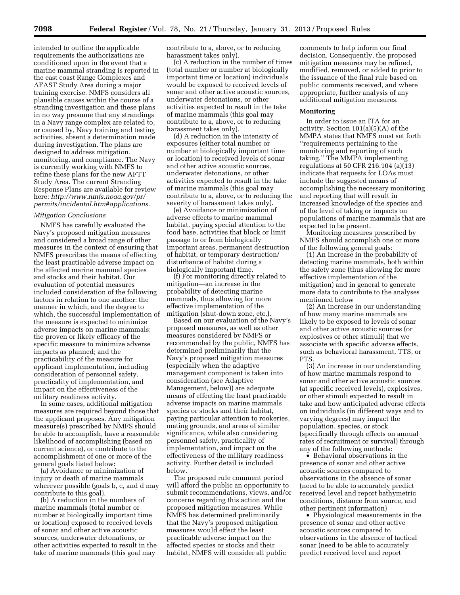intended to outline the applicable requirements the authorizations are conditioned upon in the event that a marine mammal stranding is reported in the east coast Range Complexes and AFAST Study Area during a major training exercise. NMFS considers all plausible causes within the course of a stranding investigation and these plans in no way presume that any strandings in a Navy range complex are related to, or caused by, Navy training and testing activities, absent a determination made during investigation. The plans are designed to address mitigation, monitoring, and compliance. The Navy is currently working with NMFS to refine these plans for the new AFTT Study Area. The current Stranding Response Plans are available for review here: *[http://www.nmfs.noaa.gov/pr/](http://www.nmfs.noaa.gov/pr/permits/incidental.htm#applications)  [permits/incidental.htm#applications](http://www.nmfs.noaa.gov/pr/permits/incidental.htm#applications)*.

# *Mitigation Conclusions*

NMFS has carefully evaluated the Navy's proposed mitigation measures and considered a broad range of other measures in the context of ensuring that NMFS prescribes the means of effecting the least practicable adverse impact on the affected marine mammal species and stocks and their habitat. Our evaluation of potential measures included consideration of the following factors in relation to one another: the manner in which, and the degree to which, the successful implementation of the measure is expected to minimize adverse impacts on marine mammals; the proven or likely efficacy of the specific measure to minimize adverse impacts as planned; and the practicability of the measure for applicant implementation, including consideration of personnel safety, practicality of implementation, and impact on the effectiveness of the military readiness activity.

In some cases, additional mitigation measures are required beyond those that the applicant proposes. Any mitigation measure(s) prescribed by NMFS should be able to accomplish, have a reasonable likelihood of accomplishing (based on current science), or contribute to the accomplishment of one or more of the general goals listed below:

(a) Avoidance or minimization of injury or death of marine mammals wherever possible (goals b, c, and d may contribute to this goal).

(b) A reduction in the numbers of marine mammals (total number or number at biologically important time or location) exposed to received levels of sonar and other active acoustic sources, underwater detonations, or other activities expected to result in the take of marine mammals (this goal may

contribute to a, above, or to reducing harassment takes only).

(c) A reduction in the number of times (total number or number at biologically important time or location) individuals would be exposed to received levels of sonar and other active acoustic sources, underwater detonations, or other activities expected to result in the take of marine mammals (this goal may contribute to a, above, or to reducing harassment takes only).

(d) A reduction in the intensity of exposures (either total number or number at biologically important time or location) to received levels of sonar and other active acoustic sources, underwater detonations, or other activities expected to result in the take of marine mammals (this goal may contribute to a, above, or to reducing the severity of harassment takes only).

(e) Avoidance or minimization of adverse effects to marine mammal habitat, paying special attention to the food base, activities that block or limit passage to or from biologically important areas, permanent destruction of habitat, or temporary destruction/ disturbance of habitat during a biologically important time.

(f) For monitoring directly related to mitigation—an increase in the probability of detecting marine mammals, thus allowing for more effective implementation of the mitigation (shut-down zone, etc.).

Based on our evaluation of the Navy's proposed measures, as well as other measures considered by NMFS or recommended by the public, NMFS has determined preliminarily that the Navy's proposed mitigation measures (especially when the adaptive management component is taken into consideration (see Adaptive Management, below)) are adequate means of effecting the least practicable adverse impacts on marine mammals species or stocks and their habitat, paying particular attention to rookeries, mating grounds, and areas of similar significance, while also considering personnel safety, practicality of implementation, and impact on the effectiveness of the military readiness activity. Further detail is included below.

The proposed rule comment period will afford the public an opportunity to submit recommendations, views, and/or concerns regarding this action and the proposed mitigation measures. While NMFS has determined preliminarily that the Navy's proposed mitigation measures would effect the least practicable adverse impact on the affected species or stocks and their habitat, NMFS will consider all public

comments to help inform our final decision. Consequently, the proposed mitigation measures may be refined, modified, removed, or added to prior to the issuance of the final rule based on public comments received, and where appropriate, further analysis of any additional mitigation measures.

## **Monitoring**

In order to issue an ITA for an activity, Section 101(a)(5)(A) of the MMPA states that NMFS must set forth ''requirements pertaining to the monitoring and reporting of such taking.'' The MMPA implementing regulations at 50 CFR 216.104 (a)(13) indicate that requests for LOAs must include the suggested means of accomplishing the necessary monitoring and reporting that will result in increased knowledge of the species and of the level of taking or impacts on populations of marine mammals that are expected to be present.

Monitoring measures prescribed by NMFS should accomplish one or more of the following general goals:

(1) An increase in the probability of detecting marine mammals, both within the safety zone (thus allowing for more effective implementation of the mitigation) and in general to generate more data to contribute to the analyses mentioned below

(2) An increase in our understanding of how many marine mammals are likely to be exposed to levels of sonar and other active acoustic sources (or explosives or other stimuli) that we associate with specific adverse effects, such as behavioral harassment, TTS, or PTS.

(3) An increase in our understanding of how marine mammals respond to sonar and other active acoustic sources (at specific received levels), explosives, or other stimuli expected to result in take and how anticipated adverse effects on individuals (in different ways and to varying degrees) may impact the population, species, or stock (specifically through effects on annual rates of recruitment or survival) through any of the following methods:

• Behavioral observations in the presence of sonar and other active acoustic sources compared to observations in the absence of sonar (need to be able to accurately predict received level and report bathymetric conditions, distance from source, and other pertinent information)

• Physiological measurements in the presence of sonar and other active acoustic sources compared to observations in the absence of tactical sonar (need to be able to accurately predict received level and report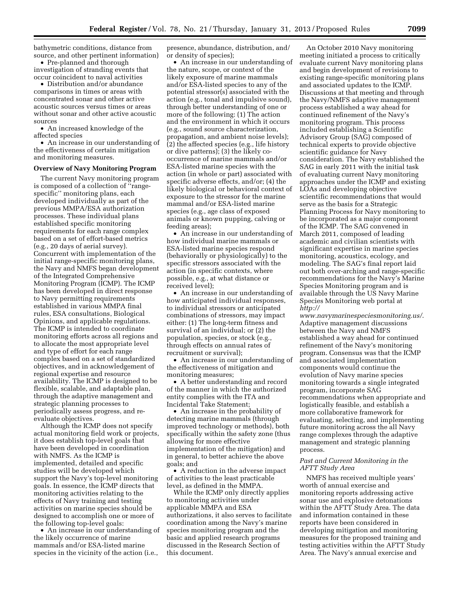bathymetric conditions, distance from source, and other pertinent information) • Pre-planned and thorough

investigation of stranding events that occur coincident to naval activities

• Distribution and/or abundance comparisons in times or areas with concentrated sonar and other active acoustic sources versus times or areas without sonar and other active acoustic sources

• An increased knowledge of the affected species

• An increase in our understanding of the effectiveness of certain mitigation and monitoring measures.

## **Overview of Navy Monitoring Program**

The current Navy monitoring program is composed of a collection of ''rangespecific'' monitoring plans, each developed individually as part of the previous MMPA/ESA authorization processes. These individual plans established specific monitoring requirements for each range complex based on a set of effort-based metrics (e.g., 20 days of aerial survey). Concurrent with implementation of the initial range-specific monitoring plans, the Navy and NMFS began development of the Integrated Comprehensive Monitoring Program (ICMP). The ICMP has been developed in direct response to Navy permitting requirements established in various MMPA final rules, ESA consultations, Biological Opinions, and applicable regulations. The ICMP is intended to coordinate monitoring efforts across all regions and to allocate the most appropriate level and type of effort for each range complex based on a set of standardized objectives, and in acknowledgement of regional expertise and resource availability. The ICMP is designed to be flexible, scalable, and adaptable plan, through the adaptive management and strategic planning processes to periodically assess progress, and reevaluate objectives.

Although the ICMP does not specify actual monitoring field work or projects, it does establish top-level goals that have been developed in coordination with NMFS. As the ICMP is implemented, detailed and specific studies will be developed which support the Navy's top-level monitoring goals. In essence, the ICMP directs that monitoring activities relating to the effects of Navy training and testing activities on marine species should be designed to accomplish one or more of the following top-level goals:

• An increase in our understanding of the likely occurrence of marine mammals and/or ESA-listed marine species in the vicinity of the action (i.e.,

presence, abundance, distribution, and/ or density of species);

• An increase in our understanding of the nature, scope, or context of the likely exposure of marine mammals and/or ESA-listed species to any of the potential stressor(s) associated with the action (e.g., tonal and impulsive sound), through better understanding of one or more of the following: (1) The action and the environment in which it occurs (e.g., sound source characterization, propagation, and ambient noise levels); (2) the affected species (e.g., life history or dive patterns); (3) the likely cooccurrence of marine mammals and/or ESA-listed marine species with the action (in whole or part) associated with specific adverse effects, and/or; (4) the likely biological or behavioral context of exposure to the stressor for the marine mammal and/or ESA-listed marine species (e.g., age class of exposed animals or known pupping, calving or feeding areas);

• An increase in our understanding of how individual marine mammals or ESA-listed marine species respond (behaviorally or physiologically) to the specific stressors associated with the action (in specific contexts, where possible, e.g., at what distance or received level);

• An increase in our understanding of how anticipated individual responses, to individual stressors or anticipated combinations of stressors, may impact either: (1) The long-term fitness and survival of an individual; or (2) the population, species, or stock (e.g., through effects on annual rates of recruitment or survival);

• An increase in our understanding of the effectiveness of mitigation and monitoring measures;

• A better understanding and record of the manner in which the authorized entity complies with the ITA and Incidental Take Statement;

• An increase in the probability of detecting marine mammals (through improved technology or methods), both specifically within the safety zone (thus allowing for more effective implementation of the mitigation) and in general, to better achieve the above goals; and

• A reduction in the adverse impact of activities to the least practicable level, as defined in the MMPA.

While the ICMP only directly applies to monitoring activities under applicable MMPA and ESA authorizations, it also serves to facilitate coordination among the Navy's marine species monitoring program and the basic and applied research programs discussed in the Research Section of this document.

An October 2010 Navy monitoring meeting initiated a process to critically evaluate current Navy monitoring plans and begin development of revisions to existing range-specific monitoring plans and associated updates to the ICMP. Discussions at that meeting and through the Navy/NMFS adaptive management process established a way ahead for continued refinement of the Navy's monitoring program. This process included establishing a Scientific Advisory Group (SAG) composed of technical experts to provide objective scientific guidance for Navy consideration. The Navy established the SAG in early 2011 with the initial task of evaluating current Navy monitoring approaches under the ICMP and existing LOAs and developing objective scientific recommendations that would serve as the basis for a Strategic Planning Process for Navy monitoring to be incorporated as a major component of the ICMP. The SAG convened in March 2011, composed of leading academic and civilian scientists with significant expertise in marine species monitoring, acoustics, ecology, and modeling. The SAG's final report laid out both over-arching and range-specific recommendations for the Navy's Marine Species Monitoring program and is available through the US Navy Marine Species Monitoring web portal at *[http://](http://www.navymarinespeciesmonitoring.us/)* 

*[www.navymarinespeciesmonitoring.us/](http://www.navymarinespeciesmonitoring.us/)*. Adaptive management discussions between the Navy and NMFS established a way ahead for continued refinement of the Navy's monitoring program. Consensus was that the ICMP and associated implementation components would continue the evolution of Navy marine species monitoring towards a single integrated program, incorporate SAG recommendations when appropriate and logistically feasible, and establish a more collaborative framework for evaluating, selecting, and implementing future monitoring across the all Navy range complexes through the adaptive management and strategic planning process.

## *Past and Current Monitoring in the AFTT Study Area*

NMFS has received multiple years' worth of annual exercise and monitoring reports addressing active sonar use and explosive detonations within the AFTT Study Area. The data and information contained in these reports have been considered in developing mitigation and monitoring measures for the proposed training and testing activities within the AFTT Study Area. The Navy's annual exercise and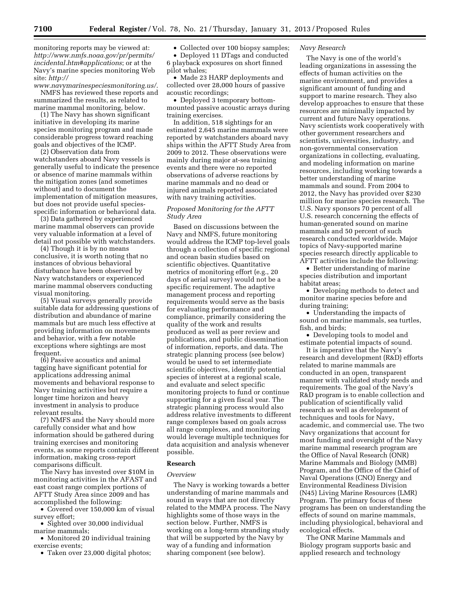monitoring reports may be viewed at: *[http://www.nmfs.noaa.gov/pr/permits/](http://www.nmfs.noaa.gov/pr/permits/incidental.htm#applications)  [incidental.htm#applications](http://www.nmfs.noaa.gov/pr/permits/incidental.htm#applications)*; or at the Navy's marine species monitoring Web site: *[http://](http://www.navymarinespeciesmonitoring.us/)* 

*[www.navymarinespeciesmonitoring.us/](http://www.navymarinespeciesmonitoring.us/)*. NMFS has reviewed these reports and summarized the results, as related to marine mammal monitoring, below.

(1) The Navy has shown significant initiative in developing its marine species monitoring program and made considerable progress toward reaching goals and objectives of the ICMP.

(2) Observation data from watchstanders aboard Navy vessels is generally useful to indicate the presence or absence of marine mammals within the mitigation zones (and sometimes without) and to document the implementation of mitigation measures, but does not provide useful speciesspecific information or behavioral data.

(3) Data gathered by experienced marine mammal observers can provide very valuable information at a level of detail not possible with watchstanders.

(4) Though it is by no means conclusive, it is worth noting that no instances of obvious behavioral disturbance have been observed by Navy watchstanders or experienced marine mammal observers conducting visual monitoring.

(5) Visual surveys generally provide suitable data for addressing questions of distribution and abundance of marine mammals but are much less effective at providing information on movements and behavior, with a few notable exceptions where sightings are most frequent.

(6) Passive acoustics and animal tagging have significant potential for applications addressing animal movements and behavioral response to Navy training activities but require a longer time horizon and heavy investment in analysis to produce relevant results.

(7) NMFS and the Navy should more carefully consider what and how information should be gathered during training exercises and monitoring events, as some reports contain different information, making cross-report comparisons difficult.

The Navy has invested over \$10M in monitoring activities in the AFAST and east coast range complex portions of AFTT Study Area since 2009 and has accomplished the following:

• Covered over 150,000 km of visual survey effort;

• Sighted over 30,000 individual marine mammals;

• Monitored 20 individual training exercise events;

• Taken over 23,000 digital photos;

• Collected over 100 biopsy samples;

• Deployed 11 DTags and conducted 6 playback exposures on short finned pilot whales;

• Made 23 HARP deployments and collected over 28,000 hours of passive acoustic recordings;

• Deployed 3 temporary bottommounted passive acoustic arrays during training exercises.

In addition, 518 sightings for an estimated 2,645 marine mammals were reported by watchstanders aboard navy ships within the AFTT Study Area from 2009 to 2012. These observations were mainly during major at-sea training events and there were no reported observations of adverse reactions by marine mammals and no dead or injured animals reported associated with navy training activities.

# *Proposed Monitoring for the AFTT Study Area*

Based on discussions between the Navy and NMFS, future monitoring would address the ICMP top-level goals through a collection of specific regional and ocean basin studies based on scientific objectives. Quantitative metrics of monitoring effort (e.g., 20 days of aerial survey) would not be a specific requirement. The adaptive management process and reporting requirements would serve as the basis for evaluating performance and compliance, primarily considering the quality of the work and results produced as well as peer review and publications, and public dissemination of information, reports, and data. The strategic planning process (see below) would be used to set intermediate scientific objectives, identify potential species of interest at a regional scale, and evaluate and select specific monitoring projects to fund or continue supporting for a given fiscal year. The strategic planning process would also address relative investments to different range complexes based on goals across all range complexes, and monitoring would leverage multiple techniques for data acquisition and analysis whenever possible.

# **Research**

# *Overview*

The Navy is working towards a better understanding of marine mammals and sound in ways that are not directly related to the MMPA process. The Navy highlights some of those ways in the section below. Further, NMFS is working on a long-term stranding study that will be supported by the Navy by way of a funding and information sharing component (see below).

# *Navy Research*

The Navy is one of the world's leading organizations in assessing the effects of human activities on the marine environment, and provides a significant amount of funding and support to marine research. They also develop approaches to ensure that these resources are minimally impacted by current and future Navy operations. Navy scientists work cooperatively with other government researchers and scientists, universities, industry, and non-governmental conservation organizations in collecting, evaluating, and modeling information on marine resources, including working towards a better understanding of marine mammals and sound. From 2004 to 2012, the Navy has provided over \$230 million for marine species research. The U.S. Navy sponsors 70 percent of all U.S. research concerning the effects of human-generated sound on marine mammals and 50 percent of such research conducted worldwide. Major topics of Navy-supported marine species research directly applicable to AFTT activities include the following:

• Better understanding of marine species distribution and important habitat areas;

• Developing methods to detect and monitor marine species before and during training;

• Understanding the impacts of sound on marine mammals, sea turtles, fish, and birds;

• Developing tools to model and estimate potential impacts of sound.

It is imperative that the Navy's research and development (R&D) efforts related to marine mammals are conducted in an open, transparent manner with validated study needs and requirements. The goal of the Navy's R&D program is to enable collection and publication of scientifically valid research as well as development of techniques and tools for Navy, academic, and commercial use. The two Navy organizations that account for most funding and oversight of the Navy marine mammal research program are the Office of Naval Research (ONR) Marine Mammals and Biology (MMB) Program, and the Office of the Chief of Naval Operations (CNO) Energy and Environmental Readiness Division (N45) Living Marine Resources (LMR) Program. The primary focus of these programs has been on understanding the effects of sound on marine mammals, including physiological, behavioral and ecological effects.

The ONR Marine Mammals and Biology program supports basic and applied research and technology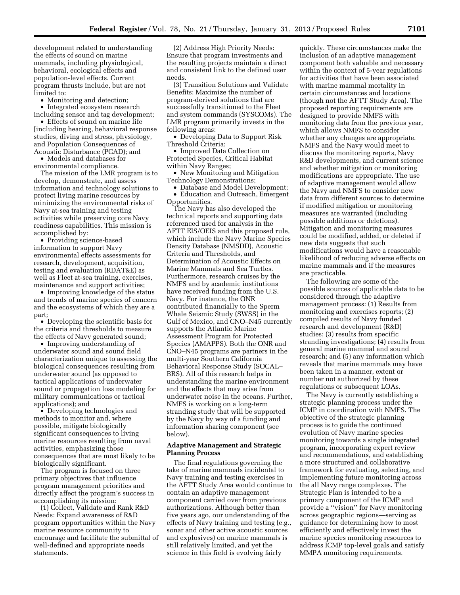development related to understanding the effects of sound on marine mammals, including physiological, behavioral, ecological effects and population-level effects. Current program thrusts include, but are not limited to:

• Monitoring and detection;

• Integrated ecosystem research including sensor and tag development;

• Effects of sound on marine life [including hearing, behavioral response studies, diving and stress, physiology, and Population Consequences of Acoustic Disturbance (PCAD); and

• Models and databases for environmental compliance.

The mission of the LMR program is to develop, demonstrate, and assess information and technology solutions to protect living marine resources by minimizing the environmental risks of Navy at-sea training and testing activities while preserving core Navy readiness capabilities. This mission is accomplished by:

• Providing science-based information to support Navy environmental effects assessments for research, development, acquisition, testing and evaluation (RDAT&E) as well as Fleet at-sea training, exercises, maintenance and support activities;

• Improving knowledge of the status and trends of marine species of concern and the ecosystems of which they are a part;

• Developing the scientific basis for the criteria and thresholds to measure the effects of Navy generated sound;

• Improving understanding of underwater sound and sound field characterization unique to assessing the biological consequences resulting from underwater sound (as opposed to tactical applications of underwater sound or propagation loss modeling for military communications or tactical applications); and

• Developing technologies and methods to monitor and, where possible, mitigate biologically significant consequences to living marine resources resulting from naval activities, emphasizing those consequences that are most likely to be biologically significant.

The program is focused on three primary objectives that influence program management priorities and directly affect the program's success in accomplishing its mission:

(1) Collect, Validate and Rank R&D Needs: Expand awareness of R&D program opportunities within the Navy marine resource community to encourage and facilitate the submittal of well-defined and appropriate needs statements.

(2) Address High Priority Needs: Ensure that program investments and the resulting projects maintain a direct and consistent link to the defined user needs.

(3) Transition Solutions and Validate Benefits: Maximize the number of program-derived solutions that are successfully transitioned to the Fleet and system commands (SYSCOMs). The LMR program primarily invests in the following areas:

• Developing Data to Support Risk Threshold Criteria;

• Improved Data Collection on Protected Species, Critical Habitat within Navy Ranges;

• New Monitoring and Mitigation Technology Demonstrations;

• Database and Model Development;

• Education and Outreach, Emergent Opportunities.

The Navy has also developed the technical reports and supporting data referenced used for analysis in the AFTT EIS/OEIS and this proposed rule, which include the Navy Marine Species Density Database (NMSDD), Acoustic Criteria and Thresholds, and Determination of Acoustic Effects on Marine Mammals and Sea Turtles. Furthermore, research cruises by the NMFS and by academic institutions have received funding from the U.S. Navy. For instance, the ONR contributed financially to the Sperm Whale Seismic Study (SWSS) in the Gulf of Mexico, and CNO–N45 currently supports the Atlantic Marine Assessment Program for Protected Species (AMAPPS). Both the ONR and CNO–N45 programs are partners in the multi-year Southern California Behavioral Response Study (SOCAL– BRS). All of this research helps in understanding the marine environment and the effects that may arise from underwater noise in the oceans. Further, NMFS is working on a long-term stranding study that will be supported by the Navy by way of a funding and information sharing component (see below).

# **Adaptive Management and Strategic Planning Process**

The final regulations governing the take of marine mammals incidental to Navy training and testing exercises in the AFTT Study Area would continue to contain an adaptive management component carried over from previous authorizations. Although better than five years ago, our understanding of the effects of Navy training and testing (e.g., sonar and other active acoustic sources and explosives) on marine mammals is still relatively limited, and yet the science in this field is evolving fairly

quickly. These circumstances make the inclusion of an adaptive management component both valuable and necessary within the context of 5-year regulations for activities that have been associated with marine mammal mortality in certain circumstances and locations (though not the AFTT Study Area). The proposed reporting requirements are designed to provide NMFS with monitoring data from the previous year, which allows NMFS to consider whether any changes are appropriate. NMFS and the Navy would meet to discuss the monitoring reports, Navy R&D developments, and current science and whether mitigation or monitoring modifications are appropriate. The use of adaptive management would allow the Navy and NMFS to consider new data from different sources to determine if modified mitigation or monitoring measures are warranted (including possible additions or deletions). Mitigation and monitoring measures could be modified, added, or deleted if new data suggests that such modifications would have a reasonable likelihood of reducing adverse effects on marine mammals and if the measures are practicable.

The following are some of the possible sources of applicable data to be considered through the adaptive management process: (1) Results from monitoring and exercises reports; (2) compiled results of Navy funded research and development (R&D) studies; (3) results from specific stranding investigations; (4) results from general marine mammal and sound research; and (5) any information which reveals that marine mammals may have been taken in a manner, extent or number not authorized by these regulations or subsequent LOAs.

The Navy is currently establishing a strategic planning process under the ICMP in coordination with NMFS. The objective of the strategic planning process is to guide the continued evolution of Navy marine species monitoring towards a single integrated program, incorporating expert review and recommendations, and establishing a more structured and collaborative framework for evaluating, selecting, and implementing future monitoring across the all Navy range complexes. The Strategic Plan is intended to be a primary component of the ICMP and provide a ''vision'' for Navy monitoring across geographic regions—serving as guidance for determining how to most efficiently and effectively invest the marine species monitoring resources to address ICMP top-level goals and satisfy MMPA monitoring requirements.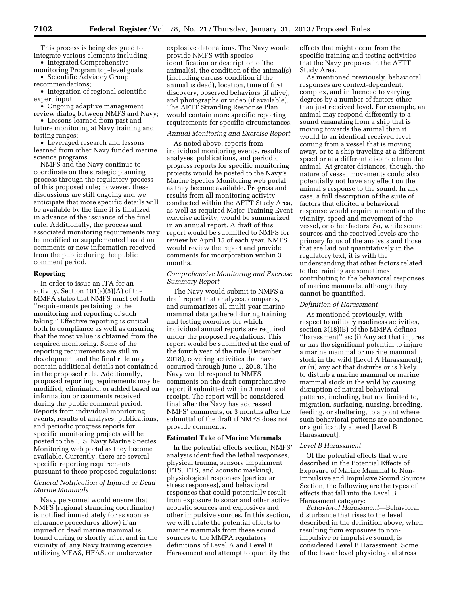This process is being designed to integrate various elements including:

• Integrated Comprehensive monitoring Program top-level goals;

• Scientific Advisory Group recommendations;

• Integration of regional scientific expert input;

• Ongoing adaptive management review dialog between NMFS and Navy;

• Lessons learned from past and future monitoring at Navy training and testing ranges;

• Leveraged research and lessons learned from other Navy funded marine science programs

NMFS and the Navy continue to coordinate on the strategic planning process through the regulatory process of this proposed rule; however, these discussions are still ongoing and we anticipate that more specific details will be available by the time it is finalized in advance of the issuance of the final rule. Additionally, the process and associated monitoring requirements may be modified or supplemented based on comments or new information received from the public during the public comment period.

# **Reporting**

In order to issue an ITA for an activity, Section 101(a)(5)(A) of the MMPA states that NMFS must set forth ''requirements pertaining to the monitoring and reporting of such taking.'' Effective reporting is critical both to compliance as well as ensuring that the most value is obtained from the required monitoring. Some of the reporting requirements are still in development and the final rule may contain additional details not contained in the proposed rule. Additionally, proposed reporting requirements may be modified, eliminated, or added based on information or comments received during the public comment period. Reports from individual monitoring events, results of analyses, publications, and periodic progress reports for specific monitoring projects will be posted to the U.S. Navy Marine Species Monitoring web portal as they become available. Currently, there are several specific reporting requirements pursuant to these proposed regulations:

# *General Notification of Injured or Dead Marine Mammals*

Navy personnel would ensure that NMFS (regional stranding coordinator) is notified immediately (or as soon as clearance procedures allow) if an injured or dead marine mammal is found during or shortly after, and in the vicinity of, any Navy training exercise utilizing MFAS, HFAS, or underwater

explosive detonations. The Navy would provide NMFS with species identification or description of the animal(s), the condition of the animal(s) (including carcass condition if the animal is dead), location, time of first discovery, observed behaviors (if alive), and photographs or video (if available). The AFTT Stranding Response Plan would contain more specific reporting requirements for specific circumstances.

#### *Annual Monitoring and Exercise Report*

As noted above, reports from individual monitoring events, results of analyses, publications, and periodic progress reports for specific monitoring projects would be posted to the Navy's Marine Species Monitoring web portal as they become available. Progress and results from all monitoring activity conducted within the AFTT Study Area, as well as required Major Training Event exercise activity, would be summarized in an annual report. A draft of this report would be submitted to NMFS for review by April 15 of each year. NMFS would review the report and provide comments for incorporation within 3 months.

# *Comprehensive Monitoring and Exercise Summary Report*

The Navy would submit to NMFS a draft report that analyzes, compares, and summarizes all multi-year marine mammal data gathered during training and testing exercises for which individual annual reports are required under the proposed regulations. This report would be submitted at the end of the fourth year of the rule (December 2018), covering activities that have occurred through June 1, 2018. The Navy would respond to NMFS comments on the draft comprehensive report if submitted within 3 months of receipt. The report will be considered final after the Navy has addressed NMFS' comments, or 3 months after the submittal of the draft if NMFS does not provide comments.

## **Estimated Take of Marine Mammals**

In the potential effects section, NMFS' analysis identified the lethal responses, physical trauma, sensory impairment (PTS, TTS, and acoustic masking), physiological responses (particular stress responses), and behavioral responses that could potentially result from exposure to sonar and other active acoustic sources and explosives and other impulsive sources. In this section, we will relate the potential effects to marine mammals from these sound sources to the MMPA regulatory definitions of Level A and Level B Harassment and attempt to quantify the

effects that might occur from the specific training and testing activities that the Navy proposes in the AFTT Study Area.

As mentioned previously, behavioral responses are context-dependent, complex, and influenced to varying degrees by a number of factors other than just received level. For example, an animal may respond differently to a sound emanating from a ship that is moving towards the animal than it would to an identical received level coming from a vessel that is moving away, or to a ship traveling at a different speed or at a different distance from the animal. At greater distances, though, the nature of vessel movements could also potentially not have any effect on the animal's response to the sound. In any case, a full description of the suite of factors that elicited a behavioral response would require a mention of the vicinity, speed and movement of the vessel, or other factors. So, while sound sources and the received levels are the primary focus of the analysis and those that are laid out quantitatively in the regulatory text, it is with the understanding that other factors related to the training are sometimes contributing to the behavioral responses of marine mammals, although they cannot be quantified.

## *Definition of Harassment*

As mentioned previously, with respect to military readiness activities, section 3(18)(B) of the MMPA defines ''harassment'' as: (i) Any act that injures or has the significant potential to injure a marine mammal or marine mammal stock in the wild [Level A Harassment]; or (ii) any act that disturbs or is likely to disturb a marine mammal or marine mammal stock in the wild by causing disruption of natural behavioral patterns, including, but not limited to, migration, surfacing, nursing, breeding, feeding, or sheltering, to a point where such behavioral patterns are abandoned or significantly altered [Level B Harassment].

#### *Level B Harassment*

Of the potential effects that were described in the Potential Effects of Exposure of Marine Mammal to Non-Impulsive and Impulsive Sound Sources Section, the following are the types of effects that fall into the Level B Harassment category:

*Behavioral Harassment*—Behavioral disturbance that rises to the level described in the definition above, when resulting from exposures to nonimpulsive or impulsive sound, is considered Level B Harassment. Some of the lower level physiological stress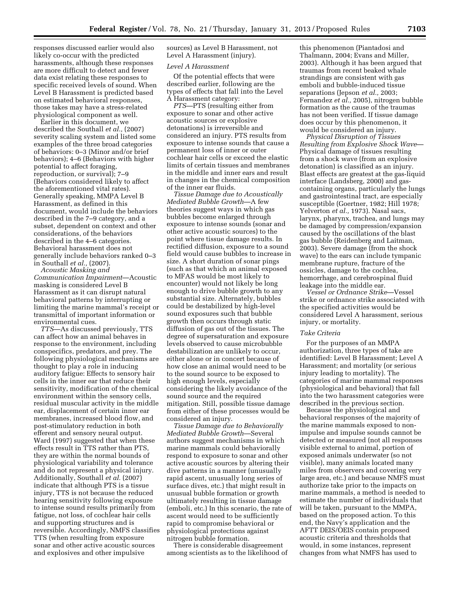responses discussed earlier would also likely co-occur with the predicted harassments, although these responses are more difficult to detect and fewer data exist relating these responses to specific received levels of sound. When Level B Harassment is predicted based on estimated behavioral responses, those takes may have a stress-related physiological component as well.

Earlier in this document, we described the Southall *et al.,* (2007) severity scaling system and listed some examples of the three broad categories of behaviors: 0–3 (Minor and/or brief behaviors); 4–6 (Behaviors with higher potential to affect foraging, reproduction, or survival); 7–9 (Behaviors considered likely to affect the aforementioned vital rates). Generally speaking, MMPA Level B Harassment, as defined in this document, would include the behaviors described in the 7–9 category, and a subset, dependent on context and other considerations, of the behaviors described in the 4–6 categories. Behavioral harassment does not generally include behaviors ranked 0–3 in Southall *et al.,* (2007).

*Acoustic Masking and Communication Impairment*—Acoustic masking is considered Level B Harassment as it can disrupt natural behavioral patterns by interrupting or limiting the marine mammal's receipt or transmittal of important information or environmental cues.

*TTS*—As discussed previously, TTS can affect how an animal behaves in response to the environment, including conspecifics, predators, and prey. The following physiological mechanisms are thought to play a role in inducing auditory fatigue: Effects to sensory hair cells in the inner ear that reduce their sensitivity, modification of the chemical environment within the sensory cells, residual muscular activity in the middle ear, displacement of certain inner ear membranes, increased blood flow, and post-stimulatory reduction in both efferent and sensory neural output. Ward (1997) suggested that when these effects result in TTS rather than PTS, they are within the normal bounds of physiological variability and tolerance and do not represent a physical injury. Additionally, Southall *et al.* (2007) indicate that although PTS is a tissue injury, TTS is not because the reduced hearing sensitivity following exposure to intense sound results primarily from fatigue, not loss, of cochlear hair cells and supporting structures and is reversible. Accordingly, NMFS classifies TTS (when resulting from exposure sonar and other active acoustic sources and explosives and other impulsive

sources) as Level B Harassment, not Level A Harassment (injury).

#### *Level A Harassment*

Of the potential effects that were described earlier, following are the types of effects that fall into the Level A Harassment category:

*PTS*—PTS (resulting either from exposure to sonar and other active acoustic sources or explosive detonations) is irreversible and considered an injury. PTS results from exposure to intense sounds that cause a permanent loss of inner or outer cochlear hair cells or exceed the elastic limits of certain tissues and membranes in the middle and inner ears and result in changes in the chemical composition of the inner ear fluids.

*Tissue Damage due to Acoustically Mediated Bubble Growth*—A few theories suggest ways in which gas bubbles become enlarged through exposure to intense sounds (sonar and other active acoustic sources) to the point where tissue damage results. In rectified diffusion, exposure to a sound field would cause bubbles to increase in size. A short duration of sonar pings (such as that which an animal exposed to MFAS would be most likely to encounter) would not likely be long enough to drive bubble growth to any substantial size. Alternately, bubbles could be destabilized by high-level sound exposures such that bubble growth then occurs through static diffusion of gas out of the tissues. The degree of supersaturation and exposure levels observed to cause microbubble destabilization are unlikely to occur, either alone or in concert because of how close an animal would need to be to the sound source to be exposed to high enough levels, especially considering the likely avoidance of the sound source and the required mitigation. Still, possible tissue damage from either of these processes would be considered an injury.

*Tissue Damage due to Behaviorally Mediated Bubble Growth*—Several authors suggest mechanisms in which marine mammals could behaviorally respond to exposure to sonar and other active acoustic sources by altering their dive patterns in a manner (unusually rapid ascent, unusually long series of surface dives, etc.) that might result in unusual bubble formation or growth ultimately resulting in tissue damage (emboli, etc.) In this scenario, the rate of ascent would need to be sufficiently rapid to compromise behavioral or physiological protections against nitrogen bubble formation.

There is considerable disagreement among scientists as to the likelihood of

this phenomenon (Piantadosi and Thalmann, 2004; Evans and Miller, 2003). Although it has been argued that traumas from recent beaked whale strandings are consistent with gas emboli and bubble-induced tissue separations (Jepson *et al.,* 2003; Fernandez *et al.,* 2005), nitrogen bubble formation as the cause of the traumas has not been verified. If tissue damage does occur by this phenomenon, it would be considered an injury.

*Physical Disruption of Tissues Resulting from Explosive Shock Wave*— Physical damage of tissues resulting from a shock wave (from an explosive detonation) is classified as an injury. Blast effects are greatest at the gas-liquid interface (Landsberg, 2000) and gascontaining organs, particularly the lungs and gastrointestinal tract, are especially susceptible (Goertner, 1982; Hill 1978; Yelverton *et al.,* 1973). Nasal sacs, larynx, pharynx, trachea, and lungs may be damaged by compression/expansion caused by the oscillations of the blast gas bubble (Reidenberg and Laitman, 2003). Severe damage (from the shock wave) to the ears can include tympanic membrane rupture, fracture of the ossicles, damage to the cochlea, hemorrhage, and cerebrospinal fluid leakage into the middle ear.

*Vessel or Ordnance Strike*—Vessel strike or ordnance strike associated with the specified activities would be considered Level A harassment, serious injury, or mortality.

## *Take Criteria*

For the purposes of an MMPA authorization, three types of take are identified: Level B Harassment; Level A Harassment; and mortality (or serious injury leading to mortality). The categories of marine mammal responses (physiological and behavioral) that fall into the two harassment categories were described in the previous section.

Because the physiological and behavioral responses of the majority of the marine mammals exposed to nonimpulse and impulse sounds cannot be detected or measured (not all responses visible external to animal, portion of exposed animals underwater (so not visible), many animals located many miles from observers and covering very large area, etc.) and because NMFS must authorize take prior to the impacts on marine mammals, a method is needed to estimate the number of individuals that will be taken, pursuant to the MMPA, based on the proposed action. To this end, the Navy's application and the AFTT DEIS/OEIS contain proposed acoustic criteria and thresholds that would, in some instances, represent changes from what NMFS has used to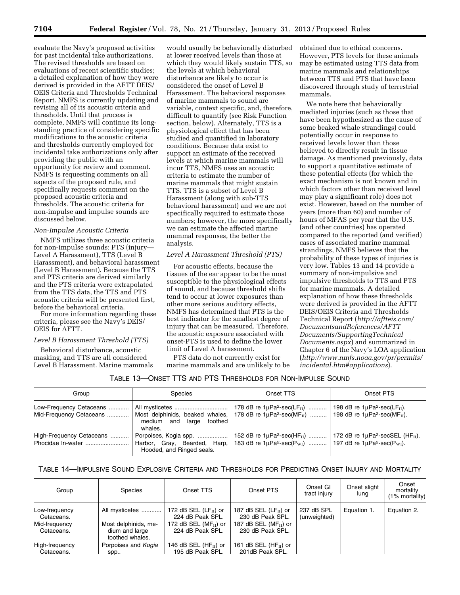evaluate the Navy's proposed activities for past incidental take authorizations. The revised thresholds are based on evaluations of recent scientific studies; a detailed explanation of how they were derived is provided in the AFTT DEIS/ OEIS Criteria and Thresholds Technical Report. NMFS is currently updating and revising all of its acoustic criteria and thresholds. Until that process is complete, NMFS will continue its longstanding practice of considering specific modifications to the acoustic criteria and thresholds currently employed for incidental take authorizations only after providing the public with an opportunity for review and comment. NMFS is requesting comments on all aspects of the proposed rule, and specifically requests comment on the proposed acoustic criteria and thresholds. The acoustic criteria for non-impulse and impulse sounds are discussed below.

# *Non-Impulse Acoustic Criteria*

NMFS utilizes three acoustic criteria for non-impulse sounds: PTS (injury— Level A Harassment), TTS (Level B Harassment), and behavioral harassment (Level B Harassment). Because the TTS and PTS criteria are derived similarly and the PTS criteria were extrapolated from the TTS data, the TTS and PTS acoustic criteria will be presented first, before the behavioral criteria.

For more information regarding these criteria, please see the Navy's DEIS/ OEIS for AFTT.

## *Level B Harassment Threshold (TTS)*

Behavioral disturbance, acoustic masking, and TTS are all considered Level B Harassment. Marine mammals

would usually be behaviorally disturbed at lower received levels than those at which they would likely sustain TTS, so the levels at which behavioral disturbance are likely to occur is considered the onset of Level B Harassment. The behavioral responses of marine mammals to sound are variable, context specific, and, therefore, difficult to quantify (see Risk Function section, below). Alternately, TTS is a physiological effect that has been studied and quantified in laboratory conditions. Because data exist to support an estimate of the received levels at which marine mammals will incur TTS, NMFS uses an acoustic criteria to estimate the number of marine mammals that might sustain TTS. TTS is a subset of Level B Harassment (along with sub-TTS behavioral harassment) and we are not specifically required to estimate those numbers; however, the more specifically we can estimate the affected marine mammal responses, the better the analysis.

# *Level A Harassment Threshold (PTS)*

For acoustic effects, because the tissues of the ear appear to be the most susceptible to the physiological effects of sound, and because threshold shifts tend to occur at lower exposures than other more serious auditory effects, NMFS has determined that PTS is the best indicator for the smallest degree of injury that can be measured. Therefore, the acoustic exposure associated with onset-PTS is used to define the lower limit of Level A harassment.

PTS data do not currently exist for marine mammals and are unlikely to be obtained due to ethical concerns. However, PTS levels for these animals may be estimated using TTS data from marine mammals and relationships between TTS and PTS that have been discovered through study of terrestrial mammals.

We note here that behaviorally mediated injuries (such as those that have been hypothesized as the cause of some beaked whale strandings) could potentially occur in response to received levels lower than those believed to directly result in tissue damage. As mentioned previously, data to support a quantitative estimate of these potential effects (for which the exact mechanism is not known and in which factors other than received level may play a significant role) does not exist. However, based on the number of years (more than 60) and number of hours of MFAS per year that the U.S. (and other countries) has operated compared to the reported (and verified) cases of associated marine mammal strandings, NMFS believes that the probability of these types of injuries is very low. Tables 13 and 14 provide a summary of non-impulsive and impulsive thresholds to TTS and PTS for marine mammals. A detailed explanation of how these thresholds were derived is provided in the AFTT DEIS/OEIS Criteria and Thresholds Technical Report (*[http://aftteis.com/](http://aftteis.com/DocumentsandReferences/AFTTDocuments/SupportingTechnicalDocuments.aspx)  [DocumentsandReferences/AFTT](http://aftteis.com/DocumentsandReferences/AFTTDocuments/SupportingTechnicalDocuments.aspx) [Documents/SupportingTechnical](http://aftteis.com/DocumentsandReferences/AFTTDocuments/SupportingTechnicalDocuments.aspx) [Documents.aspx](http://aftteis.com/DocumentsandReferences/AFTTDocuments/SupportingTechnicalDocuments.aspx)*) and summarized in Chapter 6 of the Navy's LOA application (*[http://www.nmfs.noaa.gov/pr/permits/](http://www.nmfs.noaa.gov/pr/permits/incidental.htm#applications) [incidental.htm#applications](http://www.nmfs.noaa.gov/pr/permits/incidental.htm#applications)*).

## TABLE 13—ONSET TTS AND PTS THRESHOLDS FOR NON-IMPULSE SOUND

| Group                    | <b>Species</b>                                        | Onset TTS                                                                                                                                                                                                                                                                               | Onset PTS |
|--------------------------|-------------------------------------------------------|-----------------------------------------------------------------------------------------------------------------------------------------------------------------------------------------------------------------------------------------------------------------------------------------|-----------|
| Low-Frequency Cetaceans  | All mysticetes<br>medium and large toothed<br>whales. | 178 dB re 1µPa <sup>2</sup> -sec(LF <sub>II</sub> )    198 dB re 1µPa <sup>2</sup> -sec(LF <sub>II</sub> ).<br>Mid-Frequency Cetaceans    Most delphinids, beaked whales,   178 dB re 1uPa <sup>2</sup> -sec(MF <sub>II</sub> )    198 dB re 1uPa <sup>2</sup> -sec(MF <sub>II</sub> ). |           |
| High-Frequency Cetaceans | Hooded, and Ringed seals.                             | Harbor, Gray, Bearded, Harp, 183 dB re $1\mu$ Pa <sup>2</sup> -sec(P <sub>W1</sub> )  197 dB re $1\mu$ Pa <sup>2</sup> -sec(P <sub>W1</sub> ).                                                                                                                                          |           |

# TABLE 14—IMPULSIVE SOUND EXPLOSIVE CRITERIA AND THRESHOLDS FOR PREDICTING ONSET INJURY AND MORTALITY

| Group                                                      | <b>Species</b>                                                              | Onset TTS                                                                                            | Onset PTS                                                                                            | Onset GI<br>tract injury   | Onset slight<br>lung | Onset<br>mortality<br>$(1\%$ mortality) |
|------------------------------------------------------------|-----------------------------------------------------------------------------|------------------------------------------------------------------------------------------------------|------------------------------------------------------------------------------------------------------|----------------------------|----------------------|-----------------------------------------|
| Low-frequency<br>Cetaceans.<br>Mid-frequency<br>Cetaceans. | All mysticetes<br>Most delphinids, me-<br>dium and large<br>toothed whales. | 172 dB SEL $(LFII)$ or<br>224 dB Peak SPL.<br>172 dB SEL (MF $_{\text{II}}$ ) or<br>224 dB Peak SPL. | 187 dB SEL $(LFII)$ or<br>230 dB Peak SPL.<br>187 dB SEL (MF $_{\text{II}}$ ) or<br>230 dB Peak SPL. | 237 dB SPL<br>(unweighted) | Equation 1.          | Equation 2.                             |
| High-frequency<br>Cetaceans.                               | Porpoises and Kogia<br>spp                                                  | 146 dB SEL (HF $_{\text{II}}$ ) or<br>195 dB Peak SPL.                                               | 161 dB SEL (HF $_{\text{II}}$ ) or<br>201dB Peak SPL.                                                |                            |                      |                                         |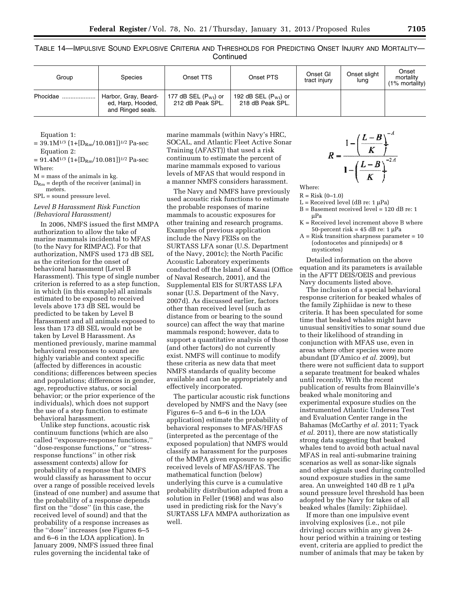TABLE 14—IMPULSIVE SOUND EXPLOSIVE CRITERIA AND THRESHOLDS FOR PREDICTING ONSET INJURY AND MORTALITY— **Continued** 

| Group    | Species                                                        | Onset TTS                                           | Onset PTS                                           | Onset GI<br>tract injury | Onset slight<br>lung | Onset<br>mortality<br>$(1\%$ mortality) |
|----------|----------------------------------------------------------------|-----------------------------------------------------|-----------------------------------------------------|--------------------------|----------------------|-----------------------------------------|
| Phocidae | Harbor, Gray, Beard-<br>ed, Harp, Hooded,<br>and Ringed seals. | 177 dB SEL $(P_{\text{WI}})$ or<br>212 dB Peak SPL. | 192 dB SEL $(P_{\text{WI}})$ or<br>218 dB Peak SPL. |                          |                      |                                         |

Equation 1:

 $= 39.1M^{1/3} (1+[D<sub>Rm</sub>/10.081])^{1/2}$  Pa-sec Equation 2:

 $= 91.4M^{1/3} (1+[D<sub>Rm</sub>/10.081])^{1/2}$  Pa-sec Where:

 $M =$  mass of the animals in kg.

 $D_{Rm}$  = depth of the receiver (animal) in meters.

SPL = sound pressure level.

# *Level B Harassment Risk Function (Behavioral Harassment)*

In 2006, NMFS issued the first MMPA authorization to allow the take of marine mammals incidental to MFAS (to the Navy for RIMPAC). For that authorization, NMFS used 173 dB SEL as the criterion for the onset of behavioral harassment (Level B Harassment). This type of single number criterion is referred to as a step function, in which (in this example) all animals estimated to be exposed to received levels above 173 dB SEL would be predicted to be taken by Level B Harassment and all animals exposed to less than 173 dB SEL would not be taken by Level B Harassment. As mentioned previously, marine mammal behavioral responses to sound are highly variable and context specific (affected by differences in acoustic conditions; differences between species and populations; differences in gender, age, reproductive status, or social behavior; or the prior experience of the individuals), which does not support the use of a step function to estimate behavioral harassment.

Unlike step functions, acoustic risk continuum functions (which are also called ''exposure-response functions,'' ''dose-response functions,'' or ''stressresponse functions'' in other risk assessment contexts) allow for probability of a response that NMFS would classify as harassment to occur over a range of possible received levels (instead of one number) and assume that the probability of a response depends first on the ''dose'' (in this case, the received level of sound) and that the probability of a response increases as the ''dose'' increases (see Figures 6–5 and 6–6 in the LOA application). In January 2009, NMFS issued three final rules governing the incidental take of

marine mammals (within Navy's HRC, SOCAL, and Atlantic Fleet Active Sonar Training (AFAST)) that used a risk continuum to estimate the percent of marine mammals exposed to various levels of MFAS that would respond in a manner NMFS considers harassment.

The Navy and NMFS have previously used acoustic risk functions to estimate the probable responses of marine mammals to acoustic exposures for other training and research programs. Examples of previous application include the Navy FEISs on the SURTASS LFA sonar (U.S. Department of the Navy, 2001c); the North Pacific Acoustic Laboratory experiments conducted off the Island of Kauai (Office of Naval Research, 2001), and the Supplemental EIS for SURTASS LFA sonar (U.S. Department of the Navy, 2007d). As discussed earlier, factors other than received level (such as distance from or bearing to the sound source) can affect the way that marine mammals respond; however, data to support a quantitative analysis of those (and other factors) do not currently exist. NMFS will continue to modify these criteria as new data that meet NMFS standards of quality become available and can be appropriately and effectively incorporated.

The particular acoustic risk functions developed by NMFS and the Navy (see Figures 6–5 and 6–6 in the LOA application) estimate the probability of behavioral responses to MFAS/HFAS (interpreted as the percentage of the exposed population) that NMFS would classify as harassment for the purposes of the MMPA given exposure to specific received levels of MFAS/HFAS. The mathematical function (below) underlying this curve is a cumulative probability distribution adapted from a solution in Feller (1968) and was also used in predicting risk for the Navy's SURTASS LFA MMPA authorization as well.

$$
R = \frac{1 - \left(\frac{L - B}{K}\right)^{-A}}{1 - \left(\frac{L - B}{K}\right)^{-2A}}
$$

Where:

 $R = Risk (0-1.0)$ 

- $L =$  Received level (dB re: 1  $\mu$ Pa)
- B = Basement received level = 120 dB re: 1 uPa
- K = Received level increment above B where 50-percent risk =  $45$  dB re: 1  $\mu$ Pa
- $A = Ris\hat{k}$  transition sharpness parameter = 10 (odontocetes and pinnipeds) or 8 mysticetes)

Detailed information on the above equation and its parameters is available in the AFTT DEIS/OEIS and previous Navy documents listed above.

The inclusion of a special behavioral response criterion for beaked whales of the family Ziphiidae is new to these criteria. It has been speculated for some time that beaked whales might have unusual sensitivities to sonar sound due to their likelihood of stranding in conjunction with MFAS use, even in areas where other species were more abundant (D'Amico *et al.* 2009), but there were not sufficient data to support a separate treatment for beaked whales until recently. With the recent publication of results from Blainville's beaked whale monitoring and experimental exposure studies on the instrumented Atlantic Undersea Test and Evaluation Center range in the Bahamas (McCarthy *et al.* 2011; Tyack *et al.* 2011), there are now statistically strong data suggesting that beaked whales tend to avoid both actual naval MFAS in real anti-submarine training scenarios as well as sonar-like signals and other signals used during controlled sound exposure studies in the same area. An unweighted 140 dB re 1 µPa sound pressure level threshold has been adopted by the Navy for takes of all beaked whales (family: Ziphiidae).

If more than one impulsive event involving explosives (i.e., not pile driving) occurs within any given 24 hour period within a training or testing event, criteria are applied to predict the number of animals that may be taken by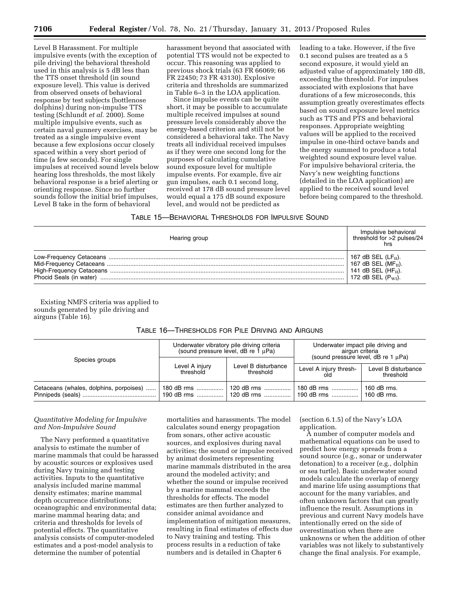Level B Harassment. For multiple impulsive events (with the exception of pile driving) the behavioral threshold used in this analysis is 5 dB less than the TTS onset threshold (in sound exposure level). This value is derived from observed onsets of behavioral response by test subjects (bottlenose dolphins) during non-impulse TTS testing (Schlundt *et al.* 2000). Some multiple impulsive events, such as certain naval gunnery exercises, may be treated as a single impulsive event because a few explosions occur closely spaced within a very short period of time (a few seconds). For single impulses at received sound levels below hearing loss thresholds, the most likely behavioral response is a brief alerting or orienting response. Since no further sounds follow the initial brief impulses, Level B take in the form of behavioral

harassment beyond that associated with potential TTS would not be expected to occur. This reasoning was applied to previous shock trials (63 FR 66069; 66 FR 22450; 73 FR 43130). Explosive criteria and thresholds are summarized in Table 6–3 in the LOA application.

Since impulse events can be quite short, it may be possible to accumulate multiple received impulses at sound pressure levels considerably above the energy-based criterion and still not be considered a behavioral take. The Navy treats all individual received impulses as if they were one second long for the purposes of calculating cumulative sound exposure level for multiple impulse events. For example, five air gun impulses, each 0.1 second long, received at 178 dB sound pressure level would equal a 175 dB sound exposure level, and would not be predicted as

leading to a take. However, if the five 0.1 second pulses are treated as a 5 second exposure, it would yield an adjusted value of approximately 180 dB, exceeding the threshold. For impulses associated with explosions that have durations of a few microseconds, this assumption greatly overestimates effects based on sound exposure level metrics such as TTS and PTS and behavioral responses. Appropriate weighting values will be applied to the received impulse in one-third octave bands and the energy summed to produce a total weighted sound exposure level value. For impulsive behavioral criteria, the Navy's new weighting functions (detailed in the LOA application) are applied to the received sound level before being compared to the threshold.

## TABLE 15—BEHAVIORAL THRESHOLDS FOR IMPULSIVE SOUND

| Hearing group | Impulsive behavioral<br>threshold for >2 pulses/24<br>hrs |
|---------------|-----------------------------------------------------------|
|               | 167 dB SEL $(LFII)$ .                                     |
|               | 167 dB SEL (MF $_{\text{II}}$ ).                          |
|               | 141 dB SEL $(HFII)$ .                                     |
|               | 172 dB SEL $(P_{\rm WI})$ .                               |

Existing NMFS criteria was applied to sounds generated by pile driving and airguns (Table 16).

| Species groups                          | (sound pressure level, dB re $\bar{1}$ µPa) | Underwater vibratory pile driving criteria | Underwater impact pile driving and<br>airgun criteria<br>(sound pressure level, $dB$ re 1 $\mu$ Pa) |                                  |  |
|-----------------------------------------|---------------------------------------------|--------------------------------------------|-----------------------------------------------------------------------------------------------------|----------------------------------|--|
|                                         | Level A injury<br>threshold                 | Level B disturbance<br>threshold           | Level A injury thresh-<br>old                                                                       | Level B disturbance<br>threshold |  |
| Cetaceans (whales, dolphins, porpoises) | 180 dB rms                                  | 120 dB rms                                 | $180$ dB rms<br>  190 dB rms   120 dB rms   190 dB rms   160 dB rms.                                | 160 dB rms.                      |  |

# TABLE 16—THRESHOLDS FOR PILE DRIVING AND AIRGUNS

# *Quantitative Modeling for Impulsive and Non-Impulsive Sound*

The Navy performed a quantitative analysis to estimate the number of marine mammals that could be harassed by acoustic sources or explosives used during Navy training and testing activities. Inputs to the quantitative analysis included marine mammal density estimates; marine mammal depth occurrence distributions; oceanographic and environmental data; marine mammal hearing data; and criteria and thresholds for levels of potential effects. The quantitative analysis consists of computer-modeled estimates and a post-model analysis to determine the number of potential

mortalities and harassments. The model calculates sound energy propagation from sonars, other active acoustic sources, and explosives during naval activities; the sound or impulse received by animat dosimeters representing marine mammals distributed in the area around the modeled activity; and whether the sound or impulse received by a marine mammal exceeds the thresholds for effects. The model estimates are then further analyzed to consider animal avoidance and implementation of mitigation measures, resulting in final estimates of effects due to Navy training and testing. This process results in a reduction of take numbers and is detailed in Chapter 6

(section 6.1.5) of the Navy's LOA application.

A number of computer models and mathematical equations can be used to predict how energy spreads from a sound source (e.g., sonar or underwater detonation) to a receiver (e.g., dolphin or sea turtle). Basic underwater sound models calculate the overlap of energy and marine life using assumptions that account for the many variables, and often unknown factors that can greatly influence the result. Assumptions in previous and current Navy models have intentionally erred on the side of overestimation when there are unknowns or when the addition of other variables was not likely to substantively change the final analysis. For example,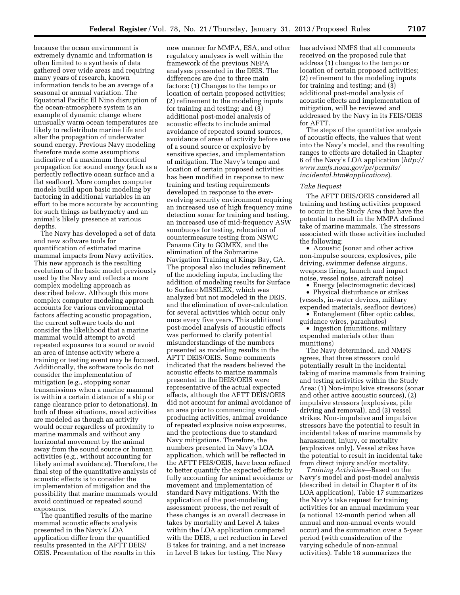because the ocean environment is extremely dynamic and information is often limited to a synthesis of data gathered over wide areas and requiring many years of research, known information tends to be an average of a seasonal or annual variation. The Equatorial Pacific El Nino disruption of the ocean-atmosphere system is an example of dynamic change where unusually warm ocean temperatures are likely to redistribute marine life and alter the propagation of underwater sound energy. Previous Navy modeling therefore made some assumptions indicative of a maximum theoretical propagation for sound energy (such as a perfectly reflective ocean surface and a flat seafloor). More complex computer models build upon basic modeling by factoring in additional variables in an effort to be more accurate by accounting for such things as bathymetry and an animal's likely presence at various depths.

The Navy has developed a set of data and new software tools for quantification of estimated marine mammal impacts from Navy activities. This new approach is the resulting evolution of the basic model previously used by the Navy and reflects a more complex modeling approach as described below. Although this more complex computer modeling approach accounts for various environmental factors affecting acoustic propagation, the current software tools do not consider the likelihood that a marine mammal would attempt to avoid repeated exposures to a sound or avoid an area of intense activity where a training or testing event may be focused. Additionally, the software tools do not consider the implementation of mitigation (e.g., stopping sonar transmissions when a marine mammal is within a certain distance of a ship or range clearance prior to detonations). In both of these situations, naval activities are modeled as though an activity would occur regardless of proximity to marine mammals and without any horizontal movement by the animal away from the sound source or human activities (e.g., without accounting for likely animal avoidance). Therefore, the final step of the quantitative analysis of acoustic effects is to consider the implementation of mitigation and the possibility that marine mammals would avoid continued or repeated sound exposures.

The quantified results of the marine mammal acoustic effects analysis presented in the Navy's LOA application differ from the quantified results presented in the AFTT DEIS/ OEIS. Presentation of the results in this

new manner for MMPA, ESA, and other regulatory analyses is well within the framework of the previous NEPA analyses presented in the DEIS. The differences are due to three main factors: (1) Changes to the tempo or location of certain proposed activities; (2) refinement to the modeling inputs for training and testing; and (3) additional post-model analysis of acoustic effects to include animal avoidance of repeated sound sources, avoidance of areas of activity before use of a sound source or explosive by sensitive species, and implementation of mitigation. The Navy's tempo and location of certain proposed activities has been modified in response to new training and testing requirements developed in response to the everevolving security environment requiring an increased use of high frequency mine detection sonar for training and testing, an increased use of mid-frequency ASW sonobuoys for testing, relocation of countermeasure testing from NSWC Panama City to GOMEX, and the elimination of the Submarine Navigation Training at Kings Bay, GA. The proposal also includes refinement of the modeling inputs, including the addition of modeling results for Surface to Surface MISSILEX, which was analyzed but not modeled in the DEIS, and the elimination of over-calculation for several activities which occur only once every five years. This additional post-model analysis of acoustic effects was performed to clarify potential misunderstandings of the numbers presented as modeling results in the AFTT DEIS/OEIS. Some comments indicated that the readers believed the acoustic effects to marine mammals presented in the DEIS/OEIS were representative of the actual expected effects, although the AFTT DEIS/OEIS did not account for animal avoidance of an area prior to commencing soundproducing activities, animal avoidance of repeated explosive noise exposures, and the protections due to standard Navy mitigations. Therefore, the numbers presented in Navy's LOA application, which will be reflected in the AFTT FEIS/OEIS, have been refined to better quantify the expected effects by fully accounting for animal avoidance or movement and implementation of standard Navy mitigations. With the application of the post-modeling assessment process, the net result of these changes is an overall decrease in takes by mortality and Level A takes within the LOA application compared with the DEIS, a net reduction in Level B takes for training, and a net increase in Level B takes for testing. The Navy

has advised NMFS that all comments received on the proposed rule that address (1) changes to the tempo or location of certain proposed activities; (2) refinement to the modeling inputs for training and testing; and (3) additional post-model analysis of acoustic effects and implementation of mitigation, will be reviewed and addressed by the Navy in its FEIS/OEIS for AFTT.

The steps of the quantitative analysis of acoustic effects, the values that went into the Navy's model, and the resulting ranges to effects are detailed in Chapter 6 of the Navy's LOA application (*[http://](http://www.nmfs.noaa.gov/pr/permits/incidental.htm#applications)  [www.nmfs.noaa.gov/pr/permits/](http://www.nmfs.noaa.gov/pr/permits/incidental.htm#applications) [incidental.htm#applications](http://www.nmfs.noaa.gov/pr/permits/incidental.htm#applications)*).

## *Take Request*

The AFTT DEIS/OEIS considered all training and testing activities proposed to occur in the Study Area that have the potential to result in the MMPA defined take of marine mammals. The stressors associated with these activities included the following:

• Acoustic (sonar and other active non-impulse sources, explosives, pile driving, swimmer defense airguns, weapons firing, launch and impact noise, vessel noise, aircraft noise)

• Energy (electromagnetic devices)

• Physical disturbance or strikes (vessels, in-water devices, military expended materials, seafloor devices)

• Entanglement (fiber optic cables, guidance wires, parachutes)

• Ingestion (munitions, military expended materials other than munitions)

The Navy determined, and NMFS agrees, that three stressors could potentially result in the incidental taking of marine mammals from training and testing activities within the Study Area: (1) Non-impulsive stressors (sonar and other active acoustic sources), (2) impulsive stressors (explosives, pile driving and removal), and (3) vessel strikes. Non-impulsive and impulsive stressors have the potential to result in incidental takes of marine mammals by harassment, injury, or mortality (explosives only). Vessel strikes have the potential to result in incidental take from direct injury and/or mortality.

*Training Activities*—Based on the Navy's model and post-model analysis (described in detail in Chapter 6 of its LOA application), Table 17 summarizes the Navy's take request for training activities for an annual maximum year (a notional 12-month period when all annual and non-annual events would occur) and the summation over a 5-year period (with consideration of the varying schedule of non-annual activities). Table 18 summarizes the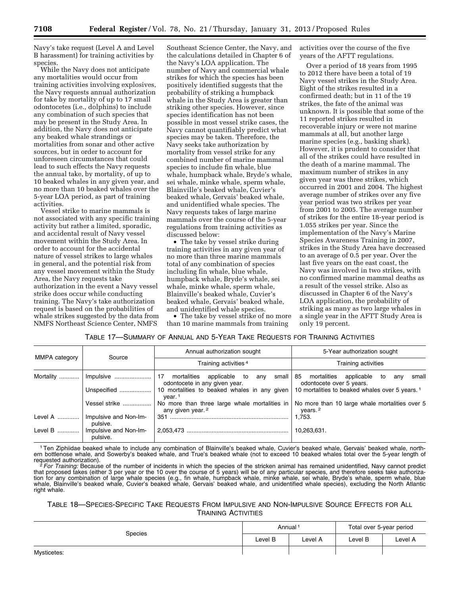Navy's take request (Level A and Level B harassment) for training activities by species.

While the Navy does not anticipate any mortalities would occur from training activities involving explosives, the Navy requests annual authorization for take by mortality of up to 17 small odontocetes (i.e., dolphins) to include any combination of such species that may be present in the Study Area. In addition, the Navy does not anticipate any beaked whale strandings or mortalities from sonar and other active sources, but in order to account for unforeseen circumstances that could lead to such effects the Navy requests the annual take, by mortality, of up to 10 beaked whales in any given year, and no more than 10 beaked whales over the 5-year LOA period, as part of training activities.

Vessel strike to marine mammals is not associated with any specific training activity but rather a limited, sporadic, and accidental result of Navy vessel movement within the Study Area. In order to account for the accidental nature of vessel strikes to large whales in general, and the potential risk from any vessel movement within the Study Area, the Navy requests take authorization in the event a Navy vessel strike does occur while conducting training. The Navy's take authorization request is based on the probabilities of whale strikes suggested by the data from NMFS Northeast Science Center, NMFS

Southeast Science Center, the Navy, and the calculations detailed in Chapter 6 of the Navy's LOA application. The number of Navy and commercial whale strikes for which the species has been positively identified suggests that the probability of striking a humpback whale in the Study Area is greater than striking other species. However, since species identification has not been possible in most vessel strike cases, the Navy cannot quantifiably predict what species may be taken. Therefore, the Navy seeks take authorization by mortality from vessel strike for any combined number of marine mammal species to include fin whale, blue whale, humpback whale, Bryde's whale, sei whale, minke whale, sperm whale, Blainville's beaked whale, Cuvier's beaked whale, Gervais' beaked whale, and unidentified whale species. The Navy requests takes of large marine mammals over the course of the 5-year regulations from training activities as discussed below:

• The take by vessel strike during training activities in any given year of no more than three marine mammals total of any combination of species including fin whale, blue whale, humpback whale, Bryde's whale, sei whale, minke whale, sperm whale, Blainville's beaked whale, Cuvier's beaked whale, Gervais' beaked whale, and unidentified whale species.

• The take by vessel strike of no more than 10 marine mammals from training

activities over the course of the five years of the AFTT regulations.

Over a period of 18 years from 1995 to 2012 there have been a total of 19 Navy vessel strikes in the Study Area. Eight of the strikes resulted in a confirmed death; but in 11 of the 19 strikes, the fate of the animal was unknown. It is possible that some of the 11 reported strikes resulted in recoverable injury or were not marine mammals at all, but another large marine species (e.g., basking shark). However, it is prudent to consider that all of the strikes could have resulted in the death of a marine mammal. The maximum number of strikes in any given year was three strikes, which occurred in 2001 and 2004. The highest average number of strikes over any five year period was two strikes per year from 2001 to 2005. The average number of strikes for the entire 18-year period is 1.055 strikes per year. Since the implementation of the Navy's Marine Species Awareness Training in 2007, strikes in the Study Area have decreased to an average of 0.5 per year. Over the last five years on the east coast, the Navy was involved in two strikes, with no confirmed marine mammal deaths as a result of the vessel strike. Also as discussed in Chapter 6 of the Navy's LOA application, the probability of striking as many as two large whales in a single year in the AFTT Study Area is only 19 percent.

# TABLE 17—SUMMARY OF ANNUAL AND 5-YEAR TAKE REQUESTS FOR TRAINING ACTIVITIES

|               |                                   | Annual authorization sought                                                                                                   | 5-Year authorization sought                                                                                                 |  |  |  |
|---------------|-----------------------------------|-------------------------------------------------------------------------------------------------------------------------------|-----------------------------------------------------------------------------------------------------------------------------|--|--|--|
| MMPA category | Source                            | Training activities <sup>4</sup>                                                                                              | Training activities                                                                                                         |  |  |  |
| Mortality     |                                   | mortalities applicable to any small 85 mortalities applicable to<br>17<br>odontocete in any given year.                       | small<br>anv<br>odontocete over 5 years.                                                                                    |  |  |  |
| Unspecified   |                                   | 10 mortalities to beaked whales in any given 10 mortalities to beaked whales over 5 years. <sup>1</sup><br>vear. <sup>1</sup> |                                                                                                                             |  |  |  |
|               | Vessel strike                     | any given year. 2                                                                                                             | No more than three large whale mortalities in $\vert$ No more than 10 large whale mortalities over 5<br>years. <sup>2</sup> |  |  |  |
| Level A       | Impulsive and Non-Im-<br>pulsive. |                                                                                                                               | 1.753.                                                                                                                      |  |  |  |
| Level B       | Impulsive and Non-Im-<br>pulsive. |                                                                                                                               | 10,263,631.                                                                                                                 |  |  |  |

1Ten Ziphiidae beaked whale to include any combination of Blainville's beaked whale, Cuvier's beaked whale, Gervais' beaked whale, northern bottlenose whale, and Sowerby's beaked whale, and True's beaked whale (not to exceed 10 beaked whales total over the 5-year length of<br>requested authorization).

<sup>2</sup> For Training: Because of the number of incidents in which the species of the stricken animal has remained unidentified, Navy cannot predict that proposed takes (either 3 per year or the 10 over the course of 5 years) will be of any particular species, and therefore seeks take authorization for any combination of large whale species (e.g., fin whale, humpback whale, minke whale, sei whale, Bryde's whale, sperm whale, blue whale, Blainville's beaked whale, Cuvier's beaked whale, Gervais' beaked whale, and unidentified whale species), excluding the North Atlantic right whale.

# TABLE 18—SPECIES-SPECIFIC TAKE REQUESTS FROM IMPULSIVE AND NON-IMPULSIVE SOURCE EFFECTS FOR ALL TRAINING ACTIVITIES

| <b>Species</b> | Annual <sup>1</sup> |         | Total over 5-year period |         |
|----------------|---------------------|---------|--------------------------|---------|
|                | Level B             | Level A | ∟evel B                  | Level A |
| Mysticetes:    |                     |         |                          |         |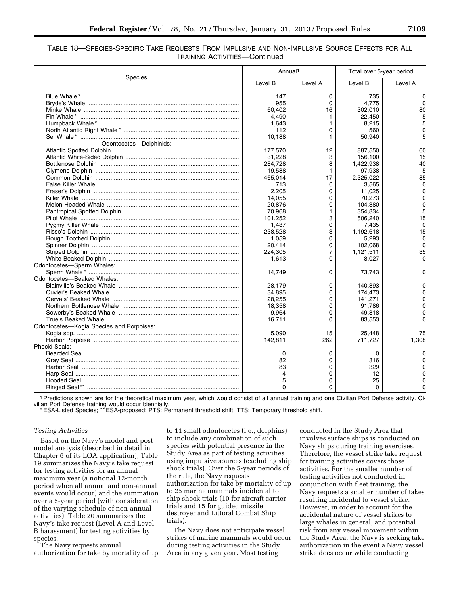# TABLE 18—SPECIES-SPECIFIC TAKE REQUESTS FROM IMPULSIVE AND NON-IMPULSIVE SOURCE EFFECTS FOR ALL TRAINING ACTIVITIES—Continued

|                                          | Annual <sup>1</sup> |         | Total over 5-year period |          |
|------------------------------------------|---------------------|---------|--------------------------|----------|
| <b>Species</b>                           | Level B             | Level A | Level B                  | Level A  |
|                                          | 147                 | 0       | 735                      | 0        |
|                                          | 955                 | 0       | 4,775                    | $\Omega$ |
|                                          | 60,402              | 16      | 302,010                  | 80       |
|                                          | 4.490               | 1.      | 22,450                   | 5        |
|                                          | 1,643               | 1       | 8,215                    | 5        |
|                                          | 112                 | 0       | 560                      | 0        |
|                                          | 10,188              | 1.      | 50,940                   | 5        |
| Odontocetes-Delphinids:                  |                     |         |                          |          |
|                                          | 177,570             | 12      | 887,550                  | 60       |
|                                          | 31,228              | 3       | 156,100                  | 15       |
|                                          | 284,728             | 8       | 1,422,938                | 40       |
|                                          | 19,588              | 1       | 97.938                   | 5        |
|                                          | 465,014             | 17      | 2,325,022                | 85       |
|                                          | 713                 | 0       | 3,565                    | $\Omega$ |
|                                          | 2.205               | 0       | 11,025                   | 0        |
|                                          |                     |         |                          | $\Omega$ |
|                                          | 14.055              | 0       | 70,273                   |          |
|                                          | 20,876              | 0       | 104,380                  | 0        |
|                                          | 70,968              | 1       | 354,834                  | 5        |
|                                          | 101,252             | 3       | 506.240                  | 15       |
|                                          | 1.487               | 0       | 7.435                    | 0        |
|                                          | 238,528             | 3       | 1,192,618                | 15       |
|                                          | 1,059               | 0       | 5,293                    | $\Omega$ |
|                                          | 20,414              | 0       | 102.068                  | 0        |
|                                          | 224.305             | 7       | 1,121,511                | 35       |
|                                          | 1,613               | 0       | 8,027                    | 0        |
| Odontocetes-Sperm Whales:                |                     |         |                          |          |
|                                          | 14.749              | 0       | 73.743                   | O        |
| Odontocetes-Beaked Whales:               |                     |         |                          |          |
|                                          | 28,179              | 0       | 140,893                  |          |
|                                          | 34,895              | 0       | 174,473                  |          |
|                                          | 28,255              | 0       | 141.271                  | o        |
|                                          | 18,358              | 0       | 91,786                   | 0        |
|                                          | 9,964               | 0       | 49,818                   | 0        |
|                                          | 16,711              | 0       | 83,553                   | 0        |
| Odontocetes-Kogia Species and Porpoises: |                     |         |                          |          |
|                                          | 5,090               | 15      | 25,448                   | 75       |
|                                          | 142,811             | 262     | 711,727                  | 1,308    |
| <b>Phocid Seals:</b>                     |                     |         |                          |          |
|                                          | 0                   | 0       | 0                        |          |
|                                          | 82                  | 0       | 316                      |          |
|                                          | 83                  | 0       | 329                      | 0        |
|                                          |                     |         |                          | o        |
|                                          | 4                   | 0       | 12                       |          |
|                                          | 5                   | 0       | 25                       | 0        |
|                                          | 0                   | 0       | $\Omega$                 | 0        |

1Predictions shown are for the theoretical maximum year, which would consist of all annual training and one Civilian Port Defense activity. Civilian Port Defense training would occur biennially. \* ESA-Listed Species; \*\* ESA-proposed; PTS: Permanent threshold shift; TTS: Temporary threshold shift.

## *Testing Activities*

Based on the Navy's model and postmodel analysis (described in detail in Chapter 6 of its LOA application), Table 19 summarizes the Navy's take request for testing activities for an annual maximum year (a notional 12-month period when all annual and non-annual events would occur) and the summation over a 5-year period (with consideration of the varying schedule of non-annual activities). Table 20 summarizes the Navy's take request (Level A and Level B harassment) for testing activities by species.

The Navy requests annual authorization for take by mortality of up to 11 small odontocetes (i.e., dolphins) to include any combination of such species with potential presence in the Study Area as part of testing activities using impulsive sources (excluding ship shock trials). Over the 5-year periods of the rule, the Navy requests authorization for take by mortality of up to 25 marine mammals incidental to ship shock trials (10 for aircraft carrier trials and 15 for guided missile destroyer and Littoral Combat Ship trials).

The Navy does not anticipate vessel strikes of marine mammals would occur during testing activities in the Study Area in any given year. Most testing

conducted in the Study Area that involves surface ships is conducted on Navy ships during training exercises. Therefore, the vessel strike take request for training activities covers those activities. For the smaller number of testing activities not conducted in conjunction with fleet training, the Navy requests a smaller number of takes resulting incidental to vessel strike. However, in order to account for the accidental nature of vessel strikes to large whales in general, and potential risk from any vessel movement within the Study Area, the Navy is seeking take authorization in the event a Navy vessel strike does occur while conducting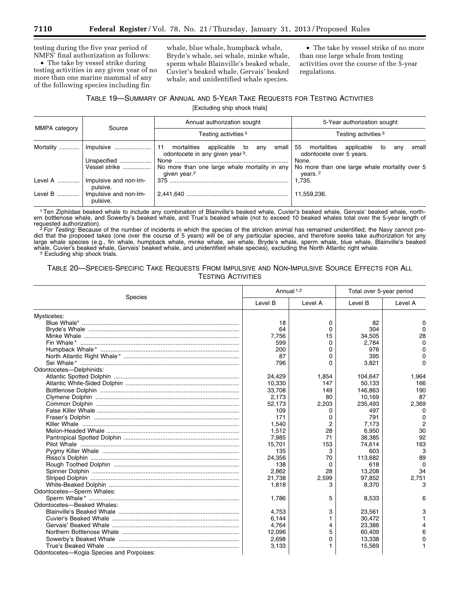testing during the five year period of NMFS' final authorization as follows:

• The take by vessel strike during testing activities in any given year of no more than one marine mammal of any of the following species including fin

whale, blue whale, humpback whale, Bryde's whale, sei whale, minke whale, sperm whale Blainville's beaked whale, Cuvier's beaked whale, Gervais' beaked whale, and unidentified whale species.

• The take by vessel strike of no more than one large whale from testing activities over the course of the 5-year regulations.

# TABLE 19—SUMMARY OF ANNUAL AND 5-YEAR TAKE REQUESTS FOR TESTING ACTIVITIES

[Excluding ship shock trials]

|               |                                   | Annual authorization sought                                                                       | 5-Year authorization sought                                                 |  |  |  |  |
|---------------|-----------------------------------|---------------------------------------------------------------------------------------------------|-----------------------------------------------------------------------------|--|--|--|--|
| MMPA category | Source                            | Testing activities <sup>3</sup>                                                                   | Testing activities <sup>3</sup>                                             |  |  |  |  |
|               |                                   | mortalities applicable to<br>small  <br>-11<br>any<br>odontocete in any given year <sup>3</sup> . | small<br>55 mortalities applicable<br>to<br>anv<br>odontocete over 5 years. |  |  |  |  |
|               | Unspecified                       |                                                                                                   | None.                                                                       |  |  |  |  |
|               | Vessel strike                     | No more than one large whale mortality in any<br>given year. <sup>2</sup>                         | No more than one large whale mortality over 5<br>years. <sup>2</sup>        |  |  |  |  |
| Level A       | Impulsive and non-Im-<br>pulsive. |                                                                                                   | 1.735.                                                                      |  |  |  |  |
| Level B       | Impulsive and non-Im-<br>pulsive. |                                                                                                   | 11.559.236.                                                                 |  |  |  |  |

1Ten Ziphiidae beaked whale to include any combination of Blainville's beaked whale, Cuvier's beaked whale, Gervais' beaked whale, northern bottlenose whale, and Sowerby's beaked whale, and True's beaked whale (not to exceed 10 beaked whales total over the 5-year length of<br>requested authorization).

requested authorization).<br><sup>2</sup> For Testing: Because of the number of incidents in which the species of the stricken animal has remained unidentified, the Navy cannot predict that the proposed takes (one over the course of 5 years) will be of any particular species, and therefore seeks take authorization for any large whale species (e.g., fin whale, humpback whale, minke whale, sei whale, Bryde's whale, sperm whale, blue whale, Blainville's beaked whale, Cuvier's beaked whale, Gervais' beaked whale, and unidentified whale species), excluding the North Atlantic right whale.<br><sup>3</sup> Excluding ship shock trials.

# TABLE 20—SPECIES-SPECIFIC TAKE REQUESTS FROM IMPULSIVE AND NON-IMPULSIVE SOURCE EFFECTS FOR ALL TESTING ACTIVITIES

|                                          | Annual <sup>1,2</sup> |         | Total over 5-year period |              |
|------------------------------------------|-----------------------|---------|--------------------------|--------------|
| Species                                  | Level B               | Level A | Level B                  | Level A      |
| Mysticetes:                              |                       |         |                          |              |
|                                          | 18                    | 0       | 82                       | 0            |
|                                          | 64                    | 0       | 304                      | <sup>0</sup> |
|                                          | 7,756                 | 15      | 34,505                   | 28           |
|                                          | 599                   | 0       | 2.784                    | $\Omega$     |
|                                          | 200                   | 0       | 976                      | 0            |
|                                          | 87                    | 0       | 395                      | 0            |
|                                          | 796                   | 0       | 3,821                    | 0            |
| Odontocetes-Delphinids:                  |                       |         |                          |              |
|                                          | 24,429                | 1,854   | 104,647                  | 1,964        |
|                                          | 10,330                | 147     | 50,133                   | 166          |
|                                          | 33,708                | 149     | 146,863                  | 190          |
|                                          | 2,173                 | 80      | 10,169                   | 87           |
|                                          | 52,173                | 2,203   | 235,493                  | 2,369        |
|                                          | 109                   | 0       | 497                      | 0            |
|                                          | 171                   | 0       | 791                      | 0            |
|                                          | 1.540                 | 2       | 7.173                    | 2            |
|                                          | 1,512                 | 28      | 6,950                    | 30           |
|                                          | 7,985                 | 71      | 38,385                   | 92           |
|                                          | 15,701                | 153     | 74,614                   | 163          |
|                                          | 135                   | 3       | 603                      | 3            |
|                                          | 24,356                | 70      | 113,682                  | 89           |
|                                          | 138                   | 0       | 618                      | $\Omega$     |
|                                          | 2,862                 | 28      | 13,208                   | 34           |
|                                          | 21.738                | 2,599   | 97.852                   | 2,751        |
|                                          | 1,818                 | 3       | 8,370                    | 3            |
| Odontocetes-Sperm Whales:                |                       |         |                          |              |
|                                          | 1.786                 | 5       | 8,533                    | 6            |
| Odontocetes-Beaked Whales:               |                       |         |                          |              |
|                                          | 4,753                 | 3       | 23,561                   | З            |
|                                          | 6,144                 |         | 30,472                   |              |
|                                          | 4,764                 | 4       | 23,388                   |              |
|                                          | 12,096                | 5       | 60,409                   | 6            |
|                                          | 2,698                 | 0       | 13,338                   |              |
|                                          | 3,133                 |         | 15,569                   |              |
| Odontocetes-Kogia Species and Porpoises: |                       |         |                          |              |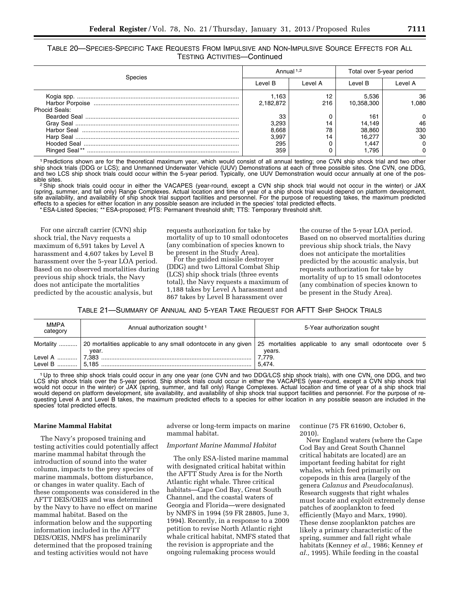TABLE 20—SPECIES-SPECIFIC TAKE REQUESTS FROM IMPULSIVE AND NON-IMPULSIVE SOURCE EFFECTS FOR ALL TESTING ACTIVITIES—Continued

|                      | Annual 1,2         |           | Total over 5-year period |            |  |
|----------------------|--------------------|-----------|--------------------------|------------|--|
| Species              | Level B            | Level A   | Level B                  | I evel A   |  |
|                      | 1.163<br>2,182,872 | 12<br>216 | 5.536<br>10,358,300      | 36<br>.080 |  |
| <b>Phocid Seals:</b> |                    |           |                          |            |  |
|                      | 33<br>3.293        | 14        | 161<br>14.149            | 46         |  |
| Harbor Seal          | 8,668              | 78        | 38,860                   | 330        |  |
|                      | 3.997              | 14        | 16.277                   | 30         |  |
| <b>Ringed Seal**</b> | 295<br>359         |           | 1.447<br>795،            |            |  |

1Predictions shown are for the theoretical maximum year, which would consist of all annual testing; one CVN ship shock trial and two other ship shock trials (DDG or LCS); and Unmanned Underwater Vehicle (UUV) Demonstrations at each of three possible sites. One CVN, one DDG, and two LCS ship shock trials could occur within the 5-year period. Typically, one UUV Demonstration would occur annually at one of the pos-

sible sites.<br><sup>2</sup>Ship shock trials could occur in either the VACAPES (year-round, except a CVN ship shock trial would not occur in the winter) or JAX (spring, summer, and fall only) Range Complexes. Actual location and time of year of a ship shock trial would depend on platform development, site availability, and availability of ship shock trial support facilities and personnel. For the purpose of requesting takes, the maximum predicted effects to a species for either location in any possible season are included in the species' total predicted effects.

\* ESA-Listed Species; \*\* ESA-proposed; PTS: Permanent threshold shift; TTS: Temporary threshold shift.

For one aircraft carrier (CVN) ship shock trial, the Navy requests a maximum of 6,591 takes by Level A harassment and 4,607 takes by Level B harassment over the 5-year LOA period. Based on no observed mortalities during previous ship shock trials, the Navy does not anticipate the mortalities predicted by the acoustic analysis, but

requests authorization for take by mortality of up to 10 small odontocetes (any combination of species known to be present in the Study Area).

For the guided missile destroyer (DDG) and two Littoral Combat Ship (LCS) ship shock trials (three events total), the Navy requests a maximum of 1,188 takes by Level A harassment and 867 takes by Level B harassment over

the course of the 5-year LOA period. Based on no observed mortalities during previous ship shock trials, the Navy does not anticipate the mortalities predicted by the acoustic analysis, but requests authorization for take by mortality of up to 15 small odontocetes (any combination of species known to be present in the Study Area).

TABLE 21—SUMMARY OF ANNUAL AND 5-YEAR TAKE REQUEST FOR AFTT SHIP SHOCK TRIALS

| <b>MMPA</b><br>category | Annual authorization sought <sup>1</sup>                                                                                                    | 5-Year authorization sought |
|-------------------------|---------------------------------------------------------------------------------------------------------------------------------------------|-----------------------------|
|                         | Mortality  20 mortalities applicable to any small odontocete in any given 25 mortalities applicable to any small odontocete over 5<br>vear. | years.                      |
|                         | Level B ………… 5.185 ………………………………………………………………………………                                                                                           | 7,779.<br>5.474.            |

1 Up to three ship shock trials could occur in any one year (one CVN and two DDG/LCS ship shock trials), with one CVN, one DDG, and two LCS ship shock trials over the 5-year period. Ship shock trials could occur in either the VACAPES (year-round, except a CVN ship shock trial would not occur in the winter) or JAX (spring, summer, and fall only) Range Complexes. Actual location and time of year of a ship shock trial would depend on platform development, site availability, and availability of ship shock trial support facilities and personnel. For the purpose of requesting Level A and Level B takes, the maximum predicted effects to a species for either location in any possible season are included in the species' total predicted effects.

## **Marine Mammal Habitat**

The Navy's proposed training and testing activities could potentially affect marine mammal habitat through the introduction of sound into the water column, impacts to the prey species of marine mammals, bottom disturbance, or changes in water quality. Each of these components was considered in the AFTT DEIS/OEIS and was determined by the Navy to have no effect on marine mammal habitat. Based on the information below and the supporting information included in the AFTT DEIS/OEIS, NMFS has preliminarily determined that the proposed training and testing activities would not have

adverse or long-term impacts on marine mammal habitat.

## *Important Marine Mammal Habitat*

The only ESA-listed marine mammal with designated critical habitat within the AFTT Study Area is for the North Atlantic right whale. Three critical habitats—Cape Cod Bay, Great South Channel, and the coastal waters of Georgia and Florida—were designated by NMFS in 1994 (59 FR 28805, June 3, 1994). Recently, in a response to a 2009 petition to revise North Atlantic right whale critical habitat, NMFS stated that the revision is appropriate and the ongoing rulemaking process would

continue (75 FR 61690, October 6, 2010).

New England waters (where the Cape Cod Bay and Great South Channel critical habitats are located) are an important feeding habitat for right whales, which feed primarily on copepods in this area (largely of the genera *Calanus* and *Pseudocalanus*). Research suggests that right whales must locate and exploit extremely dense patches of zooplankton to feed efficiently (Mayo and Marx, 1990). These dense zooplankton patches are likely a primary characteristic of the spring, summer and fall right whale habitats (Kenney *et al.,* 1986; Kenney *et al.,* 1995). While feeding in the coastal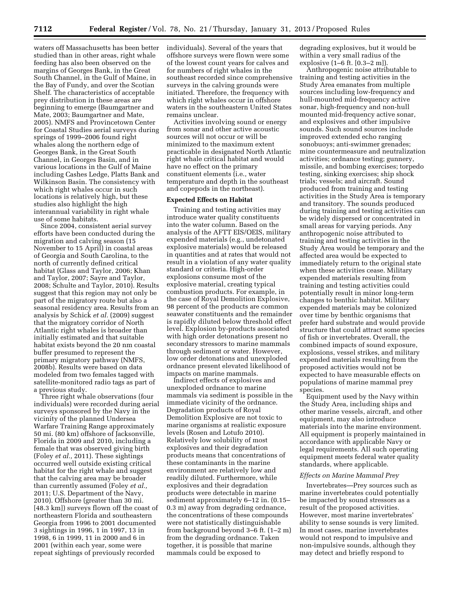waters off Massachusetts has been better studied than in other areas, right whale feeding has also been observed on the margins of Georges Bank, in the Great South Channel, in the Gulf of Maine, in the Bay of Fundy, and over the Scotian Shelf. The characteristics of acceptable prey distribution in these areas are beginning to emerge (Baumgartner and Mate, 2003; Baumgartner and Mate, 2005). NMFS and Provincetown Center for Coastal Studies aerial surveys during springs of 1999–2006 found right whales along the northern edge of Georges Bank, in the Great South Channel, in Georges Basin, and in various locations in the Gulf of Maine including Cashes Ledge, Platts Bank and Wilkinson Basin. The consistency with which right whales occur in such locations is relatively high, but these studies also highlight the high interannual variability in right whale use of some habitats.

Since 2004, consistent aerial survey efforts have been conducted during the migration and calving season (15 November to 15 April) in coastal areas of Georgia and South Carolina, to the north of currently defined critical habitat (Glass and Taylor, 2006; Khan and Taylor, 2007; Sayre and Taylor, 2008; Schulte and Taylor, 2010). Results suggest that this region may not only be part of the migratory route but also a seasonal residency area. Results from an analysis by Schick *et al.* (2009) suggest that the migratory corridor of North Atlantic right whales is broader than initially estimated and that suitable habitat exists beyond the 20 nm coastal buffer presumed to represent the primary migratory pathway (NMFS, 2008b). Results were based on data modeled from two females tagged with satellite-monitored radio tags as part of a previous study.

Three right whale observations (four individuals) were recorded during aerial surveys sponsored by the Navy in the vicinity of the planned Undersea Warfare Training Range approximately 50 mi. (80 km) offshore of Jacksonville, Florida in 2009 and 2010, including a female that was observed giving birth (Foley *et al.,* 2011). These sightings occurred well outside existing critical habitat for the right whale and suggest that the calving area may be broader than currently assumed (Foley *et al.,*  2011; U.S. Department of the Navy, 2010). Offshore (greater than 30 mi. [48.3 km]) surveys flown off the coast of northeastern Florida and southeastern Georgia from 1996 to 2001 documented 3 sightings in 1996, 1 in 1997, 13 in 1998, 6 in 1999, 11 in 2000 and 6 in 2001 (within each year, some were repeat sightings of previously recorded

individuals). Several of the years that offshore surveys were flown were some of the lowest count years for calves and for numbers of right whales in the southeast recorded since comprehensive surveys in the calving grounds were initiated. Therefore, the frequency with which right whales occur in offshore waters in the southeastern United States remains unclear.

Activities involving sound or energy from sonar and other active acoustic sources will not occur or will be minimized to the maximum extent practicable in designated North Atlantic right whale critical habitat and would have no effect on the primary constituent elements (i.e., water temperature and depth in the southeast and copepods in the northeast).

## **Expected Effects on Habitat**

Training and testing activities may introduce water quality constituents into the water column. Based on the analysis of the AFTT EIS/OEIS, military expended materials (e.g., undetonated explosive materials) would be released in quantities and at rates that would not result in a violation of any water quality standard or criteria. High-order explosions consume most of the explosive material, creating typical combustion products. For example, in the case of Royal Demolition Explosive, 98 percent of the products are common seawater constituents and the remainder is rapidly diluted below threshold effect level. Explosion by-products associated with high order detonations present no secondary stressors to marine mammals through sediment or water. However, low order detonations and unexploded ordnance present elevated likelihood of impacts on marine mammals.

Indirect effects of explosives and unexploded ordnance to marine mammals via sediment is possible in the immediate vicinity of the ordnance. Degradation products of Royal Demolition Explosive are not toxic to marine organisms at realistic exposure levels (Rosen and Lotufo 2010). Relatively low solubility of most explosives and their degradation products means that concentrations of these contaminants in the marine environment are relatively low and readily diluted. Furthermore, while explosives and their degradation products were detectable in marine sediment approximately 6–12 in. (0.15– 0.3 m) away from degrading ordnance, the concentrations of these compounds were not statistically distinguishable from background beyond 3–6 ft. (1–2 m) from the degrading ordnance. Taken together, it is possible that marine mammals could be exposed to

degrading explosives, but it would be within a very small radius of the explosive (1–6 ft. [0.3–2 m]).

Anthropogenic noise attributable to training and testing activities in the Study Area emanates from multiple sources including low-frequency and hull-mounted mid-frequency active sonar, high-frequency and non-hull mounted mid-frequency active sonar, and explosives and other impulsive sounds. Such sound sources include improved extended echo ranging sonobuoys; anti-swimmer grenades; mine countermeasure and neutralization activities; ordnance testing; gunnery, missile, and bombing exercises; torpedo testing, sinking exercises; ship shock trials; vessels; and aircraft. Sound produced from training and testing activities in the Study Area is temporary and transitory. The sounds produced during training and testing activities can be widely dispersed or concentrated in small areas for varying periods. Any anthropogenic noise attributed to training and testing activities in the Study Area would be temporary and the affected area would be expected to immediately return to the original state when these activities cease. Military expended materials resulting from training and testing activities could potentially result in minor long-term changes to benthic habitat. Military expended materials may be colonized over time by benthic organisms that prefer hard substrate and would provide structure that could attract some species of fish or invertebrates. Overall, the combined impacts of sound exposure, explosions, vessel strikes, and military expended materials resulting from the proposed activities would not be expected to have measurable effects on populations of marine mammal prey species.

Equipment used by the Navy within the Study Area, including ships and other marine vessels, aircraft, and other equipment, may also introduce materials into the marine environment. All equipment is properly maintained in accordance with applicable Navy or legal requirements. All such operating equipment meets federal water quality standards, where applicable.

## *Effects on Marine Mammal Prey*

Invertebrates—Prey sources such as marine invertebrates could potentially be impacted by sound stressors as a result of the proposed activities. However, most marine invertebrates' ability to sense sounds is very limited. In most cases, marine invertebrates would not respond to impulsive and non-impulsive sounds, although they may detect and briefly respond to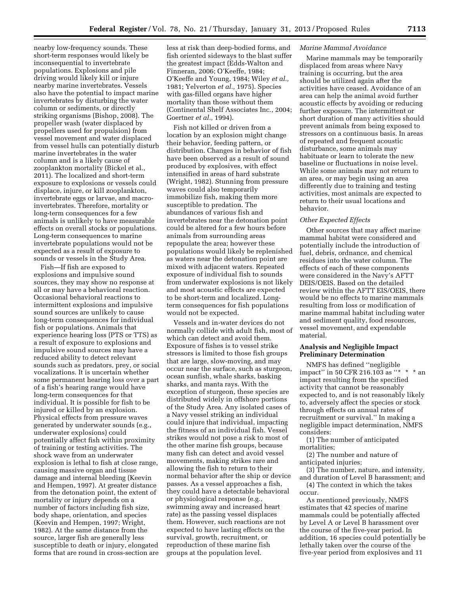nearby low-frequency sounds. These short-term responses would likely be inconsequential to invertebrate populations. Explosions and pile driving would likely kill or injure nearby marine invertebrates. Vessels also have the potential to impact marine invertebrates by disturbing the water column or sediments, or directly striking organisms (Bishop, 2008). The propeller wash (water displaced by propellers used for propulsion) from vessel movement and water displaced from vessel hulls can potentially disturb marine invertebrates in the water column and is a likely cause of zooplankton mortality (Bickel et al., 2011). The localized and short-term exposure to explosions or vessels could displace, injure, or kill zooplankton, invertebrate eggs or larvae, and macroinvertebrates. Therefore, mortality or long-term consequences for a few animals is unlikely to have measurable effects on overall stocks or populations. Long-term consequences to marine invertebrate populations would not be expected as a result of exposure to sounds or vessels in the Study Area.

Fish—If fish are exposed to explosions and impulsive sound sources, they may show no response at all or may have a behavioral reaction. Occasional behavioral reactions to intermittent explosions and impulsive sound sources are unlikely to cause long-term consequences for individual fish or populations. Animals that experience hearing loss (PTS or TTS) as a result of exposure to explosions and impulsive sound sources may have a reduced ability to detect relevant sounds such as predators, prey, or social vocalizations. It is uncertain whether some permanent hearing loss over a part of a fish's hearing range would have long-term consequences for that individual. It is possible for fish to be injured or killed by an explosion. Physical effects from pressure waves generated by underwater sounds (e.g., underwater explosions) could potentially affect fish within proximity of training or testing activities. The shock wave from an underwater explosion is lethal to fish at close range, causing massive organ and tissue damage and internal bleeding (Keevin and Hempen, 1997). At greater distance from the detonation point, the extent of mortality or injury depends on a number of factors including fish size, body shape, orientation, and species (Keevin and Hempen, 1997; Wright, 1982). At the same distance from the source, larger fish are generally less susceptible to death or injury, elongated forms that are round in cross-section are

less at risk than deep-bodied forms, and fish oriented sideways to the blast suffer the greatest impact (Edds-Walton and Finneran, 2006; O'Keeffe, 1984; O'Keeffe and Young, 1984; Wiley *et al.,*  1981; Yelverton *et al.,* 1975). Species with gas-filled organs have higher mortality than those without them (Continental Shelf Associates Inc., 2004; Goertner *et al.,* 1994).

Fish not killed or driven from a location by an explosion might change their behavior, feeding pattern, or distribution. Changes in behavior of fish have been observed as a result of sound produced by explosives, with effect intensified in areas of hard substrate (Wright, 1982). Stunning from pressure waves could also temporarily immobilize fish, making them more susceptible to predation. The abundances of various fish and invertebrates near the detonation point could be altered for a few hours before animals from surrounding areas repopulate the area; however these populations would likely be replenished as waters near the detonation point are mixed with adjacent waters. Repeated exposure of individual fish to sounds from underwater explosions is not likely and most acoustic effects are expected to be short-term and localized. Longterm consequences for fish populations would not be expected.

Vessels and in-water devices do not normally collide with adult fish, most of which can detect and avoid them. Exposure of fishes is to vessel strike stressors is limited to those fish groups that are large, slow-moving, and may occur near the surface, such as sturgeon, ocean sunfish, whale sharks, basking sharks, and manta rays. With the exception of sturgeon, these species are distributed widely in offshore portions of the Study Area. Any isolated cases of a Navy vessel striking an individual could injure that individual, impacting the fitness of an individual fish. Vessel strikes would not pose a risk to most of the other marine fish groups, because many fish can detect and avoid vessel movements, making strikes rare and allowing the fish to return to their normal behavior after the ship or device passes. As a vessel approaches a fish, they could have a detectable behavioral or physiological response (e.g., swimming away and increased heart rate) as the passing vessel displaces them. However, such reactions are not expected to have lasting effects on the survival, growth, recruitment, or reproduction of these marine fish groups at the population level.

#### *Marine Mammal Avoidance*

Marine mammals may be temporarily displaced from areas where Navy training is occurring, but the area should be utilized again after the activities have ceased. Avoidance of an area can help the animal avoid further acoustic effects by avoiding or reducing further exposure. The intermittent or short duration of many activities should prevent animals from being exposed to stressors on a continuous basis. In areas of repeated and frequent acoustic disturbance, some animals may habituate or learn to tolerate the new baseline or fluctuations in noise level. While some animals may not return to an area, or may begin using an area differently due to training and testing activities, most animals are expected to return to their usual locations and behavior.

## *Other Expected Effects*

Other sources that may affect marine mammal habitat were considered and potentially include the introduction of fuel, debris, ordnance, and chemical residues into the water column. The effects of each of these components were considered in the Navy's AFTT DEIS/OEIS. Based on the detailed review within the AFTT EIS/OEIS, there would be no effects to marine mammals resulting from loss or modification of marine mammal habitat including water and sediment quality, food resources, vessel movement, and expendable material.

## **Analysis and Negligible Impact Preliminary Determination**

NMFS has defined ''negligible impact" in 50 CFR 216.103 as "\* \* \* an impact resulting from the specified activity that cannot be reasonably expected to, and is not reasonably likely to, adversely affect the species or stock through effects on annual rates of recruitment or survival.'' In making a negligible impact determination, NMFS considers:

(1) The number of anticipated mortalities;

(2) The number and nature of anticipated injuries;

(3) The number, nature, and intensity, and duration of Level B harassment; and

(4) The context in which the takes occur.

As mentioned previously, NMFS estimates that 42 species of marine mammals could be potentially affected by Level A or Level B harassment over the course of the five-year period. In addition, 16 species could potentially be lethally taken over the course of the five-year period from explosives and 11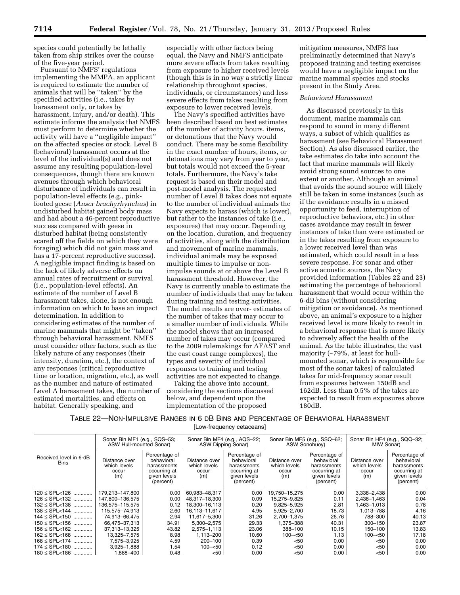species could potentially be lethally taken from ship strikes over the course of the five-year period.

Pursuant to NMFS' regulations implementing the MMPA, an applicant is required to estimate the number of animals that will be ''taken'' by the specified activities (i.e., takes by harassment only, or takes by harassment, injury, and/or death). This estimate informs the analysis that NMFS must perform to determine whether the activity will have a ''negligible impact'' on the affected species or stock. Level B (behavioral) harassment occurs at the level of the individual(s) and does not assume any resulting population-level consequences, though there are known avenues through which behavioral disturbance of individuals can result in population-level effects (e.g., pinkfooted geese (*Anser brachyrhynchus*) in undisturbed habitat gained body mass and had about a 46-percent reproductive success compared with geese in disturbed habitat (being consistently scared off the fields on which they were foraging) which did not gain mass and has a 17-percent reproductive success). A negligible impact finding is based on the lack of likely adverse effects on annual rates of recruitment or survival (i.e., population-level effects). An estimate of the number of Level B harassment takes, alone, is not enough information on which to base an impact determination. In addition to considering estimates of the number of marine mammals that might be ''taken'' through behavioral harassment, NMFS must consider other factors, such as the likely nature of any responses (their intensity, duration, etc.), the context of any responses (critical reproductive time or location, migration, etc.), as well as the number and nature of estimated Level A harassment takes, the number of estimated mortalities, and effects on habitat. Generally speaking, and

especially with other factors being equal, the Navy and NMFS anticipate more severe effects from takes resulting from exposure to higher received levels (though this is in no way a strictly linear relationship throughout species, individuals, or circumstances) and less severe effects from takes resulting from exposure to lower received levels.

The Navy's specified activities have been described based on best estimates of the number of activity hours, items, or detonations that the Navy would conduct. There may be some flexibility in the exact number of hours, items, or detonations may vary from year to year, but totals would not exceed the 5-year totals. Furthermore, the Navy's take request is based on their model and post-model analysis. The requested number of Level B takes does not equate to the number of individual animals the Navy expects to harass (which is lower), but rather to the instances of take (i.e., exposures) that may occur. Depending on the location, duration, and frequency of activities, along with the distribution and movement of marine mammals, individual animals may be exposed multiple times to impulse or nonimpulse sounds at or above the Level B harassment threshold. However, the Navy is currently unable to estimate the number of individuals that may be taken during training and testing activities. The model results are over- estimates of the number of takes that may occur to a smaller number of individuals. While the model shows that an increased number of takes may occur (compared to the 2009 rulemakings for AFAST and the east coast range complexes), the types and severity of individual responses to training and testing activities are not expected to change.

Taking the above into account, considering the sections discussed below, and dependent upon the implementation of the proposed

mitigation measures, NMFS has preliminarily determined that Navy's proposed training and testing exercises would have a negligible impact on the marine mammal species and stocks present in the Study Area.

## *Behavioral Harassment*

As discussed previously in this document, marine mammals can respond to sound in many different ways, a subset of which qualifies as harassment (see Behavioral Harassment Section). As also discussed earlier, the take estimates do take into account the fact that marine mammals will likely avoid strong sound sources to one extent or another. Although an animal that avoids the sound source will likely still be taken in some instances (such as if the avoidance results in a missed opportunity to feed, interruption of reproductive behaviors, etc.) in other cases avoidance may result in fewer instances of take than were estimated or in the takes resulting from exposure to a lower received level than was estimated, which could result in a less severe response. For sonar and other active acoustic sources, the Navy provided information (Tables 22 and 23) estimating the percentage of behavioral harassment that would occur within the 6-dB bins (without considering mitigation or avoidance). As mentioned above, an animal's exposure to a higher received level is more likely to result in a behavioral response that is more likely to adversely affect the health of the animal. As the table illustrates, the vast majority (∼79%, at least for hullmounted sonar, which is responsible for most of the sonar takes) of calculated takes for mid-frequency sonar result from exposures between 150dB and 162dB. Less than 0.5% of the takes are expected to result from exposures above 180dB.

# TABLE 22—NON-IMPULSIVE RANGES IN 6 DB BINS AND PERCENTAGE OF BEHAVIORAL HARASSMENT [Low-frequency cetaceans]

|                                       | Sonar Bin MF1 (e.g., SQS-53;<br>ASW Hull-mounted Sonar) |                                                                                         | Sonar Bin MF4 (e.g., AQS-22;<br>ASW Dipping Sonar) |                                                                                         | Sonar Bin MF5 (e.g., SSQ-62;<br>ASW Sonobuoy) |                                                                                         | Sonar Bin HF4 (e.g., SQQ-32;<br>MIW Sonar)    |                                                                                         |
|---------------------------------------|---------------------------------------------------------|-----------------------------------------------------------------------------------------|----------------------------------------------------|-----------------------------------------------------------------------------------------|-----------------------------------------------|-----------------------------------------------------------------------------------------|-----------------------------------------------|-----------------------------------------------------------------------------------------|
| Received level in 6-dB<br><b>Bins</b> | Distance over<br>which levels<br>occur<br>(m)           | Percentage of<br>behavioral<br>harassments<br>occurring at<br>given levels<br>(percent) | Distance over<br>which levels<br>occur<br>(m)      | Percentage of<br>behavioral<br>harassments<br>occurring at<br>given levels<br>(percent) | Distance over<br>which levels<br>occur<br>(m) | Percentage of<br>behavioral<br>harassments<br>occurring at<br>given levels<br>(percent) | Distance over<br>which levels<br>occur<br>(m) | Percentage of<br>behavioral<br>harassments<br>occurring at<br>given levels<br>(percent) |
| $120 \le SPL < 126$                   | 179,213-147,800                                         | 0.00                                                                                    | 60,983-48,317                                      | 0.00                                                                                    | 19,750-15,275                                 | 0.00                                                                                    | 3,338-2,438                                   | 0.00                                                                                    |
| $126 \le$ SPL<132                     | 147.800-136.575                                         | 0.00                                                                                    | 48.317-18.300                                      | 0.09                                                                                    | 15.275-9.825                                  | 0.11                                                                                    | 2,438-1,463                                   | 0.04                                                                                    |
| $132 \le$ SPL<138                     | 136,575-115,575                                         | 0.12                                                                                    | 18,300-16,113                                      | 0.20                                                                                    | 9,825-5,925                                   | 2.81                                                                                    | 1,463-1,013                                   | 0.78                                                                                    |
| $138 \le SPL < 144$                   | 115,575-74,913                                          | 2.60                                                                                    | 16,113-11,617                                      | 4.95                                                                                    | 5,925-2,700                                   | 18.73                                                                                   | 1,013-788                                     | 4.16                                                                                    |
| 144 ≤ SPL<150                         | 74.913-66.475                                           | 2.94                                                                                    | 11.617-5.300                                       | 31.26                                                                                   | 2,700-1,375                                   | 26.76                                                                                   | 788-300                                       | 40.13                                                                                   |
| $150 \le$ SPL < 156                   | 66,475-37,313                                           | 34.91                                                                                   | 5.300-2.575                                        | 29.33                                                                                   | 1.375-388                                     | 40.31                                                                                   | $300 - 150$                                   | 23.87                                                                                   |
| $156 \le$ SPL<162                     | 37,313-13,325                                           | 43.82                                                                                   | 2,575-1,113                                        | 23.06                                                                                   | 388-100                                       | 10.15                                                                                   | 150-100                                       | 13.83                                                                                   |
| $162 \le SPL < 168$                   | 13.325-7.575                                            | 8.98                                                                                    | 1.113-200                                          | 10.60                                                                                   | $100 - 50$                                    | 1.13                                                                                    | $100 - 50$                                    | 17.18                                                                                   |
| $168 \le SPL < 174$                   | 7,575-3,925                                             | 4.59                                                                                    | 200-100                                            | 0.39                                                                                    | $50$                                          | 0.00                                                                                    | $<$ 50                                        | 0.00                                                                                    |
| $174 \le$ SPL<180                     | 3,925-1,888                                             | 1.54                                                                                    | $100 - 50$                                         | 0.12                                                                                    | $50$                                          | 0.00                                                                                    | $50$                                          | 0.00                                                                                    |
| $180 \le SPL < 186$                   | 1.888-400                                               | 0.48                                                                                    | $50$                                               | 0.00                                                                                    | <50                                           | 0.00                                                                                    | <50                                           | 0.00                                                                                    |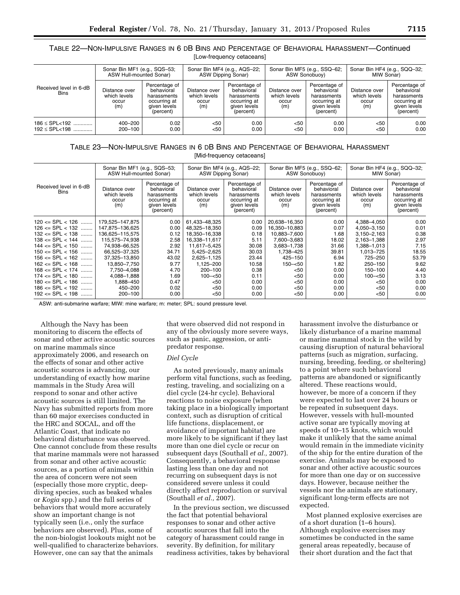# TABLE 22—NON-IMPULSIVE RANGES IN 6 DB BINS AND PERCENTAGE OF BEHAVIORAL HARASSMENT—Continued [Low-frequency cetaceans]

|                                       | Sonar Bin MF1 (e.g., SQS-53;                  |                                                                                         | Sonar Bin MF4 (e.g., AQS-22;                  |                                                                                         | Sonar Bin MF5 (e.g., SSQ-62;                  |                                                                                         | Sonar Bin HF4 (e.g., SQQ-32;                  |                                                                                         |
|---------------------------------------|-----------------------------------------------|-----------------------------------------------------------------------------------------|-----------------------------------------------|-----------------------------------------------------------------------------------------|-----------------------------------------------|-----------------------------------------------------------------------------------------|-----------------------------------------------|-----------------------------------------------------------------------------------------|
|                                       | ASW Hull-mounted Sonar)                       |                                                                                         | ASW Dipping Sonar)                            |                                                                                         | ASW Sonobuov)                                 |                                                                                         | MIW Sonar)                                    |                                                                                         |
| Received level in 6-dB<br><b>Bins</b> | Distance over<br>which levels<br>occur<br>(m) | Percentage of<br>behavioral<br>harassments<br>occurring at<br>given levels<br>(percent) | Distance over<br>which levels<br>occur<br>(m) | Percentage of<br>behavioral<br>harassments<br>occurring at<br>given levels<br>(percent) | Distance over<br>which levels<br>occur<br>(m) | Percentage of<br>behavioral<br>harassments<br>occurring at<br>given levels<br>(percent) | Distance over<br>which levels<br>occur<br>(m) | Percentage of<br>behavioral<br>harassments<br>occurring at<br>given levels<br>(percent) |
| $186 \le$ SPL < 192                   | 400-200                                       | 0.02                                                                                    | < 50                                          | 0.00                                                                                    | $50$                                          | 0.00                                                                                    | $50$                                          | 0.00                                                                                    |
| $192 \le SPL < 198$                   | 200-100                                       | 0.00                                                                                    | $50$                                          | 0.00                                                                                    | $50$                                          | 0.00                                                                                    | $50$                                          | 0.00                                                                                    |

# TABLE 23—NON-IMPULSIVE RANGES IN 6 DB BINS AND PERCENTAGE OF BEHAVIORAL HARASSMENT [Mid-frequency cetaceans]

|                                       | Sonar Bin MF1 (e.g., SQS-53;<br>ASW Hull-mounted Sonar) |                                                                                         | Sonar Bin MF4 (e.g., AQS-22;<br>ASW Dipping Sonar) |                                                                                         | Sonar Bin MF5 (e.g., SSQ-62;<br>ASW Sonobuoy) |                                                                                         | Sonar Bin HF4 (e.g., SQQ-32;<br>MIW Sonar)    |                                                                                         |
|---------------------------------------|---------------------------------------------------------|-----------------------------------------------------------------------------------------|----------------------------------------------------|-----------------------------------------------------------------------------------------|-----------------------------------------------|-----------------------------------------------------------------------------------------|-----------------------------------------------|-----------------------------------------------------------------------------------------|
| Received level in 6-dB<br><b>Bins</b> | Distance over<br>which levels<br>occur<br>(m)           | Percentage of<br>behavioral<br>harassments<br>occurring at<br>given levels<br>(percent) | Distance over<br>which levels<br>occur<br>(m)      | Percentage of<br>behavioral<br>harassments<br>occurring at<br>given levels<br>(percent) | Distance over<br>which levels<br>occur<br>(m) | Percentage of<br>behavioral<br>harassments<br>occurring at<br>given levels<br>(percent) | Distance over<br>which levels<br>occur<br>(m) | Percentage of<br>behavioral<br>harassments<br>occurring at<br>given levels<br>(percent) |
| $120 \leq SNR < 126$                  | 179,525-147,875                                         | 0.00                                                                                    | 61,433-48,325                                      | 0.00                                                                                    | 20,638-16,350                                 | 0.00                                                                                    | 4,388-4,050                                   | 0.00                                                                                    |
| $126 \le$ SPL $< 132$                 | 147,875–136,625                                         | 0.00                                                                                    | 48,325-18,350                                      | 0.09                                                                                    | 16,350-10,883                                 | 0.07                                                                                    | 4,050-3,150                                   | 0.01                                                                                    |
| $132 \le$ SPL $< 138$                 | 136,625-115,575                                         | 0.12                                                                                    | 18,350-16,338                                      | 0.18                                                                                    | 10,883-7,600                                  | 1.68                                                                                    | $3,150 - 2,163$                               | 0.38                                                                                    |
| $138 \le$ SPL $< 144$                 | 115,575-74,938                                          | 2.58                                                                                    | 16,338-11,617                                      | 5.11                                                                                    | 7,600-3,683                                   | 18.02                                                                                   | 2,163-1,388                                   | 2.97                                                                                    |
| $144 \leq$ SPL $< 150$                | 74,938-66,525                                           | 2.92                                                                                    | 11,617-5,425                                       | 30.08                                                                                   | 3,683-1,738                                   | 31.66                                                                                   | 1.013–388.ا                                   | 7.15                                                                                    |
| $150 \leq SNB = \text{SPL} < 156$     | 66.525-37.325                                           | 34.71                                                                                   | 5,425-2,625                                        | 30.03                                                                                   | 1,738-425                                     | 39.81                                                                                   | 1,013-725                                     | 18.55                                                                                   |
| $156 \le$ SPL $< 162$                 | 37,325-13,850                                           | 43.02                                                                                   | 2,625-1,125                                        | 23.44                                                                                   | 425-150                                       | 6.94                                                                                    | 725-250                                       | 53.79                                                                                   |
| $162 \le$ SPL $< 168$                 | 13,850-7,750                                            | 9.77                                                                                    | 1,125-200                                          | 10.58                                                                                   | $150 - 50$                                    | 1.82                                                                                    | 250-150                                       | 9.62                                                                                    |
| $168 \le$ SPL $< 174$                 | 7.750-4.088                                             | 4.70                                                                                    | 200-100                                            | 0.38                                                                                    | $50$                                          | 0.00                                                                                    | 150-100                                       | 4.40                                                                                    |
| $174 \leq$ SPL $< 180$                | 4,088-1,888                                             | 1.69                                                                                    | $100 - 50$                                         | 0.11                                                                                    | $50$                                          | 0.00                                                                                    | $100 - 50$                                    | 3.13                                                                                    |
| $180 \le$ SPL $< 186$                 | 1.888-450                                               | 0.47                                                                                    | < 50                                               | 0.00                                                                                    | $50$                                          | 0.00                                                                                    | < 50                                          | 0.00                                                                                    |
| $186 \le$ SPL $< 192$                 | 450-200                                                 | 0.02                                                                                    | $50$                                               | 0.00                                                                                    | $50$                                          | 0.00                                                                                    | $50$                                          | 0.00                                                                                    |
| $192 \leq SPL < 198$                  | 200-100                                                 | 0.00                                                                                    | < 50                                               | 0.00                                                                                    | $50$                                          | 0.00                                                                                    | < 50                                          | 0.00                                                                                    |

ASW: anti-submarine warfare; MIW: mine warfare; m: meter; SPL: sound pressure level.

Although the Navy has been monitoring to discern the effects of sonar and other active acoustic sources on marine mammals since approximately 2006, and research on the effects of sonar and other active acoustic sources is advancing, our understanding of exactly how marine mammals in the Study Area will respond to sonar and other active acoustic sources is still limited. The Navy has submitted reports from more than 60 major exercises conducted in the HRC and SOCAL, and off the Atlantic Coast, that indicate no behavioral disturbance was observed. One cannot conclude from these results that marine mammals were not harassed from sonar and other active acoustic sources, as a portion of animals within the area of concern were not seen (especially those more cryptic, deepdiving species, such as beaked whales or *Kogia* spp.) and the full series of behaviors that would more accurately show an important change is not typically seen (i.e., only the surface behaviors are observed). Plus, some of the non-biologist lookouts might not be well-qualified to characterize behaviors. However, one can say that the animals

that were observed did not respond in any of the obviously more severe ways, such as panic, aggression, or antipredator response.

## *Diel Cycle*

As noted previously, many animals perform vital functions, such as feeding, resting, traveling, and socializing on a diel cycle (24-hr cycle). Behavioral reactions to noise exposure (when taking place in a biologically important context, such as disruption of critical life functions, displacement, or avoidance of important habitat) are more likely to be significant if they last more than one diel cycle or recur on subsequent days (Southall *et al.,* 2007). Consequently, a behavioral response lasting less than one day and not recurring on subsequent days is not considered severe unless it could directly affect reproduction or survival (Southall *et al.,* 2007).

In the previous section, we discussed the fact that potential behavioral responses to sonar and other active acoustic sources that fall into the category of harassment could range in severity. By definition, for military readiness activities, takes by behavioral

harassment involve the disturbance or likely disturbance of a marine mammal or marine mammal stock in the wild by causing disruption of natural behavioral patterns (such as migration, surfacing, nursing, breeding, feeding, or sheltering) to a point where such behavioral patterns are abandoned or significantly altered. These reactions would, however, be more of a concern if they were expected to last over 24 hours or be repeated in subsequent days. However, vessels with hull-mounted active sonar are typically moving at speeds of 10–15 knots, which would make it unlikely that the same animal would remain in the immediate vicinity of the ship for the entire duration of the exercise. Animals may be exposed to sonar and other active acoustic sources for more than one day or on successive days. However, because neither the vessels nor the animals are stationary, significant long-term effects are not expected.

Most planned explosive exercises are of a short duration (1–6 hours). Although explosive exercises may sometimes be conducted in the same general areas repeatedly, because of their short duration and the fact that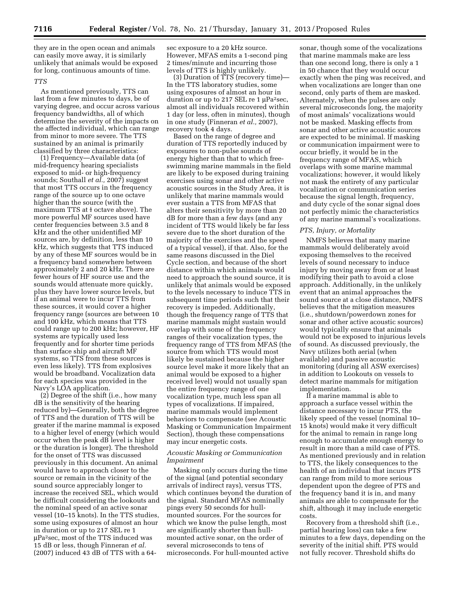they are in the open ocean and animals can easily move away, it is similarly unlikely that animals would be exposed for long, continuous amounts of time.

## *TTS*

As mentioned previously, TTS can last from a few minutes to days, be of varying degree, and occur across various frequency bandwidths, all of which determine the severity of the impacts on the affected individual, which can range from minor to more severe. The TTS sustained by an animal is primarily classified by three characteristics:

(1) Frequency—Available data (of mid-frequency hearing specialists exposed to mid- or high-frequency sounds; Southall *et al.,* 2007) suggest that most TTS occurs in the frequency range of the source up to one octave higher than the source (with the maximum TTS at  $\frac{1}{2}$  octave above). The more powerful MF sources used have center frequencies between 3.5 and 8 kHz and the other unidentified MF sources are, by definition, less than 10 kHz, which suggests that TTS induced by any of these MF sources would be in a frequency band somewhere between approximately 2 and 20 kHz. There are fewer hours of HF source use and the sounds would attenuate more quickly, plus they have lower source levels, but if an animal were to incur TTS from these sources, it would cover a higher frequency range (sources are between 10 and 100 kHz, which means that TTS could range up to 200 kHz; however, HF systems are typically used less frequently and for shorter time periods than surface ship and aircraft MF systems, so TTS from these sources is even less likely). TTS from explosives would be broadband. Vocalization data for each species was provided in the Navy's LOA application.

(2) Degree of the shift (i.e., how many dB is the sensitivity of the hearing reduced by)—Generally, both the degree of TTS and the duration of TTS will be greater if the marine mammal is exposed to a higher level of energy (which would occur when the peak dB level is higher or the duration is longer). The threshold for the onset of TTS was discussed previously in this document. An animal would have to approach closer to the source or remain in the vicinity of the sound source appreciably longer to increase the received SEL, which would be difficult considering the lookouts and the nominal speed of an active sonar vessel (10–15 knots). In the TTS studies, some using exposures of almost an hour in duration or up to 217 SEL re 1 mPa2sec, most of the TTS induced was 15 dB or less, though Finneran *et al.*  (2007) induced 43 dB of TTS with a 64sec exposure to a 20 kHz source. However, MFAS emits a 1-second ping 2 times/minute and incurring those levels of TTS is highly unlikely.

(3) Duration of TTS (recovery time)— In the TTS laboratory studies, some using exposures of almost an hour in duration or up to 217 SEL re  $1 \mu Pa^2 sec$ , almost all individuals recovered within 1 day (or less, often in minutes), though in one study (Finneran *et al.,* 2007), recovery took 4 days.

Based on the range of degree and duration of TTS reportedly induced by exposures to non-pulse sounds of energy higher than that to which freeswimming marine mammals in the field are likely to be exposed during training exercises using sonar and other active acoustic sources in the Study Area, it is unlikely that marine mammals would ever sustain a TTS from MFAS that alters their sensitivity by more than 20 dB for more than a few days (and any incident of TTS would likely be far less severe due to the short duration of the majority of the exercises and the speed of a typical vessel), if that. Also, for the same reasons discussed in the Diel Cycle section, and because of the short distance within which animals would need to approach the sound source, it is unlikely that animals would be exposed to the levels necessary to induce TTS in subsequent time periods such that their recovery is impeded. Additionally, though the frequency range of TTS that marine mammals might sustain would overlap with some of the frequency ranges of their vocalization types, the frequency range of TTS from MFAS (the source from which TTS would most likely be sustained because the higher source level make it more likely that an animal would be exposed to a higher received level) would not usually span the entire frequency range of one vocalization type, much less span all types of vocalizations. If impaired, marine mammals would implement behaviors to compensate (see Acoustic Masking or Communication Impairment Section), though these compensations may incur energetic costs.

## *Acoustic Masking or Communication Impairment*

Masking only occurs during the time of the signal (and potential secondary arrivals of indirect rays), versus TTS, which continues beyond the duration of the signal. Standard MFAS nominally pings every 50 seconds for hullmounted sources. For the sources for which we know the pulse length, most are significantly shorter than hullmounted active sonar, on the order of several microseconds to tens of microseconds. For hull-mounted active

sonar, though some of the vocalizations that marine mammals make are less than one second long, there is only a 1 in 50 chance that they would occur exactly when the ping was received, and when vocalizations are longer than one second, only parts of them are masked. Alternately, when the pulses are only several microseconds long, the majority of most animals' vocalizations would not be masked. Masking effects from sonar and other active acoustic sources are expected to be minimal. If masking or communication impairment were to occur briefly, it would be in the frequency range of MFAS, which overlaps with some marine mammal vocalizations; however, it would likely not mask the entirety of any particular vocalization or communication series because the signal length, frequency, and duty cycle of the sonar signal does not perfectly mimic the characteristics of any marine mammal's vocalizations.

## *PTS, Injury, or Mortality*

NMFS believes that many marine mammals would deliberately avoid exposing themselves to the received levels of sound necessary to induce injury by moving away from or at least modifying their path to avoid a close approach. Additionally, in the unlikely event that an animal approaches the sound source at a close distance, NMFS believes that the mitigation measures (i.e., shutdown/powerdown zones for sonar and other active acoustic sources) would typically ensure that animals would not be exposed to injurious levels of sound. As discussed previously, the Navy utilizes both aerial (when available) and passive acoustic monitoring (during all ASW exercises) in addition to Lookouts on vessels to detect marine mammals for mitigation implementation.

If a marine mammal is able to approach a surface vessel within the distance necessary to incur PTS, the likely speed of the vessel (nominal 10– 15 knots) would make it very difficult for the animal to remain in range long enough to accumulate enough energy to result in more than a mild case of PTS. As mentioned previously and in relation to TTS, the likely consequences to the health of an individual that incurs PTS can range from mild to more serious dependent upon the degree of PTS and the frequency band it is in, and many animals are able to compensate for the shift, although it may include energetic costs.

Recovery from a threshold shift (i.e., partial hearing loss) can take a few minutes to a few days, depending on the severity of the initial shift. PTS would not fully recover. Threshold shifts do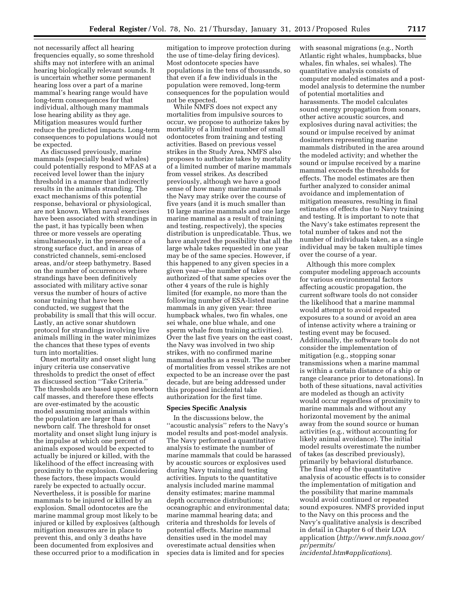not necessarily affect all hearing frequencies equally, so some threshold shifts may not interfere with an animal hearing biologically relevant sounds. It is uncertain whether some permanent hearing loss over a part of a marine mammal's hearing range would have long-term consequences for that individual, although many mammals lose hearing ability as they age. Mitigation measures would further reduce the predicted impacts. Long-term consequences to populations would not be expected.

As discussed previously, marine mammals (especially beaked whales) could potentially respond to MFAS at a received level lower than the injury threshold in a manner that indirectly results in the animals stranding. The exact mechanisms of this potential response, behavioral or physiological, are not known. When naval exercises have been associated with strandings in the past, it has typically been when three or more vessels are operating simultaneously, in the presence of a strong surface duct, and in areas of constricted channels, semi-enclosed areas, and/or steep bathymetry. Based on the number of occurrences where strandings have been definitively associated with military active sonar versus the number of hours of active sonar training that have been conducted, we suggest that the probability is small that this will occur. Lastly, an active sonar shutdown protocol for strandings involving live animals milling in the water minimizes the chances that these types of events turn into mortalities.

Onset mortality and onset slight lung injury criteria use conservative thresholds to predict the onset of effect as discussed section ''Take Criteria.'' The thresholds are based upon newborn calf masses, and therefore these effects are over-estimated by the acoustic model assuming most animals within the population are larger than a newborn calf. The threshold for onset mortality and onset slight lung injury is the impulse at which one percent of animals exposed would be expected to actually be injured or killed, with the likelihood of the effect increasing with proximity to the explosion. Considering these factors, these impacts would rarely be expected to actually occur. Nevertheless, it is possible for marine mammals to be injured or killed by an explosion. Small odontocetes are the marine mammal group most likely to be injured or killed by explosives (although mitigation measures are in place to prevent this, and only 3 deaths have been documented from explosives and these occurred prior to a modification in mitigation to improve protection during the use of time-delay firing devices). Most odontocete species have populations in the tens of thousands, so that even if a few individuals in the population were removed, long-term consequences for the population would not be expected.

While NMFS does not expect any mortalities from impulsive sources to occur, we propose to authorize takes by mortality of a limited number of small odontocetes from training and testing activities. Based on previous vessel strikes in the Study Area, NMFS also proposes to authorize takes by mortality of a limited number of marine mammals from vessel strikes. As described previously, although we have a good sense of how many marine mammals the Navy may strike over the course of five years (and it is much smaller than 10 large marine mammals and one large marine mammal as a result of training and testing, respectively), the species distribution is unpredicatable. Thus, we have analyzed the possibility that all the large whale takes requested in one year may be of the same species. However, if this happened to any given species in a given year—the number of takes authorized of that same species over the other 4 years of the rule is highly limited (for example, no more than the following number of ESA-listed marine mammals in any given year: three humpback whales, two fin whales, one sei whale, one blue whale, and one sperm whale from training activities). Over the last five years on the east coast, the Navy was involved in two ship strikes, with no confirmed marine mammal deaths as a result. The number of mortalities from vessel strikes are not expected to be an increase over the past decade, but are being addressed under this proposed incidental take authorization for the first time.

## **Species Specific Analysis**

In the discussions below, the ''acoustic analysis'' refers to the Navy's model results and post-model analysis. The Navy performed a quantitative analysis to estimate the number of marine mammals that could be harassed by acoustic sources or explosives used during Navy training and testing activities. Inputs to the quantitative analysis included marine mammal density estimates; marine mammal depth occurrence distributions; oceanographic and environmental data; marine mammal hearing data; and criteria and thresholds for levels of potential effects. Marine mammal densities used in the model may overestimate actual densities when species data is limited and for species

with seasonal migrations (e.g., North Atlantic right whales, humpbacks, blue whales, fin whales, sei whales). The quantitative analysis consists of computer modeled estimates and a postmodel analysis to determine the number of potential mortalities and harassments. The model calculates sound energy propagation from sonars, other active acoustic sources, and explosives during naval activities; the sound or impulse received by animat dosimeters representing marine mammals distributed in the area around the modeled activity; and whether the sound or impulse received by a marine mammal exceeds the thresholds for effects. The model estimates are then further analyzed to consider animal avoidance and implementation of mitigation measures, resulting in final estimates of effects due to Navy training and testing. It is important to note that the Navy's take estimates represent the total number of takes and not the number of individuals taken, as a single individual may be taken multiple times over the course of a year.

Although this more complex computer modeling approach accounts for various environmental factors affecting acoustic propagation, the current software tools do not consider the likelihood that a marine mammal would attempt to avoid repeated exposures to a sound or avoid an area of intense activity where a training or testing event may be focused. Additionally, the software tools do not consider the implementation of mitigation (e.g., stopping sonar transmissions when a marine mammal is within a certain distance of a ship or range clearance prior to detonations). In both of these situations, naval activities are modeled as though an activity would occur regardless of proximity to marine mammals and without any horizontal movement by the animal away from the sound source or human activities (e.g., without accounting for likely animal avoidance). The initial model results overestimate the number of takes (as described previously), primarily by behavioral disturbance. The final step of the quantitative analysis of acoustic effects is to consider the implementation of mitigation and the possibility that marine mammals would avoid continued or repeated sound exposures. NMFS provided input to the Navy on this process and the Navy's qualitative analysis is described in detail in Chapter 6 of their LOA application (*[http://www.nmfs.noaa.gov/](http://www.nmfs.noaa.gov/pr/permits/incidental.htm#applications)  [pr/permits/](http://www.nmfs.noaa.gov/pr/permits/incidental.htm#applications)* 

*[incidental.htm#applications](http://www.nmfs.noaa.gov/pr/permits/incidental.htm#applications)*).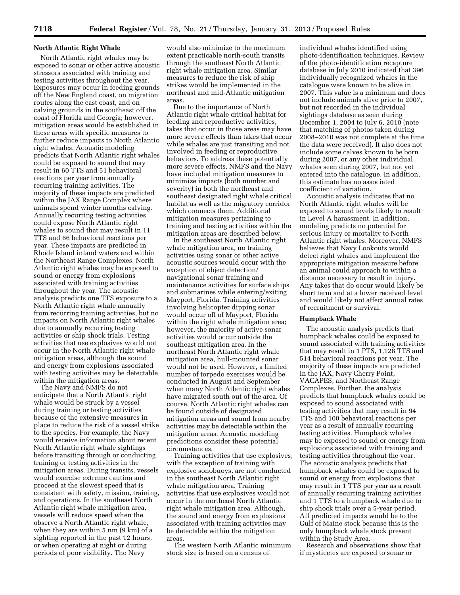## **North Atlantic Right Whale**

North Atlantic right whales may be exposed to sonar or other active acoustic stressors associated with training and testing activities throughout the year. Exposures may occur in feeding grounds off the New England coast, on migration routes along the east coast, and on calving grounds in the southeast off the coast of Florida and Georgia; however, mitigation areas would be established in these areas with specific measures to further reduce impacts to North Atlantic right whales. Acoustic modeling predicts that North Atlantic right whales could be exposed to sound that may result in 60 TTS and 51 behavioral reactions per year from annually recurring training activities. The majority of these impacts are predicted within the JAX Range Complex where animals spend winter months calving. Annually recurring testing activities could expose North Atlantic right whales to sound that may result in 11 TTS and 66 behavioral reactions per year. These impacts are predicted in Rhode Island inland waters and within the Northeast Range Complexes. North Atlantic right whales may be exposed to sound or energy from explosions associated with training activities throughout the year. The acoustic analysis predicts one TTS exposure to a North Atlantic right whale annually from recurring training activities, but no impacts on North Atlantic right whales due to annually recurring testing activities or ship shock trials. Testing activities that use explosives would not occur in the North Atlantic right whale mitigation areas, although the sound and energy from explosions associated with testing activities may be detectable within the mitigation areas.

The Navy and NMFS do not anticipate that a North Atlantic right whale would be struck by a vessel during training or testing activities because of the extensive measures in place to reduce the risk of a vessel strike to the species. For example, the Navy would receive information about recent North Atlantic right whale sightings before transiting through or conducting training or testing activities in the mitigation areas. During transits, vessels would exercise extreme caution and proceed at the slowest speed that is consistent with safety, mission, training, and operations. In the southeast North Atlantic right whale mitigation area, vessels will reduce speed when the observe a North Atlantic right whale, when they are within 5 nm (9 km) of a sighting reported in the past 12 hours, or when operating at night or during periods of poor visibility. The Navy

would also minimize to the maximum extent practicable north-south transits through the southeast North Atlantic right whale mitigation area. Similar measures to reduce the risk of ship strikes would be implemented in the northeast and mid-Atlantic mitigation areas.

Due to the importance of North Atlantic right whale critical habitat for feeding and reproductive activities, takes that occur in those areas may have more severe effects than takes that occur while whales are just transiting and not involved in feeding or reproductive behaviors. To address these potentially more severe effects, NMFS and the Navy have included mitigation measures to minimize impacts (both number and severity) in both the northeast and southeast designated right whale critical habitat as well as the migratory corridor which connects them. Additional mitigation measures pertaining to training and testing activities within the mitigation areas are described below.

In the southeast North Atlantic right whale mitigation area, no training activities using sonar or other active acoustic sources would occur with the exception of object detection/ navigational sonar training and maintenance activities for surface ships and submarines while entering/exiting Mayport, Florida. Training activities involving helicopter dipping sonar would occur off of Mayport, Florida within the right whale mitigation area; however, the majority of active sonar activities would occur outside the southeast mitigation area. In the northeast North Atlantic right whale mitigation area, hull-mounted sonar would not be used. However, a limited number of torpedo exercises would be conducted in August and September when many North Atlantic right whales have migrated south out of the area. Of course, North Atlantic right whales can be found outside of designated mitigation areas and sound from nearby activities may be detectable within the mitigation areas. Acoustic modeling predictions consider these potential circumstances.

Training activities that use explosives, with the exception of training with explosive sonobuoys, are not conducted in the southeast North Atlantic right whale mitigation area. Training activities that use explosives would not occur in the northeast North Atlantic right whale mitigation area. Although, the sound and energy from explosions associated with training activities may be detectable within the mitigation areas.

The western North Atlantic minimum stock size is based on a census of

individual whales identified using photo-identification techniques. Review of the photo-identification recapture database in July 2010 indicated that 396 individually recognized whales in the catalogue were known to be alive in 2007. This value is a minimum and does not include animals alive prior to 2007, but not recorded in the individual sightings database as seen during December 1, 2004 to July 6, 2010 (note that matching of photos taken during 2008–2010 was not complete at the time the data were received). It also does not include some calves known to be born during 2007, or any other individual whales seen during 2007, but not yet entered into the catalogue. In addition, this estimate has no associated coefficient of variation.

Acoustic analysis indicates that no North Atlantic right whales will be exposed to sound levels likely to result in Level A harassment. In addition, modeling predicts no potential for serious injury or mortality to North Atlantic right whales. Moreover, NMFS believes that Navy Lookouts would detect right whales and implement the appropriate mitigation measure before an animal could approach to within a distance necessary to result in injury. Any takes that do occur would likely be short term and at a lower received level and would likely not affect annual rates of recruitment or survival.

## **Humpback Whale**

The acoustic analysis predicts that humpback whales could be exposed to sound associated with training activities that may result in 1 PTS, 1,128 TTS and 514 behavioral reactions per year. The majority of these impacts are predicted in the JAX, Navy Cherry Point, VACAPES, and Northeast Range Complexes. Further, the analysis predicts that humpback whales could be exposed to sound associated with testing activities that may result in 94 TTS and 100 behavioral reactions per year as a result of annually recurring testing activities. Humpback whales may be exposed to sound or energy from explosions associated with training and testing activities throughout the year. The acoustic analysis predicts that humpback whales could be exposed to sound or energy from explosions that may result in 1 TTS per year as a result of annually recurring training activities and 1 TTS to a humpback whale due to ship shock trials over a 5-year period. All predicted impacts would be to the Gulf of Maine stock because this is the only humpback whale stock present within the Study Area.

Research and observations show that if mysticetes are exposed to sonar or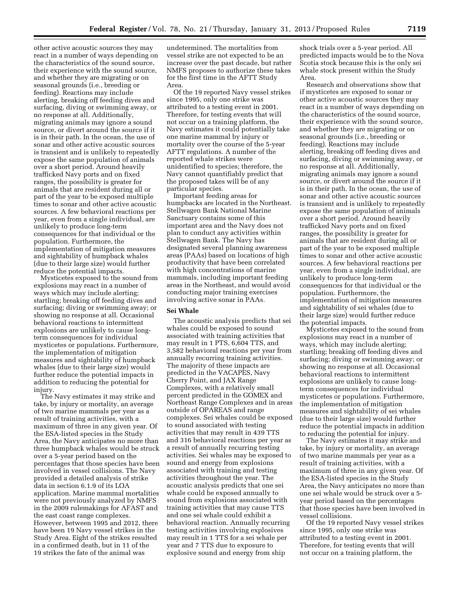other active acoustic sources they may react in a number of ways depending on the characteristics of the sound source, their experience with the sound source, and whether they are migrating or on seasonal grounds (i.e., breeding or feeding). Reactions may include alerting, breaking off feeding dives and surfacing, diving or swimming away, or no response at all. Additionally, migrating animals may ignore a sound source, or divert around the source if it is in their path. In the ocean, the use of sonar and other active acoustic sources is transient and is unlikely to repeatedly expose the same population of animals over a short period. Around heavily trafficked Navy ports and on fixed ranges, the possibility is greater for animals that are resident during all or part of the year to be exposed multiple times to sonar and other active acoustic sources. A few behavioral reactions per year, even from a single individual, are unlikely to produce long-term consequences for that individual or the population. Furthermore, the implementation of mitigation measures and sightability of humpback whales (due to their large size) would further reduce the potential impacts.

Mysticetes exposed to the sound from explosions may react in a number of ways which may include alerting; startling; breaking off feeding dives and surfacing; diving or swimming away; or showing no response at all. Occasional behavioral reactions to intermittent explosions are unlikely to cause longterm consequences for individual mysticetes or populations. Furthermore, the implementation of mitigation measures and sightability of humpback whales (due to their large size) would further reduce the potential impacts in addition to reducing the potential for injury.

The Navy estimates it may strike and take, by injury or mortality, an average of two marine mammals per year as a result of training activities, with a maximum of three in any given year. Of the ESA-listed species in the Study Area, the Navy anticipates no more than three humpback whales would be struck over a 5-year period based on the percentages that those species have been involved in vessel collisions. The Navy provided a detailed analysis of strike data in section 6.1.9 of its LOA application. Marine mammal mortalities were not previously analyzed by NMFS in the 2009 rulemakings for AFAST and the east coast range complexes. However, between 1995 and 2012, there have been 19 Navy vessel strikes in the Study Area. Eight of the strikes resulted in a confirmed death, but in 11 of the 19 strikes the fate of the animal was

undetermined. The mortalities from vessel strike are not expected to be an increase over the past decade, but rather NMFS proposes to authorize these takes for the first time in the AFTT Study Area.

Of the 19 reported Navy vessel strikes since 1995, only one strike was attributed to a testing event in 2001. Therefore, for testing events that will not occur on a training platform, the Navy estimates it could potentially take one marine mammal by injury or mortality over the course of the 5-year AFTT regulations. A number of the reported whale strikes were unidentified to species; therefore, the Navy cannot quantifiably predict that the proposed takes will be of any particular species.

Important feeding areas for humpbacks are located in the Northeast. Stellwagen Bank National Marine Sanctuary contains some of this important area and the Navy does not plan to conduct any activities within Stellwagen Bank. The Navy has designated several planning awareness areas (PAAs) based on locations of high productivity that have been correlated with high concentrations of marine mammals, including important feeding areas in the Northeast, and would avoid conducting major training exercises involving active sonar in PAAs.

## **Sei Whale**

The acoustic analysis predicts that sei whales could be exposed to sound associated with training activities that may result in 1 PTS, 6,604 TTS, and 3,582 behavioral reactions per year from annually recurring training activities. The majority of these impacts are predicted in the VACAPES, Navy Cherry Point, and JAX Range Complexes, with a relatively small percent predicted in the GOMEX and Northeast Range Complexes and in areas outside of OPAREAS and range complexes. Sei whales could be exposed to sound associated with testing activities that may result in 439 TTS and 316 behavioral reactions per year as a result of annually recurring testing activities. Sei whales may be exposed to sound and energy from explosions associated with training and testing activities throughout the year. The acoustic analysis predicts that one sei whale could be exposed annually to sound from explosions associated with training activities that may cause TTS and one sei whale could exhibit a behavioral reaction. Annually recurring testing activities involving explosives may result in 1 TTS for a sei whale per year and 7 TTS due to exposure to explosive sound and energy from ship

shock trials over a 5-year period. All predicted impacts would be to the Nova Scotia stock because this is the only sei whale stock present within the Study Area.

Research and observations show that if mysticetes are exposed to sonar or other active acoustic sources they may react in a number of ways depending on the characteristics of the sound source, their experience with the sound source, and whether they are migrating or on seasonal grounds (i.e., breeding or feeding). Reactions may include alerting, breaking off feeding dives and surfacing, diving or swimming away, or no response at all. Additionally, migrating animals may ignore a sound source, or divert around the source if it is in their path. In the ocean, the use of sonar and other active acoustic sources is transient and is unlikely to repeatedly expose the same population of animals over a short period. Around heavily trafficked Navy ports and on fixed ranges, the possibility is greater for animals that are resident during all or part of the year to be exposed multiple times to sonar and other active acoustic sources. A few behavioral reactions per year, even from a single individual, are unlikely to produce long-term consequences for that individual or the population. Furthermore, the implementation of mitigation measures and sightability of sei whales (due to their large size) would further reduce the potential impacts.

Mysticetes exposed to the sound from explosions may react in a number of ways, which may include alerting; startling; breaking off feeding dives and surfacing; diving or swimming away; or showing no response at all. Occasional behavioral reactions to intermittent explosions are unlikely to cause longterm consequences for individual mysticetes or populations. Furthermore, the implementation of mitigation measures and sightability of sei whales (due to their large size) would further reduce the potential impacts in addition to reducing the potential for injury.

The Navy estimates it may strike and take, by injury or mortality, an average of two marine mammals per year as a result of training activities, with a maximum of three in any given year. Of the ESA-listed species in the Study Area, the Navy anticipates no more than one sei whale would be struck over a 5 year period based on the percentages that those species have been involved in vessel collisions.

Of the 19 reported Navy vessel strikes since 1995, only one strike was attributed to a testing event in 2001. Therefore, for testing events that will not occur on a training platform, the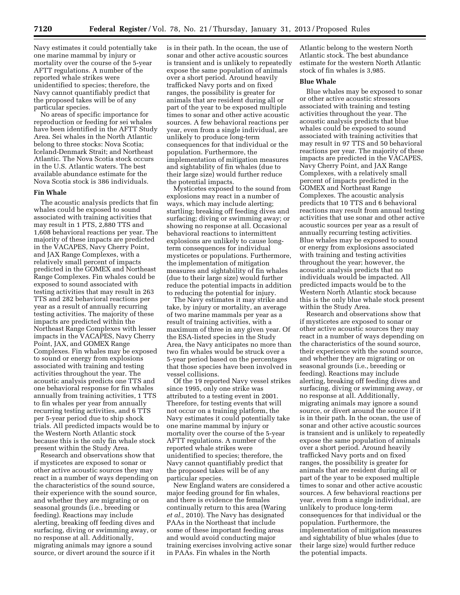Navy estimates it could potentially take one marine mammal by injury or mortality over the course of the 5-year AFTT regulations. A number of the reported whale strikes were unidentified to species; therefore, the Navy cannot quantifiably predict that the proposed takes will be of any particular species.

No areas of specific importance for reproduction or feeding for sei whales have been identified in the AFTT Study Area. Sei whales in the North Atlantic belong to three stocks: Nova Scotia; Iceland-Denmark Strait; and Northeast Atlantic. The Nova Scotia stock occurs in the U.S. Atlantic waters. The best available abundance estimate for the Nova Scotia stock is 386 individuals.

## **Fin Whale**

The acoustic analysis predicts that fin whales could be exposed to sound associated with training activities that may result in 1 PTS, 2,880 TTS and 1,608 behavioral reactions per year. The majority of these impacts are predicted in the VACAPES, Navy Cherry Point, and JAX Range Complexes, with a relatively small percent of impacts predicted in the GOMEX and Northeast Range Complexes. Fin whales could be exposed to sound associated with testing activities that may result in 263 TTS and 282 behavioral reactions per year as a result of annually recurring testing activities. The majority of these impacts are predicted within the Northeast Range Complexes with lesser impacts in the VACAPES, Navy Cherry Point, JAX, and GOMEX Range Complexes. Fin whales may be exposed to sound or energy from explosions associated with training and testing activities throughout the year. The acoustic analysis predicts one TTS and one behavioral response for fin whales annually from training activities, 1 TTS to fin whales per year from annually recurring testing activities, and 6 TTS per 5-year period due to ship shock trials. All predicted impacts would be to the Western North Atlantic stock because this is the only fin whale stock present within the Study Area.

Research and observations show that if mysticetes are exposed to sonar or other active acoustic sources they may react in a number of ways depending on the characteristics of the sound source, their experience with the sound source, and whether they are migrating or on seasonal grounds (i.e., breeding or feeding). Reactions may include alerting, breaking off feeding dives and surfacing, diving or swimming away, or no response at all. Additionally, migrating animals may ignore a sound source, or divert around the source if it

is in their path. In the ocean, the use of sonar and other active acoustic sources is transient and is unlikely to repeatedly expose the same population of animals over a short period. Around heavily trafficked Navy ports and on fixed ranges, the possibility is greater for animals that are resident during all or part of the year to be exposed multiple times to sonar and other active acoustic sources. A few behavioral reactions per year, even from a single individual, are unlikely to produce long-term consequences for that individual or the population. Furthermore, the implementation of mitigation measures and sightability of fin whales (due to their large size) would further reduce the potential impacts.

Mysticetes exposed to the sound from explosions may react in a number of ways, which may include alerting; startling; breaking off feeding dives and surfacing; diving or swimming away; or showing no response at all. Occasional behavioral reactions to intermittent explosions are unlikely to cause longterm consequences for individual mysticetes or populations. Furthermore, the implementation of mitigation measures and sightability of fin whales (due to their large size) would further reduce the potential impacts in addition to reducing the potential for injury.

The Navy estimates it may strike and take, by injury or mortality, an average of two marine mammals per year as a result of training activities, with a maximum of three in any given year. Of the ESA-listed species in the Study Area, the Navy anticipates no more than two fin whales would be struck over a 5-year period based on the percentages that those species have been involved in vessel collisions.

Of the 19 reported Navy vessel strikes since 1995, only one strike was attributed to a testing event in 2001. Therefore, for testing events that will not occur on a training platform, the Navy estimates it could potentially take one marine mammal by injury or mortality over the course of the 5-year AFTT regulations. A number of the reported whale strikes were unidentified to species; therefore, the Navy cannot quantifiably predict that the proposed takes will be of any particular species.

New England waters are considered a major feeding ground for fin whales, and there is evidence the females continually return to this area (Waring *et al.,* 2010). The Navy has designated PAAs in the Northeast that include some of these important feeding areas and would avoid conducting major training exercises involving active sonar in PAAs. Fin whales in the North

Atlantic belong to the western North Atlantic stock. The best abundance estimate for the western North Atlantic stock of fin whales is 3,985.

# **Blue Whale**

Blue whales may be exposed to sonar or other active acoustic stressors associated with training and testing activities throughout the year. The acoustic analysis predicts that blue whales could be exposed to sound associated with training activities that may result in 97 TTS and 50 behavioral reactions per year. The majority of these impacts are predicted in the VACAPES, Navy Cherry Point, and JAX Range Complexes, with a relatively small percent of impacts predicted in the GOMEX and Northeast Range Complexes. The acoustic analysis predicts that 10 TTS and 6 behavioral reactions may result from annual testing activities that use sonar and other active acoustic sources per year as a result of annually recurring testing activities. Blue whales may be exposed to sound or energy from explosions associated with training and testing activities throughout the year; however, the acoustic analysis predicts that no individuals would be impacted. All predicted impacts would be to the Western North Atlantic stock because this is the only blue whale stock present within the Study Area.

Research and observations show that if mysticetes are exposed to sonar or other active acoustic sources they may react in a number of ways depending on the characteristics of the sound source, their experience with the sound source, and whether they are migrating or on seasonal grounds (i.e., breeding or feeding). Reactions may include alerting, breaking off feeding dives and surfacing, diving or swimming away, or no response at all. Additionally, migrating animals may ignore a sound source, or divert around the source if it is in their path. In the ocean, the use of sonar and other active acoustic sources is transient and is unlikely to repeatedly expose the same population of animals over a short period. Around heavily trafficked Navy ports and on fixed ranges, the possibility is greater for animals that are resident during all or part of the year to be exposed multiple times to sonar and other active acoustic sources. A few behavioral reactions per year, even from a single individual, are unlikely to produce long-term consequences for that individual or the population. Furthermore, the implementation of mitigation measures and sightability of blue whales (due to their large size) would further reduce the potential impacts.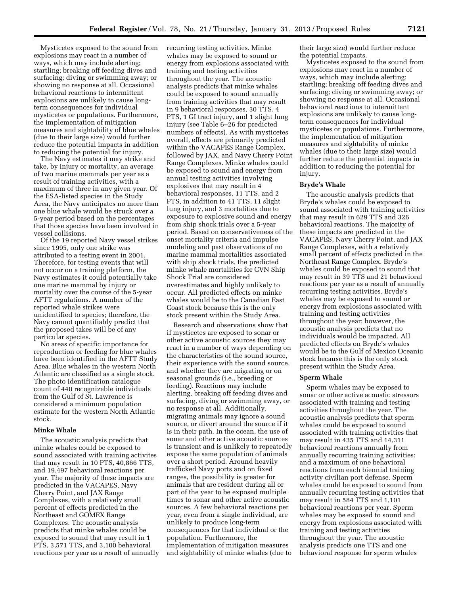Mysticetes exposed to the sound from explosions may react in a number of ways, which may include alerting; startling; breaking off feeding dives and surfacing; diving or swimming away; or showing no response at all. Occasional behavioral reactions to intermittent explosions are unlikely to cause longterm consequences for individual mysticetes or populations. Furthermore, the implementation of mitigation measures and sightability of blue whales (due to their large size) would further reduce the potential impacts in addition to reducing the potential for injury.

The Navy estimates it may strike and take, by injury or mortality, an average of two marine mammals per year as a result of training activities, with a maximum of three in any given year. Of the ESA-listed species in the Study Area, the Navy anticipates no more than one blue whale would be struck over a 5-year period based on the percentages that those species have been involved in vessel collisions.

Of the 19 reported Navy vessel strikes since 1995, only one strike was attributed to a testing event in 2001. Therefore, for testing events that will not occur on a training platform, the Navy estimates it could potentially take one marine mammal by injury or mortality over the course of the 5-year AFTT regulations. A number of the reported whale strikes were unidentified to species; therefore, the Navy cannot quantifiably predict that the proposed takes will be of any particular species.

No areas of specific importance for reproduction or feeding for blue whales have been identified in the AFTT Study Area. Blue whales in the western North Atlantic are classified as a single stock. The photo identification catalogue count of 440 recognizable individuals from the Gulf of St. Lawrence is considered a minimum population estimate for the western North Atlantic stock.

### **Minke Whale**

The acoustic analysis predicts that minke whales could be exposed to sound associated with training activites that may result in 10 PTS, 40,866 TTS, and 19,497 behavioral reactions per year. The majority of these impacts are predicted in the VACAPES, Navy Cherry Point, and JAX Range Complexes, with a relatively small percent of effects predicted in the Northeast and GOMEX Range Complexes. The acoustic analysis predicts that minke whales could be exposed to sound that may result in 1 PTS, 3,571 TTS, and 3,100 behavioral reactions per year as a result of annually recurring testing activities. Minke whales may be exposed to sound or energy from explosions associated with training and testing activities throughout the year. The acoustic analysis predicts that minke whales could be exposed to sound annually from training activities that may result in 9 behavioral responses, 30 TTS, 4 PTS, 1 GI tract injury, and 1 slight lung injury (see Table 6–26 for predicted numbers of effects). As with mysticetes overall, effects are primarily predicted within the VACAPES Range Complex, followed by JAX, and Navy Cherry Point Range Complexes. Minke whales could be exposed to sound and energy from annual testing activities involving explosives that may result in 4 behavioral responses, 11 TTS, and 2 PTS, in addition to 41 TTS, 11 slight lung injury, and 3 mortalities due to exposure to explosive sound and energy from ship shock trials over a 5-year period. Based on conservativeness of the onset mortality criteria and impulse modeling and past observations of no marine mammal mortalities associated with ship shock trials, the predicted minke whale mortalities for CVN Ship Shock Trial are considered overestimates and highly unlikely to occur. All predicted effects on minke whales would be to the Canadian East Coast stock because this is the only stock present within the Study Area.

Research and observations show that if mysticetes are exposed to sonar or other active acoustic sources they may react in a number of ways depending on the characteristics of the sound source, their experience with the sound source, and whether they are migrating or on seasonal grounds (i.e., breeding or feeding). Reactions may include alerting, breaking off feeding dives and surfacing, diving or swimming away, or no response at all. Additionally, migrating animals may ignore a sound source, or divert around the source if it is in their path. In the ocean, the use of sonar and other active acoustic sources is transient and is unlikely to repeatedly expose the same population of animals over a short period. Around heavily trafficked Navy ports and on fixed ranges, the possibility is greater for animals that are resident during all or part of the year to be exposed multiple times to sonar and other active acoustic sources. A few behavioral reactions per year, even from a single individual, are unlikely to produce long-term consequences for that individual or the population. Furthermore, the implementation of mitigation measures and sightability of minke whales (due to

their large size) would further reduce the potential impacts.

Mysticetes exposed to the sound from explosions may react in a number of ways, which may include alerting; startling; breaking off feeding dives and surfacing; diving or swimming away; or showing no response at all. Occasional behavioral reactions to intermittent explosions are unlikely to cause longterm consequences for individual mysticetes or populations. Furthermore, the implementation of mitigation measures and sightability of minke whales (due to their large size) would further reduce the potential impacts in addition to reducing the potential for injury.

## **Bryde's Whale**

The acoustic analysis predicts that Bryde's whales could be exposed to sound associated with training activities that may result in 629 TTS and 326 behavioral reactions. The majority of these impacts are predicted in the VACAPES, Navy Cherry Point, and JAX Range Complexes, with a relatively small percent of effects predicted in the Northeast Range Complex. Bryde's whales could be exposed to sound that may result in 39 TTS and 21 behavioral reactions per year as a result of annually recurring testing activities. Bryde's whales may be exposed to sound or energy from explosions associated with training and testing activities throughout the year; however, the acoustic analysis predicts that no individuals would be impacted. All predicted effects on Bryde's whales would be to the Gulf of Mexico Oceanic stock because this is the only stock present within the Study Area.

#### **Sperm Whale**

Sperm whales may be exposed to sonar or other active acoustic stressors associated with training and testing activities throughout the year. The acoustic analysis predicts that sperm whales could be exposed to sound associated with training activities that may result in 435 TTS and 14,311 behavioral reactions annually from annually recurring training activities; and a maximum of one behavioral reactions from each biennial training activity civilian port defense. Sperm whales could be exposed to sound from annually recurring testing activities that may result in 584 TTS and 1,101 behavioral reactions per year. Sperm whales may be exposed to sound and energy from explosions associated with training and testing activities throughout the year. The acoustic analysis predicts one TTS and one behavioral response for sperm whales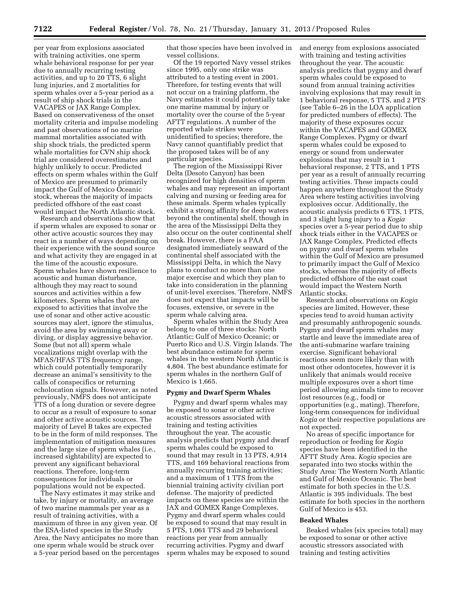per year from explosions associated with training activities, one sperm whale behavioral response for per year due to annually recurring testing activities, and up to 20 TTS, 6 slight lung injuries, and 2 mortalities for sperm whales over a 5-year period as a result of ship shock trials in the VACAPES or JAX Range Complex. Based on conservativeness of the onset mortality criteria and impulse modeling and past observations of no marine mammal mortalities associated with ship shock trials, the predicted sperm whale mortalities for CVN ship shock trial are considered overestimates and highly unlikely to occur. Predicted effects on sperm whales within the Gulf of Mexico are presumed to primarily impact the Gulf of Mexico Oceanic stock, whereas the majority of impacts predicted offshore of the east coast would impact the North Atlantic stock.

Research and observations show that if sperm whales are exposed to sonar or other active acoustic sources they may react in a number of ways depending on their experience with the sound source and what activity they are engaged in at the time of the acoustic exposure. Sperm whales have shown resilience to acoustic and human disturbance, although they may react to sound sources and activities within a few kilometers. Sperm whales that are exposed to activities that involve the use of sonar and other active acoustic sources may alert, ignore the stimulus, avoid the area by swimming away or diving, or display aggressive behavior. Some (but not all) sperm whale vocalizations might overlap with the MFAS/HFAS TTS frequency range, which could potentially temporarily decrease an animal's sensitivity to the calls of conspecifics or returning echolocation signals. However, as noted previously, NMFS does not anticipate TTS of a long duration or severe degree to occur as a result of exposure to sonar and other active acoustic sources. The majority of Level B takes are expected to be in the form of mild responses. The implementation of mitigation measures and the large size of sperm whales (i.e., increased sightability) are expected to prevent any significant behavioral reactions. Therefore, long-term consequences for individuals or populations would not be expected.

The Navy estimates it may strike and take, by injury or mortality, an average of two marine mammals per year as a result of training activities, with a maximum of three in any given year. Of the ESA-listed species in the Study Area, the Navy anticipates no more than one sperm whale would be struck over a 5-year period based on the percentages that those species have been involved in vessel collisions.

Of the 19 reported Navy vessel strikes since 1995, only one strike was attributed to a testing event in 2001. Therefore, for testing events that will not occur on a training platform, the Navy estimates it could potentially take one marine mammal by injury or mortality over the course of the 5-year AFTT regulations. A number of the reported whale strikes were unidentified to species; therefore, the Navy cannot quantifiably predict that the proposed takes will be of any particular species.

The region of the Mississippi River Delta (Desoto Canyon) has been recognized for high densities of sperm whales and may represent an important calving and nursing or feeding area for these animals. Sperm whales typically exhibit a strong affinity for deep waters beyond the continental shelf, though in the area of the Mississippi Delta they also occur on the outer continental shelf break. However, there is a PAA designated immediately seaward of the continental shelf associated with the Mississippi Delta, in which the Navy plans to conduct no more than one major exercise and which they plan to take into consideration in the planning of unit-level exercises. Therefore, NMFS does not expect that impacts will be focuses, extensive, or severe in the sperm whale calving area.

Sperm whales within the Study Area belong to one of three stocks: North Atlantic; Gulf of Mexico Oceanic; or Puerto Rico and U.S. Virgin Islands. The best abundance estimate for sperm whales in the western North Atlantic is 4,804. The best abundance estimate for sperm whales in the northern Gulf of Mexico is 1,665.

# **Pygmy and Dwarf Sperm Whales**

Pygmy and dwarf sperm whales may be exposed to sonar or other active acoustic stressors associated with training and testing activities throughout the year. The acoustic analysis predicts that pygmy and dwarf sperm whales could be exposed to sound that may result in 13 PTS, 4,914 TTS, and 169 behavioral reactions from annually recurring training activities; and a maximum of 1 TTS from the biennial training activity civilian port defense. The majority of predicted impacts on these species are within the JAX and GOMEX Range Complexes. Pygmy and dwarf sperm whales could be exposed to sound that may result in 5 PTS, 1,061 TTS and 29 behavioral reactions per year from annually recurring activities. Pygmy and dwarf sperm whales may be exposed to sound and energy from explosions associated with training and testing activities throughout the year. The acoustic analysis predicts that pygmy and dwarf sperm whales could be exposed to sound from annual training activities involving explosions that may result in 1 behavioral response, 5 TTS, and 2 PTS (see Table 6–26 in the LOA application for predicted numbers of effects). The majority of these exposures occur within the VACAPES and GOMEX Range Complexes. Pygmy or dwarf sperm whales could be exposed to energy or sound from underwater explosions that may result in 1 behavioral response, 2 TTS, and 1 PTS per year as a result of annually recurring testing activities. These impacts could happen anywhere throughout the Study Area where testing activities involving explosives occur. Additionally, the acoustic analysis predicts 6 TTS, 1 PTS, and 3 slight lung injury to a *Kogia*  species over a 5-year period due to ship shock trials either in the VACAPES or JAX Range Complex. Predicted effects on pygmy and dwarf sperm whales within the Gulf of Mexico are presumed to primarily impact the Gulf of Mexico stocks, whereas the majority of effects predicted offshore of the east coast would impact the Western North Atlantic stocks.

Research and observations on *Kogia*  species are limited. However, these species tend to avoid human activity and presumably anthropogenic sounds. Pygmy and dwarf sperm whales may startle and leave the immediate area of the anti-submarine warfare training exercise. Significant behavioral reactions seem more likely than with most other odontocetes, however it is unlikely that animals would receive multiple exposures over a short time period allowing animals time to recover lost resources (e.g., food) or opportunities (e.g., mating). Therefore, long-term consequences for individual *Kogia* or their respective populations are not expected.

No areas of specific importance for reproduction or feeding for *Kogia*  species have been identified in the AFTT Study Area. *Kogia* species are separated into two stocks within the Study Area: The Western North Atlantic and Gulf of Mexico Oceanic. The best estimate for both species in the U.S. Atlantic is 395 individuals. The best estimate for both species in the northern Gulf of Mexico is 453.

#### **Beaked Whales**

Beaked whales (six species total) may be exposed to sonar or other active acoustic stressors associated with training and testing activities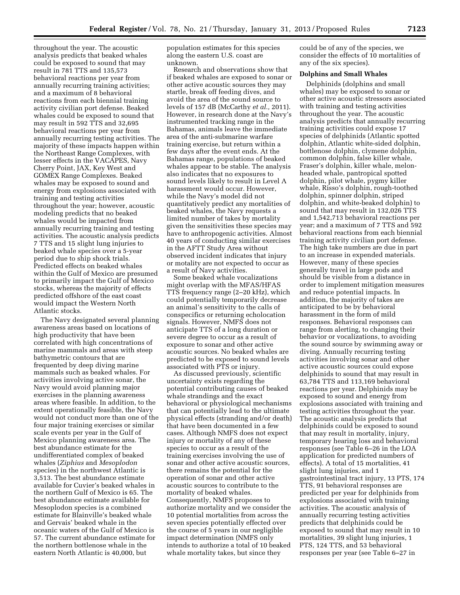throughout the year. The acoustic analysis predicts that beaked whales could be exposed to sound that may result in 781 TTS and 135,573 behavioral reactions per year from annually recurring training activities; and a maximum of 8 behavioral reactions from each biennial training activity civilian port defense. Beaked whales could be exposed to sound that may result in 592 TTS and 32,695 behavioral reactions per year from annually recurring testing activities. The majority of these impacts happen within the Northeast Range Complexes, with lesser effects in the VACAPES, Navy Cherry Point, JAX, Key West and GOMEX Range Complexes. Beaked whales may be exposed to sound and energy from explosions associated with training and testing activities throughout the year; however, acoustic modeling predicts that no beaked whales would be impacted from annually recurring training and testing activities. The acoustic analysis predicts 7 TTS and 15 slight lung injuries to beaked whale species over a 5-year period due to ship shock trials. Predicted effects on beaked whales within the Gulf of Mexico are presumed to primarily impact the Gulf of Mexico stocks, whereas the majority of effects predicted offshore of the east coast would impact the Western North Atlantic stocks.

The Navy designated several planning awareness areas based on locations of high productivity that have been correlated with high concentrations of marine mammals and areas with steep bathymetric contours that are frequented by deep diving marine mammals such as beaked whales. For activities involving active sonar, the Navy would avoid planning major exercises in the planning awareness areas where feasible. In addition, to the extent operationally feasible, the Navy would not conduct more than one of the four major training exercises or similar scale events per year in the Gulf of Mexico planning awareness area. The best abundance estimate for the undifferentiated complex of beaked whales (*Ziphius* and *Mesoplodon*  species) in the northwest Atlantic is 3,513. The best abundance estimate available for Cuvier's beaked whales in the northern Gulf of Mexico is 65. The best abundance estimate available for Mesoplodon species is a combined estimate for Blainville's beaked whale and Gervais' beaked whale in the oceanic waters of the Gulf of Mexico is 57. The current abundance estimate for the northern bottlenose whale in the eastern North Atlantic is 40,000, but

population estimates for this species along the eastern U.S. coast are unknown.

Research and observations show that if beaked whales are exposed to sonar or other active acoustic sources they may startle, break off feeding dives, and avoid the area of the sound source to levels of 157 dB (McCarthy *et al.,* 2011). However, in research done at the Navy's instrumented tracking range in the Bahamas, animals leave the immediate area of the anti-submarine warfare training exercise, but return within a few days after the event ends. At the Bahamas range, populations of beaked whales appear to be stable. The analysis also indicates that no exposures to sound levels likely to result in Level A harassment would occur. However, while the Navy's model did not quantitatively predict any mortalities of beaked whales, the Navy requests a limited number of takes by mortality given the sensitivities these species may have to anthropogenic activities. Almost 40 years of conducting similar exercises in the AFTT Study Area without observed incident indicates that injury or motality are not expected to occur as a result of Navy activities.

Some beaked whale vocalizations might overlap with the MFAS/HFAS TTS frequency range (2–20 kHz), which could potentially temporarily decrease an animal's sensitivity to the calls of conspecifics or returning echolocation signals. However, NMFS does not anticipate TTS of a long duration or severe degree to occur as a result of exposure to sonar and other active acoustic sources. No beaked whales are predicted to be exposed to sound levels associated with PTS or injury.

As discussed previously, scientific uncertainty exists regarding the potential contributing causes of beaked whale strandings and the exact behavioral or physiological mechanisms that can potentially lead to the ultimate physical effects (stranding and/or death) that have been documented in a few cases. Although NMFS does not expect injury or mortality of any of these species to occur as a result of the training exercises involving the use of sonar and other active acoustic sources, there remains the potential for the operation of sonar and other active acoustic sources to contribute to the mortality of beaked whales. Consequently, NMFS proposes to authorize mortality and we consider the 10 potential mortalities from across the seven species potentially effected over the course of 5 years in our negligible impact determination (NMFS only intends to authorize a total of 10 beaked whale mortality takes, but since they

could be of any of the species, we consider the effects of 10 mortalities of any of the six species).

## **Dolphins and Small Whales**

Delphinids (dolphins and small whales) may be exposed to sonar or other active acoustic stressors associated with training and testing activities throughout the year. The acoustic analysis predicts that annually recurring training activities could expose 17 species of delphinids (Atlantic spotted dolphin, Atlantic white-sided dolphin, bottlenose dolphin, clymene dolphin, common dolphin, false killer whale, Fraser's dolphin, killer whale, melonheaded whale, pantropical spotted dolphin, pilot whale, pygmy killer whale, Risso's dolphin, rough-toothed dolphin, spinner dolphin, striped dolphin, and white-beaked dolphin) to sound that may result in 132,026 TTS and 1,542,713 behavioral reactions per year; and a maximum of 7 TTS and 592 behavioral reactions from each biennial training activity civilian port defense. The high take numbers are due in part to an increase in expended materials. However, many of these species generally travel in large pods and should be visible from a distance in order to implement mitigation measures and reduce potential impacts. In addition, the majority of takes are anticipated to be by behavioral harassment in the form of mild responses. Behavioral responses can range from alerting, to changing their behavior or vocalizations, to avoiding the sound source by swimming away or diving. Annually recurring testing activities involving sonar and other active acoustic sources could expose delphinids to sound that may result in 63,784 TTS and 113,169 behavioral reactions per year. Delphinids may be exposed to sound and energy from explosions associated with training and testing activities throughout the year. The acoustic analysis predicts that delphinids could be exposed to sound that may result in mortality, injury, temporary hearing loss and behavioral responses (see Table 6–26 in the LOA application for predicted numbers of effects). A total of 15 mortalities, 41 slight lung injuries, and 1 gastrointestinal tract injury, 13 PTS, 174 TTS, 91 behavioral responses are predicted per year for delphinids from explosions associated with training activities. The acoustic analysis of annually recurring testing activities predicts that delphinids could be exposed to sound that may result in 10 mortalities, 39 slight lung injuries, 1 PTS, 124 TTS, and 53 behavioral responses per year (see Table 6–27 in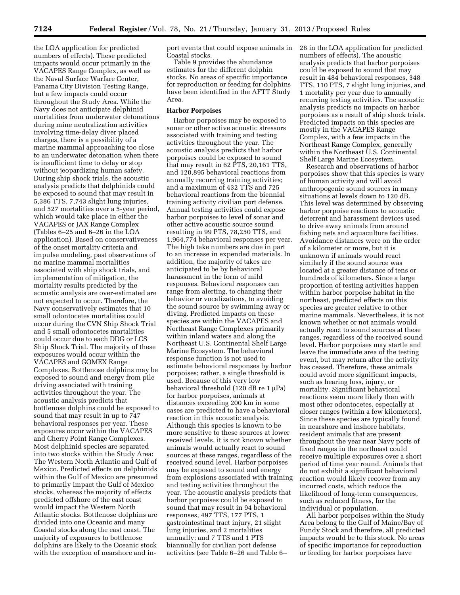the LOA application for predicted numbers of effects). These predicted impacts would occur primarily in the VACAPES Range Complex, as well as the Naval Surface Warfare Center, Panama City Division Testing Range, but a few impacts could occur throughout the Study Area. While the Navy does not anticipate delphinid mortalities from underwater detonations during mine neutralization activities involving time-delay diver placed charges, there is a possibility of a marine mammal approaching too close to an underwater detonation when there is insufficient time to delay or stop without jeopardizing human safety. During ship shock trials, the acoustic analysis predicts that delphinids could be exposed to sound that may result in 5,386 TTS, 7,743 slight lung injuries, and 527 mortalities over a 5-year period, which would take place in either the VACAPES or JAX Range Complex (Tables 6–25 and 6–26 in the LOA application). Based on conservativeness of the onset mortality criteria and impulse modeling, past observations of no marine mammal mortalities associated with ship shock trials, and implementation of mitigation, the mortality results predicted by the acoustic analysis are over-estimated are not expected to occur. Therefore, the Navy conservatively estimates that 10 small odontocetes mortalities could occur during the CVN Ship Shock Trial and 5 small odontocetes mortalities could occur due to each DDG or LCS Ship Shock Trial. The majority of these exposures would occur within the VACAPES and GOMEX Range Complexes. Bottlenose dolphins may be exposed to sound and energy from pile driving associated with training activities throughout the year. The acoustic analysis predicts that bottlenose dolphins could be exposed to sound that may result in up to 747 behavioral responses per year. These exposures occur within the VACAPES and Cherry Point Range Complexes. Most delphinid species are separated into two stocks within the Study Area: The Western North Atlantic and Gulf of Mexico. Predicted effects on delphinids within the Gulf of Mexico are presumed to primarily impact the Gulf of Mexico stocks, whereas the majority of effects predicted offshore of the east coast would impact the Western North Atlantic stocks. Bottlenose dolphins are divided into one Oceanic and many Coastal stocks along the east coast. The majority of exposures to bottlenose dolphins are likely to the Oceanic stock with the exception of nearshore and inport events that could expose animals in Coastal stocks.

Table 9 provides the abundance estimates for the different dolphin stocks. No areas of specific importance for reproduction or feeding for dolphins have been identified in the AFTT Study Area.

# **Harbor Porpoises**

Harbor porpoises may be exposed to sonar or other active acoustic stressors associated with training and testing activities throughout the year. The acoustic analysis predicts that harbor porpoises could be exposed to sound that may result in 62 PTS, 20,161 TTS, and 120,895 behavioral reactions from annually recurring training activities; and a maximum of 432 TTS and 725 behavioral reactions from the biennial training activity civilian port defense. Annual testing activities could expose harbor porpoises to level of sonar and other active acoustic source sound resulting in 99 PTS, 78,250 TTS, and 1,964,774 behavioral responses per year. The high take numbers are due in part to an increase in expended materials. In addition, the majority of takes are anticipated to be by behavioral harassment in the form of mild responses. Behavioral responses can range from alerting, to changing their behavior or vocalizations, to avoiding the sound source by swimming away or diving. Predicted impacts on these species are within the VACAPES and Northeast Range Complexes primarily within inland waters and along the Northeast U.S. Continental Shelf Large Marine Ecosystem. The behavioral response function is not used to estimate behavioral responses by harbor porpoises; rather, a single threshold is used. Because of this very low behavioral threshold  $(120 \text{ dB} \text{ re } 1 \mu \text{Pa})$ for harbor porpoises, animals at distances exceeding 200 km in some cases are predicted to have a behavioral reaction in this acoustic analysis. Although this species is known to be more sensitive to these sources at lower received levels, it is not known whether animals would actually react to sound sources at these ranges, regardless of the received sound level. Harbor porpoises may be exposed to sound and energy from explosions associated with training and testing activities throughout the year. The acoustic analysis predicts that harbor porpoises could be exposed to sound that may result in 94 behavioral responses, 497 TTS, 177 PTS, 1 gastrointestinal tract injury, 21 slight lung injuries, and 2 mortalities annually; and 7 TTS and 1 PTS biannually for civilian port defense activities (see Table 6–26 and Table 6–

28 in the LOA application for predicted numbers of effects). The acoustic analysis predicts that harbor porpoises could be exposed to sound that may result in 484 behavioral responses, 348 TTS, 110 PTS, 7 slight lung injuries, and 1 mortality per year due to annually recurring testing activities. The acoustic analysis predicts no impacts on harbor porpoises as a result of ship shock trials. Predicted impacts on this species are mostly in the VACAPES Range Complex, with a few impacts in the Northeast Range Complex, generally within the Northeast U.S. Continental Shelf Large Marine Ecosystem.

Research and observations of harbor porpoises show that this species is wary of human activity and will avoid anthropogenic sound sources in many situations at levels down to 120 dB. This level was determined by observing harbor porpoise reactions to acoustic deterrent and harassment devices used to drive away animals from around fishing nets and aquaculture facilities. Avoidance distances were on the order of a kilometer or more, but it is unknown if animals would react similarly if the sound source was located at a greater distance of tens or hundreds of kilometers. Since a large proportion of testing activities happen within harbor porpoise habitat in the northeast, predicted effects on this species are greater relative to other marine mammals. Nevertheless, it is not known whether or not animals would actually react to sound sources at these ranges, regardless of the received sound level. Harbor porpoises may startle and leave the immediate area of the testing event, but may return after the activity has ceased. Therefore, these animals could avoid more significant impacts, such as hearing loss, injury, or mortality. Significant behavioral reactions seem more likely than with most other odontocetes, especially at closer ranges (within a few kilometers). Since these species are typically found in nearshore and inshore habitats, resident animals that are present throughout the year near Navy ports of fixed ranges in the northeast could receive multiple exposures over a short period of time year round. Animals that do not exhibit a significant behavioral reaction would likely recover from any incurred costs, which reduce the likelihood of long-term consequences, such as reduced fitness, for the individual or population.

All harbor porpoises within the Study Area belong to the Gulf of Maine/Bay of Fundy Stock and therefore, all predicted impacts would be to this stock. No areas of specific importance for reproduction or feeding for harbor porpoises have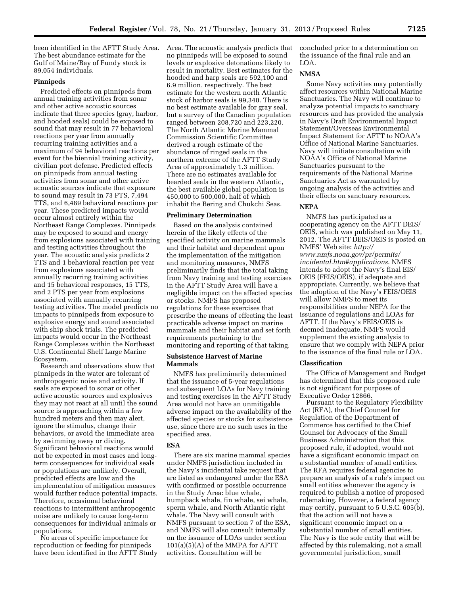been identified in the AFTT Study Area. The best abundance estimate for the Gulf of Maine/Bay of Fundy stock is 89,054 individuals.

### **Pinnipeds**

Predicted effects on pinnipeds from annual training activities from sonar and other active acoustic sources indicate that three species (gray, harbor, and hooded seals) could be exposed to sound that may result in 77 behavioral reactions per year from annually recurring training activities and a maximum of 94 behavioral reactions per event for the biennial training activity, civilian port defense. Predicted effects on pinnipeds from annual testing activities from sonar and other active acoustic sources indicate that exposure to sound may result in 73 PTS, 7,494 TTS, and 6,489 behavioral reactions per year. These predicted impacts would occur almost entirely within the Northeast Range Complexes. Pinnipeds may be exposed to sound and energy from explosions associated with training and testing activities throughout the year. The acoustic analysis predicts 2 TTS and 1 behavioral reaction per year from explosions associated with annually recurring training activities and 15 behavioral responses, 15 TTS, and 2 PTS per year from explosions associated with annually recurring testing activities. The model predicts no impacts to pinnipeds from exposure to explosive energy and sound associated with ship shock trials. The predicted impacts would occur in the Northeast Range Complexes within the Northeast U.S. Continental Shelf Large Marine Ecosystem.

Research and observations show that pinnipeds in the water are tolerant of anthropogenic noise and activity. If seals are exposed to sonar or other active acoustic sources and explosives they may not react at all until the sound source is approaching within a few hundred meters and then may alert, ignore the stimulus, change their behaviors, or avoid the immediate area by swimming away or diving. Significant behavioral reactions would not be expected in most cases and longterm consequences for individual seals or populations are unlikely. Overall, predicted effects are low and the implementation of mitigation measures would further reduce potential impacts. Therefore, occasional behavioral reactions to intermittent anthropogenic noise are unlikely to cause long-term consequences for individual animals or populations.

No areas of specific importance for reproduction or feeding for pinnipeds have been identified in the AFTT Study Area. The acoustic analysis predicts that no pinnipeds will be exposed to sound levels or explosive detonations likely to result in mortality. Best estimates for the hooded and harp seals are 592,100 and 6.9 million, respectively. The best estimate for the western north Atlantic stock of harbor seals is 99,340. There is no best estimate available for gray seal, but a survey of the Canadian population ranged between 208,720 and 223,220. The North Atlantic Marine Mammal Commission Scientific Committee derived a rough estimate of the abundance of ringed seals in the northern extreme of the AFTT Study Area of approximately 1.3 million. There are no estimates available for bearded seals in the western Atlantic, the best available global population is 450,000 to 500,000, half of which inhabit the Bering and Chukchi Seas.

#### **Preliminary Determination**

Based on the analysis contained herein of the likely effects of the specified activity on marine mammals and their habitat and dependent upon the implementation of the mitigation and monitoring measures, NMFS preliminarily finds that the total taking from Navy training and testing exercises in the AFTT Study Area will have a negligible impact on the affected species or stocks. NMFS has proposed regulations for these exercises that prescribe the means of effecting the least practicable adverse impact on marine mammals and their habitat and set forth requirements pertaining to the monitoring and reporting of that taking.

### **Subsistence Harvest of Marine Mammals**

NMFS has preliminarily determined that the issuance of 5-year regulations and subsequent LOAs for Navy training and testing exercises in the AFTT Study Area would not have an unmitigable adverse impact on the availability of the affected species or stocks for subsistence use, since there are no such uses in the specified area.

#### **ESA**

There are six marine mammal species under NMFS jurisdiction included in the Navy's incidental take request that are listed as endangered under the ESA with confirmed or possible occurrence in the Study Area: blue whale, humpback whale, fin whale, sei whale, sperm whale, and North Atlantic right whale. The Navy will consult with NMFS pursuant to section 7 of the ESA, and NMFS will also consult internally on the issuance of LOAs under section 101(a)(5)(A) of the MMPA for AFTT activities. Consultation will be

concluded prior to a determination on the issuance of the final rule and an LOA.

# **NMSA**

Some Navy activities may potentially affect resources within National Marine Sanctuaries. The Navy will continue to analyze potential impacts to sanctuary resources and has provided the analysis in Navy's Draft Environmental Impact Statement/Overseas Environmental Impact Statement for AFTT to NOAA's Office of National Marine Sanctuaries. Navy will initiate consultation with NOAA's Office of National Marine Sanctuaries pursuant to the requirements of the National Marine Sanctuaries Act as warranted by ongoing analysis of the activities and their effects on sanctuary resources.

### **NEPA**

NMFS has participated as a cooperating agency on the AFTT DEIS/ OEIS, which was published on May 11, 2012. The AFTT DEIS/OEIS is posted on NMFS' Web site: *[http://](http://www.nmfs.noaa.gov/pr/permits/incidental.htm#applications) [www.nmfs.noaa.gov/pr/permits/](http://www.nmfs.noaa.gov/pr/permits/incidental.htm#applications) [incidental.htm#applications](http://www.nmfs.noaa.gov/pr/permits/incidental.htm#applications)*. NMFS intends to adopt the Navy's final EIS/ OEIS (FEIS/OEIS), if adequate and appropriate. Currently, we believe that the adoption of the Navy's FEIS/OEIS will allow NMFS to meet its responsibilities under NEPA for the issuance of regulations and LOAs for AFTT. If the Navy's FEIS/OEIS is deemed inadequate, NMFS would supplement the existing analysis to ensure that we comply with NEPA prior to the issuance of the final rule or LOA.

### **Classification**

The Office of Management and Budget has determined that this proposed rule is not significant for purposes of Executive Order 12866.

Pursuant to the Regulatory Flexibility Act (RFA), the Chief Counsel for Regulation of the Department of Commerce has certified to the Chief Counsel for Advocacy of the Small Business Administration that this proposed rule, if adopted, would not have a significant economic impact on a substantial number of small entities. The RFA requires federal agencies to prepare an analysis of a rule's impact on small entities whenever the agency is required to publish a notice of proposed rulemaking. However, a federal agency may certify, pursuant to 5 U.S.C. 605(b), that the action will not have a significant economic impact on a substantial number of small entities. The Navy is the sole entity that will be affected by this rulemaking, not a small governmental jurisdiction, small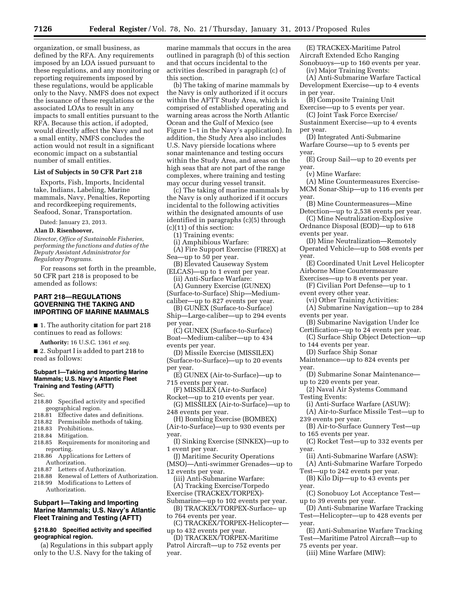organization, or small business, as defined by the RFA. Any requirements imposed by an LOA issued pursuant to these regulations, and any monitoring or reporting requirements imposed by these regulations, would be applicable only to the Navy. NMFS does not expect the issuance of these regulations or the associated LOAs to result in any impacts to small entities pursuant to the RFA. Because this action, if adopted, would directly affect the Navy and not a small entity, NMFS concludes the action would not result in a significant economic impact on a substantial number of small entities.

# **List of Subjects in 50 CFR Part 218**

Exports, Fish, Imports, Incidental take, Indians, Labeling, Marine mammals, Navy, Penalties, Reporting and recordkeeping requirements, Seafood, Sonar, Transportation.

Dated: January 23, 2013.

#### **Alan D. Risenhoover,**

*Director, Office of Sustainable Fisheries, performing the functions and duties of the Deputy Assistant Administrator for Regulatory Programs.* 

For reasons set forth in the preamble, 50 CFR part 218 is proposed to be amended as follows:

# **PART 218—REGULATIONS GOVERNING THE TAKING AND IMPORTING OF MARINE MAMMALS**

■ 1. The authority citation for part 218 continues to read as follows:

**Authority:** 16 U.S.C. 1361 *et seq.* 

■ 2. Subpart I is added to part 218 to read as follows:

# **Subpart I—Taking and Importing Marine Mammals; U.S. Navy's Atlantic Fleet Training and Testing (AFTT)**

Sec.

- 218.80 Specified activity and specified geographical region.
- 218.81 Effective dates and definitions.
- 218.82 Permissible methods of taking.
- 218.83 Prohibitions.
- 218.84 Mitigation.
- 218.85 Requirements for monitoring and reporting.
- 218.86 Applications for Letters of
- Authorization.<br>218.87 Letters of Letters of Authorization.
- 218.88 Renewal of Letters of Authorization. 218.99 Modifications to Letters of Authorization.

# **Subpart I—Taking and Importing Marine Mammals; U.S. Navy's Atlantic Fleet Training and Testing (AFTT)**

### **§ 218.80 Specified activity and specified geographical region.**

(a) Regulations in this subpart apply only to the U.S. Navy for the taking of

marine mammals that occurs in the area outlined in paragraph (b) of this section and that occurs incidental to the activities described in paragraph (c) of this section.

(b) The taking of marine mammals by the Navy is only authorized if it occurs within the AFTT Study Area, which is comprised of established operating and warning areas across the North Atlantic Ocean and the Gulf of Mexico (see Figure 1–1 in the Navy's application). In addition, the Study Area also includes U.S. Navy pierside locations where sonar maintenance and testing occurs within the Study Area, and areas on the high seas that are not part of the range complexes, where training and testing may occur during vessel transit.

(c) The taking of marine mammals by the Navy is only authorized if it occurs incidental to the following activities within the designated amounts of use identified in paragraphs (c)(5) through (c)(11) of this section:

(1) Training events:

- (i) Amphibious Warfare:
- (A) Fire Support Exercise (FIREX) at Sea—up to 50 per year.
- (B) Elevated Causeway System (ELCAS)—up to 1 event per year. (ii) Anti-Surface Warfare:
- (A) Gunnery Exercise (GUNEX)

(Surface-to-Surface) Ship—Mediumcaliber—up to 827 events per year.

- (B) GUNEX (Surface-to-Surface)
- Ship—Large-caliber—up to 294 events per year.
- (C) GUNEX (Surface-to-Surface) Boat—Medium-caliber—up to 434

events per year.

(D) Missile Exercise (MISSILEX) (Surface-to-Surface)—up to 20 events per year.

(E) GUNEX (Air-to-Surface)—up to 715 events per year.

(F) MISSILEX (Air-to-Surface) Rocket—up to 210 events per year.

(G) MISSILEX (Air-to-Surface)—up to 248 events per year.

- (H) Bombing Exercise (BOMBEX) (Air-to-Surface)—up to 930 events per year.
- (I) Sinking Exercise (SINKEX)—up to 1 event per year.
- (J) Maritime Security Operations
- (MSO)—Anti-swimmer Grenades—up to 12 events per year.
- (iii) Anti-Submarine Warfare: (A) Tracking Exercise/Torpedo
- Exercise (TRACKEX/TORPEX)-
- Submarine—up to 102 events per year. (B) TRACKEX/TORPEX-Surface– up
- to 764 events per year. (C) TRACKEX/TORPEX-Helicopter—
- up to 432 events per year.
- (D) TRACKEX/TORPEX-Maritime Patrol Aircraft—up to 752 events per year.

(E) TRACKEX-Maritime Patrol Aircraft Extended Echo Ranging Sonobuoys—up to 160 events per year.

(iv) Major Training Events:

- (A) Anti-Submarine Warfare Tactical Development Exercise—up to 4 events in per year.
- (B) Composite Training Unit
- Exercise—up to 5 events per year. (C) Joint Task Force Exercise/
- Sustainment Exercise—up to 4 events per year.
- (D) Integrated Anti-Submarine Warfare Course—up to 5 events per year.
- (E) Group Sail—up to 20 events per year.
	- (v) Mine Warfare:
- (A) Mine Countermeasures Exercise-MCM Sonar-Ship—up to 116 events per year.
- (B) Mine Countermeasures—Mine Detection—up to 2,538 events per year.
- (C) Mine Neutralization-Explosive Ordnance Disposal (EOD)—up to 618
- events per year.
- (D) Mine Neutralization—Remotely Operated Vehicle—up to 508 events per year.
- (E) Coordinated Unit Level Helicopter Airborne Mine Countermeasure
- Exercises—up to 8 events per year.
- (F) Civilian Port Defense—up to 1 event every other year.
	- (vi) Other Training Activities:
- (A) Submarine Navigation—up to 284 events per year.
- (B) Submarine Navigation Under Ice Certification—up to 24 events per year.
- (C) Surface Ship Object Detection—up to 144 events per year.
	- (D) Surface Ship Sonar
- Maintenance—up to 824 events per year.
- (D) Submarine Sonar Maintenance up to 220 events per year.
- (2) Naval Air Systems Command Testing Events:
- (i) Anti-Surface Warfare (ASUW):
- (A) Air-to-Surface Missile Test—up to 239 events per year.
- (B) Air-to-Surface Gunnery Test—up to 165 events per year.
- (C) Rocket Test—up to 332 events per year.
	- (ii) Anti-Submarine Warfare (ASW):
- (A) Anti-Submarine Warfare Torpedo Test—up to 242 events per year.
- (B) Kilo Dip—up to 43 events per year.
- (C) Sonobuoy Lot Acceptance Test up to 39 events per year.
- (D) Anti-Submarine Warfare Tracking Test—Helicopter—up to 428 events per year.
- (E) Anti-Submarine Warfare Tracking Test—Maritime Patrol Aircraft—up to

75 events per year.

(iii) Mine Warfare (MIW):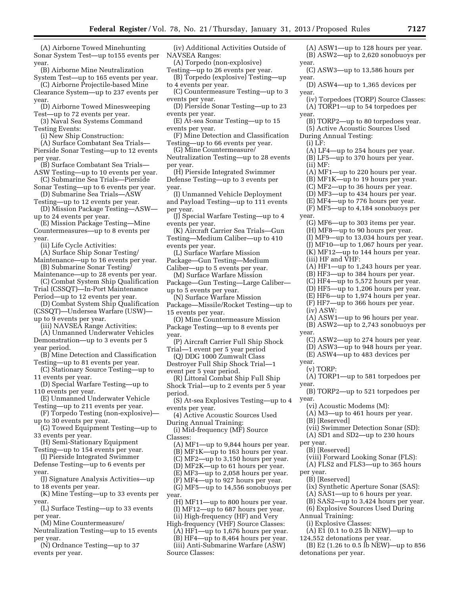(A) Airborne Towed Minehunting Sonar System Test—up to155 events per year.

(B) Airborne Mine Neutralization System Test—up to 165 events per year.

(C) Airborne Projectile-based Mine Clearance System—up to 237 events per year.

- (D) Airborne Towed Minesweeping Test—up to 72 events per year.
- (3) Naval Sea Systems Command Testing Events:

(i) New Ship Construction:

(A) Surface Combatant Sea Trials— Pierside Sonar Testing—up to 12 events per year.

(B) Surface Combatant Sea Trials— ASW Testing—up to 10 events per year.

- (C) Submarine Sea Trials—Pierside
- Sonar Testing—up to 6 events per year. (D) Submarine Sea Trials—ASW

Testing—up to 12 events per year. (D) Mission Package Testing—ASW—

up to 24 events per year.

(E) Mission Package Testing—Mine Countermeasures—up to 8 events per year.

(ii) Life Cycle Activities:

- (A) Surface Ship Sonar Testing/ Maintenance—up to 16 events per year. (B) Submarine Sonar Testing/
- Maintenance—up to 28 events per year. (C) Combat System Ship Qualification
- Trial (CSSQT)—In-Port Maintenance

Period—up to 12 events per year.

(D) Combat System Ship Qualification (CSSQT)—Undersea Warfare (USW) up to 9 events per year.

(iii) NAVSEA Range Activities:

- (A) Unmanned Underwater Vehicles Demonstration—up to 3 events per 5 year period.
- (B) Mine Detection and Classification Testing—up to 81 events per year.

(C) Stationary Source Testing—up to 11 events per year.

(D) Special Warfare Testing—up to 110 events per year.

(E) Unmanned Underwater Vehicle Testing—up to 211 events per year.

(F) Torpedo Testing (non-explosive) up to 30 events per year.

(G) Towed Equipment Testing—up to 33 events per year.

- (H) Semi-Stationary Equipment Testing—up to 154 events per year.
- (I) Pierside Integrated Swimmer
- Defense Testing—up to 6 events per year.

(J) Signature Analysis Activities—up to 18 events per year.

(K) Mine Testing—up to 33 events per year.

(L) Surface Testing—up to 33 events per year.

(M) Mine Countermeasure/

- Neutralization Testing—up to 15 events per year.
- (N) Ordnance Testing—up to 37 events per year.

(iv) Additional Activities Outside of NAVSEA Ranges:

(A) Torpedo (non-explosive)

Testing—up to 26 events per year. (B) Torpedo (explosive) Testing—up to 4 events per year.

- (C) Countermeasure Testing—up to 3 events per year.
- (D) Pierside Sonar Testing—up to 23 events per year.
- (E) At-sea Sonar Testing—up to 15 events per year.
- (F) Mine Detection and Classification Testing—up to 66 events per year.
- (G) Mine Countermeasure/ Neutralization Testing—up to 28 events per year.
- (H) Pierside Integrated Swimmer Defense Testing—up to 3 events per year.
- (I) Unmanned Vehicle Deployment and Payload Testing—up to 111 events per year.
- (J) Special Warfare Testing—up to 4 events per year.
- (K) Aircraft Carrier Sea Trials—Gun Testing—Medium Caliber—up to 410 events per year.
- (L) Surface Warfare Mission
- Package—Gun Testing—Medium
- Caliber—up to 5 events per year. (M) Surface Warfare Mission
- Package—Gun Testing—Large Caliber up to 5 events per year.
- (N) Surface Warfare Mission Package—Missile/Rocket Testing—up to
- 15 events per year. (O) Mine Countermeasure Mission Package Testing—up to 8 events per
- year.
- (P) Aircraft Carrier Full Ship Shock Trial—1 event per 5 year period
- (Q) DDG 1000 Zumwalt Class
- Destroyer Full Ship Shock Trial—1 event per 5 year period.

(R) Littoral Combat Ship Full Ship Shock Trial—up to 2 events per 5 year period.

- (S) At-sea Explosives Testing—up to 4 events per year.
- (4) Active Acoustic Sources Used During Annual Training:
- (i) Mid-frequency (MF) Source Classes:
	- (A) MF1—up to 9,844 hours per year.
	- (B) MF1K—up to 163 hours per year.
	- (C) MF2—up to 3,150 hours per year.
	- (D) MF2K—up to 61 hours per year. (E) MF3—up to 2,058 hours per year.
	- (F) MF4—up to 927 hours per year.

(G) MF5—up to 14,556 sonobuoys per year.

- (H) MF11—up to 800 hours per year. (I) MF12—up to 687 hours per year. (ii) High-frequency (HF) and Very
- High-frequency (VHF) Source Classes: (A) HF1—up to 1,676 hours per year. (B) HF4—up to 8,464 hours per year. (iii) Anti-Submarine Warfare (ASW) Source Classes:
- (A) ASW1—up to 128 hours per year. (B) ASW2—up to 2,620 sonobuoys per year.
- (C) ASW3—up to 13,586 hours per year.
- (D) ASW4—up to 1,365 devices per year.
- (iv) Torpedoes (TORP) Source Classes: (A) TORP1—up to 54 torpedoes per
- year. (B) TORP2—up to 80 torpedoes year.
- (5) Active Acoustic Sources Used During Annual Testing:
- $(i)$  LF:

(A) LF4—up to 254 hours per year.

- (B) LF5—up to 370 hours per year. (ii) MF:
- (A) MF1—up to 220 hours per year.
- (B) MF1K—up to 19 hours per year.
- (C) MF2—up to 36 hours per year.
- (D) MF3—up to 434 hours per year.
- (E) MF4—up to 776 hours per year.
- (F) MF5—up to 4,184 sonobuoys per year.
	- (G) MF6—up to 303 items per year.
	- (H) MF8—up to 90 hours per year.
	- (I) MF9—up to 13,034 hours per year.
	- (J) MF10—up to 1,067 hours per year.
	- (K) MF12—up to 144 hours per year. (iii) HF and VHF:
	- (A) HF1—up to 1,243 hours per year.
	- (B) HF3—up to 384 hours per year.
	- (C) HF4—up to 5,572 hours per year.
	- (D) HF5—up to 1,206 hours per year.
	- (E) HF6—up to 1,974 hours per year.
	- (F) HF7—up to 366 hours per year.
- (iv) ASW:

year.

year.

year.

per year.

per year.

(v) TORP:

(B) [Reserved]

(B) [Reserved]

(B) [Reserved]

Annual Training: (i) Explosive Classes:

detonations per year.

- (A) ASW1—up to 96 hours per year.
- (B) ASW2—up to 2,743 sonobuoys per year. (C) ASW2—up to 274 hours per year.

(D) ASW3—up to 948 hours per year. (E) ASW4—up to 483 devices per

(A) TORP1—up to 581 torpedoes per

(B) TORP2—up to 521 torpedoes per

(vii) Swimmer Detection Sonar (SD): (A) SD1 and SD2—up to 230 hours

(viii) Forward Looking Sonar (FLS): (A) FLS2 and FLS3—up to 365 hours

(ix) Synthetic Aperture Sonar (SAS): (A) SAS1—up to 6 hours per year. (B) SAS2—up to 3,424 hours per year. (6) Explosive Sources Used During

(A) E1 (0.1 to 0.25 lb NEW)—up to

(B) E2 (1.26 to 0.5 lb NEW)—up to 856

124,552 detonations per year.

(vi) Acoustic Modems (M): (A) M3—up to 461 hours per year.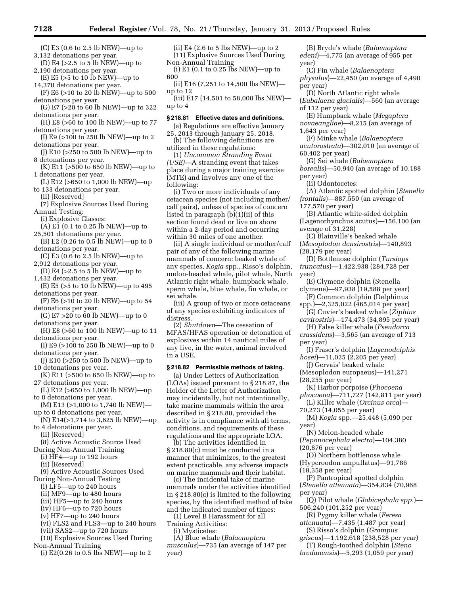- (C) E3 (0.6 to 2.5 lb NEW)—up to 3,132 detonations per year.
- (D) E4 (>2.5 to 5 lb NEW)—up to 2,190 detonations per year.
- $(E)$  E5 ( $>5$  to 10  $\overline{I}$ b NEW)—up to 14,370 detonations per year.
- (F) E6 (>10 to 20 lb NEW)—up to 500 detonations per year.
- (G) E7 (>20 to 60 lb NEW)—up to 322 detonations per year.
- (H) E8 (>60 to 100 lb NEW)—up to 77 detonations per year.
- (I) E9 (>100 to 250 lb NEW)—up to 2 detonations per year.
- (J) E10 (>250 to 500 lb NEW)—up to 8 detonations per year.
- (K) E11 (>500 to 650 lb NEW)—up to 1 detonations per year.
- (L) E12 (>650 to 1,000 lb NEW)—up to 133 detonations per year.
	- (ii) [Reserved]
- (7) Explosive Sources Used During Annual Testing:
- (i) Explosive Classes:
- $(A)$  E1 (0.1 to 0.25 lb NEW)—up to
- 25,501 detonations per year. (B) E2 (0.26 to 0.5 lb NEW)—up to 0
- detonations per year.
- (C) E3 (0.6 to 2.5 lb NEW)—up to 2,912 detonations per year.
- (D) E4 (>2.5 to 5 lb NEW)—up to 1,432 detonations per year.
- (E) E5 (>5 to 10 lb NEW)—up to 495 detonations per year.
- (F) E6 (>10 to 20 lb NEW)—up to 54 detonations per year.
- (G) E7 >20 to 60 lb NEW)—up to 0 detonations per year.
- (H) E8 (>60 to 100 lb NEW)—up to 11 detonations per year.
- (I) E9 (>100 to 250 lb NEW)—up to 0 detonations per year.
- (J) E10 (>250 to 500 lb NEW)—up to 10 detonations per year.
- (K) E11 (>500 to 650 lb NEW)—up to 27 detonations per year.
- (L) E12 (>650 to 1,000 lb NEW)—up to 0 detonations per year.
- (M) E13 (>1,000 to 1,740 lb NEW) up to 0 detonations per year.
- (N) E14(>1,714 to 3,625 lb NEW)—up to 4 detonations per year.
	- (ii) [Reserved]
- (8) Active Acoustic Source Used
- During Non-Annual Training
	- (i) HF4—up to 192 hours
	- (ii) [Reserved]
- (9) Active Acoustic Sources Used
- During Non-Annual Testing
	- (i) LF5—up to 240 hours
	- (ii) MF9—up to 480 hours
	- (iii) HF5—up to 240 hours (iv) HF6—up to 720 hours
	- (v) HF7—up to 240 hours
	- (vi) FLS2 and FLS3—up to 240 hours
	- (vii) SAS2—up to 720 hours
- (10) Explosive Sources Used During Non-Annual Training
- (i) E2(0.26 to 0.5 lbs NEW)—up to 2
- (ii) E4 (2.6 to 5 lbs NEW)—up to 2 (11) Explosive Sources Used During Non-Annual Training
- (i) E1 (0.1 to 0.25 lbs NEW)—up to
- 600 (ii) E16 (7,251 to 14,500 lbs NEW)—
- up to 12 (iii) E17 (14,501 to 58,000 lbs NEW) up to 4

#### **§ 218.81 Effective dates and definitions.**

(a) Regulations are effective January 25, 2013 through January 25, 2018.

(b) The following definitions are utilized in these regulations:

(1) *Uncommon Stranding Event (USE)*—A stranding event that takes place during a major training exercise (MTE) and involves any one of the following:

(i) Two or more individuals of any cetacean species (not including mother/ calf pairs), unless of species of concern listed in paragraph (b)(1)(ii) of this section found dead or live on shore within a 2-day period and occurring within 30 miles of one another.

(ii) A single individual or mother/calf pair of any of the following marine mammals of concern: beaked whale of any species, *Kogia* spp., Risso's dolphin, melon-headed whale, pilot whale, North Atlantic right whale, humpback whale, sperm whale, blue whale, fin whale, or sei whale.

(iii) A group of two or more cetaceans of any species exhibiting indicators of distress.

(2) *Shutdown*—The cessation of MFAS/HFAS operation or detonation of explosives within 14 nautical miles of any live, in the water, animal involved in a USE.

## **§ 218.82 Permissible methods of taking.**

(a) Under Letters of Authorization (LOAs) issued pursuant to § 218.87, the Holder of the Letter of Authorization may incidentally, but not intentionally, take marine mammals within the area described in § 218.80, provided the activity is in compliance with all terms, conditions, and requirements of these regulations and the appropriate LOA.

(b) The activities identified in § 218.80(c) must be conducted in a manner that minimizes, to the greatest extent practicable, any adverse impacts on marine mammals and their habitat.

(c) The incidental take of marine mammals under the activities identified in § 218.80(c) is limited to the following species, by the identified method of take and the indicated number of times:

(1) Level B Harassment for all

Training Activities:

(i) Mysticetes:

(A) Blue whale (*Balaenoptera musculus*)—735 (an average of 147 per year)

(B) Bryde's whale (*Balaenoptera edeni*)—4,775 (an average of 955 per year)

(C) Fin whale (*Balaenoptera physalus*)—22,450 (an average of 4,490 per year)

(D) North Atlantic right whale (*Eubalaena glacialis*)—560 (an average of 112 per year)

(E) Humpback whale (*Megaptera novaeangliae*)—8,215 (an average of 1,643 per year)

(F) Minke whale (*Balaenoptera acutorostrata*)—302,010 (an average of 60,402 per year)

(G) Sei whale (*Balaenoptera borealis*)—50,940 (an average of 10,188 per year)

(ii) Odontocetes:

(A) Atlantic spotted dolphin (*Stenella frontalis*)—887,550 (an average of 177,570 per year)

(B) Atlantic white-sided dolphin (Lagenorhynchus acutus)—156,100 (an average of 31,228)

(C) Blainville's beaked whale (*Mesoplodon densirostris*)—140,893 (28,179 per year)

(D) Bottlenose dolphin (*Tursiops truncatus*)—1,422,938 (284,728 per year)

- (E) Clymene dolphin (Stenella clymene)—97,938 (19,588 per year)
- (F) Common dolphin (Delphinus
- spp.)—2,325,022 (465,014 per year) (G) Cuvier's beaked whale (*Ziphius*
- *cavirostris*)—174,473 (34,895 per year) (H) False killer whale (*Pseudorca*

*crassidens*)—3,565 (an average of 713 per year)

(I) Fraser's dolphin (*Lagenodelphis hosei*)—11,025 (2,205 per year)

- (J) Gervais' beaked whale (Mesoplodon europaeus)—141,271 (28,255 per year)
- (K) Harbor porpoise (*Phocoena phocoena*)—711,727 (142,811 per year)
- (L) Killer whale (*Orcinus orca*)— 70,273 (14,055 per year)
- (M) *Kogia* spp.—25,448 (5,090 per year)
- (N) Melon-headed whale (*Peponocephala electra*)—104,380 (20,876 per year)
- (O) Northern bottlenose whale
- (Hyperoodon ampullatus)—91,786 (18,358 per year)
- (P) Pantropical spotted dolphin (*Stenella attenuata*)—354,834 (70,968 per year)
- (Q) Pilot whale (*Globicephala spp.*)— 506,240 (101,252 per year)

(R) Pygmy killer whale (*Feresa attenuata*)—7,435 (1,487 per year)

(S) Risso's dolphin (*Grampus griseus*)—1,192,618 (238,528 per year)

(T) Rough-toothed dolphin (*Steno bredanensis*)—5,293 (1,059 per year)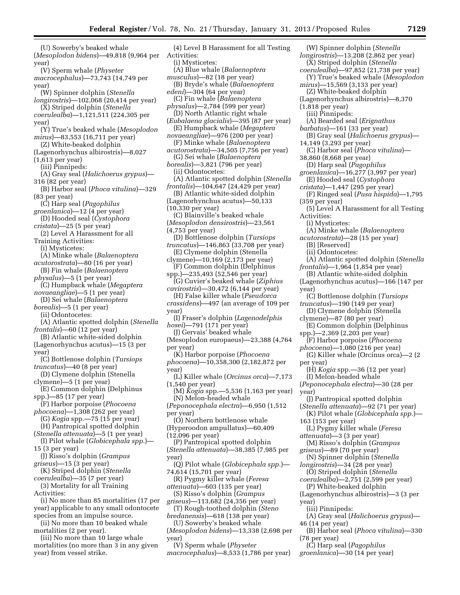(U) Sowerby's beaked whale (*Mesoplodon bidens*)—49,818 (9,964 per year) (V) Sperm whale (*Physeter* 

*macrocephalus*)—73,743 (14,749 per year)

- (W) Spinner dolphin (*Stenella longirostris*)—102,068 (20,414 per year)
- (X) Striped dolphin (*Stenella coerulealba*)—1,121,511 (224,305 per year)
- (Y) True's beaked whale (*Mesoplodon mirus*)—83,553 (16,711 per year)
- (Z) White-beaked dolphin
- (Lagenorhynchus albirostris)—8,027 (1,613 per year)
- (iii) Pinnipeds:
- (A) Gray seal (*Halichoerus grypus*)— 316 (82 per year)
- (B) Harbor seal (*Phoca vitulina*)—329 (83 per year)
- (C) Harp seal (*Pagophilus groenlanica*)—12 (4 per year)
- (D) Hooded seal (*Cystophora cristata*)—25 (5 per year)
- (2) Level A Harassment for all Training Activities:
- (i) Mysticetes:
- (A) Minke whale (*Balaenoptera*
- *acutorostrata*)—80 (16 per year) (B) Fin whale (*Balaenoptera*
- *physalus*)—5 (1 per year)
- (C) Humpback whale (*Megaptera novaeangliae*)—5 (1 per year)
- (D) Sei whale (*Balaenoptera*

*borealis*)—5 (1 per year) (ii) Odontocetes:

- (A) Atlantic spotted dolphin (*Stenella frontalis*)—60 (12 per year)
- (B) Atlantic white-sided dolphin (Lagenorhynchus acutus)—15 (3 per
- year)
- (C) Bottlenose dolphin (*Tursiops truncatus*)—40 (8 per year)
- (D) Clymene dolphin (Stenella clymene)—5 (1 per year)

(E) Common dolphin (Delphinus spp.)—85 (17 per year)

- (F) Harbor porpoise (*Phocoena phocoena*)—1,308 (262 per year)
- (G) *Kogia* spp.—75 (15 per year) (H) Pantropical spotted dolphin
- (*Stenella attenuata*)—5 (1 per year) (I) Pilot whale (*Globicephala spp.*)—
- 15 (3 per year) (J) Risso's dolphin (*Grampus*
- *griseus*)—15 (3 per year) (K) Striped dolphin (*Stenella*
- *coerulealba*)—35 (7 per year)
- (3) Mortality for all Training
- Activities:

(i) No more than 85 mortalities (17 per year) applicable to any small odontocete species from an impulse source.

(ii) No more than 10 beaked whale mortalities (2 per year).

(iii) No more than 10 large whale mortalities (no more than 3 in any given year) from vessel strike.

- (4) Level B Harassment for all Testing Activities: (i) Mysticetes: (A) Blue whale (*Balaenoptera musculus*)—82 (18 per year) (B) Bryde's whale (*Balaenoptera edeni*)—304 (64 per year) (C) Fin whale (*Balaenoptera physalus*)—2,784 (599 per year) (D) North Atlantic right whale (*Eubalaena glacialis*)—395 (87 per year) (E) Humpback whale (*Megaptera novaeangliae*)—976 (200 per year) (F) Minke whale (*Balaenoptera acutorostrata*)—34,505 (7,756 per year) (G) Sei whale (*Balaenoptera borealis*)—3,821 (796 per year) (ii) Odontocetes: (A) Atlantic spotted dolphin (*Stenella frontalis*)—104,647 (24,429 per year) (B) Atlantic white-sided dolphin (Lagenorhynchus acutus)—50,133 (10,330 per year) (C) Blainville's beaked whale (*Mesoplodon densirostris*)—23,561 (4,753 per year) (D) Bottlenose dolphin (*Tursiops truncatus*)—146,863 (33,708 per year) (E) Clymene dolphin (Stenella clymene)—10,169 (2,173 per year) (F) Common dolphin (Delphinus spp.)—235,493 (52,546 per year) (G) Cuvier's beaked whale (*Ziphius cavirostris*)—30,472 (6,144 per year) (H) False killer whale (*Pseudorca crassidens*)—497 (an average of 109 per year) (I) Fraser's dolphin (*Lagenodelphis hosei*)—791 (171 per year) (J) Gervais' beaked whale (Mesoplodon europaeus)—23,388 (4,764 per year) (K) Harbor porpoise (*Phocoena phocoena*)—10,358,300 (2,182,872 per year) (L) Killer whale (*Orcinus orca*)—7,173 (1,540 per year) (M) *Kogia* spp.—5,536 (1,163 per year) (N) Melon-headed whale (*Peponocephala electra*)—6,950 (1,512 per year) (O) Northern bottlenose whale (Hyperoodon ampullatus)—60,409 (12,096 per year) (P) Pantropical spotted dolphin (*Stenella attenuata*)—38,385 (7,985 per year) (Q) Pilot whale (*Globicephala spp.*)— 74,614 (15,701 per year) (R) Pygmy killer whale (*Feresa attenuata*)—603 (135 per year) (S) Risso's dolphin (*Grampus griseus*)—113,682 (24,356 per year) (T) Rough-toothed dolphin (*Steno bredanensis*)—618 (138 per year) (U) Sowerby's beaked whale (*Mesoplodon bidens*)—13,338 (2,698 per year) (V) Sperm whale (*Physeter*
- *macrocephalus*)—8,533 (1,786 per year)

(Lagenorhynchus albirostris)—8,370 (1,818 per year) (iii) Pinnipeds: (A) Bearded seal (*Erignathus barbatus*)—161 (33 per year) (B) Gray seal (*Halichoerus grypus*)— 14,149 (3,293 per year) (C) Harbor seal (*Phoca vitulina*)— 38,860 (8,668 per year) (D) Harp seal (*Pagophilus groenlanica*)—16,277 (3,997 per year)

(W) Spinner dolphin (*Stenella longirostris*)—13,208 (2,862 per year) (X) Striped dolphin (*Stenella coerulealba*)—97,852 (21,738 per year) (Y) True's beaked whale (*Mesoplodon* 

*mirus*)—15,569 (3,133 per year) (Z) White-beaked dolphin

- (E) Hooded seal (*Cystophora cristata*)—1,447 (295 per year)
- (F) Ringed seal (*Pusa hispida*)—1,795 (359 per year)
- (5) Level A Harassment for all Testing Activities:
	- (i) Mysticetes:
- (A) Minke whale (*Balaenoptera*
- *acutorostrata*)—28 (15 per year) (B) [Reserved]
	- (ii) Odontocetes:
- (A) Atlantic spotted dolphin (*Stenella frontalis*)—1,964 (1,854 per year)
- (B) Atlantic white-sided dolphin (Lagenorhynchus acutus)—166 (147 per year)
- (C) Bottlenose dolphin (*Tursiops*
- *truncatus*)—190 (149 per year) (D) Clymene dolphin (Stenella
- clymene)—87 (80 per year)
- (E) Common dolphin (Delphinus spp.)—2,369 (2,203 per year)
- (F) Harbor porpoise (*Phocoena*
- *phocoena*)—1,080 (216 per year) (G) Killer whale (Orcinus orca)—2 (2
- per year)
	- (H) *Kogia* spp.—36 (12 per year)
- (I) Melon-headed whale (*Peponocephala electra*)—30 (28 per
- year)
- (J) Pantropical spotted dolphin (*Stenella attenuata*)—92 (71 per year)
- (K) Pilot whale (*Globicephala spp.*)— 163 (153 per year)
- 
- (L) Pygmy killer whale (*Feresa attenuata*)—3 (3 per year)
- (M) Risso's dolphin (*Grampus griseus*)—89 (70 per year)
- (N) Spinner dolphin (*Stenella longirostris*)—34 (28 per year)
- (O) Striped dolphin (*Stenella*
- *coerulealba*)—2,751 (2,599 per year) (P) White-beaked dolphin
- (Lagenorhynchus albirostris)—3 (3 per

year)

- (iii) Pinnipeds:
- (A) Gray seal (*Halichoerus grypus*)— 46 (14 per year)
- (B) Harbor seal (*Phoca vitulina*)—330 (78 per year)

(C) Harp seal (*Pagophilus* 

*groenlanica*)—30 (14 per year)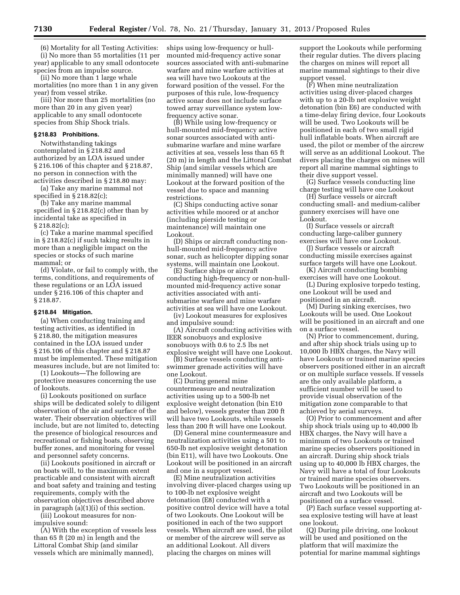(6) Mortality for all Testing Activities: (i) No more than 55 mortalities (11 per year) applicable to any small odontocete species from an impulse source.

(ii) No more than 1 large whale mortalities (no more than 1 in any given year) from vessel strike.

(iii) Nor more than 25 mortalities (no more than 20 in any given year) applicable to any small odontocete species from Ship Shock trials.

## **§ 218.83 Prohibitions.**

Notwithstanding takings contemplated in § 218.82 and authorized by an LOA issued under § 216.106 of this chapter and § 218.87, no person in connection with the activities described in § 218.80 may:

(a) Take any marine mammal not specified in § 218.82(c);

(b) Take any marine mammal specified in § 218.82(c) other than by incidental take as specified in § 218.82(c);

(c) Take a marine mammal specified in § 218.82(c) if such taking results in more than a negligible impact on the species or stocks of such marine mammal; or

(d) Violate, or fail to comply with, the terms, conditions, and requirements of these regulations or an LOA issued under § 216.106 of this chapter and § 218.87.

#### **§ 218.84 Mitigation.**

(a) When conducting training and testing activities, as identified in § 218.80, the mitigation measures contained in the LOA issued under § 216.106 of this chapter and § 218.87 must be implemented. These mitigation measures include, but are not limited to:

(1) Lookouts—The following are protective measures concerning the use of lookouts.

(i) Lookouts positioned on surface ships will be dedicated solely to diligent observation of the air and surface of the water. Their observation objectives will include, but are not limited to, detecting the presence of biological resources and recreational or fishing boats, observing buffer zones, and monitoring for vessel and personnel safety concerns.

(ii) Lookouts positioned in aircraft or on boats will, to the maximum extent practicable and consistent with aircraft and boat safety and training and testing requirements, comply with the observation objectives described above in paragraph (a)(1)(i) of this section.

(iii) Lookout measures for nonimpulsive sound:

(A) With the exception of vessels less than 65 ft (20 m) in length and the Littoral Combat Ship (and similar vessels which are minimally manned),

ships using low-frequency or hullmounted mid-frequency active sonar sources associated with anti-submarine warfare and mine warfare activities at sea will have two Lookouts at the forward position of the vessel. For the purposes of this rule, low-frequency active sonar does not include surface towed array surveillance system lowfrequency active sonar.

(B) While using low-frequency or hull-mounted mid-frequency active sonar sources associated with antisubmarine warfare and mine warfare activities at sea, vessels less than 65 ft (20 m) in length and the Littoral Combat Ship (and similar vessels which are minimally manned) will have one Lookout at the forward position of the vessel due to space and manning restrictions.

(C) Ships conducting active sonar activities while moored or at anchor (including pierside testing or maintenance) will maintain one Lookout.

(D) Ships or aircraft conducting nonhull-mounted mid-frequency active sonar, such as helicopter dipping sonar systems, will maintain one Lookout.

(E) Surface ships or aircraft conducting high-frequency or non-hullmounted mid-frequency active sonar activities associated with antisubmarine warfare and mine warfare activities at sea will have one Lookout.

(iv) Lookout measures for explosives and impulsive sound:

(A) Aircraft conducting activities with IEER sonobuoys and explosive sonobuoys with 0.6 to 2.5 lbs net explosive weight will have one Lookout.

(B) Surface vessels conducting antiswimmer grenade activities will have one Lookout.

(C) During general mine countermeasure and neutralization activities using up to a 500-lb net explosive weight detonation (bin E10 and below), vessels greater than 200 ft will have two Lookouts, while vessels less than 200 ft will have one Lookout.

(D) General mine countermeasure and neutralization activities using a 501 to 650-lb net explosive weight detonation (bin E11), will have two Lookouts. One Lookout will be positioned in an aircraft and one in a support vessel.

(E) Mine neutralization activities involving diver-placed charges using up to 100-lb net explosive weight detonation (E8) conducted with a positive control device will have a total of two Lookouts. One Lookout will be positioned in each of the two support vessels. When aircraft are used, the pilot or member of the aircrew will serve as an additional Lookout. All divers placing the charges on mines will

support the Lookouts while performing their regular duties. The divers placing the charges on mines will report all marine mammal sightings to their dive support vessel.

(F) When mine neutralization activities using diver-placed charges with up to a 20-lb net explosive weight detonation (bin E6) are conducted with a time-delay firing device, four Lookouts will be used. Two Lookouts will be positioned in each of two small rigid hull inflatable boats. When aircraft are used, the pilot or member of the aircrew will serve as an additional Lookout. The divers placing the charges on mines will report all marine mammal sightings to their dive support vessel.

(G) Surface vessels conducting line charge testing will have one Lookout

(H) Surface vessels or aircraft conducting small- and medium-caliber gunnery exercises will have one Lookout.

(I) Surface vessels or aircraft conducting large-caliber gunnery exercises will have one Lookout.

(J) Surface vessels or aircraft conducting missile exercises against surface targets will have one Lookout.

(K) Aircraft conducting bombing exercises will have one Lookout.

(L) During explosive torpedo testing, one Lookout will be used and positioned in an aircraft.

(M) During sinking exercises, two Lookouts will be used. One Lookout will be positioned in an aircraft and one on a surface vessel.

(N) Prior to commencement, during, and after ship shock trials using up to 10,000 lb HBX charges, the Navy will have Lookouts or trained marine species observers positioned either in an aircraft or on multiple surface vessels. If vessels are the only available platform, a sufficient number will be used to provide visual observation of the mitigation zone comparable to that achieved by aerial surveys.

(O) Prior to commencement and after ship shock trials using up to 40,000 lb HBX charges, the Navy will have a minimum of two Lookouts or trained marine species observers positioned in an aircraft. During ship shock trials using up to 40,000 lb HBX charges, the Navy will have a total of four Lookouts or trained marine species observers. Two Lookouts will be positioned in an aircraft and two Lookouts will be positioned on a surface vessel.

(P) Each surface vessel supporting atsea explosive testing will have at least one lookout.

(Q) During pile driving, one lookout will be used and positioned on the platform that will maximize the potential for marine mammal sightings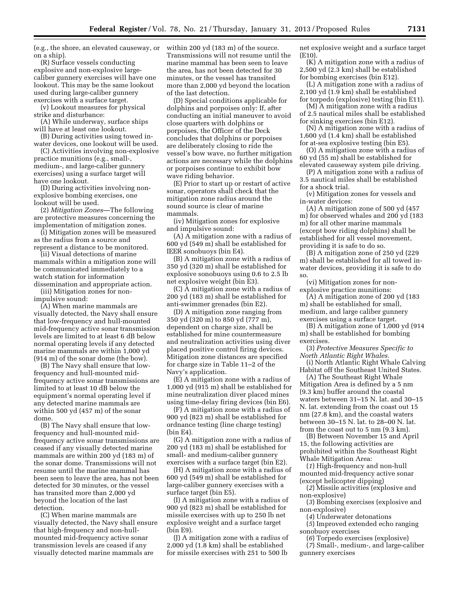(e.g., the shore, an elevated causeway, or on a ship).

(R) Surface vessels conducting explosive and non-explosive largecaliber gunnery exercises will have one lookout. This may be the same lookout used during large-caliber gunnery exercises with a surface target.

(v) Lookout measures for physical strike and disturbance:

(A) While underway, surface ships will have at least one lookout.

(B) During activities using towed inwater devices, one lookout will be used.

(C) Activities involving non-explosive practice munitions (e.g., small-, medium-, and large-caliber gunnery exercises) using a surface target will have one lookout.

(D) During activities involving nonexplosive bombing exercises, one lookout will be used.

(2) *Mitigation Zones*—The following are protective measures concerning the implementation of mitigation zones.

(i) Mitigation zones will be measured as the radius from a source and represent a distance to be monitored.

(ii) Visual detections of marine mammals within a mitigation zone will be communicated immediately to a watch station for information

dissemination and appropriate action. (iii) Mitigation zones for nonimpulsive sound:

(A) When marine mammals are visually detected, the Navy shall ensure that low-frequency and hull-mounted mid-frequency active sonar transmission levels are limited to at least 6 dB below normal operating levels if any detected marine mammals are within 1,000 yd (914 m) of the sonar dome (the bow).

(B) The Navy shall ensure that lowfrequency and hull-mounted midfrequency active sonar transmissions are limited to at least 10 dB below the equipment's normal operating level if any detected marine mammals are within 500 yd (457 m) of the sonar dome.

(B) The Navy shall ensure that lowfrequency and hull-mounted midfrequency active sonar transmissions are ceased if any visually detected marine mammals are within 200 yd (183 m) of the sonar dome. Transmissions will not resume until the marine mammal has been seen to leave the area, has not been detected for 30 minutes, or the vessel has transited more than 2,000 yd beyond the location of the last detection.

(C) When marine mammals are visually detected, the Navy shall ensure that high-frequency and non-hullmounted mid-frequency active sonar transmission levels are ceased if any visually detected marine mammals are

within 200 yd (183 m) of the source. Transmissions will not resume until the marine mammal has been seen to leave the area, has not been detected for 30 minutes, or the vessel has transited more than 2,000 yd beyond the location of the last detection.

(D) Special conditions applicable for dolphins and porpoises only: If, after conducting an initial maneuver to avoid close quarters with dolphins or porpoises, the Officer of the Deck concludes that dolphins or porpoises are deliberately closing to ride the vessel's bow wave, no further mitigation actions are necessary while the dolphins or porpoises continue to exhibit bow wave riding behavior.

(E) Prior to start up or restart of active sonar, operators shall check that the mitigation zone radius around the sound source is clear of marine mammals.

(iv) Mitigation zones for explosive and impulsive sound:

(A) A mitigation zone with a radius of 600 yd (549 m) shall be established for IEER sonobuoys (bin E4).

(B) A mitigation zone with a radius of 350 yd (320 m) shall be established for explosive sonobuoys using 0.6 to 2.5 lb net explosive weight (bin E3).

(C) A mitigation zone with a radius of 200 yd (183 m) shall be established for anti-swimmer grenades (bin E2).

(D) A mitigation zone ranging from 350 yd (320 m) to 850 yd (777 m), dependent on charge size, shall be established for mine countermeasure and neutralization activities using diver placed positive control firing devices. Mitigation zone distances are specified for charge size in Table 11–2 of the Navy's application.

(E) A mitigation zone with a radius of 1,000 yd (915 m) shall be established for mine neutralization diver placed mines using time-delay firing devices (bin E6).

(F) A mitigation zone with a radius of 900 yd (823 m) shall be established for ordnance testing (line charge testing) (bin E4).

(G) A mitigation zone with a radius of 200 yd (183 m) shall be established for small- and medium-caliber gunnery exercises with a surface target (bin E2).

(H) A mitigation zone with a radius of 600 yd (549 m) shall be established for large-caliber gunnery exercises with a surface target (bin E5).

(I) A mitigation zone with a radius of 900 yd (823 m) shall be established for missile exercises with up to 250 lb net explosive weight and a surface target (bin E9).

(J) A mitigation zone with a radius of 2,000 yd (1.8 km) shall be established for missile exercises with 251 to 500 lb

net explosive weight and a surface target (E10).

(K) A mitigation zone with a radius of 2,500 yd (2.3 km) shall be established for bombing exercises (bin E12).

(L) A mitigation zone with a radius of 2,100 yd (1.9 km) shall be established for torpedo (explosive) testing (bin E11).

(M) A mitigation zone with a radius of 2.5 nautical miles shall be established for sinking exercises (bin E12).

(N) A mitigation zone with a radius of 1,600 yd (1.4 km) shall be established for at-sea explosive testing (bin E5).

(O) A mitigation zone with a radius of 60 yd (55 m) shall be established for elevated causeway system pile driving.

(P) A mitigation zone with a radius of 3.5 nautical miles shall be established for a shock trial.

(v) Mitigation zones for vessels and in-water devices:

(A) A mitigation zone of 500 yd (457 m) for observed whales and 200 yd (183 m) for all other marine mammals (except bow riding dolphins) shall be established for all vessel movement, providing it is safe to do so.

(B) A mitigation zone of 250 yd (229 m) shall be established for all towed inwater devices, providing it is safe to do so.

(vi) Mitigation zones for nonexplosive practice munitions:

(A) A mitigation zone of 200 yd (183 m) shall be established for small, medium, and large caliber gunnery exercises using a surface target.

(B) A mitigation zone of 1,000 yd (914 m) shall be established for bombing exercises.

(3) *Protective Measures Specific to North Atlantic Right Whales.* 

(i) North Atlantic Right Whale Calving Habitat off the Southeast United States.

(A) The Southeast Right Whale Mitigation Area is defined by a 5 nm (9.3 km) buffer around the coastal waters between 31–15 N. lat. and 30–15 N. lat. extending from the coast out 15 nm (27.8 km), and the coastal waters between 30–15 N. lat. to 28–00 N. lat. from the coast out to 5 nm (9.3 km).

(B) Between November 15 and April 15, the following activities are prohibited within the Southeast Right Whale Mitigation Area:

(*1*) High-frequency and non-hull mounted mid-frequency active sonar (except helicopter dipping)

(*2*) Missile activities (explosive and non-explosive)

(*3*) Bombing exercises (explosive and non-explosive)

(*4*) Underwater detonations

(*5*) Improved extended echo ranging sonobuoy exercises

(*6*) Torpedo exercises (explosive)

(*7*) Small-, medium-, and large-caliber gunnery exercises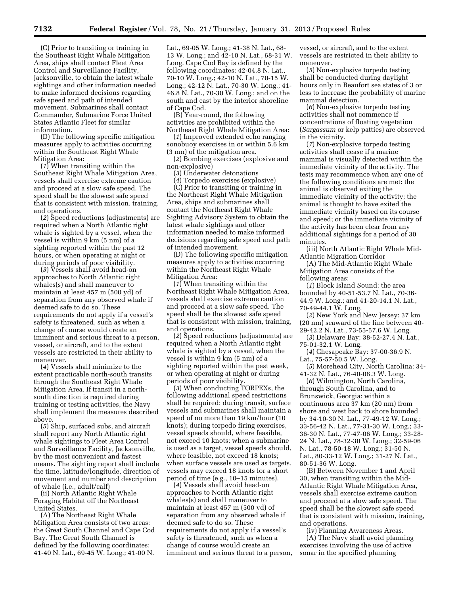(C) Prior to transiting or training in the Southeast Right Whale Mitigation Area, ships shall contact Fleet Area Control and Surveillance Facility, Jacksonville, to obtain the latest whale sightings and other information needed to make informed decisions regarding safe speed and path of intended movement. Submarines shall contact Commander, Submarine Force United States Atlantic Fleet for similar information.

(D) The following specific mitigation measures apply to activities occurring within the Southeast Right Whale Mitigation Area:

(*1*) When transiting within the Southeast Right Whale Mitigation Area, vessels shall exercise extreme caution and proceed at a slow safe speed. The speed shall be the slowest safe speed that is consistent with mission, training, and operations.

(*2*) Speed reductions (adjustments) are required when a North Atlantic right whale is sighted by a vessel, when the vessel is within 9 km (5 nm) of a sighting reported within the past 12 hours, or when operating at night or during periods of poor visibility.

(*3*) Vessels shall avoid head-on approaches to North Atlantic right whales(s) and shall maneuver to maintain at least 457 m (500 yd) of separation from any observed whale if deemed safe to do so. These requirements do not apply if a vessel's safety is threatened, such as when a change of course would create an imminent and serious threat to a person, vessel, or aircraft, and to the extent vessels are restricted in their ability to maneuver.

(*4*) Vessels shall minimize to the extent practicable north-south transits through the Southeast Right Whale Mitigation Area. If transit in a northsouth direction is required during training or testing activities, the Navy shall implement the measures described above.

(*5*) Ship, surfaced subs, and aircraft shall report any North Atlantic right whale sightings to Fleet Area Control and Surveillance Facility, Jacksonville, by the most convenient and fastest means. The sighting report shall include the time, latitude/longitude, direction of movement and number and description of whale (i.e., adult/calf)

(ii) North Atlantic Right Whale Foraging Habitat off the Northeast United States.

(A) The Northeast Right Whale Mitigation Area consists of two areas: the Great South Channel and Cape Cod Bay. The Great South Channel is defined by the following coordinates: 41-40 N. Lat., 69-45 W. Long.; 41-00 N.

Lat., 69-05 W. Long.; 41-38 N. Lat., 68- 13 W. Long.; and 42-10 N. Lat., 68-31 W. Long. Cape Cod Bay is defined by the following coordinates: 42-04.8 N. Lat., 70-10 W. Long.; 42-10 N. Lat., 70-15 W. Long.; 42-12 N. Lat., 70-30 W. Long.; 41- 46.8 N. Lat., 70-30 W. Long.; and on the south and east by the interior shoreline of Cape Cod.

(B) Year-round, the following activities are prohibited within the Northeast Right Whale Mitigation Area:

(*1*) Improved extended echo ranging sonobuoy exercises in or within 5.6 km (3 nm) of the mitigation area.

(*2*) Bombing exercises (explosive and non-explosive)

(*3*) Underwater detonations

(*4*) Torpedo exercises (explosive) (C) Prior to transiting or training in the Northeast Right Whale Mitigation Area, ships and submarines shall contact the Northeast Right Whale Sighting Advisory System to obtain the latest whale sightings and other information needed to make informed decisions regarding safe speed and path

of intended movement. (D) The following specific mitigation measures apply to activities occurring within the Northeast Right Whale Mitigation Area:

(*1*) When transiting within the Northeast Right Whale Mitigation Area, vessels shall exercise extreme caution and proceed at a slow safe speed. The speed shall be the slowest safe speed that is consistent with mission, training, and operations.

(*2*) Speed reductions (adjustments) are required when a North Atlantic right whale is sighted by a vessel, when the vessel is within 9 km (5 nm) of a sighting reported within the past week, or when operating at night or during periods of poor visibility.

(*3*) When conducting TORPEXs, the following additional speed restrictions shall be required: during transit, surface vessels and submarines shall maintain a speed of no more than 19 km/hour (10 knots); during torpedo firing exercises, vessel speeds should, where feasible, not exceed 10 knots; when a submarine is used as a target, vessel speeds should, where feasible, not exceed 18 knots; when surface vessels are used as targets, vessels may exceed 18 knots for a short period of time (e.g., 10–15 minutes).

(*4*) Vessels shall avoid head-on approaches to North Atlantic right whales(s) and shall maneuver to maintain at least 457 m (500 yd) of separation from any observed whale if deemed safe to do so. These requirements do not apply if a vessel's safety is threatened, such as when a change of course would create an imminent and serious threat to a person,

vessel, or aircraft, and to the extent vessels are restricted in their ability to maneuver.

(*5*) Non-explosive torpedo testing shall be conducted during daylight hours only in Beaufort sea states of 3 or less to increase the probability of marine mammal detection.

(*6*) Non-explosive torpedo testing activities shall not commence if concentrations of floating vegetation (*Sargassum* or kelp patties) are observed in the vicinity.

(*7*) Non-explosive torpedo testing activities shall cease if a marine mammal is visually detected within the immediate vicinity of the activity. The tests may recommence when any one of the following conditions are met: the animal is observed exiting the immediate vicinity of the activity; the animal is thought to have exited the immediate vicinity based on its course and speed; or the immediate vicinity of the activity has been clear from any additional sightings for a period of 30 minutes.

(iii) North Atlantic Right Whale Mid-Atlantic Migration Corridor

(A) The Mid-Atlantic Right Whale Mitigation Area consists of the following areas:

(*1*) Block Island Sound: the area bounded by 40-51-53.7 N. Lat., 70-36- 44.9 W. Long.; and 41-20-14.1 N. Lat., 70-49-44.1 W. Long.

(*2*) New York and New Jersey: 37 km (20 nm) seaward of the line between 40- 29-42.2 N. Lat., 73-55-57.6 W. Long.

(*3*) Delaware Bay: 38-52-27.4 N. Lat., 75-01-32.1 W. Long.

(*4*) Chesapeake Bay: 37-00-36.9 N. Lat., 75-57-50.5 W. Long.

(*5*) Morehead City, North Carolina: 34- 41-32 N. Lat., 76-40-08.3 W. Long.

(*6*) Wilmington, North Carolina, through South Carolina, and to Brunswick, Georgia: within a continuous area 37 km (20 nm) from shore and west back to shore bounded by 34-10-30 N. Lat., 77-49-12 W. Long.; 33-56-42 N. Lat., 77-31-30 W. Long.; 33- 36-30 N. Lat., 77-47-06 W. Long.; 33-28- 24 N. Lat., 78-32-30 W. Long.; 32-59-06 N. Lat., 78-50-18 W. Long.; 31-50 N. Lat., 80-33-12 W. Long.; 31-27 N. Lat., 80-51-36 W. Long.

(B) Between November 1 and April 30, when transiting within the Mid-Atlantic Right Whale Mitigation Area, vessels shall exercise extreme caution and proceed at a slow safe speed. The speed shall be the slowest safe speed that is consistent with mission, training, and operations.

(iv) Planning Awareness Areas. (A) The Navy shall avoid planning exercises involving the use of active sonar in the specified planning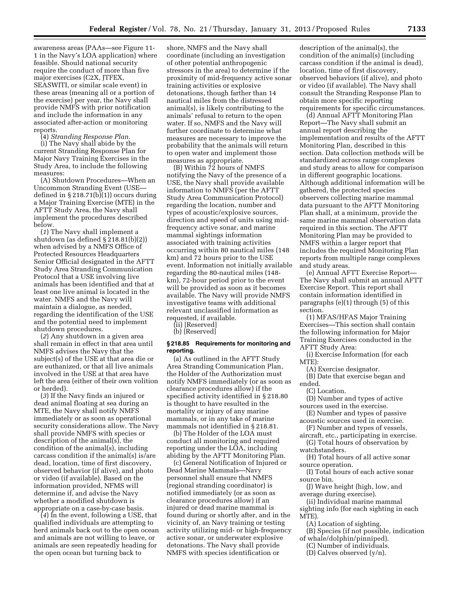awareness areas (PAAs—see Figure 11- 1 in the Navy's LOA application) where feasible. Should national security require the conduct of more than five major exercises (C2X, JTFEX, SEASWITI, or similar scale event) in these areas (meaning all or a portion of the exercise) per year, the Navy shall provide NMFS with prior notification and include the information in any associated after-action or monitoring reports.

(4) *Stranding Response Plan.*  (i) The Navy shall abide by the current Stranding Response Plan for Major Navy Training Exercises in the Study Area, to include the following measures:

(A) Shutdown Procedures—When an Uncommon Stranding Event (USE defined in § 218.71(b)(1)) occurs during a Major Training Exercise (MTE) in the AFTT Study Area, the Navy shall implement the procedures described below.

(*1*) The Navy shall implement a shutdown (as defined § 218.81(b)(2)) when advised by a NMFS Office of Protected Resources Headquarters Senior Official designated in the AFTT Study Area Stranding Communication Protocol that a USE involving live animals has been identified and that at least one live animal is located in the water. NMFS and the Navy will maintain a dialogue, as needed, regarding the identification of the USE and the potential need to implement shutdown procedures.

(*2*) Any shutdown in a given area shall remain in effect in that area until NMFS advises the Navy that the subject(s) of the USE at that area die or are euthanized, or that all live animals involved in the USE at that area have left the area (either of their own volition or herded).

(*3*) If the Navy finds an injured or dead animal floating at sea during an MTE, the Navy shall notify NMFS immediately or as soon as operational security considerations allow. The Navy shall provide NMFS with species or description of the animal(s), the condition of the animal(s), including carcass condition if the animal(s) is/are dead, location, time of first discovery, observed behavior (if alive), and photo or video (if available). Based on the information provided, NFMS will determine if, and advise the Navy whether a modified shutdown is appropriate on a case-by-case basis.

(*4*) In the event, following a USE, that qualified individuals are attempting to herd animals back out to the open ocean and animals are not willing to leave, or animals are seen repeatedly heading for the open ocean but turning back to

shore, NMFS and the Navy shall coordinate (including an investigation of other potential anthropogenic stressors in the area) to determine if the proximity of mid-frequency active sonar training activities or explosive detonations, though farther than 14 nautical miles from the distressed animal(s), is likely contributing to the animals' refusal to return to the open water. If so, NMFS and the Navy will further coordinate to determine what measures are necessary to improve the probability that the animals will return to open water and implement those measures as appropriate.

(B) Within 72 hours of NMFS notifying the Navy of the presence of a USE, the Navy shall provide available information to NMFS (per the AFTT Study Area Communication Protocol) regarding the location, number and types of acoustic/explosive sources, direction and speed of units using midfrequency active sonar, and marine mammal sightings information associated with training activities occurring within 80 nautical miles (148 km) and 72 hours prior to the USE event. Information not initially available regarding the 80-nautical miles (148 km), 72-hour period prior to the event will be provided as soon as it becomes available. The Navy will provide NMFS investigative teams with additional relevant unclassified information as requested, if available.

(ii) [Reserved]

(b) [Reserved]

## **§ 218.85 Requirements for monitoring and reporting.**

(a) As outlined in the AFTT Study Area Stranding Communication Plan, the Holder of the Authorization must notify NMFS immediately (or as soon as clearance procedures allow) if the specified activity identified in § 218.80 is thought to have resulted in the mortality or injury of any marine mammals, or in any take of marine mammals not identified in § 218.81.

(b) The Holder of the LOA must conduct all monitoring and required reporting under the LOA, including abiding by the AFTT Monitoring Plan.

(c) General Notification of Injured or Dead Marine Mammals—Navy personnel shall ensure that NMFS (regional stranding coordinator) is notified immediately (or as soon as clearance procedures allow) if an injured or dead marine mammal is found during or shortly after, and in the vicinity of, an Navy training or testing activity utilizing mid- or high-frequency active sonar, or underwater explosive detonations. The Navy shall provide NMFS with species identification or

description of the animal(s), the condition of the animal(s) (including carcass condition if the animal is dead), location, time of first discovery, observed behaviors (if alive), and photo or video (if available). The Navy shall consult the Stranding Response Plan to obtain more specific reporting requirements for specific circumstances.

(d) Annual AFTT Monitoring Plan Report—The Navy shall submit an annual report describing the implementation and results of the AFTT Monitoring Plan, described in this section. Data collection methods will be standardized across range complexes and study areas to allow for comparison in different geographic locations. Although additional information will be gathered, the protected species observers collecting marine mammal data pursuant to the AFTT Monitoring Plan shall, at a minimum, provide the same marine mammal observation data required in this section. The AFTT Monitoring Plan may be provided to NMFS within a larger report that includes the required Monitoring Plan reports from multiple range complexes and study areas.

(e) Annual AFTT Exercise Report— The Navy shall submit an annual AFTT Exercise Report. This report shall contain information identified in paragraphs (e)(1) through (5) of this section.

(1) MFAS/HFAS Major Training Exercises—This section shall contain the following information for Major Training Exercises conducted in the AFTT Study Area:

(i) Exercise Information (for each MTE):

(A) Exercise designator.

(B) Date that exercise began and ended.

(C) Location.

(D) Number and types of active sources used in the exercise.

(E) Number and types of passive acoustic sources used in exercise.

(F) Number and types of vessels,

aircraft, etc., participating in exercise. (G) Total hours of observation by

watchstanders.

(H) Total hours of all active sonar source operation.

(I) Total hours of each active sonar source bin.

(J) Wave height (high, low, and average during exercise).

(ii) Individual marine mammal sighting info (for each sighting in each MTE).

(A) Location of sighting.

(B) Species (if not possible, indication of whale/dolphin/pinniped).

(C) Number of individuals.

(D) Calves observed (y/n).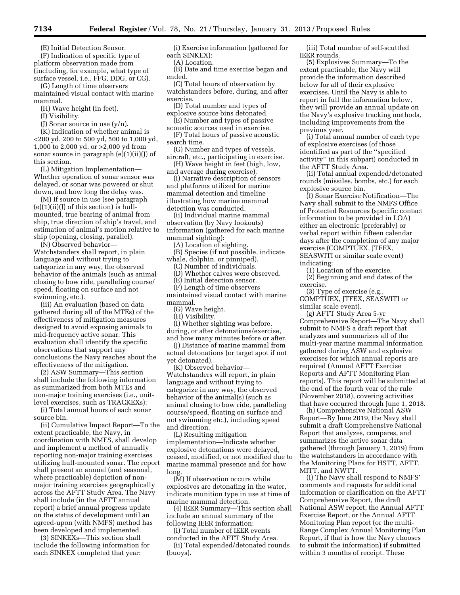(E) Initial Detection Sensor.

(F) Indication of specific type of platform observation made from (including, for example, what type of surface vessel, i.e., FFG, DDG, or CG).

(G) Length of time observers maintained visual contact with marine mammal.

(H) Wave height (in feet).

(I) Visibility.

(J) Sonar source in use (y/n).

(K) Indication of whether animal is <200 yd, 200 to 500 yd, 500 to 1,000 yd, 1,000 to 2,000 yd, or >2,000 yd from sonar source in paragraph (e)(1)(ii)(J) of this section.

(L) Mitigation Implementation— Whether operation of sonar sensor was delayed, or sonar was powered or shut down, and how long the delay was.

(M) If source in use (see paragraph  $(e)(1)(ii)(J)$  of this section) is hullmounted, true bearing of animal from ship, true direction of ship's travel, and estimation of animal's motion relative to ship (opening, closing, parallel).

(N) Observed behavior—

Watchstanders shall report, in plain language and without trying to categorize in any way, the observed behavior of the animals (such as animal closing to bow ride, paralleling course/ speed, floating on surface and not swimming, etc.).

(iii) An evaluation (based on data gathered during all of the MTEs) of the effectiveness of mitigation measures designed to avoid exposing animals to mid-frequency active sonar. This evaluation shall identify the specific observations that support any conclusions the Navy reaches about the effectiveness of the mitigation.

(2) ASW Summary—This section shall include the following information as summarized from both MTEs and non-major training exercises (i.e., unitlevel exercises, such as TRACKEXs):

(i) Total annual hours of each sonar source bin.

(ii) Cumulative Impact Report—To the extent practicable, the Navy, in coordination with NMFS, shall develop and implement a method of annually reporting non-major training exercises utilizing hull-mounted sonar. The report shall present an annual (and seasonal, where practicable) depiction of nonmajor training exercises geographically across the AFTT Study Area. The Navy shall include (in the AFTT annual report) a brief annual progress update on the status of development until an agreed-upon (with NMFS) method has been developed and implemented.

(3) SINKEXs—This section shall include the following information for each SINKEX completed that year:

(i) Exercise information (gathered for each SINKEX):

(A) Location.

(B) Date and time exercise began and ended.

(C) Total hours of observation by watchstanders before, during, and after exercise.

(D) Total number and types of explosive source bins detonated.

(E) Number and types of passive acoustic sources used in exercise.

(F) Total hours of passive acoustic search time.

(G) Number and types of vessels, aircraft, etc., participating in exercise.

(H) Wave height in feet (high, low, and average during exercise).

(I) Narrative description of sensors and platforms utilized for marine mammal detection and timeline illustrating how marine mammal detection was conducted.

(ii) Individual marine mammal observation (by Navy lookouts) information (gathered for each marine mammal sighting):

(A) Location of sighting.

(B) Species (if not possible, indicate whale, dolphin, or pinniped).

(C) Number of individuals.

(D) Whether calves were observed.

(E) Initial detection sensor.

(F) Length of time observers

maintained visual contact with marine

mammal. (G) Wave height.

(H) Visibility.

(I) Whether sighting was before,

during, or after detonations/exercise, and how many minutes before or after.

(J) Distance of marine mammal from actual detonations (or target spot if not yet detonated).

(K) Observed behavior— Watchstanders will report, in plain language and without trying to categorize in any way, the observed behavior of the animal(s) (such as animal closing to bow ride, paralleling course/speed, floating on surface and not swimming etc.), including speed and direction.

(L) Resulting mitigation implementation—Indicate whether explosive detonations were delayed, ceased, modified, or not modified due to marine mammal presence and for how long.

(M) If observation occurs while explosives are detonating in the water, indicate munition type in use at time of marine mammal detection.

(4) IEER Summary—This section shall include an annual summary of the following IEER information:

(i) Total number of IEER events conducted in the AFTT Study Area.

(ii) Total expended/detonated rounds (buoys).

(iii) Total number of self-scuttled IEER rounds.

(5) Explosives Summary—To the extent practicable, the Navy will provide the information described below for all of their explosive exercises. Until the Navy is able to report in full the information below, they will provide an annual update on the Navy's explosive tracking methods, including improvements from the previous year.

(i) Total annual number of each type of explosive exercises (of those identified as part of the ''specified activity'' in this subpart) conducted in the AFTT Study Area.

(ii) Total annual expended/detonated rounds (missiles, bombs, etc.) for each explosive source bin.

(f) Sonar Exercise Notification—The Navy shall submit to the NMFS Office of Protected Resources (specific contact information to be provided in LOA) either an electronic (preferably) or verbal report within fifteen calendar days after the completion of any major exercise (COMPTUEX, JTFEX, SEASWITI or similar scale event) indicating:

(1) Location of the exercise.

(2) Beginning and end dates of the exercise.

(3) Type of exercise (e.g., COMPTUEX, JTFEX, SEASWITI or similar scale event).

(g) AFTT Study Area 5-yr Comprehensive Report—The Navy shall submit to NMFS a draft report that analyzes and summarizes all of the multi-year marine mammal information gathered during ASW and explosive exercises for which annual reports are required (Annual AFTT Exercise Reports and AFTT Monitoring Plan reports). This report will be submitted at the end of the fourth year of the rule (November 2018), covering activities that have occurred through June 1, 2018.

(h) Comprehensive National ASW Report—By June 2019, the Navy shall submit a draft Comprehensive National Report that analyzes, compares, and summarizes the active sonar data gathered (through January 1, 2019) from the watchstanders in accordance with the Monitoring Plans for HSTT, AFTT, MITT, and NWTT.

(i) The Navy shall respond to NMFS' comments and requests for additional information or clarification on the AFTT Comprehensive Report, the draft National ASW report, the Annual AFTT Exercise Report, or the Annual AFTT Monitoring Plan report (or the multi-Range Complex Annual Monitoring Plan Report, if that is how the Navy chooses to submit the information) if submitted within 3 months of receipt. These